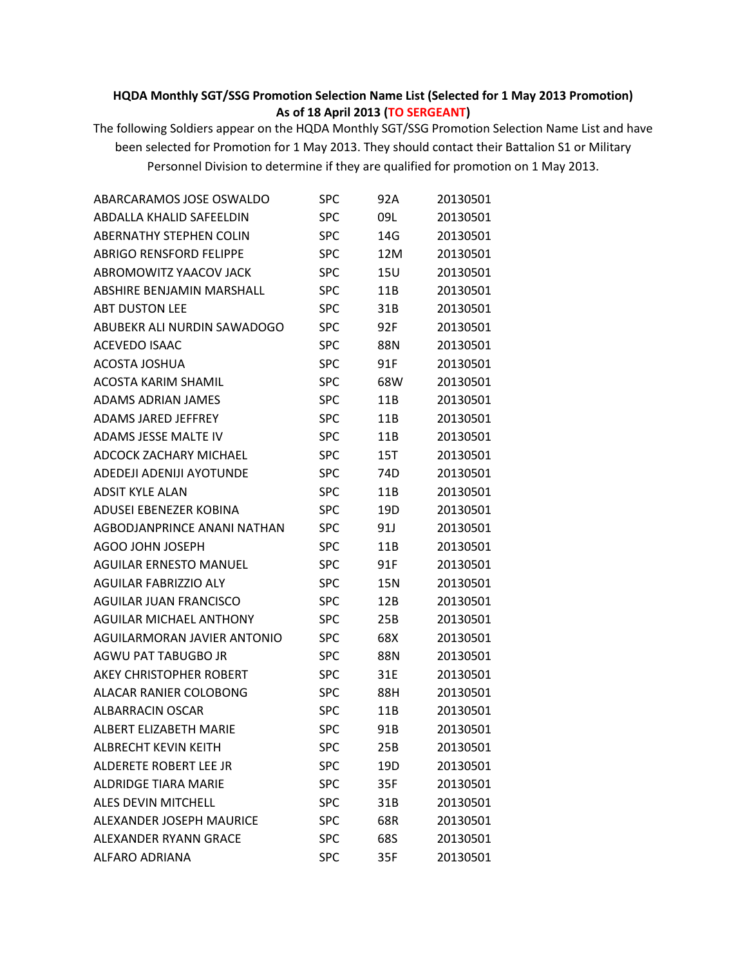## **HQDA Monthly SGT/SSG Promotion Selection Name List (Selected for 1 May 2013 Promotion) As of 18 April 2013 (TO SERGEANT)**

The following Soldiers appear on the HQDA Monthly SGT/SSG Promotion Selection Name List and have been selected for Promotion for 1 May 2013. They should contact their Battalion S1 or Military Personnel Division to determine if they are qualified for promotion on 1 May 2013.

| ABARCARAMOS JOSE OSWALDO        | SPC        | 92A | 20130501 |
|---------------------------------|------------|-----|----------|
| ABDALLA KHALID SAFEELDIN        | SPC        | 09L | 20130501 |
| <b>ABERNATHY STEPHEN COLIN</b>  | <b>SPC</b> | 14G | 20130501 |
| <b>ABRIGO RENSFORD FELIPPE</b>  | SPC        | 12M | 20130501 |
| ABROMOWITZ YAACOV JACK          | <b>SPC</b> | 15U | 20130501 |
| ABSHIRE BENJAMIN MARSHALL       | <b>SPC</b> | 11B | 20130501 |
| <b>ABT DUSTON LEE</b>           | <b>SPC</b> | 31B | 20130501 |
| ABUBEKR ALI NURDIN SAWADOGO     | <b>SPC</b> | 92F | 20130501 |
| <b>ACEVEDO ISAAC</b>            | <b>SPC</b> | 88N | 20130501 |
| <b>ACOSTA JOSHUA</b>            | <b>SPC</b> | 91F | 20130501 |
| <b>ACOSTA KARIM SHAMIL</b>      | <b>SPC</b> | 68W | 20130501 |
| <b>ADAMS ADRIAN JAMES</b>       | SPC        | 11B | 20130501 |
| ADAMS JARED JEFFREY             | <b>SPC</b> | 11B | 20130501 |
| ADAMS JESSE MALTE IV            | <b>SPC</b> | 11B | 20130501 |
| <b>ADCOCK ZACHARY MICHAEL</b>   | <b>SPC</b> | 15T | 20130501 |
| ADEDEJI ADENIJI AYOTUNDE        | SPC        | 74D | 20130501 |
| ADSIT KYLE ALAN                 | <b>SPC</b> | 11B | 20130501 |
| <b>ADUSEI EBENEZER KOBINA</b>   | <b>SPC</b> | 19D | 20130501 |
| AGBODJANPRINCE ANANI NATHAN     | <b>SPC</b> | 91J | 20130501 |
| AGOO JOHN JOSEPH                | <b>SPC</b> | 11B | 20130501 |
| <b>AGUILAR ERNESTO MANUEL</b>   | <b>SPC</b> | 91F | 20130501 |
| <b>AGUILAR FABRIZZIO ALY</b>    | <b>SPC</b> | 15N | 20130501 |
| <b>AGUILAR JUAN FRANCISCO</b>   | <b>SPC</b> | 12B | 20130501 |
| <b>AGUILAR MICHAEL ANTHONY</b>  | SPC        | 25B | 20130501 |
| AGUILARMORAN JAVIER ANTONIO     | <b>SPC</b> | 68X | 20130501 |
| AGWU PAT TABUGBO JR             | <b>SPC</b> | 88N | 20130501 |
| <b>AKEY CHRISTOPHER ROBERT</b>  | <b>SPC</b> | 31E | 20130501 |
| ALACAR RANIER COLOBONG          | <b>SPC</b> | 88H | 20130501 |
| ALBARRACIN OSCAR                | <b>SPC</b> | 11B | 20130501 |
| <b>ALBERT ELIZABETH MARIE</b>   | <b>SPC</b> | 91B | 20130501 |
| <b>ALBRECHT KEVIN KEITH</b>     | <b>SPC</b> | 25B | 20130501 |
| ALDERETE ROBERT LEE JR          | <b>SPC</b> | 19D | 20130501 |
| <b>ALDRIDGE TIARA MARIE</b>     | <b>SPC</b> | 35F | 20130501 |
| ALES DEVIN MITCHELL             | <b>SPC</b> | 31B | 20130501 |
| <b>ALEXANDER JOSEPH MAURICE</b> | <b>SPC</b> | 68R | 20130501 |
| <b>ALEXANDER RYANN GRACE</b>    | <b>SPC</b> | 68S | 20130501 |
| <b>ALFARO ADRIANA</b>           | <b>SPC</b> | 35F | 20130501 |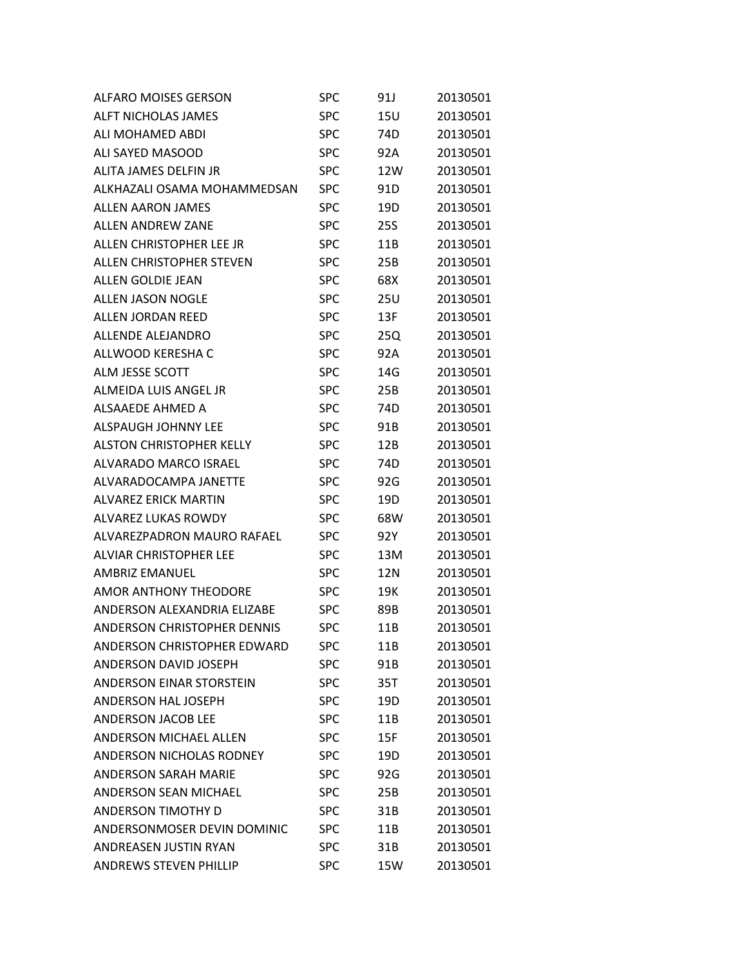| <b>ALFARO MOISES GERSON</b>        | SPC        | 91J | 20130501 |
|------------------------------------|------------|-----|----------|
| <b>ALFT NICHOLAS JAMES</b>         | SPC        | 15U | 20130501 |
| ALI MOHAMED ABDI                   | SPC        | 74D | 20130501 |
| ALI SAYED MASOOD                   | SPC        | 92A | 20130501 |
| ALITA JAMES DELFIN JR              | SPC        | 12W | 20130501 |
| ALKHAZALI OSAMA MOHAMMEDSAN        | SPC        | 91D | 20130501 |
| <b>ALLEN AARON JAMES</b>           | SPC        | 19D | 20130501 |
| <b>ALLEN ANDREW ZANE</b>           | SPC        | 25S | 20130501 |
| ALLEN CHRISTOPHER LEE JR           | SPC        | 11B | 20130501 |
| ALLEN CHRISTOPHER STEVEN           | SPC        | 25B | 20130501 |
| <b>ALLEN GOLDIE JEAN</b>           | SPC        | 68X | 20130501 |
| <b>ALLEN JASON NOGLE</b>           | SPC        | 25U | 20130501 |
| ALLEN JORDAN REED                  | SPC        | 13F | 20130501 |
| <b>ALLENDE ALEJANDRO</b>           | <b>SPC</b> | 25Q | 20130501 |
| ALLWOOD KERESHA C                  | SPC        | 92A | 20130501 |
| <b>ALM JESSE SCOTT</b>             | SPC        | 14G | 20130501 |
| ALMEIDA LUIS ANGEL JR              | SPC        | 25B | 20130501 |
| ALSAAEDE AHMED A                   | <b>SPC</b> | 74D | 20130501 |
| <b>ALSPAUGH JOHNNY LEE</b>         | SPC        | 91B | 20130501 |
| <b>ALSTON CHRISTOPHER KELLY</b>    | SPC        | 12B | 20130501 |
| ALVARADO MARCO ISRAEL              | SPC        | 74D | 20130501 |
| ALVARADOCAMPA JANETTE              | SPC        | 92G | 20130501 |
| <b>ALVAREZ ERICK MARTIN</b>        | SPC        | 19D | 20130501 |
| ALVAREZ LUKAS ROWDY                | SPC        | 68W | 20130501 |
| ALVAREZPADRON MAURO RAFAEL         | SPC        | 92Y | 20130501 |
| <b>ALVIAR CHRISTOPHER LEE</b>      | SPC        | 13M | 20130501 |
| <b>AMBRIZ FMANUFL</b>              | SPC        | 12N | 20130501 |
| <b>AMOR ANTHONY THEODORE</b>       | <b>SPC</b> | 19K | 20130501 |
| ANDERSON ALEXANDRIA ELIZABE        | <b>SPC</b> | 89B | 20130501 |
| <b>ANDERSON CHRISTOPHER DENNIS</b> | <b>SPC</b> | 11B | 20130501 |
| <b>ANDERSON CHRISTOPHER EDWARD</b> | SPC        | 11B | 20130501 |
| <b>ANDERSON DAVID JOSEPH</b>       | <b>SPC</b> | 91B | 20130501 |
| <b>ANDERSON EINAR STORSTEIN</b>    | SPC        | 35T | 20130501 |
| ANDERSON HAL JOSEPH                | <b>SPC</b> | 19D | 20130501 |
| <b>ANDERSON JACOB LEE</b>          | <b>SPC</b> | 11B | 20130501 |
| <b>ANDERSON MICHAEL ALLEN</b>      | <b>SPC</b> | 15F | 20130501 |
| ANDERSON NICHOLAS RODNEY           | <b>SPC</b> | 19D | 20130501 |
| <b>ANDERSON SARAH MARIE</b>        | <b>SPC</b> | 92G | 20130501 |
| <b>ANDERSON SEAN MICHAEL</b>       | <b>SPC</b> | 25B | 20130501 |
| <b>ANDERSON TIMOTHY D</b>          | <b>SPC</b> | 31B | 20130501 |
| ANDERSONMOSER DEVIN DOMINIC        | SPC        | 11B | 20130501 |
| ANDREASEN JUSTIN RYAN              | <b>SPC</b> | 31B | 20130501 |
| <b>ANDREWS STEVEN PHILLIP</b>      | <b>SPC</b> | 15W | 20130501 |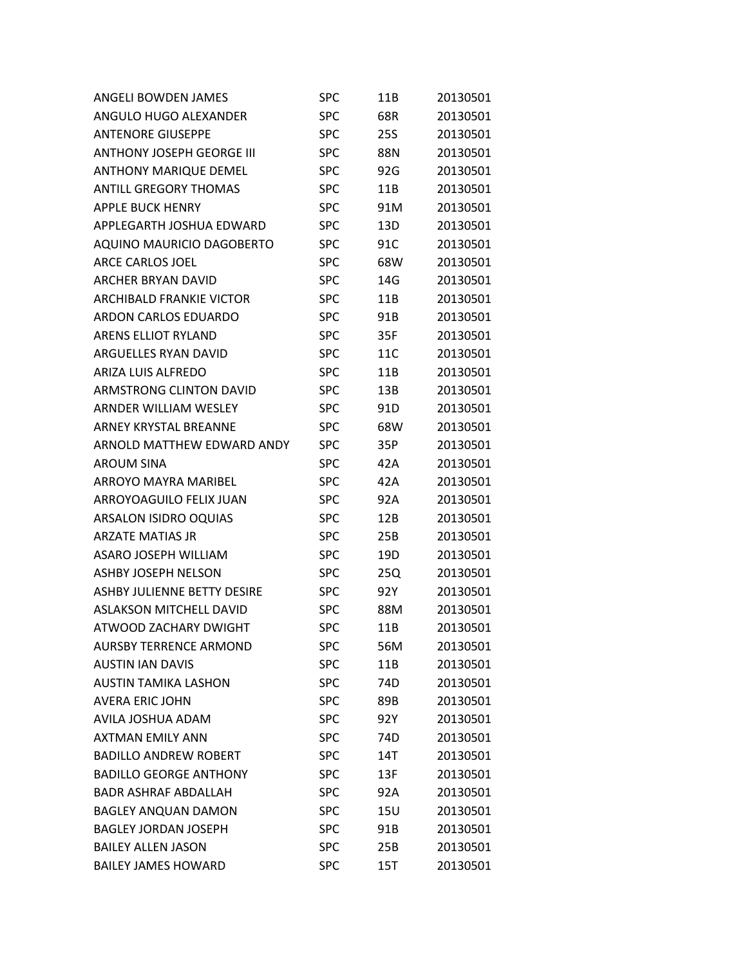| <b>ANGELI BOWDEN JAMES</b>       | SPC        | 11B        | 20130501 |
|----------------------------------|------------|------------|----------|
| ANGULO HUGO ALEXANDER            | <b>SPC</b> | 68R        | 20130501 |
| <b>ANTENORE GIUSEPPE</b>         | <b>SPC</b> | <b>25S</b> | 20130501 |
| <b>ANTHONY JOSEPH GEORGE III</b> | <b>SPC</b> | <b>88N</b> | 20130501 |
| <b>ANTHONY MARIQUE DEMEL</b>     | <b>SPC</b> | 92G        | 20130501 |
| <b>ANTILL GREGORY THOMAS</b>     | <b>SPC</b> | 11B        | 20130501 |
| <b>APPLE BUCK HENRY</b>          | <b>SPC</b> | 91M        | 20130501 |
| APPLEGARTH JOSHUA EDWARD         | <b>SPC</b> | 13D        | 20130501 |
| AQUINO MAURICIO DAGOBERTO        | <b>SPC</b> | 91C        | 20130501 |
| ARCE CARLOS JOEL                 | <b>SPC</b> | 68W        | 20130501 |
| <b>ARCHER BRYAN DAVID</b>        | <b>SPC</b> | 14G        | 20130501 |
| <b>ARCHIBALD FRANKIE VICTOR</b>  | <b>SPC</b> | 11B        | 20130501 |
| ARDON CARLOS EDUARDO             | <b>SPC</b> | 91B        | 20130501 |
| <b>ARENS ELLIOT RYLAND</b>       | <b>SPC</b> | 35F        | 20130501 |
| ARGUELLES RYAN DAVID             | <b>SPC</b> | 11C        | 20130501 |
| <b>ARIZA LUIS ALFREDO</b>        | <b>SPC</b> | 11B        | 20130501 |
| ARMSTRONG CLINTON DAVID          | <b>SPC</b> | 13B        | 20130501 |
| ARNDER WILLIAM WESLEY            | <b>SPC</b> | 91D        | 20130501 |
| ARNEY KRYSTAL BREANNE            | <b>SPC</b> | 68W        | 20130501 |
| ARNOLD MATTHEW EDWARD ANDY       | <b>SPC</b> | 35P        | 20130501 |
| <b>AROUM SINA</b>                | <b>SPC</b> | 42A        | 20130501 |
| <b>ARROYO MAYRA MARIBEL</b>      | <b>SPC</b> | 42A        | 20130501 |
| ARROYOAGUILO FELIX JUAN          | <b>SPC</b> | 92A        | 20130501 |
| ARSALON ISIDRO OQUIAS            | <b>SPC</b> | 12B        | 20130501 |
| <b>ARZATE MATIAS JR</b>          | <b>SPC</b> | 25B        | 20130501 |
| <b>ASARO JOSEPH WILLIAM</b>      | <b>SPC</b> | 19D        | 20130501 |
| <b>ASHBY JOSEPH NELSON</b>       | <b>SPC</b> | 25Q        | 20130501 |
| ASHBY JULIENNE BETTY DESIRE      | <b>SPC</b> | 92Y        | 20130501 |
| <b>ASLAKSON MITCHELL DAVID</b>   | SPC        | 88M        | 20130501 |
| ATWOOD ZACHARY DWIGHT            | <b>SPC</b> | 11B        | 20130501 |
| <b>AURSBY TERRENCE ARMOND</b>    | <b>SPC</b> | 56M        | 20130501 |
| <b>AUSTIN IAN DAVIS</b>          | <b>SPC</b> | 11B        | 20130501 |
| <b>AUSTIN TAMIKA LASHON</b>      | <b>SPC</b> | 74D        | 20130501 |
| <b>AVERA ERIC JOHN</b>           | <b>SPC</b> | 89B        | 20130501 |
| AVILA JOSHUA ADAM                | <b>SPC</b> | 92Y        | 20130501 |
| <b>AXTMAN EMILY ANN</b>          | <b>SPC</b> | 74D        | 20130501 |
| <b>BADILLO ANDREW ROBERT</b>     | <b>SPC</b> | 14T        | 20130501 |
| <b>BADILLO GEORGE ANTHONY</b>    | <b>SPC</b> | 13F        | 20130501 |
| <b>BADR ASHRAF ABDALLAH</b>      | <b>SPC</b> | 92A        | 20130501 |
| <b>BAGLEY ANQUAN DAMON</b>       | <b>SPC</b> | <b>15U</b> | 20130501 |
| <b>BAGLEY JORDAN JOSEPH</b>      | <b>SPC</b> | 91B        | 20130501 |
| <b>BAILEY ALLEN JASON</b>        | <b>SPC</b> | 25B        | 20130501 |
| <b>BAILEY JAMES HOWARD</b>       | <b>SPC</b> | 15T        | 20130501 |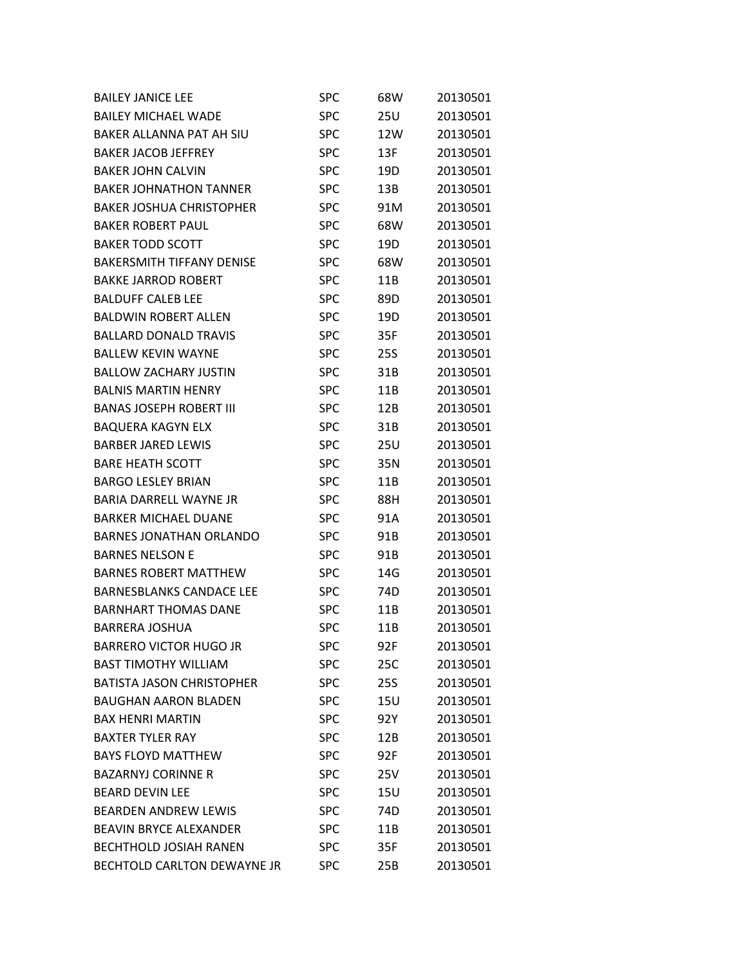| <b>BAILEY JANICE LEE</b>         | <b>SPC</b> | 68W        | 20130501 |
|----------------------------------|------------|------------|----------|
| <b>BAILEY MICHAEL WADE</b>       | <b>SPC</b> | 25U        | 20130501 |
| <b>BAKER ALLANNA PAT AH SIU</b>  | <b>SPC</b> | 12W        | 20130501 |
| <b>BAKER JACOB JEFFREY</b>       | <b>SPC</b> | 13F        | 20130501 |
| BAKER JOHN CALVIN                | <b>SPC</b> | 19D        | 20130501 |
| <b>BAKER JOHNATHON TANNER</b>    | <b>SPC</b> | 13B        | 20130501 |
| <b>BAKER JOSHUA CHRISTOPHER</b>  | <b>SPC</b> | 91M        | 20130501 |
| <b>BAKER ROBERT PAUL</b>         | <b>SPC</b> | 68W        | 20130501 |
| <b>BAKER TODD SCOTT</b>          | <b>SPC</b> | 19D        | 20130501 |
| <b>BAKERSMITH TIFFANY DENISE</b> | <b>SPC</b> | 68W        | 20130501 |
| <b>BAKKE JARROD ROBERT</b>       | <b>SPC</b> | 11B        | 20130501 |
| <b>BALDUFF CALEB LEE</b>         | <b>SPC</b> | 89D        | 20130501 |
| <b>BALDWIN ROBERT ALLEN</b>      | <b>SPC</b> | 19D        | 20130501 |
| <b>BALLARD DONALD TRAVIS</b>     | <b>SPC</b> | 35F        | 20130501 |
| <b>BALLEW KEVIN WAYNE</b>        | <b>SPC</b> | 25S        | 20130501 |
| <b>BALLOW ZACHARY JUSTIN</b>     | <b>SPC</b> | 31B        | 20130501 |
| <b>BALNIS MARTIN HENRY</b>       | <b>SPC</b> | 11B        | 20130501 |
| <b>BANAS JOSEPH ROBERT III</b>   | <b>SPC</b> | 12B        | 20130501 |
| <b>BAQUERA KAGYN ELX</b>         | <b>SPC</b> | 31B        | 20130501 |
| <b>BARBER JARED LEWIS</b>        | <b>SPC</b> | 25U        | 20130501 |
| <b>BARE HEATH SCOTT</b>          | <b>SPC</b> | 35N        | 20130501 |
| <b>BARGO LESLEY BRIAN</b>        | <b>SPC</b> | 11B        | 20130501 |
| <b>BARIA DARRELL WAYNE JR</b>    | <b>SPC</b> | 88H        | 20130501 |
| <b>BARKER MICHAEL DUANE</b>      | <b>SPC</b> | 91A        | 20130501 |
| <b>BARNES JONATHAN ORLANDO</b>   | <b>SPC</b> | 91B        | 20130501 |
| <b>BARNES NELSON E</b>           | <b>SPC</b> | 91B        | 20130501 |
| <b>BARNES ROBERT MATTHEW</b>     | <b>SPC</b> | 14G        | 20130501 |
| <b>BARNESBLANKS CANDACE LEE</b>  | <b>SPC</b> | 74D        | 20130501 |
| <b>BARNHART THOMAS DANE</b>      | <b>SPC</b> | 11B        | 20130501 |
| <b>BARRERA JOSHUA</b>            | <b>SPC</b> | 11B        | 20130501 |
| <b>BARRERO VICTOR HUGO JR</b>    | <b>SPC</b> | 92F        | 20130501 |
| <b>BAST TIMOTHY WILLIAM</b>      | <b>SPC</b> | 25C        | 20130501 |
| <b>BATISTA JASON CHRISTOPHER</b> | <b>SPC</b> | <b>25S</b> | 20130501 |
| <b>BAUGHAN AARON BLADEN</b>      | <b>SPC</b> | 15U        | 20130501 |
| <b>BAX HENRI MARTIN</b>          | <b>SPC</b> | 92Y        | 20130501 |
| <b>BAXTER TYLER RAY</b>          | <b>SPC</b> | 12B        | 20130501 |
| <b>BAYS FLOYD MATTHEW</b>        | <b>SPC</b> | 92F        | 20130501 |
| <b>BAZARNYJ CORINNE R</b>        | <b>SPC</b> | 25V        | 20130501 |
| <b>BEARD DEVIN LFF</b>           | <b>SPC</b> | 15U        | 20130501 |
| <b>BEARDEN ANDREW LEWIS</b>      | <b>SPC</b> | 74D        | 20130501 |
| <b>BEAVIN BRYCE ALEXANDER</b>    | <b>SPC</b> | 11B        | 20130501 |
| <b>BECHTHOLD JOSIAH RANEN</b>    | <b>SPC</b> | 35F        | 20130501 |
| BECHTOLD CARLTON DEWAYNE JR      | <b>SPC</b> | 25B        | 20130501 |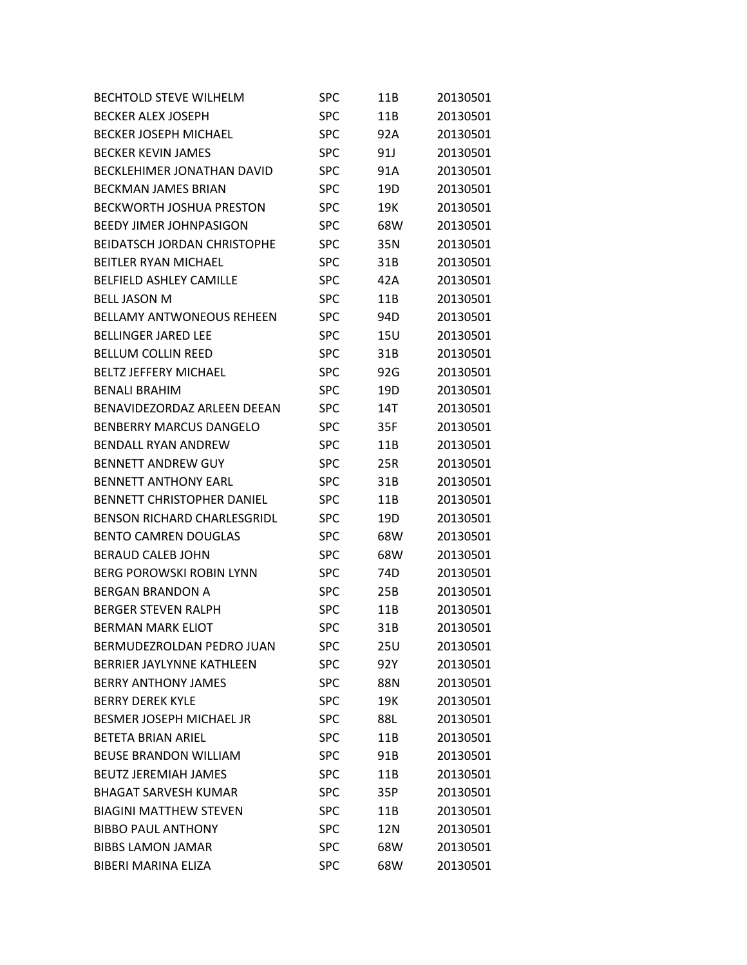| <b>BECHTOLD STEVE WILHELM</b>      | <b>SPC</b> | 11B             | 20130501 |
|------------------------------------|------------|-----------------|----------|
| <b>BECKER ALEX JOSEPH</b>          | <b>SPC</b> | 11B             | 20130501 |
| <b>BECKER JOSEPH MICHAEL</b>       | <b>SPC</b> | 92A             | 20130501 |
| <b>BECKER KEVIN JAMES</b>          | SPC        | 91J             | 20130501 |
| <b>BECKLEHIMER JONATHAN DAVID</b>  | <b>SPC</b> | 91A             | 20130501 |
| <b>BECKMAN JAMES BRIAN</b>         | <b>SPC</b> | 19D             | 20130501 |
| <b>BECKWORTH JOSHUA PRESTON</b>    | <b>SPC</b> | 19K             | 20130501 |
| <b>BEEDY JIMER JOHNPASIGON</b>     | SPC        | 68W             | 20130501 |
| <b>BEIDATSCH JORDAN CHRISTOPHE</b> | <b>SPC</b> | 35N             | 20130501 |
| <b>BEITLER RYAN MICHAEL</b>        | <b>SPC</b> | 31B             | 20130501 |
| <b>BELFIELD ASHLEY CAMILLE</b>     | <b>SPC</b> | 42A             | 20130501 |
| <b>BELL JASON M</b>                | SPC        | 11B             | 20130501 |
| <b>BELLAMY ANTWONEOUS REHEEN</b>   | <b>SPC</b> | 94D             | 20130501 |
| <b>BELLINGER JARED LEE</b>         | <b>SPC</b> | 15U             | 20130501 |
| <b>BELLUM COLLIN REED</b>          | <b>SPC</b> | 31B             | 20130501 |
| <b>BELTZ JEFFERY MICHAEL</b>       | SPC        | 92G             | 20130501 |
| <b>BENALI BRAHIM</b>               | <b>SPC</b> | 19D             | 20130501 |
| BENAVIDEZORDAZ ARLEEN DEEAN        | <b>SPC</b> | 14T             | 20130501 |
| <b>BENBERRY MARCUS DANGELO</b>     | <b>SPC</b> | 35F             | 20130501 |
| <b>BENDALL RYAN ANDREW</b>         | SPC        | 11B             | 20130501 |
| <b>BENNETT ANDREW GUY</b>          | <b>SPC</b> | 25R             | 20130501 |
| <b>BENNETT ANTHONY EARL</b>        | SPC        | 31B             | 20130501 |
| <b>BENNETT CHRISTOPHER DANIEL</b>  | <b>SPC</b> | 11B             | 20130501 |
| <b>BENSON RICHARD CHARLESGRIDL</b> | SPC        | 19D             | 20130501 |
| <b>BENTO CAMREN DOUGLAS</b>        | <b>SPC</b> | 68W             | 20130501 |
| <b>BERAUD CALEB JOHN</b>           | <b>SPC</b> | 68W             | 20130501 |
| <b>BERG POROWSKI ROBIN LYNN</b>    | <b>SPC</b> | 74D             | 20130501 |
| <b>BERGAN BRANDON A</b>            | SPC        | 25B             | 20130501 |
| <b>BERGER STEVEN RALPH</b>         | <b>SPC</b> | 11B             | 20130501 |
| <b>BERMAN MARK ELIOT</b>           | <b>SPC</b> | 31B             | 20130501 |
| BERMUDEZROLDAN PEDRO JUAN          | SPC        | 25U             | 20130501 |
| <b>BERRIER JAYLYNNE KATHLEEN</b>   | <b>SPC</b> | 92Y             | 20130501 |
| <b>BERRY ANTHONY JAMES</b>         | <b>SPC</b> | 88N             | 20130501 |
| <b>BERRY DEREK KYLE</b>            | <b>SPC</b> | 19K             | 20130501 |
| <b>BESMER JOSEPH MICHAEL JR</b>    | <b>SPC</b> | 88L             | 20130501 |
| <b>BETETA BRIAN ARIEL</b>          | <b>SPC</b> | 11 <sub>B</sub> | 20130501 |
| <b>BEUSE BRANDON WILLIAM</b>       | <b>SPC</b> | 91B             | 20130501 |
| <b>BEUTZ JEREMIAH JAMES</b>        | <b>SPC</b> | 11B             | 20130501 |
| <b>BHAGAT SARVESH KUMAR</b>        | <b>SPC</b> | 35P             | 20130501 |
| <b>BIAGINI MATTHEW STEVEN</b>      | <b>SPC</b> | 11B             | 20130501 |
| <b>BIBBO PAUL ANTHONY</b>          | <b>SPC</b> | 12N             | 20130501 |
| <b>BIBBS LAMON JAMAR</b>           | <b>SPC</b> | 68W             | 20130501 |
| BIBERI MARINA ELIZA                | <b>SPC</b> | 68W             | 20130501 |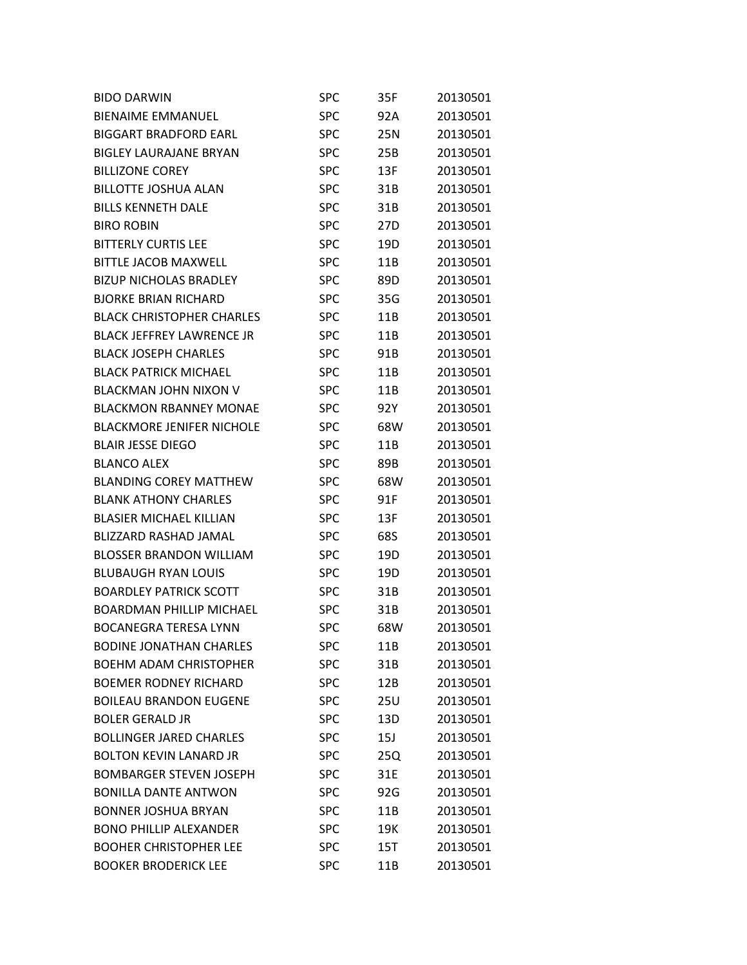| <b>BIDO DARWIN</b>               | SPC        | 35F | 20130501 |
|----------------------------------|------------|-----|----------|
| <b>BIENAIME EMMANUEL</b>         | <b>SPC</b> | 92A | 20130501 |
| <b>BIGGART BRADFORD EARL</b>     | <b>SPC</b> | 25N | 20130501 |
| <b>BIGLEY LAURAJANE BRYAN</b>    | <b>SPC</b> | 25B | 20130501 |
| <b>BILLIZONE COREY</b>           | <b>SPC</b> | 13F | 20130501 |
| <b>BILLOTTE JOSHUA ALAN</b>      | <b>SPC</b> | 31B | 20130501 |
| <b>BILLS KENNETH DALE</b>        | <b>SPC</b> | 31B | 20130501 |
| <b>BIRO ROBIN</b>                | <b>SPC</b> | 27D | 20130501 |
| <b>BITTERLY CURTIS LEE</b>       | <b>SPC</b> | 19D | 20130501 |
| <b>BITTLE JACOB MAXWELL</b>      | <b>SPC</b> | 11B | 20130501 |
| <b>BIZUP NICHOLAS BRADLEY</b>    | <b>SPC</b> | 89D | 20130501 |
| <b>BJORKE BRIAN RICHARD</b>      | <b>SPC</b> | 35G | 20130501 |
| <b>BLACK CHRISTOPHER CHARLES</b> | <b>SPC</b> | 11B | 20130501 |
| <b>BLACK JEFFREY LAWRENCE JR</b> | <b>SPC</b> | 11B | 20130501 |
| <b>BLACK JOSEPH CHARLES</b>      | <b>SPC</b> | 91B | 20130501 |
| <b>BLACK PATRICK MICHAEL</b>     | <b>SPC</b> | 11B | 20130501 |
| <b>BLACKMAN JOHN NIXON V</b>     | <b>SPC</b> | 11B | 20130501 |
| <b>BLACKMON RBANNEY MONAE</b>    | <b>SPC</b> | 92Y | 20130501 |
| <b>BLACKMORE JENIFER NICHOLE</b> | <b>SPC</b> | 68W | 20130501 |
| <b>BLAIR JESSE DIEGO</b>         | <b>SPC</b> | 11B | 20130501 |
| <b>BLANCO ALEX</b>               | <b>SPC</b> | 89B | 20130501 |
| <b>BLANDING COREY MATTHEW</b>    | <b>SPC</b> | 68W | 20130501 |
| <b>BLANK ATHONY CHARLES</b>      | <b>SPC</b> | 91F | 20130501 |
| <b>BLASIER MICHAEL KILLIAN</b>   | <b>SPC</b> | 13F | 20130501 |
| <b>BLIZZARD RASHAD JAMAL</b>     | <b>SPC</b> | 68S | 20130501 |
| <b>BLOSSER BRANDON WILLIAM</b>   | <b>SPC</b> | 19D | 20130501 |
| <b>BLUBAUGH RYAN LOUIS</b>       | <b>SPC</b> | 19D | 20130501 |
| <b>BOARDLEY PATRICK SCOTT</b>    | <b>SPC</b> | 31B | 20130501 |
| <b>BOARDMAN PHILLIP MICHAEL</b>  | SPC        | 31B | 20130501 |
| <b>BOCANEGRA TERESA LYNN</b>     | <b>SPC</b> | 68W | 20130501 |
| <b>BODINE JONATHAN CHARLES</b>   | <b>SPC</b> | 11B | 20130501 |
| <b>BOEHM ADAM CHRISTOPHER</b>    | <b>SPC</b> | 31B | 20130501 |
| <b>BOEMER RODNEY RICHARD</b>     | <b>SPC</b> | 12B | 20130501 |
| <b>BOILEAU BRANDON EUGENE</b>    | <b>SPC</b> | 25U | 20130501 |
| <b>BOLER GERALD JR</b>           | <b>SPC</b> | 13D | 20130501 |
| <b>BOLLINGER JARED CHARLES</b>   | <b>SPC</b> | 15J | 20130501 |
| <b>BOLTON KEVIN LANARD JR</b>    | <b>SPC</b> | 25Q | 20130501 |
| <b>BOMBARGER STEVEN JOSEPH</b>   | <b>SPC</b> | 31E | 20130501 |
| <b>BONILLA DANTE ANTWON</b>      | <b>SPC</b> | 92G | 20130501 |
| <b>BONNER JOSHUA BRYAN</b>       | <b>SPC</b> | 11B | 20130501 |
| <b>BONO PHILLIP ALEXANDER</b>    | <b>SPC</b> | 19K | 20130501 |
| <b>BOOHER CHRISTOPHER LEE</b>    | <b>SPC</b> | 15T | 20130501 |
| <b>BOOKER BRODERICK LEE</b>      | <b>SPC</b> | 11B | 20130501 |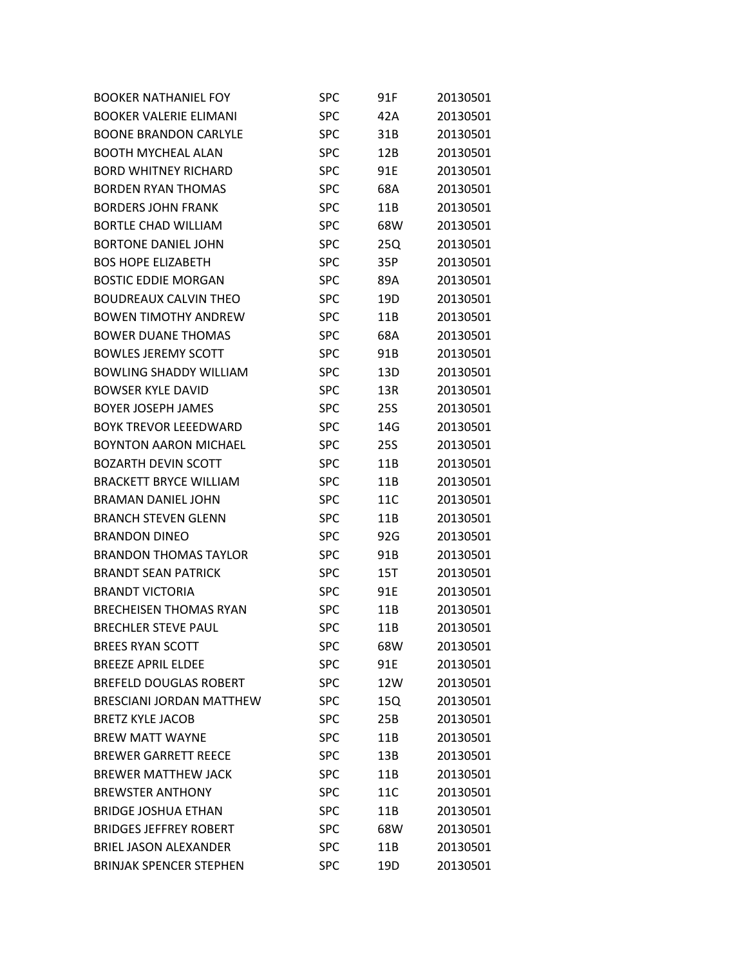| <b>BOOKER NATHANIEL FOY</b>     | SPC        | 91F | 20130501 |
|---------------------------------|------------|-----|----------|
| <b>BOOKER VALERIE ELIMANI</b>   | <b>SPC</b> | 42A | 20130501 |
| <b>BOONE BRANDON CARLYLE</b>    | <b>SPC</b> | 31B | 20130501 |
| <b>BOOTH MYCHEAL ALAN</b>       | <b>SPC</b> | 12B | 20130501 |
| <b>BORD WHITNEY RICHARD</b>     | <b>SPC</b> | 91E | 20130501 |
| <b>BORDEN RYAN THOMAS</b>       | <b>SPC</b> | 68A | 20130501 |
| <b>BORDERS JOHN FRANK</b>       | <b>SPC</b> | 11B | 20130501 |
| <b>BORTLE CHAD WILLIAM</b>      | <b>SPC</b> | 68W | 20130501 |
| <b>BORTONE DANIEL JOHN</b>      | <b>SPC</b> | 25Q | 20130501 |
| <b>BOS HOPE ELIZABETH</b>       | <b>SPC</b> | 35P | 20130501 |
| <b>BOSTIC EDDIE MORGAN</b>      | <b>SPC</b> | 89A | 20130501 |
| <b>BOUDREAUX CALVIN THEO</b>    | <b>SPC</b> | 19D | 20130501 |
| <b>BOWEN TIMOTHY ANDREW</b>     | <b>SPC</b> | 11B | 20130501 |
| <b>BOWER DUANE THOMAS</b>       | <b>SPC</b> | 68A | 20130501 |
| <b>BOWLES JEREMY SCOTT</b>      | <b>SPC</b> | 91B | 20130501 |
| <b>BOWLING SHADDY WILLIAM</b>   | <b>SPC</b> | 13D | 20130501 |
| <b>BOWSER KYLE DAVID</b>        | <b>SPC</b> | 13R | 20130501 |
| <b>BOYER JOSEPH JAMES</b>       | <b>SPC</b> | 25S | 20130501 |
| <b>BOYK TREVOR LEEEDWARD</b>    | <b>SPC</b> | 14G | 20130501 |
| <b>BOYNTON AARON MICHAEL</b>    | <b>SPC</b> | 25S | 20130501 |
| <b>BOZARTH DEVIN SCOTT</b>      | <b>SPC</b> | 11B | 20130501 |
| <b>BRACKETT BRYCE WILLIAM</b>   | <b>SPC</b> | 11B | 20130501 |
| <b>BRAMAN DANIEL JOHN</b>       | <b>SPC</b> | 11C | 20130501 |
| <b>BRANCH STEVEN GLENN</b>      | <b>SPC</b> | 11B | 20130501 |
| <b>BRANDON DINEO</b>            | <b>SPC</b> | 92G | 20130501 |
| <b>BRANDON THOMAS TAYLOR</b>    | <b>SPC</b> | 91B | 20130501 |
| <b>BRANDT SEAN PATRICK</b>      | <b>SPC</b> | 15T | 20130501 |
| <b>BRANDT VICTORIA</b>          | <b>SPC</b> | 91E | 20130501 |
| <b>BRECHEISEN THOMAS RYAN</b>   | <b>SPC</b> | 11B | 20130501 |
| <b>BRECHLER STEVE PAUL</b>      | <b>SPC</b> | 11B | 20130501 |
| <b>BREES RYAN SCOTT</b>         | <b>SPC</b> | 68W | 20130501 |
| <b>BREEZE APRIL ELDEE</b>       | <b>SPC</b> | 91E | 20130501 |
| <b>BREFELD DOUGLAS ROBERT</b>   | <b>SPC</b> | 12W | 20130501 |
| <b>BRESCIANI JORDAN MATTHEW</b> | <b>SPC</b> | 15Q | 20130501 |
| <b>BRETZ KYLE JACOB</b>         | <b>SPC</b> | 25B | 20130501 |
| <b>BREW MATT WAYNE</b>          | <b>SPC</b> | 11B | 20130501 |
| <b>BREWER GARRETT REECE</b>     | <b>SPC</b> | 13B | 20130501 |
| <b>BREWER MATTHEW JACK</b>      | <b>SPC</b> | 11B | 20130501 |
| <b>BREWSTER ANTHONY</b>         | <b>SPC</b> | 11C | 20130501 |
| <b>BRIDGE JOSHUA ETHAN</b>      | <b>SPC</b> | 11B | 20130501 |
| <b>BRIDGES JEFFREY ROBERT</b>   | <b>SPC</b> | 68W | 20130501 |
| <b>BRIEL JASON ALEXANDER</b>    | <b>SPC</b> | 11B | 20130501 |
| <b>BRINJAK SPENCER STEPHEN</b>  | <b>SPC</b> | 19D | 20130501 |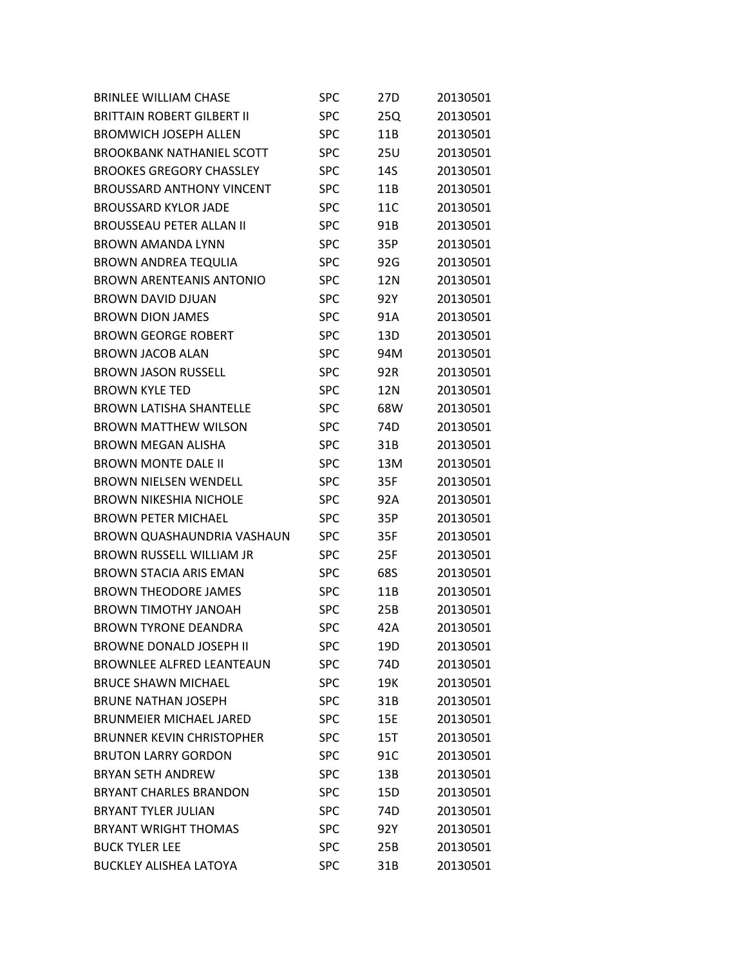| <b>BRINLEE WILLIAM CHASE</b>      | <b>SPC</b> | 27 <sub>D</sub> | 20130501 |
|-----------------------------------|------------|-----------------|----------|
| <b>BRITTAIN ROBERT GILBERT II</b> | <b>SPC</b> | 25Q             | 20130501 |
| <b>BROMWICH JOSEPH ALLEN</b>      | <b>SPC</b> | 11B             | 20130501 |
| <b>BROOKBANK NATHANIEL SCOTT</b>  | SPC        | 25U             | 20130501 |
| <b>BROOKES GREGORY CHASSLEY</b>   | <b>SPC</b> | 14S             | 20130501 |
| <b>BROUSSARD ANTHONY VINCENT</b>  | <b>SPC</b> | 11B             | 20130501 |
| <b>BROUSSARD KYLOR JADE</b>       | <b>SPC</b> | 11C             | 20130501 |
| <b>BROUSSEAU PETER ALLAN II</b>   | SPC        | 91B             | 20130501 |
| BROWN AMANDA LYNN                 | <b>SPC</b> | 35P             | 20130501 |
| <b>BROWN ANDREA TEQULIA</b>       | <b>SPC</b> | 92G             | 20130501 |
| <b>BROWN ARENTEANIS ANTONIO</b>   | <b>SPC</b> | 12N             | 20130501 |
| <b>BROWN DAVID DJUAN</b>          | <b>SPC</b> | 92Y             | 20130501 |
| <b>BROWN DION JAMES</b>           | <b>SPC</b> | 91A             | 20130501 |
| <b>BROWN GEORGE ROBERT</b>        | <b>SPC</b> | 13D             | 20130501 |
| <b>BROWN JACOB ALAN</b>           | <b>SPC</b> | 94M             | 20130501 |
| <b>BROWN JASON RUSSELL</b>        | <b>SPC</b> | 92R             | 20130501 |
| <b>BROWN KYLE TED</b>             | <b>SPC</b> | 12N             | 20130501 |
| <b>BROWN LATISHA SHANTELLE</b>    | <b>SPC</b> | 68W             | 20130501 |
| <b>BROWN MATTHEW WILSON</b>       | <b>SPC</b> | 74D             | 20130501 |
| <b>BROWN MEGAN ALISHA</b>         | <b>SPC</b> | 31B             | 20130501 |
| <b>BROWN MONTE DALE II</b>        | <b>SPC</b> | 13M             | 20130501 |
| <b>BROWN NIELSEN WENDELL</b>      | <b>SPC</b> | 35F             | 20130501 |
| <b>BROWN NIKESHIA NICHOLE</b>     | <b>SPC</b> | 92A             | 20130501 |
| <b>BROWN PETER MICHAEL</b>        | SPC        | 35P             | 20130501 |
| BROWN QUASHAUNDRIA VASHAUN        | <b>SPC</b> | 35F             | 20130501 |
| <b>BROWN RUSSELL WILLIAM JR</b>   | <b>SPC</b> | 25F             | 20130501 |
| <b>BROWN STACIA ARIS EMAN</b>     | <b>SPC</b> | 68S             | 20130501 |
| <b>BROWN THEODORE JAMES</b>       | <b>SPC</b> | 11B             | 20130501 |
| <b>BROWN TIMOTHY JANOAH</b>       | <b>SPC</b> | 25B             | 20130501 |
| <b>BROWN TYRONE DEANDRA</b>       | <b>SPC</b> | 42A             | 20130501 |
| <b>BROWNE DONALD JOSEPH II</b>    | SPC        | 19D             | 20130501 |
| <b>BROWNLEE ALFRED LEANTEAUN</b>  | <b>SPC</b> | 74D             | 20130501 |
| <b>BRUCE SHAWN MICHAEL</b>        | <b>SPC</b> | 19K             | 20130501 |
| <b>BRUNE NATHAN JOSEPH</b>        | <b>SPC</b> | 31B             | 20130501 |
| <b>BRUNMEIER MICHAEL JARED</b>    | <b>SPC</b> | 15E             | 20130501 |
| <b>BRUNNER KEVIN CHRISTOPHER</b>  | <b>SPC</b> | 15T             | 20130501 |
| <b>BRUTON LARRY GORDON</b>        | <b>SPC</b> | 91C             | 20130501 |
| <b>BRYAN SETH ANDREW</b>          | <b>SPC</b> | 13B             | 20130501 |
| <b>BRYANT CHARLES BRANDON</b>     | <b>SPC</b> | 15D             | 20130501 |
| <b>BRYANT TYLER JULIAN</b>        | <b>SPC</b> | 74D             | 20130501 |
| <b>BRYANT WRIGHT THOMAS</b>       | <b>SPC</b> | 92Y             | 20130501 |
| <b>BUCK TYLER LEE</b>             | <b>SPC</b> | 25B             | 20130501 |
| <b>BUCKLEY ALISHEA LATOYA</b>     | <b>SPC</b> | 31B             | 20130501 |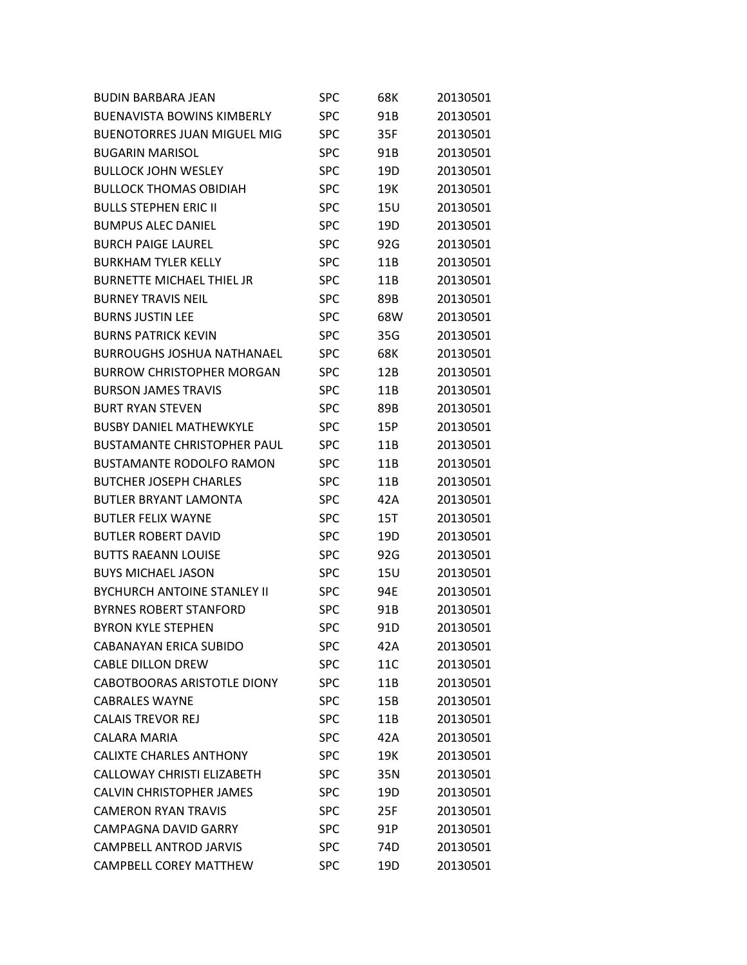| <b>BUDIN BARBARA JEAN</b>          | <b>SPC</b> | 68K             | 20130501 |
|------------------------------------|------------|-----------------|----------|
| <b>BUENAVISTA BOWINS KIMBERLY</b>  | <b>SPC</b> | 91B             | 20130501 |
| <b>BUENOTORRES JUAN MIGUEL MIG</b> | <b>SPC</b> | 35F             | 20130501 |
| <b>BUGARIN MARISOL</b>             | <b>SPC</b> | 91B             | 20130501 |
| <b>BULLOCK JOHN WESLEY</b>         | <b>SPC</b> | 19D             | 20130501 |
| <b>BULLOCK THOMAS OBIDIAH</b>      | <b>SPC</b> | 19K             | 20130501 |
| <b>BULLS STEPHEN ERIC II</b>       | <b>SPC</b> | 15U             | 20130501 |
| <b>BUMPUS ALEC DANIEL</b>          | <b>SPC</b> | 19 <sub>D</sub> | 20130501 |
| <b>BURCH PAIGF LAURFL</b>          | <b>SPC</b> | 92G             | 20130501 |
| <b>BURKHAM TYLER KELLY</b>         | <b>SPC</b> | 11B             | 20130501 |
| <b>BURNETTE MICHAEL THIEL JR</b>   | <b>SPC</b> | 11B             | 20130501 |
| <b>BURNEY TRAVIS NEIL</b>          | <b>SPC</b> | 89B             | 20130501 |
| <b>BURNS JUSTIN LEE</b>            | <b>SPC</b> | 68W             | 20130501 |
| <b>BURNS PATRICK KEVIN</b>         | <b>SPC</b> | 35G             | 20130501 |
| <b>BURROUGHS JOSHUA NATHANAEL</b>  | <b>SPC</b> | 68K             | 20130501 |
| <b>BURROW CHRISTOPHER MORGAN</b>   | <b>SPC</b> | 12B             | 20130501 |
| <b>BURSON JAMES TRAVIS</b>         | <b>SPC</b> | 11B             | 20130501 |
| <b>BURT RYAN STEVEN</b>            | <b>SPC</b> | 89B             | 20130501 |
| <b>BUSBY DANIEL MATHEWKYLE</b>     | SPC        | 15P             | 20130501 |
| <b>BUSTAMANTE CHRISTOPHER PAUL</b> | <b>SPC</b> | 11B             | 20130501 |
| <b>BUSTAMANTE RODOLFO RAMON</b>    | <b>SPC</b> | 11B             | 20130501 |
| <b>BUTCHER JOSEPH CHARLES</b>      | <b>SPC</b> | 11B             | 20130501 |
| <b>BUTLER BRYANT LAMONTA</b>       | <b>SPC</b> | 42A             | 20130501 |
| <b>BUTLER FELIX WAYNE</b>          | <b>SPC</b> | 15T             | 20130501 |
| <b>BUTLER ROBERT DAVID</b>         | <b>SPC</b> | 19D             | 20130501 |
| <b>BUTTS RAEANN LOUISE</b>         | <b>SPC</b> | 92G             | 20130501 |
| <b>BUYS MICHAEL JASON</b>          | <b>SPC</b> | 15U             | 20130501 |
| <b>BYCHURCH ANTOINE STANLEY II</b> | <b>SPC</b> | 94E             | 20130501 |
| <b>BYRNES ROBERT STANFORD</b>      | <b>SPC</b> | 91B             | 20130501 |
| <b>BYRON KYLE STEPHEN</b>          | <b>SPC</b> | 91D             | 20130501 |
| <b>CABANAYAN ERICA SUBIDO</b>      | SPC        | 42A             | 20130501 |
| <b>CABLE DILLON DREW</b>           | <b>SPC</b> | 11C             | 20130501 |
| <b>CABOTBOORAS ARISTOTLE DIONY</b> | <b>SPC</b> | 11B             | 20130501 |
| <b>CABRALES WAYNE</b>              | <b>SPC</b> | 15B             | 20130501 |
| <b>CALAIS TREVOR REJ</b>           | <b>SPC</b> | 11B             | 20130501 |
| <b>CALARA MARIA</b>                | <b>SPC</b> | 42A             | 20130501 |
| <b>CALIXTE CHARLES ANTHONY</b>     | <b>SPC</b> | 19K             | 20130501 |
| <b>CALLOWAY CHRISTI ELIZABETH</b>  | <b>SPC</b> | 35N             | 20130501 |
| <b>CALVIN CHRISTOPHER JAMES</b>    | <b>SPC</b> | 19D             | 20130501 |
| <b>CAMERON RYAN TRAVIS</b>         | <b>SPC</b> | 25F             | 20130501 |
| <b>CAMPAGNA DAVID GARRY</b>        | <b>SPC</b> | 91P             | 20130501 |
| <b>CAMPBELL ANTROD JARVIS</b>      | <b>SPC</b> | 74D             | 20130501 |
| <b>CAMPBELL COREY MATTHEW</b>      | <b>SPC</b> | 19D             | 20130501 |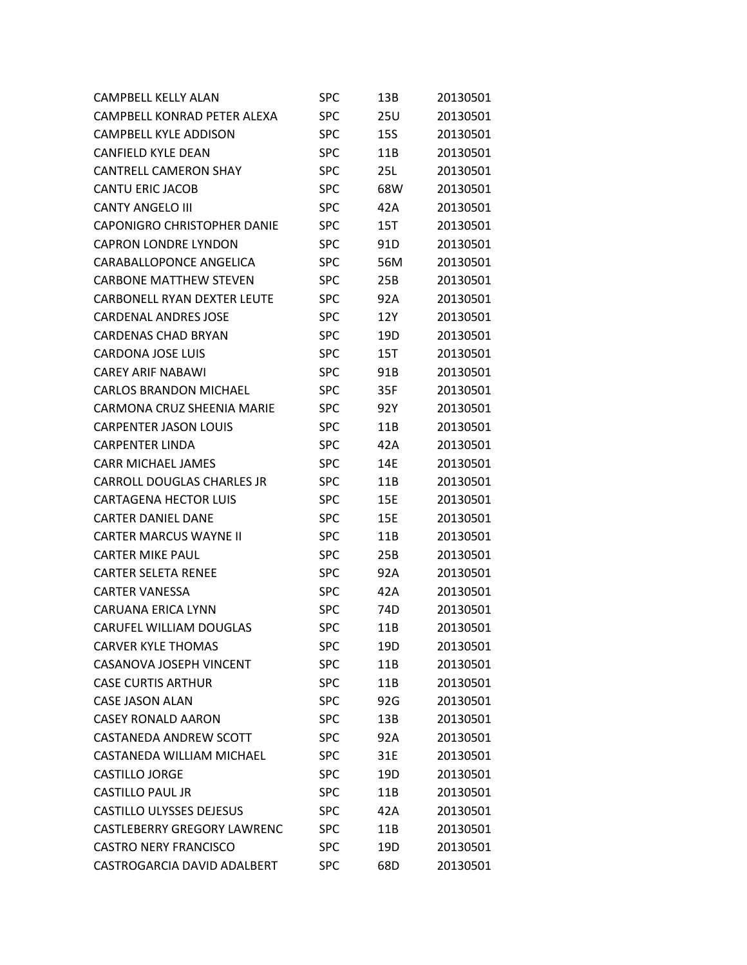| <b>CAMPBELL KELLY ALAN</b>         | <b>SPC</b> | 13B        | 20130501 |
|------------------------------------|------------|------------|----------|
| CAMPBELL KONRAD PETER ALEXA        | <b>SPC</b> | 25U        | 20130501 |
| <b>CAMPBELL KYLE ADDISON</b>       | <b>SPC</b> | <b>15S</b> | 20130501 |
| <b>CANFIELD KYLE DEAN</b>          | SPC        | 11B        | 20130501 |
| <b>CANTRELL CAMERON SHAY</b>       | <b>SPC</b> | 25L        | 20130501 |
| <b>CANTU ERIC JACOB</b>            | <b>SPC</b> | 68W        | 20130501 |
| <b>CANTY ANGELO III</b>            | <b>SPC</b> | 42A        | 20130501 |
| <b>CAPONIGRO CHRISTOPHER DANIE</b> | <b>SPC</b> | 15T        | 20130501 |
| <b>CAPRON LONDRE LYNDON</b>        | <b>SPC</b> | 91D        | 20130501 |
| CARABALLOPONCE ANGELICA            | <b>SPC</b> | 56M        | 20130501 |
| <b>CARBONE MATTHEW STEVEN</b>      | <b>SPC</b> | 25B        | 20130501 |
| <b>CARBONELL RYAN DEXTER LEUTE</b> | <b>SPC</b> | 92A        | 20130501 |
| <b>CARDENAL ANDRES JOSE</b>        | <b>SPC</b> | 12Y        | 20130501 |
| <b>CARDENAS CHAD BRYAN</b>         | <b>SPC</b> | 19D        | 20130501 |
| <b>CARDONA JOSE LUIS</b>           | <b>SPC</b> | 15T        | 20130501 |
| <b>CAREY ARIF NABAWI</b>           | <b>SPC</b> | 91B        | 20130501 |
| CARLOS BRANDON MICHAEL             | <b>SPC</b> | 35F        | 20130501 |
| <b>CARMONA CRUZ SHEENIA MARIE</b>  | <b>SPC</b> | 92Y        | 20130501 |
| <b>CARPENTER JASON LOUIS</b>       | <b>SPC</b> | 11B        | 20130501 |
| <b>CARPENTER LINDA</b>             | <b>SPC</b> | 42A        | 20130501 |
| <b>CARR MICHAEL JAMES</b>          | <b>SPC</b> | 14E        | 20130501 |
| <b>CARROLL DOUGLAS CHARLES JR</b>  | <b>SPC</b> | 11B        | 20130501 |
| <b>CARTAGENA HECTOR LUIS</b>       | <b>SPC</b> | 15E        | 20130501 |
| <b>CARTER DANIEL DANE</b>          | <b>SPC</b> | 15E        | 20130501 |
| <b>CARTER MARCUS WAYNE II</b>      | <b>SPC</b> | 11B        | 20130501 |
| <b>CARTER MIKE PAUL</b>            | <b>SPC</b> | 25B        | 20130501 |
| <b>CARTER SELETA RENEE</b>         | <b>SPC</b> | 92A        | 20130501 |
| <b>CARTER VANESSA</b>              | <b>SPC</b> | 42A        | 20130501 |
| <b>CARUANA ERICA LYNN</b>          | <b>SPC</b> | 74D        | 20130501 |
| <b>CARUFEL WILLIAM DOUGLAS</b>     | <b>SPC</b> | 11B        | 20130501 |
| <b>CARVER KYLE THOMAS</b>          | <b>SPC</b> | 19D        | 20130501 |
| <b>CASANOVA JOSEPH VINCENT</b>     | <b>SPC</b> | 11B        | 20130501 |
| <b>CASE CURTIS ARTHUR</b>          | <b>SPC</b> | 11B        | 20130501 |
| <b>CASE JASON ALAN</b>             | <b>SPC</b> | 92G        | 20130501 |
| <b>CASEY RONALD AARON</b>          | <b>SPC</b> | 13B        | 20130501 |
| CASTANEDA ANDREW SCOTT             | <b>SPC</b> | 92A        | 20130501 |
| CASTANEDA WILLIAM MICHAEL          | <b>SPC</b> | 31E        | 20130501 |
| <b>CASTILLO JORGE</b>              | <b>SPC</b> | 19D        | 20130501 |
| <b>CASTILLO PAUL JR</b>            | <b>SPC</b> | 11B        | 20130501 |
| <b>CASTILLO ULYSSES DEJESUS</b>    | <b>SPC</b> | 42A        | 20130501 |
| <b>CASTLEBERRY GREGORY LAWRENC</b> | <b>SPC</b> | 11B        | 20130501 |
| <b>CASTRO NERY FRANCISCO</b>       | <b>SPC</b> | 19D        | 20130501 |
| CASTROGARCIA DAVID ADALBERT        | <b>SPC</b> | 68D        | 20130501 |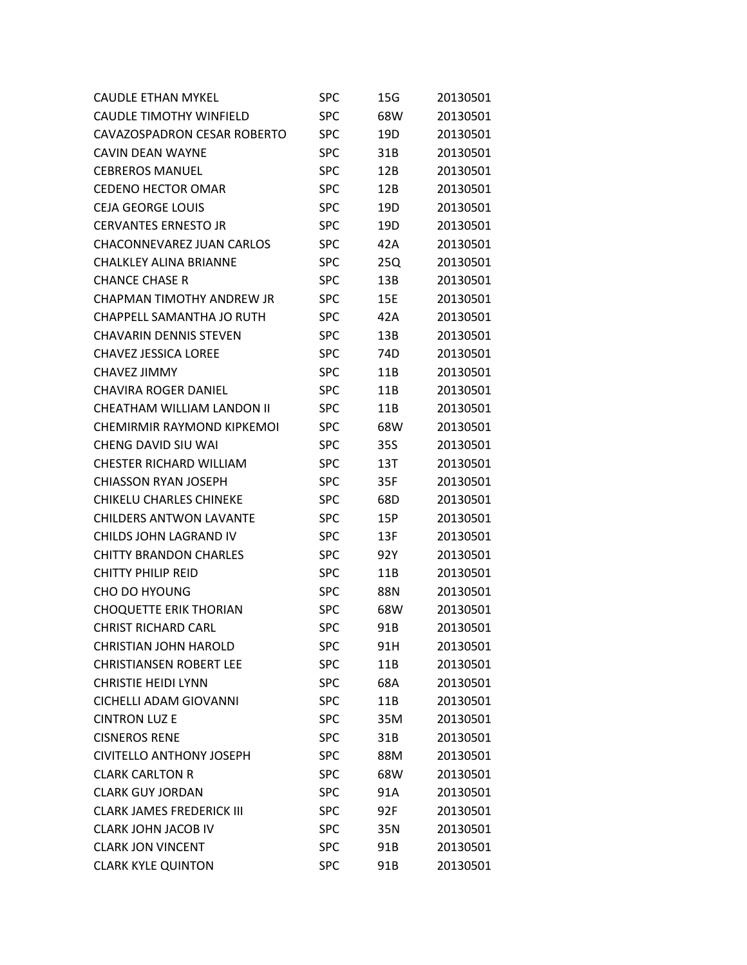| <b>CAUDLE ETHAN MYKEL</b>        | SPC        | 15G | 20130501 |
|----------------------------------|------------|-----|----------|
| <b>CAUDLE TIMOTHY WINFIELD</b>   | <b>SPC</b> | 68W | 20130501 |
| CAVAZOSPADRON CESAR ROBERTO      | <b>SPC</b> | 19D | 20130501 |
| CAVIN DEAN WAYNE                 | <b>SPC</b> | 31B | 20130501 |
| <b>CEBREROS MANUEL</b>           | <b>SPC</b> | 12B | 20130501 |
| <b>CEDENO HECTOR OMAR</b>        | <b>SPC</b> | 12B | 20130501 |
| <b>CEJA GEORGE LOUIS</b>         | <b>SPC</b> | 19D | 20130501 |
| <b>CERVANTES ERNESTO JR</b>      | <b>SPC</b> | 19D | 20130501 |
| CHACONNEVAREZ JUAN CARLOS        | <b>SPC</b> | 42A | 20130501 |
| <b>CHALKLEY ALINA BRIANNE</b>    | <b>SPC</b> | 25Q | 20130501 |
| <b>CHANCE CHASE R</b>            | <b>SPC</b> | 13B | 20130501 |
| <b>CHAPMAN TIMOTHY ANDREW JR</b> | <b>SPC</b> | 15E | 20130501 |
| CHAPPELL SAMANTHA JO RUTH        | <b>SPC</b> | 42A | 20130501 |
| <b>CHAVARIN DENNIS STEVEN</b>    | <b>SPC</b> | 13B | 20130501 |
| <b>CHAVEZ JESSICA LOREE</b>      | <b>SPC</b> | 74D | 20130501 |
| CHAVEZ JIMMY                     | <b>SPC</b> | 11B | 20130501 |
| <b>CHAVIRA ROGER DANIEL</b>      | <b>SPC</b> | 11B | 20130501 |
| CHEATHAM WILLIAM LANDON II       | <b>SPC</b> | 11B | 20130501 |
| CHEMIRMIR RAYMOND KIPKEMOI       | <b>SPC</b> | 68W | 20130501 |
| CHENG DAVID SIU WAI              | <b>SPC</b> | 35S | 20130501 |
| <b>CHESTER RICHARD WILLIAM</b>   | <b>SPC</b> | 13T | 20130501 |
| <b>CHIASSON RYAN JOSEPH</b>      | <b>SPC</b> | 35F | 20130501 |
| <b>CHIKELU CHARLES CHINEKE</b>   | <b>SPC</b> | 68D | 20130501 |
| <b>CHILDERS ANTWON LAVANTE</b>   | <b>SPC</b> | 15P | 20130501 |
| CHILDS JOHN LAGRAND IV           | <b>SPC</b> | 13F | 20130501 |
| <b>CHITTY BRANDON CHARLES</b>    | <b>SPC</b> | 92Y | 20130501 |
| <b>CHITTY PHILIP REID</b>        | <b>SPC</b> | 11B | 20130501 |
| CHO DO HYOUNG                    | <b>SPC</b> | 88N | 20130501 |
| <b>CHOQUETTE ERIK THORIAN</b>    | <b>SPC</b> | 68W | 20130501 |
| <b>CHRIST RICHARD CARL</b>       | <b>SPC</b> | 91B | 20130501 |
| <b>CHRISTIAN JOHN HAROLD</b>     | <b>SPC</b> | 91H | 20130501 |
| <b>CHRISTIANSEN ROBERT LEE</b>   | <b>SPC</b> | 11B | 20130501 |
| <b>CHRISTIE HEIDI LYNN</b>       | <b>SPC</b> | 68A | 20130501 |
| <b>CICHELLI ADAM GIOVANNI</b>    | <b>SPC</b> | 11B | 20130501 |
| <b>CINTRON LUZ E</b>             | <b>SPC</b> | 35M | 20130501 |
| <b>CISNEROS RENE</b>             | <b>SPC</b> | 31B | 20130501 |
| <b>CIVITELLO ANTHONY JOSEPH</b>  | <b>SPC</b> | 88M | 20130501 |
| <b>CLARK CARLTON R</b>           | <b>SPC</b> | 68W | 20130501 |
| <b>CLARK GUY JORDAN</b>          | <b>SPC</b> | 91A | 20130501 |
| <b>CLARK JAMES FREDERICK III</b> | <b>SPC</b> | 92F | 20130501 |
| <b>CLARK JOHN JACOB IV</b>       | <b>SPC</b> | 35N | 20130501 |
| <b>CLARK JON VINCENT</b>         | <b>SPC</b> | 91B | 20130501 |
| <b>CLARK KYLE QUINTON</b>        | <b>SPC</b> | 91B | 20130501 |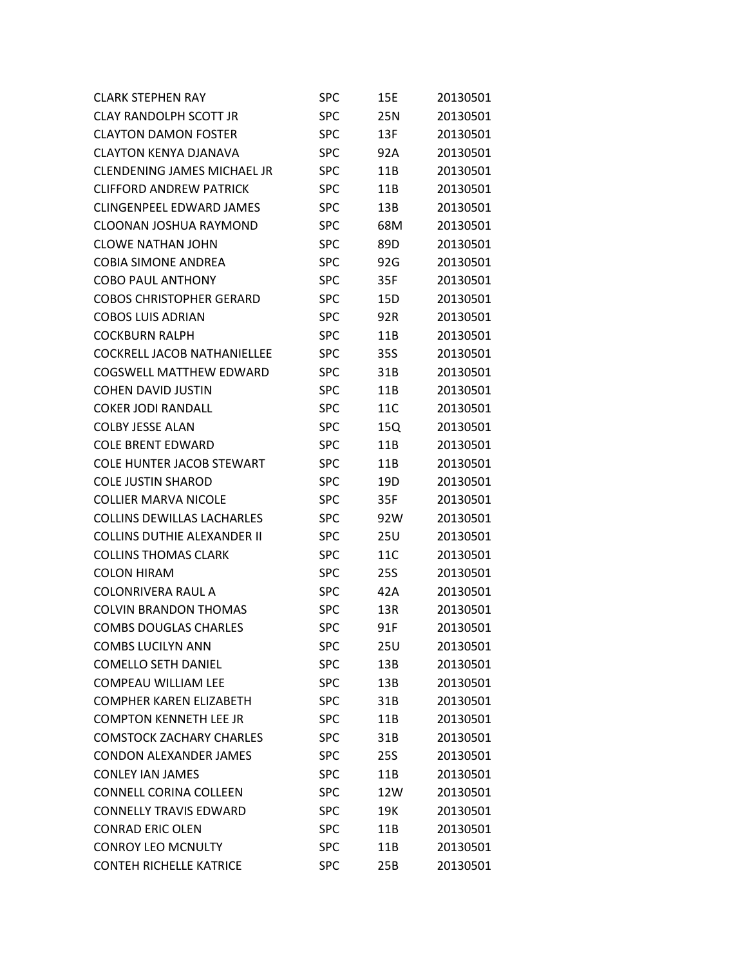| <b>CLARK STEPHEN RAY</b>           | SPC        | 15E | 20130501 |
|------------------------------------|------------|-----|----------|
| <b>CLAY RANDOLPH SCOTT JR</b>      | <b>SPC</b> | 25N | 20130501 |
| <b>CLAYTON DAMON FOSTER</b>        | SPC        | 13F | 20130501 |
| <b>CLAYTON KENYA DJANAVA</b>       | SPC        | 92A | 20130501 |
| <b>CLENDENING JAMES MICHAEL JR</b> | SPC        | 11B | 20130501 |
| <b>CLIFFORD ANDREW PATRICK</b>     | <b>SPC</b> | 11B | 20130501 |
| <b>CLINGENPEEL EDWARD JAMES</b>    | SPC        | 13B | 20130501 |
| <b>CLOONAN JOSHUA RAYMOND</b>      | SPC        | 68M | 20130501 |
| <b>CLOWE NATHAN JOHN</b>           | SPC        | 89D | 20130501 |
| <b>COBIA SIMONE ANDREA</b>         | <b>SPC</b> | 92G | 20130501 |
| <b>COBO PAUL ANTHONY</b>           | SPC        | 35F | 20130501 |
| <b>COBOS CHRISTOPHER GERARD</b>    | SPC        | 15D | 20130501 |
| <b>COBOS LUIS ADRIAN</b>           | SPC        | 92R | 20130501 |
| <b>COCKBURN RALPH</b>              | <b>SPC</b> | 11B | 20130501 |
| <b>COCKRELL JACOB NATHANIELLEE</b> | SPC        | 35S | 20130501 |
| COGSWELL MATTHEW EDWARD            | SPC        | 31B | 20130501 |
| <b>COHEN DAVID JUSTIN</b>          | SPC        | 11B | 20130501 |
| <b>COKER JODI RANDALL</b>          | <b>SPC</b> | 11C | 20130501 |
| <b>COLBY JESSE ALAN</b>            | SPC        | 15Q | 20130501 |
| <b>COLE BRENT EDWARD</b>           | SPC        | 11B | 20130501 |
| <b>COLE HUNTER JACOB STEWART</b>   | SPC        | 11B | 20130501 |
| <b>COLE JUSTIN SHAROD</b>          | <b>SPC</b> | 19D | 20130501 |
| <b>COLLIER MARVA NICOLE</b>        | SPC        | 35F | 20130501 |
| <b>COLLINS DEWILLAS LACHARLES</b>  | <b>SPC</b> | 92W | 20130501 |
| <b>COLLINS DUTHIE ALEXANDER II</b> | SPC        | 25U | 20130501 |
| <b>COLLINS THOMAS CLARK</b>        | <b>SPC</b> | 11C | 20130501 |
| <b>COLON HIRAM</b>                 | SPC        | 25S | 20130501 |
| <b>COLONRIVERA RAUL A</b>          | <b>SPC</b> | 42A | 20130501 |
| <b>COLVIN BRANDON THOMAS</b>       | <b>SPC</b> | 13R | 20130501 |
| <b>COMBS DOUGLAS CHARLES</b>       | <b>SPC</b> | 91F | 20130501 |
| <b>COMBS LUCILYN ANN</b>           | SPC        | 25U | 20130501 |
| <b>COMELLO SETH DANIEL</b>         | <b>SPC</b> | 13B | 20130501 |
| <b>COMPEAU WILLIAM LEE</b>         | <b>SPC</b> | 13B | 20130501 |
| <b>COMPHER KAREN FLIZABETH</b>     | <b>SPC</b> | 31B | 20130501 |
| <b>COMPTON KENNETH LEE JR</b>      | <b>SPC</b> | 11B | 20130501 |
| <b>COMSTOCK ZACHARY CHARLES</b>    | <b>SPC</b> | 31B | 20130501 |
| <b>CONDON ALEXANDER JAMES</b>      | <b>SPC</b> | 25S | 20130501 |
| <b>CONLEY IAN JAMES</b>            | <b>SPC</b> | 11B | 20130501 |
| <b>CONNELL CORINA COLLEEN</b>      | <b>SPC</b> | 12W | 20130501 |
| <b>CONNELLY TRAVIS EDWARD</b>      | <b>SPC</b> | 19K | 20130501 |
| <b>CONRAD ERIC OLEN</b>            | <b>SPC</b> | 11B | 20130501 |
| <b>CONROY LEO MCNULTY</b>          | <b>SPC</b> | 11B | 20130501 |
| <b>CONTEH RICHELLE KATRICE</b>     | <b>SPC</b> | 25B | 20130501 |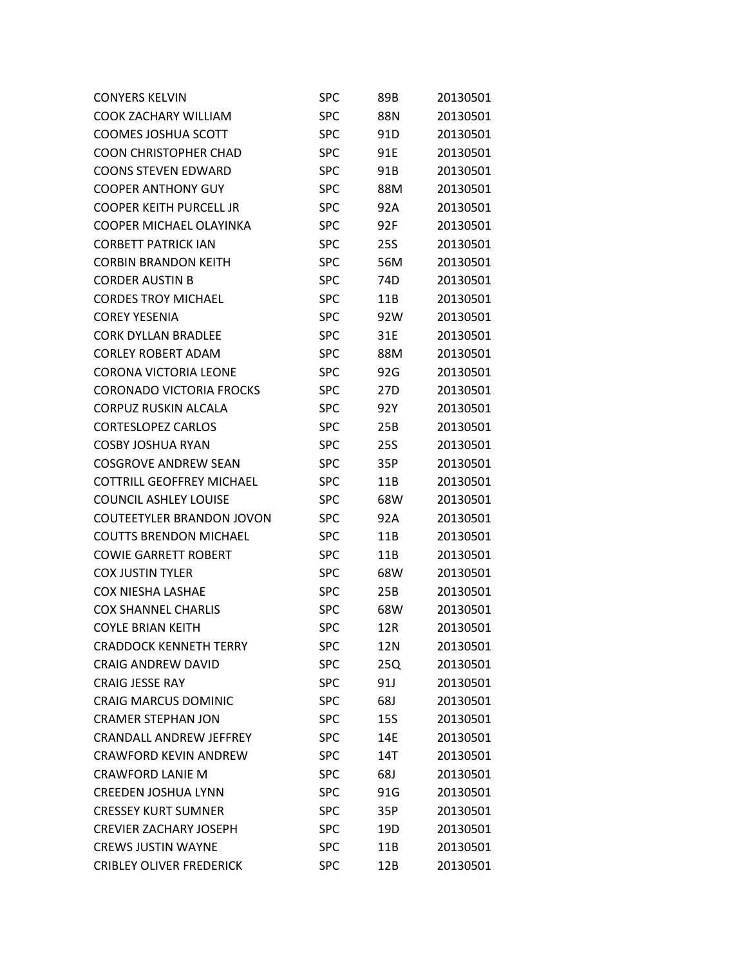| <b>CONYERS KELVIN</b>            | SPC        | 89B | 20130501 |
|----------------------------------|------------|-----|----------|
| <b>COOK ZACHARY WILLIAM</b>      | <b>SPC</b> | 88N | 20130501 |
| <b>COOMES JOSHUA SCOTT</b>       | <b>SPC</b> | 91D | 20130501 |
| <b>COON CHRISTOPHER CHAD</b>     | <b>SPC</b> | 91E | 20130501 |
| <b>COONS STEVEN EDWARD</b>       | <b>SPC</b> | 91B | 20130501 |
| <b>COOPER ANTHONY GUY</b>        | <b>SPC</b> | 88M | 20130501 |
| <b>COOPER KEITH PURCELL JR</b>   | <b>SPC</b> | 92A | 20130501 |
| COOPER MICHAEL OLAYINKA          | <b>SPC</b> | 92F | 20130501 |
| <b>CORBETT PATRICK IAN</b>       | <b>SPC</b> | 25S | 20130501 |
| <b>CORBIN BRANDON KEITH</b>      | <b>SPC</b> | 56M | 20130501 |
| <b>CORDER AUSTIN B</b>           | <b>SPC</b> | 74D | 20130501 |
| <b>CORDES TROY MICHAEL</b>       | <b>SPC</b> | 11B | 20130501 |
| <b>COREY YESENIA</b>             | <b>SPC</b> | 92W | 20130501 |
| <b>CORK DYLLAN BRADLEE</b>       | <b>SPC</b> | 31E | 20130501 |
| <b>CORLEY ROBERT ADAM</b>        | <b>SPC</b> | 88M | 20130501 |
| <b>CORONA VICTORIA LEONE</b>     | <b>SPC</b> | 92G | 20130501 |
| <b>CORONADO VICTORIA FROCKS</b>  | <b>SPC</b> | 27D | 20130501 |
| CORPUZ RUSKIN ALCALA             | <b>SPC</b> | 92Y | 20130501 |
| <b>CORTESLOPEZ CARLOS</b>        | <b>SPC</b> | 25B | 20130501 |
| <b>COSBY JOSHUA RYAN</b>         | <b>SPC</b> | 25S | 20130501 |
| <b>COSGROVE ANDREW SEAN</b>      | <b>SPC</b> | 35P | 20130501 |
| <b>COTTRILL GEOFFREY MICHAEL</b> | <b>SPC</b> | 11B | 20130501 |
| <b>COUNCIL ASHLEY LOUISE</b>     | SPC        | 68W | 20130501 |
| <b>COUTEETYLER BRANDON JOVON</b> | <b>SPC</b> | 92A | 20130501 |
| <b>COUTTS BRENDON MICHAEL</b>    | SPC        | 11B | 20130501 |
| <b>COWIE GARRETT ROBERT</b>      | <b>SPC</b> | 11B | 20130501 |
| <b>COX JUSTIN TYLER</b>          | SPC        | 68W | 20130501 |
| <b>COX NIESHA LASHAE</b>         | <b>SPC</b> | 25B | 20130501 |
| <b>COX SHANNEL CHARLIS</b>       | SPC        | 68W | 20130501 |
| <b>COYLE BRIAN KEITH</b>         | <b>SPC</b> | 12R | 20130501 |
| <b>CRADDOCK KENNETH TERRY</b>    | SPC        | 12N | 20130501 |
| <b>CRAIG ANDREW DAVID</b>        | <b>SPC</b> | 25Q | 20130501 |
| <b>CRAIG JESSE RAY</b>           | <b>SPC</b> | 91J | 20130501 |
| <b>CRAIG MARCUS DOMINIC</b>      | <b>SPC</b> | 68J | 20130501 |
| <b>CRAMER STEPHAN JON</b>        | <b>SPC</b> | 15S | 20130501 |
| <b>CRANDALL ANDREW JEFFREY</b>   | <b>SPC</b> | 14E | 20130501 |
| <b>CRAWFORD KEVIN ANDREW</b>     | <b>SPC</b> | 14T | 20130501 |
| <b>CRAWFORD LANIE M</b>          | <b>SPC</b> | 68J | 20130501 |
| <b>CREEDEN JOSHUA LYNN</b>       | <b>SPC</b> | 91G | 20130501 |
| <b>CRESSEY KURT SUMNER</b>       | <b>SPC</b> | 35P | 20130501 |
| <b>CREVIER ZACHARY JOSEPH</b>    | <b>SPC</b> | 19D | 20130501 |
| <b>CREWS JUSTIN WAYNE</b>        | <b>SPC</b> | 11B | 20130501 |
| <b>CRIBLEY OLIVER FREDERICK</b>  | <b>SPC</b> | 12B | 20130501 |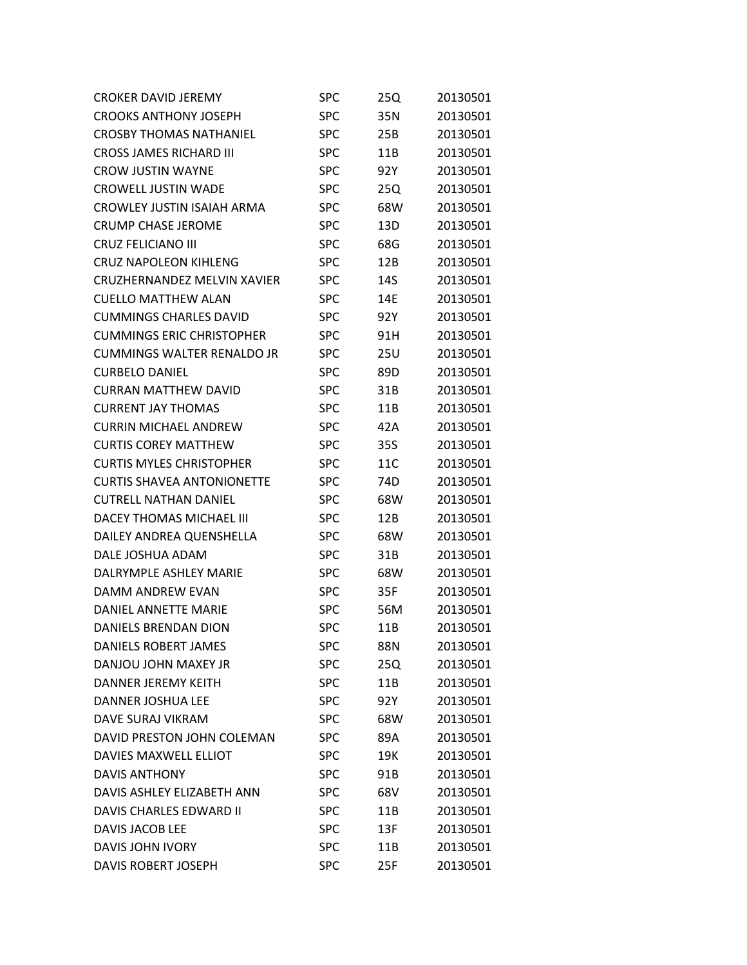| <b>CROKER DAVID JEREMY</b>        | SPC        | 25Q | 20130501 |
|-----------------------------------|------------|-----|----------|
| <b>CROOKS ANTHONY JOSEPH</b>      | <b>SPC</b> | 35N | 20130501 |
| <b>CROSBY THOMAS NATHANIEL</b>    | <b>SPC</b> | 25B | 20130501 |
| <b>CROSS JAMES RICHARD III</b>    | <b>SPC</b> | 11B | 20130501 |
| <b>CROW JUSTIN WAYNE</b>          | <b>SPC</b> | 92Y | 20130501 |
| <b>CROWELL JUSTIN WADE</b>        | <b>SPC</b> | 25Q | 20130501 |
| CROWLEY JUSTIN ISAIAH ARMA        | <b>SPC</b> | 68W | 20130501 |
| <b>CRUMP CHASE JEROME</b>         | <b>SPC</b> | 13D | 20130501 |
| <b>CRUZ FELICIANO III</b>         | <b>SPC</b> | 68G | 20130501 |
| <b>CRUZ NAPOLEON KIHLENG</b>      | <b>SPC</b> | 12B | 20130501 |
| CRUZHERNANDEZ MELVIN XAVIER       | <b>SPC</b> | 14S | 20130501 |
| <b>CUELLO MATTHEW ALAN</b>        | <b>SPC</b> | 14E | 20130501 |
| <b>CUMMINGS CHARLES DAVID</b>     | <b>SPC</b> | 92Y | 20130501 |
| <b>CUMMINGS ERIC CHRISTOPHER</b>  | <b>SPC</b> | 91H | 20130501 |
| <b>CUMMINGS WALTER RENALDO JR</b> | <b>SPC</b> | 25U | 20130501 |
| <b>CURBELO DANIEL</b>             | <b>SPC</b> | 89D | 20130501 |
| <b>CURRAN MATTHEW DAVID</b>       | <b>SPC</b> | 31B | 20130501 |
| <b>CURRENT JAY THOMAS</b>         | <b>SPC</b> | 11B | 20130501 |
| <b>CURRIN MICHAEL ANDREW</b>      | <b>SPC</b> | 42A | 20130501 |
| <b>CURTIS COREY MATTHEW</b>       | <b>SPC</b> | 35S | 20130501 |
| <b>CURTIS MYLES CHRISTOPHER</b>   | <b>SPC</b> | 11C | 20130501 |
| <b>CURTIS SHAVEA ANTONIONETTE</b> | <b>SPC</b> | 74D | 20130501 |
| <b>CUTRELL NATHAN DANIEL</b>      | <b>SPC</b> | 68W | 20130501 |
| <b>DACEY THOMAS MICHAEL III</b>   | <b>SPC</b> | 12B | 20130501 |
| DAILEY ANDREA QUENSHELLA          | <b>SPC</b> | 68W | 20130501 |
| DALE JOSHUA ADAM                  | <b>SPC</b> | 31B | 20130501 |
| DALRYMPLF ASHLFY MARIF            | <b>SPC</b> | 68W | 20130501 |
| DAMM ANDREW EVAN                  | <b>SPC</b> | 35F | 20130501 |
| DANIEL ANNETTE MARIE              | SPC        | 56M | 20130501 |
| <b>DANIELS BRENDAN DION</b>       | <b>SPC</b> | 11B | 20130501 |
| <b>DANIELS ROBERT JAMES</b>       | <b>SPC</b> | 88N | 20130501 |
| DANJOU JOHN MAXEY JR              | <b>SPC</b> | 25Q | 20130501 |
| <b>DANNER JEREMY KEITH</b>        | <b>SPC</b> | 11B | 20130501 |
| DANNER JOSHUA LEE                 | <b>SPC</b> | 92Y | 20130501 |
| DAVE SURAJ VIKRAM                 | <b>SPC</b> | 68W | 20130501 |
| DAVID PRESTON JOHN COLEMAN        | <b>SPC</b> | 89A | 20130501 |
| DAVIES MAXWELL ELLIOT             | <b>SPC</b> | 19K | 20130501 |
| <b>DAVIS ANTHONY</b>              | <b>SPC</b> | 91B | 20130501 |
| DAVIS ASHLEY ELIZABETH ANN        | <b>SPC</b> | 68V | 20130501 |
| DAVIS CHARLES EDWARD II           | <b>SPC</b> | 11B | 20130501 |
| DAVIS JACOB LEE                   | <b>SPC</b> | 13F | 20130501 |
| <b>DAVIS JOHN IVORY</b>           | <b>SPC</b> | 11B | 20130501 |
| DAVIS ROBERT JOSEPH               | <b>SPC</b> | 25F | 20130501 |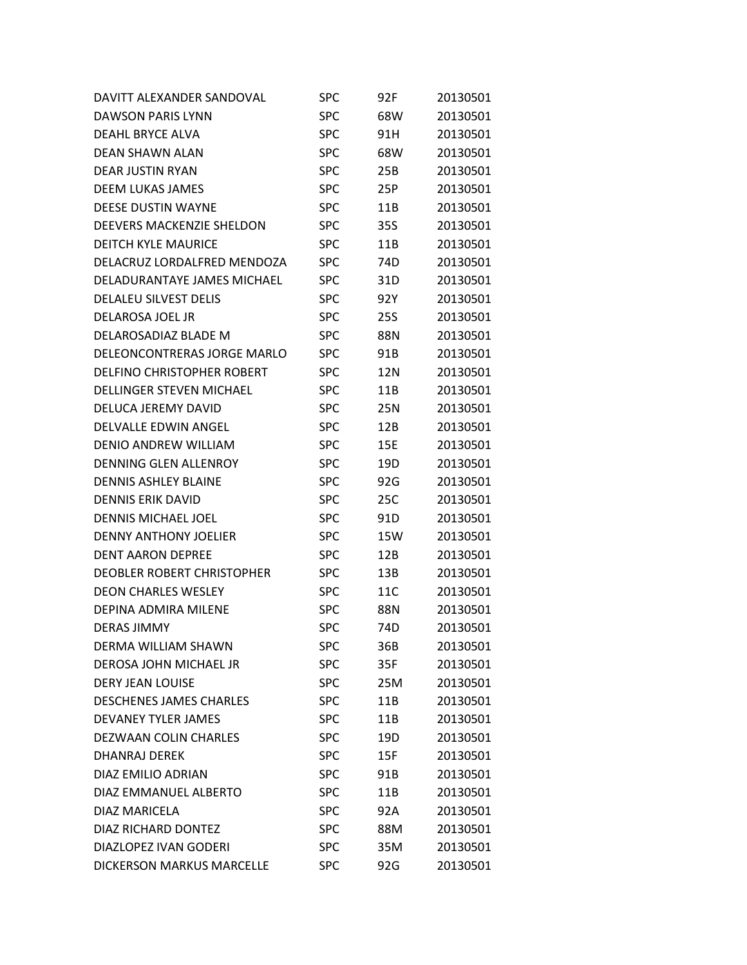| DAVITT ALEXANDER SANDOVAL        | <b>SPC</b> | 92F             | 20130501 |
|----------------------------------|------------|-----------------|----------|
| <b>DAWSON PARIS LYNN</b>         | <b>SPC</b> | 68W             | 20130501 |
| <b>DEAHL BRYCE ALVA</b>          | <b>SPC</b> | 91H             | 20130501 |
| <b>DEAN SHAWN ALAN</b>           | <b>SPC</b> | 68W             | 20130501 |
| <b>DFAR JUSTIN RYAN</b>          | <b>SPC</b> | 25B             | 20130501 |
| <b>DEEM LUKAS JAMES</b>          | <b>SPC</b> | 25P             | 20130501 |
| <b>DEESE DUSTIN WAYNE</b>        | <b>SPC</b> | 11B             | 20130501 |
| DEEVERS MACKENZIE SHELDON        | <b>SPC</b> | 35S             | 20130501 |
| <b>DEITCH KYLE MAURICE</b>       | SPC        | 11B             | 20130501 |
| DELACRUZ LORDALFRED MENDOZA      | <b>SPC</b> | 74 <sub>D</sub> | 20130501 |
| DELADURANTAYE JAMES MICHAEL      | SPC        | 31D             | 20130501 |
| <b>DELALEU SILVEST DELIS</b>     | SPC        | 92Y             | 20130501 |
| DELAROSA JOEL JR                 | <b>SPC</b> | 25S             | 20130501 |
| DELAROSADIAZ BLADE M             | SPC        | 88N             | 20130501 |
| DELEONCONTRERAS JORGE MARLO      | SPC        | 91B             | 20130501 |
| DELFINO CHRISTOPHER ROBERT       | <b>SPC</b> | 12N             | 20130501 |
| <b>DELLINGER STEVEN MICHAEL</b>  | <b>SPC</b> | 11B             | 20130501 |
| DELUCA JEREMY DAVID              | <b>SPC</b> | 25N             | 20130501 |
| DELVALLE EDWIN ANGEL             | <b>SPC</b> | 12B             | 20130501 |
| DENIO ANDREW WILLIAM             | SPC        | 15E             | 20130501 |
| <b>DENNING GLEN ALLENROY</b>     | SPC        | 19D             | 20130501 |
| <b>DENNIS ASHLEY BLAINE</b>      | <b>SPC</b> | 92G             | 20130501 |
| <b>DENNIS ERIK DAVID</b>         | <b>SPC</b> | 25C             | 20130501 |
| <b>DENNIS MICHAEL JOEL</b>       | SPC        | 91 <sub>D</sub> | 20130501 |
| <b>DENNY ANTHONY JOELIER</b>     | SPC        | 15W             | 20130501 |
| <b>DENT AARON DEPREE</b>         | SPC        | 12B             | 20130501 |
| DEOBLER ROBERT CHRISTOPHER       | <b>SPC</b> | 13B             | 20130501 |
| <b>DEON CHARLES WESLEY</b>       | SPC        | 11C             | 20130501 |
| DEPINA ADMIRA MILENE             | SPC        | 88N             | 20130501 |
| <b>DERAS JIMMY</b>               | <b>SPC</b> | 74D             | 20130501 |
| DERMA WILLIAM SHAWN              | SPC        | 36B             | 20130501 |
| DEROSA JOHN MICHAEL JR           | <b>SPC</b> | 35F             | 20130501 |
| <b>DERY JEAN LOUISE</b>          | <b>SPC</b> | 25M             | 20130501 |
| <b>DESCHENES JAMES CHARLES</b>   | <b>SPC</b> | 11B             | 20130501 |
| <b>DEVANEY TYLER JAMES</b>       | <b>SPC</b> | 11B             | 20130501 |
| <b>DEZWAAN COLIN CHARLES</b>     | <b>SPC</b> | 19D             | 20130501 |
| <b>DHANRAJ DEREK</b>             | <b>SPC</b> | 15F             | 20130501 |
| DIAZ EMILIO ADRIAN               | <b>SPC</b> | 91B             | 20130501 |
| DIAZ EMMANUEL ALBERTO            | <b>SPC</b> | 11B             | 20130501 |
| DIAZ MARICELA                    | <b>SPC</b> | 92A             | 20130501 |
| DIAZ RICHARD DONTEZ              | <b>SPC</b> | 88M             | 20130501 |
| <b>DIAZLOPEZ IVAN GODERI</b>     | <b>SPC</b> | 35M             | 20130501 |
| <b>DICKERSON MARKUS MARCELLE</b> | <b>SPC</b> | 92G             | 20130501 |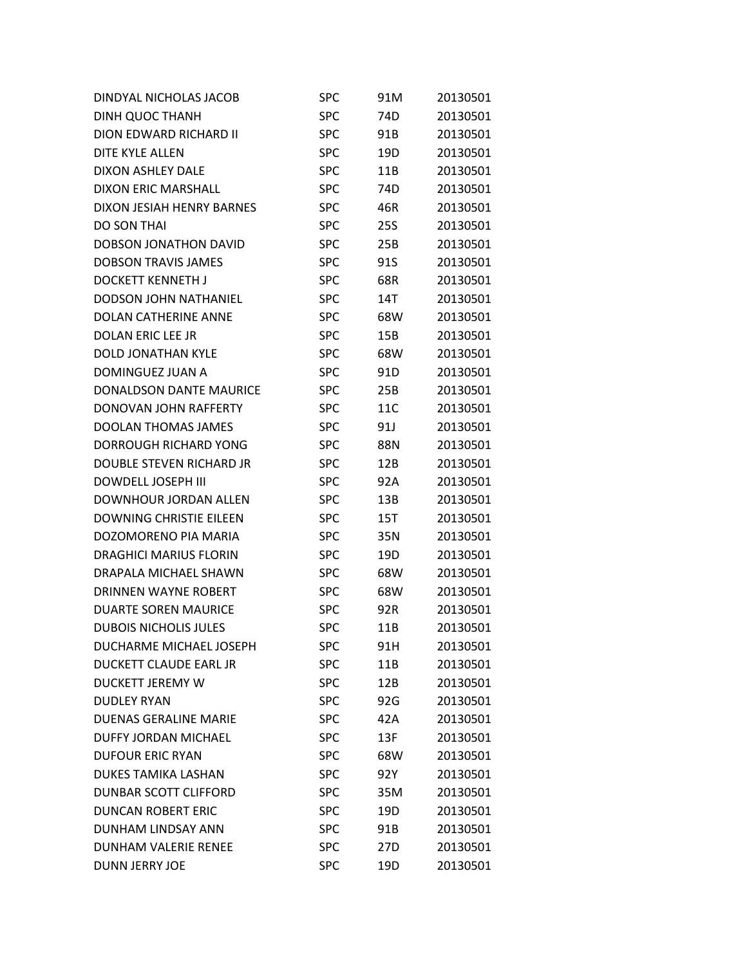| DINDYAL NICHOLAS JACOB         | <b>SPC</b> | 91M        | 20130501 |
|--------------------------------|------------|------------|----------|
| <b>DINH QUOC THANH</b>         | <b>SPC</b> | 74D        | 20130501 |
| DION EDWARD RICHARD II         | <b>SPC</b> | 91B        | 20130501 |
| <b>DITE KYLE ALLEN</b>         | <b>SPC</b> | 19D        | 20130501 |
| <b>DIXON ASHLEY DALE</b>       | <b>SPC</b> | 11B        | 20130501 |
| <b>DIXON ERIC MARSHALL</b>     | <b>SPC</b> | 74D        | 20130501 |
| DIXON JESIAH HENRY BARNES      | <b>SPC</b> | 46R        | 20130501 |
| <b>DO SON THAI</b>             | <b>SPC</b> | <b>25S</b> | 20130501 |
| DOBSON JONATHON DAVID          | <b>SPC</b> | 25B        | 20130501 |
| <b>DOBSON TRAVIS JAMES</b>     | <b>SPC</b> | 91S        | 20130501 |
| <b>DOCKETT KENNETH J</b>       | <b>SPC</b> | 68R        | 20130501 |
| <b>DODSON JOHN NATHANIEL</b>   | <b>SPC</b> | 14T        | 20130501 |
| DOLAN CATHERINE ANNE           | <b>SPC</b> | 68W        | 20130501 |
| DOLAN ERIC LEE JR              | <b>SPC</b> | 15B        | 20130501 |
| <b>DOLD JONATHAN KYLE</b>      | <b>SPC</b> | 68W        | 20130501 |
| DOMINGUEZ JUAN A               | <b>SPC</b> | 91D        | 20130501 |
| <b>DONALDSON DANTE MAURICE</b> | <b>SPC</b> | 25B        | 20130501 |
| DONOVAN JOHN RAFFERTY          | <b>SPC</b> | 11C        | 20130501 |
| <b>DOOLAN THOMAS JAMES</b>     | <b>SPC</b> | 91J        | 20130501 |
| DORROUGH RICHARD YONG          | <b>SPC</b> | 88N        | 20130501 |
| DOUBLE STEVEN RICHARD JR       | <b>SPC</b> | 12B        | 20130501 |
| DOWDELL JOSEPH III             | <b>SPC</b> | 92A        | 20130501 |
| DOWNHOUR JORDAN ALLEN          | <b>SPC</b> | 13B        | 20130501 |
| <b>DOWNING CHRISTIE EILEEN</b> | <b>SPC</b> | 15T        | 20130501 |
| DOZOMORENO PIA MARIA           | <b>SPC</b> | 35N        | 20130501 |
| <b>DRAGHICI MARIUS FLORIN</b>  | <b>SPC</b> | 19D        | 20130501 |
| DRAPALA MICHAEL SHAWN          | <b>SPC</b> | 68W        | 20130501 |
| DRINNEN WAYNE ROBERT           | <b>SPC</b> | 68W        | 20130501 |
| <b>DUARTE SOREN MAURICE</b>    | <b>SPC</b> | 92R        | 20130501 |
| <b>DUBOIS NICHOLIS JULES</b>   | <b>SPC</b> | 11B        | 20130501 |
| DUCHARME MICHAEL JOSEPH        | <b>SPC</b> | 91H        | 20130501 |
| <b>DUCKETT CLAUDE EARL JR</b>  | <b>SPC</b> | 11B        | 20130501 |
| <b>DUCKETT JEREMY W</b>        | <b>SPC</b> | 12B        | 20130501 |
| <b>DUDLEY RYAN</b>             | <b>SPC</b> | 92G        | 20130501 |
| <b>DUENAS GERALINE MARIE</b>   | <b>SPC</b> | 42A        | 20130501 |
| <b>DUFFY JORDAN MICHAEL</b>    | <b>SPC</b> | 13F        | 20130501 |
| <b>DUFOUR ERIC RYAN</b>        | <b>SPC</b> | 68W        | 20130501 |
| DUKES TAMIKA LASHAN            | <b>SPC</b> | 92Y        | 20130501 |
| DUNBAR SCOTT CLIFFORD          | <b>SPC</b> | 35M        | 20130501 |
| <b>DUNCAN ROBERT ERIC</b>      | <b>SPC</b> | 19D        | 20130501 |
| <b>DUNHAM LINDSAY ANN</b>      | <b>SPC</b> | 91B        | 20130501 |
| <b>DUNHAM VALERIE RENEE</b>    | <b>SPC</b> | 27D        | 20130501 |
| <b>DUNN JERRY JOE</b>          | <b>SPC</b> | 19D        | 20130501 |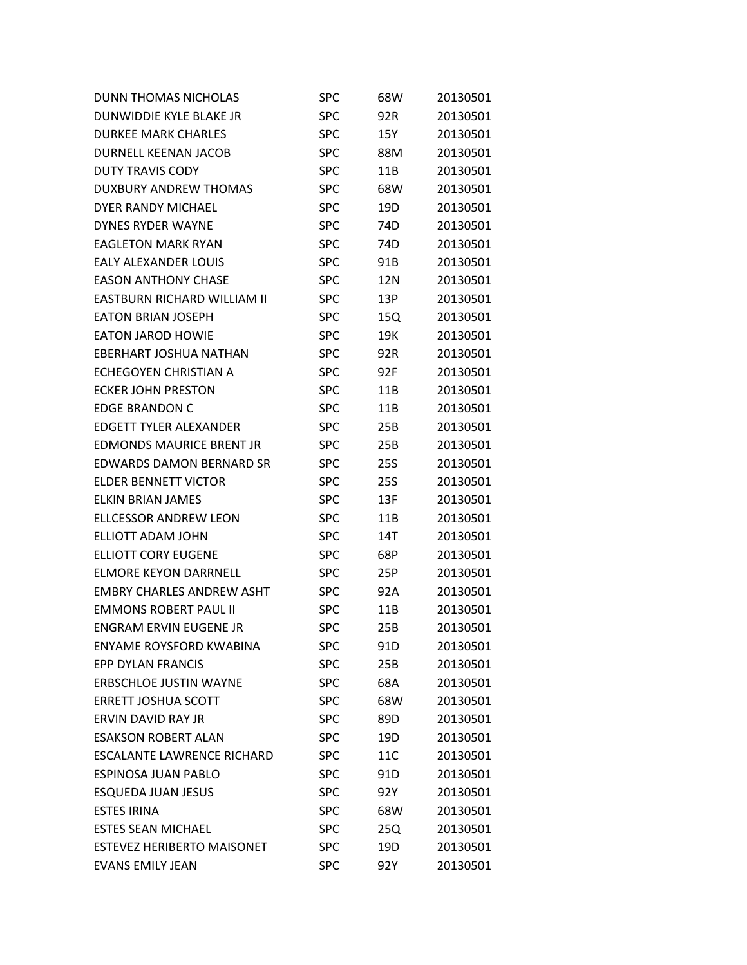| DUNN THOMAS NICHOLAS              | <b>SPC</b> | 68W             | 20130501 |
|-----------------------------------|------------|-----------------|----------|
| DUNWIDDIE KYLE BLAKE JR           | <b>SPC</b> | 92R             | 20130501 |
| <b>DURKEE MARK CHARLES</b>        | <b>SPC</b> | 15Y             | 20130501 |
| <b>DURNELL KEENAN JACOB</b>       | <b>SPC</b> | 88M             | 20130501 |
| <b>DUTY TRAVIS CODY</b>           | <b>SPC</b> | 11B             | 20130501 |
| <b>DUXBURY ANDREW THOMAS</b>      | <b>SPC</b> | 68W             | 20130501 |
| DYER RANDY MICHAEL                | <b>SPC</b> | 19D             | 20130501 |
| <b>DYNES RYDER WAYNE</b>          | <b>SPC</b> | 74D             | 20130501 |
| <b>EAGLETON MARK RYAN</b>         | <b>SPC</b> | 74 <sub>D</sub> | 20130501 |
| EALY ALEXANDER LOUIS              | <b>SPC</b> | 91B             | 20130501 |
| <b>EASON ANTHONY CHASE</b>        | <b>SPC</b> | 12N             | 20130501 |
| EASTBURN RICHARD WILLIAM II       | <b>SPC</b> | 13P             | 20130501 |
| <b>EATON BRIAN JOSEPH</b>         | <b>SPC</b> | 15Q             | 20130501 |
| <b>EATON JAROD HOWIE</b>          | <b>SPC</b> | 19K             | 20130501 |
| EBERHART JOSHUA NATHAN            | <b>SPC</b> | 92R             | 20130501 |
| ECHEGOYEN CHRISTIAN A             | <b>SPC</b> | 92F             | 20130501 |
| <b>ECKER JOHN PRESTON</b>         | <b>SPC</b> | 11B             | 20130501 |
| <b>EDGE BRANDON C</b>             | <b>SPC</b> | 11B             | 20130501 |
| <b>EDGETT TYLER ALEXANDER</b>     | <b>SPC</b> | 25B             | 20130501 |
| <b>EDMONDS MAURICE BRENT JR</b>   | <b>SPC</b> | 25B             | 20130501 |
| EDWARDS DAMON BERNARD SR          | <b>SPC</b> | 25S             | 20130501 |
| ELDER BENNETT VICTOR              | <b>SPC</b> | 25S             | 20130501 |
| <b>ELKIN BRIAN JAMES</b>          | <b>SPC</b> | 13F             | 20130501 |
| <b>ELLCESSOR ANDREW LEON</b>      | <b>SPC</b> | 11B             | 20130501 |
| ELLIOTT ADAM JOHN                 | <b>SPC</b> | 14T             | 20130501 |
| <b>ELLIOTT CORY EUGENE</b>        | <b>SPC</b> | 68P             | 20130501 |
| <b>ELMORE KEYON DARRNELL</b>      | <b>SPC</b> | 25P             | 20130501 |
| <b>EMBRY CHARLES ANDREW ASHT</b>  | <b>SPC</b> | 92A             | 20130501 |
| <b>EMMONS ROBERT PAUL II</b>      | <b>SPC</b> | 11B             | 20130501 |
| <b>ENGRAM ERVIN EUGENE JR</b>     | <b>SPC</b> | 25B             | 20130501 |
| ENYAME ROYSFORD KWABINA           | <b>SPC</b> | 91D             | 20130501 |
| <b>EPP DYLAN FRANCIS</b>          | <b>SPC</b> | 25B             | 20130501 |
| <b>ERBSCHLOE JUSTIN WAYNE</b>     | <b>SPC</b> | 68A             | 20130501 |
| <b>ERRETT JOSHUA SCOTT</b>        | <b>SPC</b> | 68W             | 20130501 |
| ERVIN DAVID RAY JR                | <b>SPC</b> | 89D             | 20130501 |
| <b>ESAKSON ROBERT ALAN</b>        | <b>SPC</b> | 19D             | 20130501 |
| <b>ESCALANTE LAWRENCE RICHARD</b> | <b>SPC</b> | 11C             | 20130501 |
| <b>ESPINOSA JUAN PABLO</b>        | <b>SPC</b> | 91D             | 20130501 |
| <b>ESQUEDA JUAN JESUS</b>         | <b>SPC</b> | 92Y             | 20130501 |
| <b>ESTES IRINA</b>                | <b>SPC</b> | 68W             | 20130501 |
| <b>ESTES SEAN MICHAEL</b>         | <b>SPC</b> | 25Q             | 20130501 |
| <b>ESTEVEZ HERIBERTO MAISONET</b> | <b>SPC</b> | 19D             | 20130501 |
| <b>EVANS EMILY JEAN</b>           | <b>SPC</b> | 92Y             | 20130501 |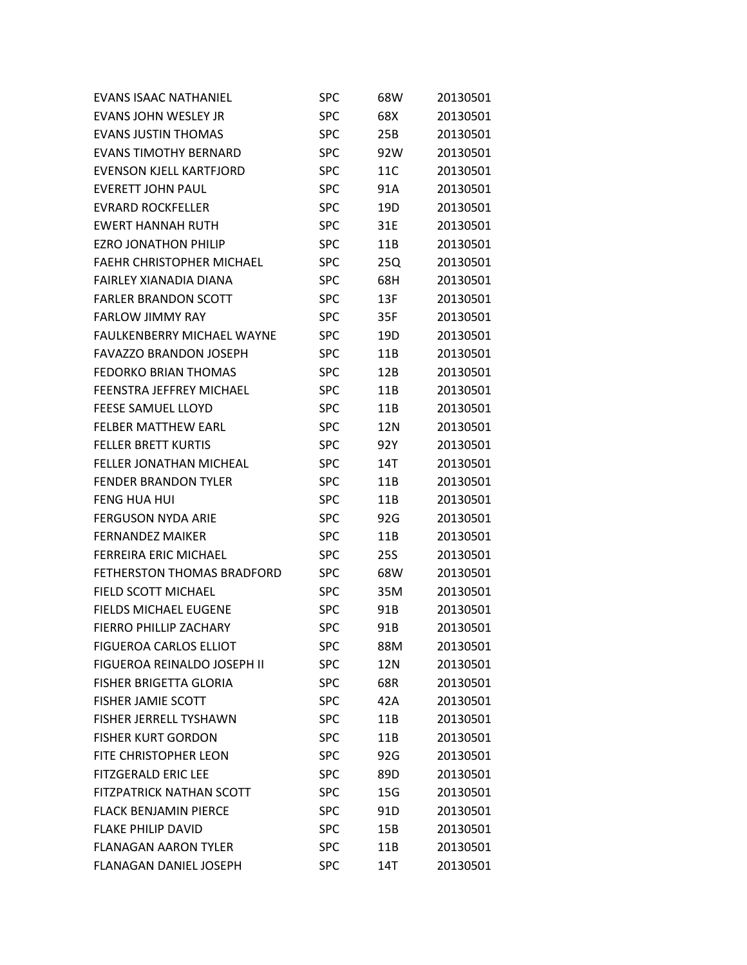| <b>EVANS ISAAC NATHANIEL</b>      | <b>SPC</b> | 68W | 20130501 |
|-----------------------------------|------------|-----|----------|
| EVANS JOHN WESLEY JR              | <b>SPC</b> | 68X | 20130501 |
| <b>EVANS JUSTIN THOMAS</b>        | <b>SPC</b> | 25B | 20130501 |
| <b>EVANS TIMOTHY BERNARD</b>      | <b>SPC</b> | 92W | 20130501 |
| EVENSON KJELL KARTFJORD           | <b>SPC</b> | 11C | 20130501 |
| <b>EVERETT JOHN PAUL</b>          | <b>SPC</b> | 91A | 20130501 |
| <b>EVRARD ROCKFELLER</b>          | <b>SPC</b> | 19D | 20130501 |
| <b>EWERT HANNAH RUTH</b>          | <b>SPC</b> | 31E | 20130501 |
| <b>EZRO JONATHON PHILIP</b>       | <b>SPC</b> | 11B | 20130501 |
| <b>FAEHR CHRISTOPHER MICHAEL</b>  | <b>SPC</b> | 25Q | 20130501 |
| FAIRLEY XIANADIA DIANA            | <b>SPC</b> | 68H | 20130501 |
| <b>FARLER BRANDON SCOTT</b>       | <b>SPC</b> | 13F | 20130501 |
| <b>FARLOW JIMMY RAY</b>           | <b>SPC</b> | 35F | 20130501 |
| <b>FAULKENBERRY MICHAEL WAYNE</b> | <b>SPC</b> | 19D | 20130501 |
| <b>FAVAZZO BRANDON JOSEPH</b>     | <b>SPC</b> | 11B | 20130501 |
| <b>FEDORKO BRIAN THOMAS</b>       | <b>SPC</b> | 12B | 20130501 |
| <b>FEENSTRA JEFFREY MICHAEL</b>   | <b>SPC</b> | 11B | 20130501 |
| <b>FEESE SAMUEL LLOYD</b>         | <b>SPC</b> | 11B | 20130501 |
| <b>FELBER MATTHEW EARL</b>        | <b>SPC</b> | 12N | 20130501 |
| <b>FELLER BRETT KURTIS</b>        | <b>SPC</b> | 92Y | 20130501 |
| <b>FELLER JONATHAN MICHEAL</b>    | <b>SPC</b> | 14T | 20130501 |
| <b>FENDER BRANDON TYLER</b>       | <b>SPC</b> | 11B | 20130501 |
| <b>FENG HUA HUI</b>               | <b>SPC</b> | 11B | 20130501 |
| <b>FERGUSON NYDA ARIE</b>         | <b>SPC</b> | 92G | 20130501 |
| <b>FERNANDEZ MAIKER</b>           | <b>SPC</b> | 11B | 20130501 |
| <b>FERREIRA ERIC MICHAEL</b>      | <b>SPC</b> | 25S | 20130501 |
| <b>FETHERSTON THOMAS BRADFORD</b> | <b>SPC</b> | 68W | 20130501 |
| FIELD SCOTT MICHAEL               | <b>SPC</b> | 35M | 20130501 |
| <b>FIELDS MICHAEL EUGENE</b>      | <b>SPC</b> | 91B | 20130501 |
| <b>FIERRO PHILLIP ZACHARY</b>     | <b>SPC</b> | 91B | 20130501 |
| <b>FIGUEROA CARLOS ELLIOT</b>     | <b>SPC</b> | 88M | 20130501 |
| FIGUEROA REINALDO JOSEPH II       | <b>SPC</b> | 12N | 20130501 |
| <b>FISHER BRIGETTA GLORIA</b>     | <b>SPC</b> | 68R | 20130501 |
| <b>FISHER JAMIE SCOTT</b>         | <b>SPC</b> | 42A | 20130501 |
| <b>FISHER JERRELL TYSHAWN</b>     | <b>SPC</b> | 11B | 20130501 |
| <b>FISHER KURT GORDON</b>         | <b>SPC</b> | 11B | 20130501 |
| FITE CHRISTOPHER LEON             | <b>SPC</b> | 92G | 20130501 |
| <b>FITZGERALD ERIC LEE</b>        | <b>SPC</b> | 89D | 20130501 |
| <b>FITZPATRICK NATHAN SCOTT</b>   | <b>SPC</b> | 15G | 20130501 |
| <b>FLACK BENJAMIN PIERCE</b>      | <b>SPC</b> | 91D | 20130501 |
| <b>FLAKE PHILIP DAVID</b>         | <b>SPC</b> | 15B | 20130501 |
| <b>FLANAGAN AARON TYLER</b>       | <b>SPC</b> | 11B | 20130501 |
| <b>FLANAGAN DANIEL JOSEPH</b>     | <b>SPC</b> | 14T | 20130501 |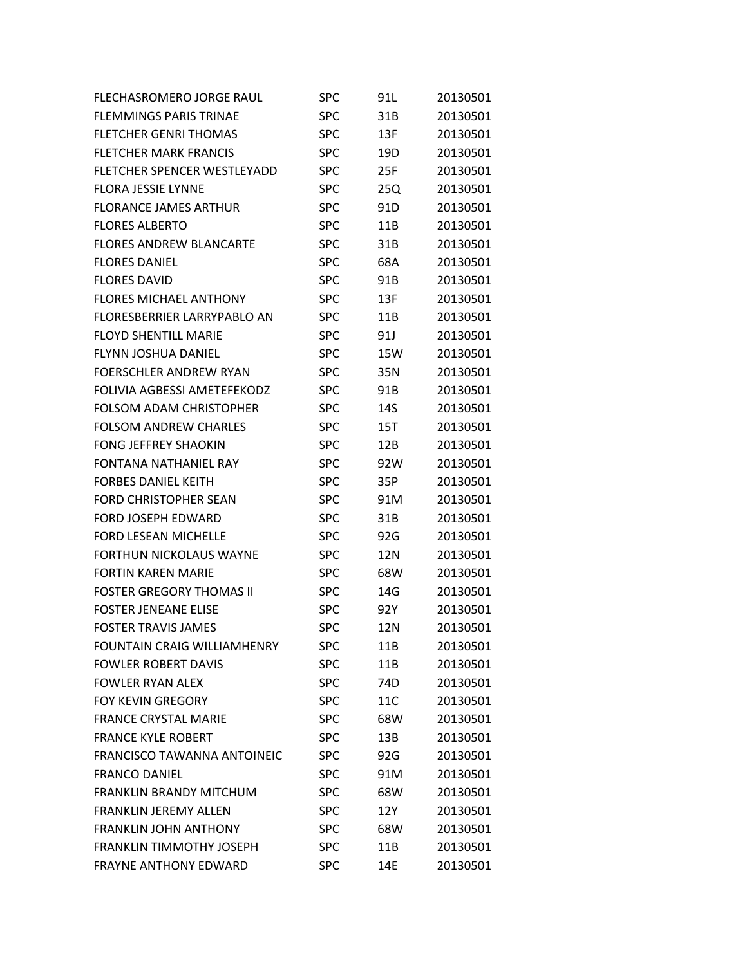| FLECHASROMERO JORGE RAUL           | <b>SPC</b> | 91L | 20130501 |
|------------------------------------|------------|-----|----------|
| <b>FLEMMINGS PARIS TRINAE</b>      | <b>SPC</b> | 31B | 20130501 |
| <b>FLETCHER GENRI THOMAS</b>       | <b>SPC</b> | 13F | 20130501 |
| <b>FLETCHER MARK FRANCIS</b>       | <b>SPC</b> | 19D | 20130501 |
| FLETCHER SPENCER WESTLEYADD        | <b>SPC</b> | 25F | 20130501 |
| <b>FLORA JESSIE LYNNE</b>          | <b>SPC</b> | 25Q | 20130501 |
| <b>FLORANCE JAMES ARTHUR</b>       | <b>SPC</b> | 91D | 20130501 |
| <b>FLORES ALBERTO</b>              | <b>SPC</b> | 11B | 20130501 |
| <b>FLORES ANDREW BLANCARTE</b>     | <b>SPC</b> | 31B | 20130501 |
| <b>FLORES DANIEL</b>               | <b>SPC</b> | 68A | 20130501 |
| <b>FLORES DAVID</b>                | <b>SPC</b> | 91B | 20130501 |
| <b>FLORES MICHAEL ANTHONY</b>      | <b>SPC</b> | 13F | 20130501 |
| FLORESBERRIER LARRYPABLO AN        | <b>SPC</b> | 11B | 20130501 |
| <b>FLOYD SHENTILL MARIE</b>        | <b>SPC</b> | 91J | 20130501 |
| <b>FLYNN JOSHUA DANIEL</b>         | <b>SPC</b> | 15W | 20130501 |
| <b>FOERSCHLER ANDREW RYAN</b>      | <b>SPC</b> | 35N | 20130501 |
| FOLIVIA AGBESSI AMETEFEKODZ        | <b>SPC</b> | 91B | 20130501 |
| <b>FOLSOM ADAM CHRISTOPHER</b>     | <b>SPC</b> | 14S | 20130501 |
| <b>FOLSOM ANDREW CHARLES</b>       | <b>SPC</b> | 15T | 20130501 |
| <b>FONG JEFFREY SHAOKIN</b>        | <b>SPC</b> | 12B | 20130501 |
| <b>FONTANA NATHANIEL RAY</b>       | <b>SPC</b> | 92W | 20130501 |
| <b>FORBES DANIEL KEITH</b>         | <b>SPC</b> | 35P | 20130501 |
| <b>FORD CHRISTOPHER SEAN</b>       | <b>SPC</b> | 91M | 20130501 |
| <b>FORD JOSEPH EDWARD</b>          | <b>SPC</b> | 31B | 20130501 |
| <b>FORD LESEAN MICHELLE</b>        | <b>SPC</b> | 92G | 20130501 |
| <b>FORTHUN NICKOLAUS WAYNE</b>     | <b>SPC</b> | 12N | 20130501 |
| <b>FORTIN KAREN MARIE</b>          | <b>SPC</b> | 68W | 20130501 |
| <b>FOSTER GREGORY THOMAS II</b>    | <b>SPC</b> | 14G | 20130501 |
| <b>FOSTER JENEANE ELISE</b>        | <b>SPC</b> | 92Y | 20130501 |
| <b>FOSTER TRAVIS JAMES</b>         | <b>SPC</b> | 12N | 20130501 |
| <b>FOUNTAIN CRAIG WILLIAMHENRY</b> | <b>SPC</b> | 11B | 20130501 |
| <b>FOWLER ROBERT DAVIS</b>         | <b>SPC</b> | 11B | 20130501 |
| <b>FOWLER RYAN ALEX</b>            | <b>SPC</b> | 74D | 20130501 |
| <b>FOY KEVIN GREGORY</b>           | <b>SPC</b> | 11C | 20130501 |
| <b>FRANCE CRYSTAL MARIE</b>        | <b>SPC</b> | 68W | 20130501 |
| <b>FRANCE KYLE ROBERT</b>          | <b>SPC</b> | 13B | 20130501 |
| <b>FRANCISCO TAWANNA ANTOINEIC</b> | <b>SPC</b> | 92G | 20130501 |
| <b>FRANCO DANIEL</b>               | <b>SPC</b> | 91M | 20130501 |
| <b>FRANKLIN BRANDY MITCHUM</b>     | <b>SPC</b> | 68W | 20130501 |
| FRANKLIN JEREMY ALLEN              | <b>SPC</b> | 12Y | 20130501 |
| <b>FRANKLIN JOHN ANTHONY</b>       | <b>SPC</b> | 68W | 20130501 |
| <b>FRANKLIN TIMMOTHY JOSEPH</b>    | <b>SPC</b> | 11B | 20130501 |
| <b>FRAYNE ANTHONY EDWARD</b>       | <b>SPC</b> | 14E | 20130501 |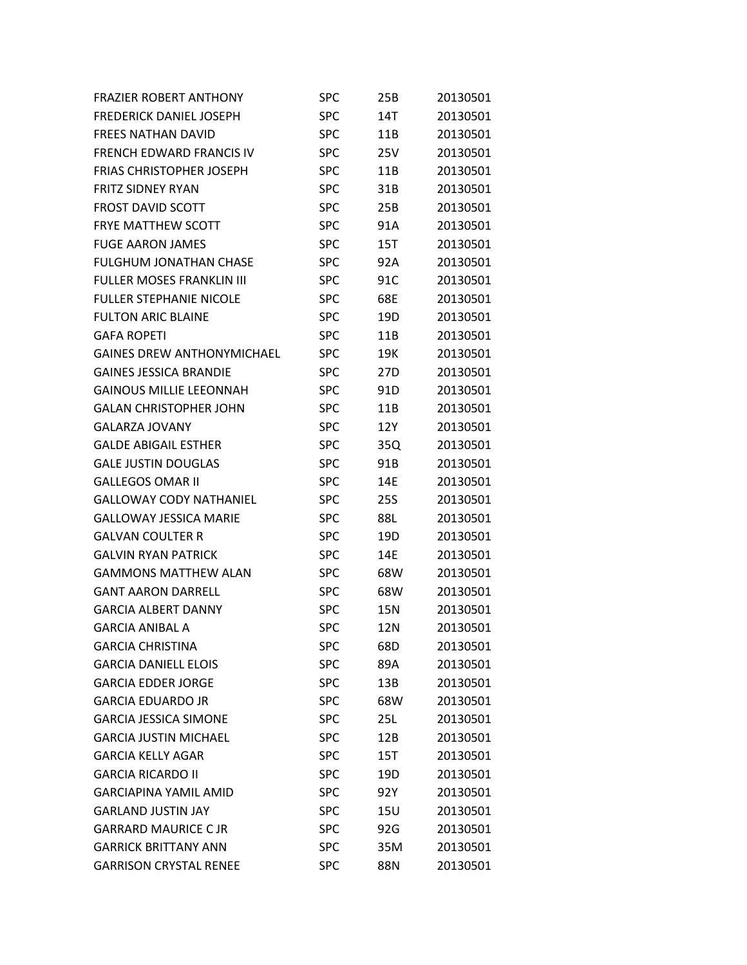| <b>FRAZIER ROBERT ANTHONY</b>     | <b>SPC</b> | 25B             | 20130501 |
|-----------------------------------|------------|-----------------|----------|
| <b>FREDERICK DANIEL JOSEPH</b>    | <b>SPC</b> | 14T             | 20130501 |
| <b>FREES NATHAN DAVID</b>         | <b>SPC</b> | 11B             | 20130501 |
| <b>FRENCH EDWARD FRANCIS IV</b>   | <b>SPC</b> | 25V             | 20130501 |
| <b>FRIAS CHRISTOPHER JOSEPH</b>   | <b>SPC</b> | 11B             | 20130501 |
| <b>FRITZ SIDNEY RYAN</b>          | <b>SPC</b> | 31B             | 20130501 |
| <b>FROST DAVID SCOTT</b>          | <b>SPC</b> | 25B             | 20130501 |
| FRYE MATTHEW SCOTT                | <b>SPC</b> | 91A             | 20130501 |
| <b>FUGE AARON JAMES</b>           | <b>SPC</b> | 15T             | 20130501 |
| <b>FULGHUM JONATHAN CHASE</b>     | <b>SPC</b> | 92A             | 20130501 |
| <b>FULLER MOSES FRANKLIN III</b>  | <b>SPC</b> | 91C             | 20130501 |
| <b>FULLER STEPHANIE NICOLE</b>    | <b>SPC</b> | 68E             | 20130501 |
| <b>FULTON ARIC BLAINE</b>         | <b>SPC</b> | 19D             | 20130501 |
| <b>GAFA ROPETI</b>                | <b>SPC</b> | 11B             | 20130501 |
| <b>GAINES DREW ANTHONYMICHAEL</b> | <b>SPC</b> | 19K             | 20130501 |
| <b>GAINES JESSICA BRANDIE</b>     | <b>SPC</b> | 27 <sub>D</sub> | 20130501 |
| <b>GAINOUS MILLIE LEEONNAH</b>    | <b>SPC</b> | 91D             | 20130501 |
| <b>GALAN CHRISTOPHER JOHN</b>     | <b>SPC</b> | 11B             | 20130501 |
| <b>GALARZA JOVANY</b>             | <b>SPC</b> | 12Y             | 20130501 |
| <b>GALDE ABIGAIL ESTHER</b>       | <b>SPC</b> | 35Q             | 20130501 |
| <b>GALE JUSTIN DOUGLAS</b>        | <b>SPC</b> | 91B             | 20130501 |
| <b>GALLEGOS OMAR II</b>           | <b>SPC</b> | 14E             | 20130501 |
| <b>GALLOWAY CODY NATHANIEL</b>    | <b>SPC</b> | <b>25S</b>      | 20130501 |
| <b>GALLOWAY JESSICA MARIE</b>     | <b>SPC</b> | 88L             | 20130501 |
| <b>GALVAN COULTER R</b>           | <b>SPC</b> | 19D             | 20130501 |
| <b>GALVIN RYAN PATRICK</b>        | <b>SPC</b> | 14E             | 20130501 |
| <b>GAMMONS MATTHEW ALAN</b>       | <b>SPC</b> | 68W             | 20130501 |
| <b>GANT AARON DARRELL</b>         | <b>SPC</b> | 68W             | 20130501 |
| <b>GARCIA ALBERT DANNY</b>        | <b>SPC</b> | 15N             | 20130501 |
| <b>GARCIA ANIBAL A</b>            | <b>SPC</b> | 12N             | 20130501 |
| <b>GARCIA CHRISTINA</b>           | <b>SPC</b> | 68D             | 20130501 |
| <b>GARCIA DANIELL ELOIS</b>       | <b>SPC</b> | 89A             | 20130501 |
| <b>GARCIA EDDER JORGE</b>         | <b>SPC</b> | 13B             | 20130501 |
| <b>GARCIA EDUARDO JR</b>          | <b>SPC</b> | 68W             | 20130501 |
| <b>GARCIA JESSICA SIMONE</b>      | <b>SPC</b> | 25L             | 20130501 |
| <b>GARCIA JUSTIN MICHAEL</b>      | <b>SPC</b> | 12B             | 20130501 |
| <b>GARCIA KELLY AGAR</b>          | <b>SPC</b> | 15T             | 20130501 |
| <b>GARCIA RICARDO II</b>          | <b>SPC</b> | 19D             | 20130501 |
| <b>GARCIAPINA YAMIL AMID</b>      | <b>SPC</b> | 92Y             | 20130501 |
| <b>GARLAND JUSTIN JAY</b>         | <b>SPC</b> | 15U             | 20130501 |
| <b>GARRARD MAURICE C JR</b>       | <b>SPC</b> | 92G             | 20130501 |
| <b>GARRICK BRITTANY ANN</b>       | <b>SPC</b> | 35M             | 20130501 |
| <b>GARRISON CRYSTAL RENEE</b>     | <b>SPC</b> | 88N             | 20130501 |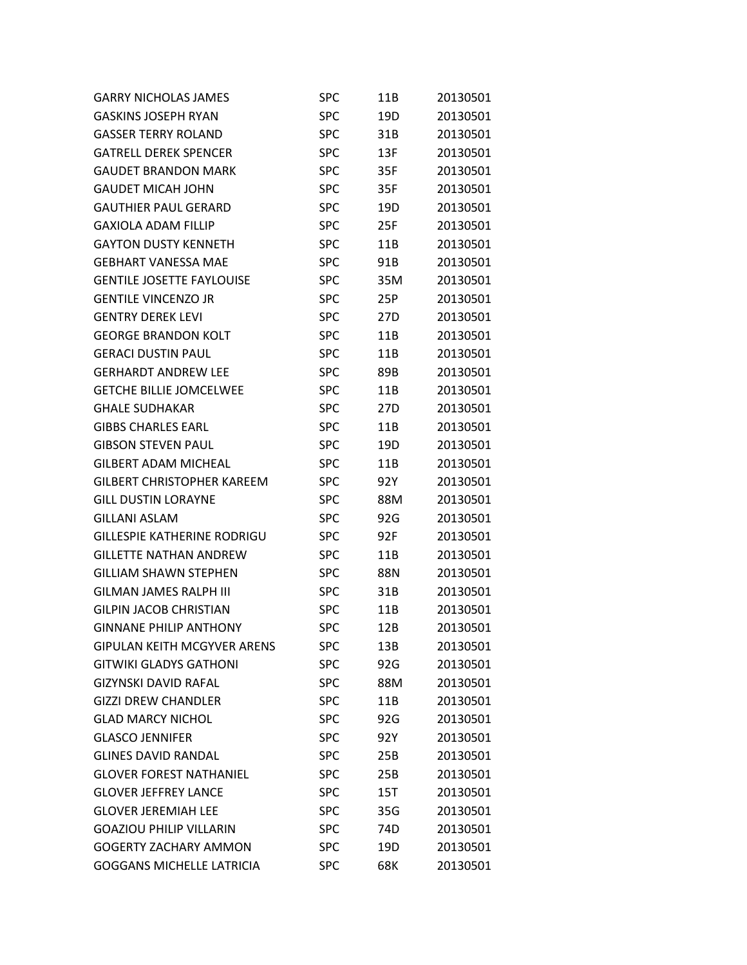| <b>GARRY NICHOLAS JAMES</b>        | SPC        | 11B | 20130501 |
|------------------------------------|------------|-----|----------|
| <b>GASKINS JOSEPH RYAN</b>         | <b>SPC</b> | 19D | 20130501 |
| <b>GASSER TERRY ROLAND</b>         | <b>SPC</b> | 31B | 20130501 |
| <b>GATRELL DEREK SPENCER</b>       | SPC        | 13F | 20130501 |
| <b>GAUDET BRANDON MARK</b>         | SPC        | 35F | 20130501 |
| <b>GAUDET MICAH JOHN</b>           | <b>SPC</b> | 35F | 20130501 |
| <b>GAUTHIER PAUL GERARD</b>        | <b>SPC</b> | 19D | 20130501 |
| <b>GAXIOLA ADAM FILLIP</b>         | SPC        | 25F | 20130501 |
| GAYTON DUSTY KENNETH               | SPC        | 11B | 20130501 |
| <b>GEBHART VANESSA MAE</b>         | <b>SPC</b> | 91B | 20130501 |
| <b>GENTILE JOSETTE FAYLOUISE</b>   | <b>SPC</b> | 35M | 20130501 |
| <b>GENTILE VINCENZO JR</b>         | SPC        | 25P | 20130501 |
| <b>GENTRY DEREK LEVI</b>           | <b>SPC</b> | 27D | 20130501 |
| <b>GEORGE BRANDON KOLT</b>         | <b>SPC</b> | 11B | 20130501 |
| <b>GERACI DUSTIN PAUL</b>          | <b>SPC</b> | 11B | 20130501 |
| <b>GERHARDT ANDREW LEE</b>         | SPC        | 89B | 20130501 |
| <b>GETCHE BILLIE JOMCELWEE</b>     | SPC        | 11B | 20130501 |
| <b>GHALE SUDHAKAR</b>              | <b>SPC</b> | 27D | 20130501 |
| <b>GIBBS CHARLES EARL</b>          | <b>SPC</b> | 11B | 20130501 |
| <b>GIBSON STEVEN PAUL</b>          | SPC        | 19D | 20130501 |
| <b>GILBERT ADAM MICHEAL</b>        | SPC        | 11B | 20130501 |
| <b>GILBERT CHRISTOPHER KAREEM</b>  | <b>SPC</b> | 92Y | 20130501 |
| <b>GILL DUSTIN LORAYNE</b>         | <b>SPC</b> | 88M | 20130501 |
| <b>GILLANI ASLAM</b>               | <b>SPC</b> | 92G | 20130501 |
| <b>GILLESPIE KATHERINE RODRIGU</b> | <b>SPC</b> | 92F | 20130501 |
| <b>GILLETTE NATHAN ANDREW</b>      | <b>SPC</b> | 11B | 20130501 |
| <b>GILLIAM SHAWN STEPHEN</b>       | <b>SPC</b> | 88N | 20130501 |
| <b>GILMAN JAMES RALPH III</b>      | <b>SPC</b> | 31B | 20130501 |
| <b>GILPIN JACOB CHRISTIAN</b>      | SPC        | 11B | 20130501 |
| <b>GINNANE PHILIP ANTHONY</b>      | <b>SPC</b> | 12B | 20130501 |
| <b>GIPULAN KEITH MCGYVER ARENS</b> | <b>SPC</b> | 13B | 20130501 |
| <b>GITWIKI GLADYS GATHONI</b>      | <b>SPC</b> | 92G | 20130501 |
| <b>GIZYNSKI DAVID RAFAL</b>        | <b>SPC</b> | 88M | 20130501 |
| <b>GIZZI DREW CHANDLER</b>         | <b>SPC</b> | 11B | 20130501 |
| <b>GLAD MARCY NICHOL</b>           | <b>SPC</b> | 92G | 20130501 |
| <b>GLASCO JENNIFER</b>             | <b>SPC</b> | 92Y | 20130501 |
| <b>GLINES DAVID RANDAL</b>         | <b>SPC</b> | 25B | 20130501 |
| <b>GLOVER FOREST NATHANIEL</b>     | <b>SPC</b> | 25B | 20130501 |
| <b>GLOVER JEFFREY LANCE</b>        | <b>SPC</b> | 15T | 20130501 |
| <b>GLOVER JEREMIAH LEE</b>         | <b>SPC</b> | 35G | 20130501 |
| <b>GOAZIOU PHILIP VILLARIN</b>     | <b>SPC</b> | 74D | 20130501 |
| <b>GOGERTY ZACHARY AMMON</b>       | <b>SPC</b> | 19D | 20130501 |
| <b>GOGGANS MICHELLE LATRICIA</b>   | <b>SPC</b> | 68K | 20130501 |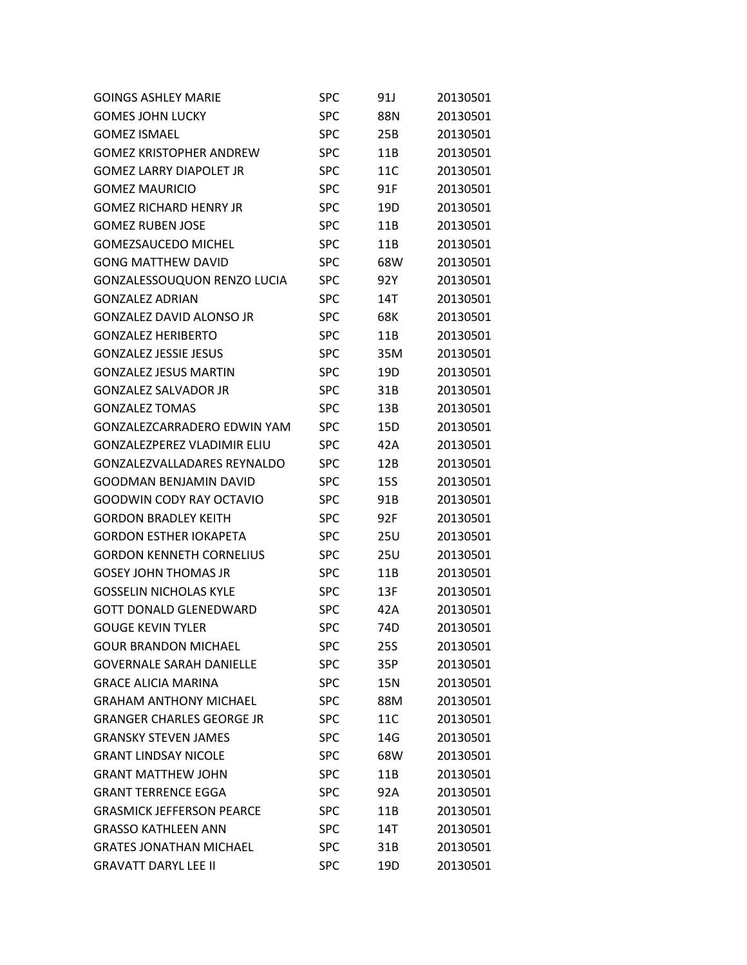| <b>GOINGS ASHLEY MARIE</b>         | SPC        | 91J        | 20130501 |
|------------------------------------|------------|------------|----------|
| <b>GOMES JOHN LUCKY</b>            | <b>SPC</b> | 88N        | 20130501 |
| <b>GOMEZ ISMAEL</b>                | <b>SPC</b> | 25B        | 20130501 |
| <b>GOMEZ KRISTOPHER ANDREW</b>     | SPC        | 11B        | 20130501 |
| <b>GOMEZ LARRY DIAPOLET JR</b>     | <b>SPC</b> | 11C        | 20130501 |
| <b>GOMEZ MAURICIO</b>              | <b>SPC</b> | 91F        | 20130501 |
| <b>GOMEZ RICHARD HENRY JR</b>      | <b>SPC</b> | 19D        | 20130501 |
| <b>GOMEZ RUBEN JOSE</b>            | SPC        | 11B        | 20130501 |
| <b>GOMEZSAUCEDO MICHEL</b>         | <b>SPC</b> | 11B        | 20130501 |
| <b>GONG MATTHEW DAVID</b>          | <b>SPC</b> | 68W        | 20130501 |
| GONZALESSOUQUON RENZO LUCIA        | <b>SPC</b> | 92Y        | 20130501 |
| <b>GONZALEZ ADRIAN</b>             | <b>SPC</b> | 14T        | 20130501 |
| <b>GONZALEZ DAVID ALONSO JR</b>    | <b>SPC</b> | 68K        | 20130501 |
| <b>GONZALEZ HERIBERTO</b>          | <b>SPC</b> | 11B        | 20130501 |
| <b>GONZALEZ JESSIE JESUS</b>       | <b>SPC</b> | 35M        | 20130501 |
| <b>GONZALEZ JESUS MARTIN</b>       | SPC        | 19D        | 20130501 |
| <b>GONZALEZ SALVADOR JR</b>        | <b>SPC</b> | 31B        | 20130501 |
| <b>GONZALEZ TOMAS</b>              | <b>SPC</b> | 13B        | 20130501 |
| <b>GONZALEZCARRADERO EDWIN YAM</b> | SPC        | 15D        | 20130501 |
| <b>GONZALEZPEREZ VLADIMIR ELIU</b> | SPC        | 42A        | 20130501 |
| GONZALEZVALLADARES REYNALDO        | <b>SPC</b> | 12B        | 20130501 |
| <b>GOODMAN BENJAMIN DAVID</b>      | <b>SPC</b> | <b>15S</b> | 20130501 |
| <b>GOODWIN CODY RAY OCTAVIO</b>    | <b>SPC</b> | 91B        | 20130501 |
| <b>GORDON BRADLEY KEITH</b>        | SPC        | 92F        | 20130501 |
| <b>GORDON ESTHER IOKAPETA</b>      | <b>SPC</b> | 25U        | 20130501 |
| <b>GORDON KENNETH CORNELIUS</b>    | <b>SPC</b> | 25U        | 20130501 |
| <b>GOSEY JOHN THOMAS JR</b>        | <b>SPC</b> | 11B        | 20130501 |
| <b>GOSSELIN NICHOLAS KYLE</b>      | SPC        | 13F        | 20130501 |
| <b>GOTT DONALD GLENEDWARD</b>      | <b>SPC</b> | 42A        | 20130501 |
| <b>GOUGE KEVIN TYLER</b>           | <b>SPC</b> | 74D        | 20130501 |
| <b>GOUR BRANDON MICHAEL</b>        | SPC        | 25S        | 20130501 |
| <b>GOVERNALE SARAH DANIELLE</b>    | <b>SPC</b> | 35P        | 20130501 |
| <b>GRACE ALICIA MARINA</b>         | <b>SPC</b> | 15N        | 20130501 |
| <b>GRAHAM ANTHONY MICHAEL</b>      | <b>SPC</b> | 88M        | 20130501 |
| <b>GRANGER CHARLES GEORGE JR</b>   | <b>SPC</b> | 11C        | 20130501 |
| <b>GRANSKY STEVEN JAMES</b>        | <b>SPC</b> | 14G        | 20130501 |
| <b>GRANT LINDSAY NICOLE</b>        | <b>SPC</b> | 68W        | 20130501 |
| <b>GRANT MATTHEW JOHN</b>          | <b>SPC</b> | 11B        | 20130501 |
| <b>GRANT TERRENCE EGGA</b>         | <b>SPC</b> | 92A        | 20130501 |
| <b>GRASMICK JEFFERSON PEARCE</b>   | <b>SPC</b> | 11B        | 20130501 |
| <b>GRASSO KATHLEEN ANN</b>         | <b>SPC</b> | 14T        | 20130501 |
| <b>GRATES JONATHAN MICHAEL</b>     | <b>SPC</b> | 31B        | 20130501 |
| <b>GRAVATT DARYL LEE II</b>        | <b>SPC</b> | 19D        | 20130501 |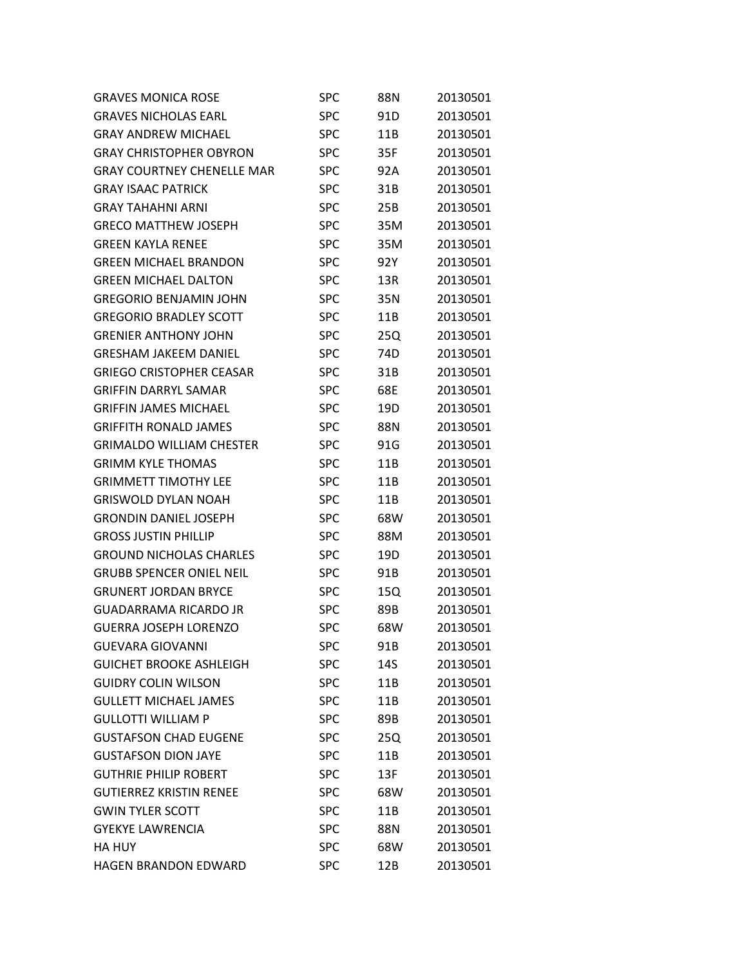| <b>GRAVES MONICA ROSE</b>         | SPC        | 88N | 20130501 |
|-----------------------------------|------------|-----|----------|
| <b>GRAVES NICHOLAS EARL</b>       | <b>SPC</b> | 91D | 20130501 |
| <b>GRAY ANDREW MICHAEL</b>        | <b>SPC</b> | 11B | 20130501 |
| <b>GRAY CHRISTOPHER OBYRON</b>    | <b>SPC</b> | 35F | 20130501 |
| <b>GRAY COURTNEY CHENELLE MAR</b> | <b>SPC</b> | 92A | 20130501 |
| <b>GRAY ISAAC PATRICK</b>         | <b>SPC</b> | 31B | 20130501 |
| <b>GRAY TAHAHNI ARNI</b>          | <b>SPC</b> | 25B | 20130501 |
| <b>GRECO MATTHEW JOSEPH</b>       | <b>SPC</b> | 35M | 20130501 |
| <b>GREEN KAYLA RENEE</b>          | <b>SPC</b> | 35M | 20130501 |
| <b>GREEN MICHAEL BRANDON</b>      | <b>SPC</b> | 92Y | 20130501 |
| <b>GREEN MICHAEL DALTON</b>       | <b>SPC</b> | 13R | 20130501 |
| <b>GREGORIO BENJAMIN JOHN</b>     | <b>SPC</b> | 35N | 20130501 |
| <b>GREGORIO BRADLEY SCOTT</b>     | <b>SPC</b> | 11B | 20130501 |
| <b>GRENIER ANTHONY JOHN</b>       | <b>SPC</b> | 25Q | 20130501 |
| <b>GRESHAM JAKEEM DANIEL</b>      | <b>SPC</b> | 74D | 20130501 |
| <b>GRIEGO CRISTOPHER CEASAR</b>   | <b>SPC</b> | 31B | 20130501 |
| <b>GRIFFIN DARRYL SAMAR</b>       | <b>SPC</b> | 68E | 20130501 |
| <b>GRIFFIN JAMES MICHAEL</b>      | <b>SPC</b> | 19D | 20130501 |
| <b>GRIFFITH RONALD JAMES</b>      | <b>SPC</b> | 88N | 20130501 |
| <b>GRIMALDO WILLIAM CHESTER</b>   | <b>SPC</b> | 91G | 20130501 |
| <b>GRIMM KYLE THOMAS</b>          | <b>SPC</b> | 11B | 20130501 |
| <b>GRIMMETT TIMOTHY LEE</b>       | <b>SPC</b> | 11B | 20130501 |
| <b>GRISWOLD DYLAN NOAH</b>        | <b>SPC</b> | 11B | 20130501 |
| <b>GRONDIN DANIEL JOSEPH</b>      | <b>SPC</b> | 68W | 20130501 |
| <b>GROSS JUSTIN PHILLIP</b>       | <b>SPC</b> | 88M | 20130501 |
| <b>GROUND NICHOLAS CHARLES</b>    | <b>SPC</b> | 19D | 20130501 |
| <b>GRUBB SPENCER ONIEL NEIL</b>   | <b>SPC</b> | 91B | 20130501 |
| <b>GRUNERT JORDAN BRYCE</b>       | <b>SPC</b> | 15Q | 20130501 |
| <b>GUADARRAMA RICARDO JR</b>      | <b>SPC</b> | 89B | 20130501 |
| <b>GUERRA JOSEPH LORENZO</b>      | <b>SPC</b> | 68W | 20130501 |
| <b>GUEVARA GIOVANNI</b>           | SPC        | 91B | 20130501 |
| <b>GUICHET BROOKE ASHLEIGH</b>    | <b>SPC</b> | 14S | 20130501 |
| <b>GUIDRY COLIN WILSON</b>        | <b>SPC</b> | 11B | 20130501 |
| <b>GULLETT MICHAEL JAMES</b>      | <b>SPC</b> | 11B | 20130501 |
| <b>GULLOTTI WILLIAM P</b>         | <b>SPC</b> | 89B | 20130501 |
| <b>GUSTAFSON CHAD EUGENE</b>      | <b>SPC</b> | 25Q | 20130501 |
| <b>GUSTAFSON DION JAYE</b>        | <b>SPC</b> | 11B | 20130501 |
| <b>GUTHRIE PHILIP ROBERT</b>      | <b>SPC</b> | 13F | 20130501 |
| <b>GUTIERREZ KRISTIN RENEE</b>    | <b>SPC</b> | 68W | 20130501 |
| <b>GWIN TYLER SCOTT</b>           | <b>SPC</b> | 11B | 20130501 |
| <b>GYEKYE LAWRENCIA</b>           | <b>SPC</b> | 88N | 20130501 |
| <b>HA HUY</b>                     | <b>SPC</b> | 68W | 20130501 |
| HAGEN BRANDON EDWARD              | <b>SPC</b> | 12B | 20130501 |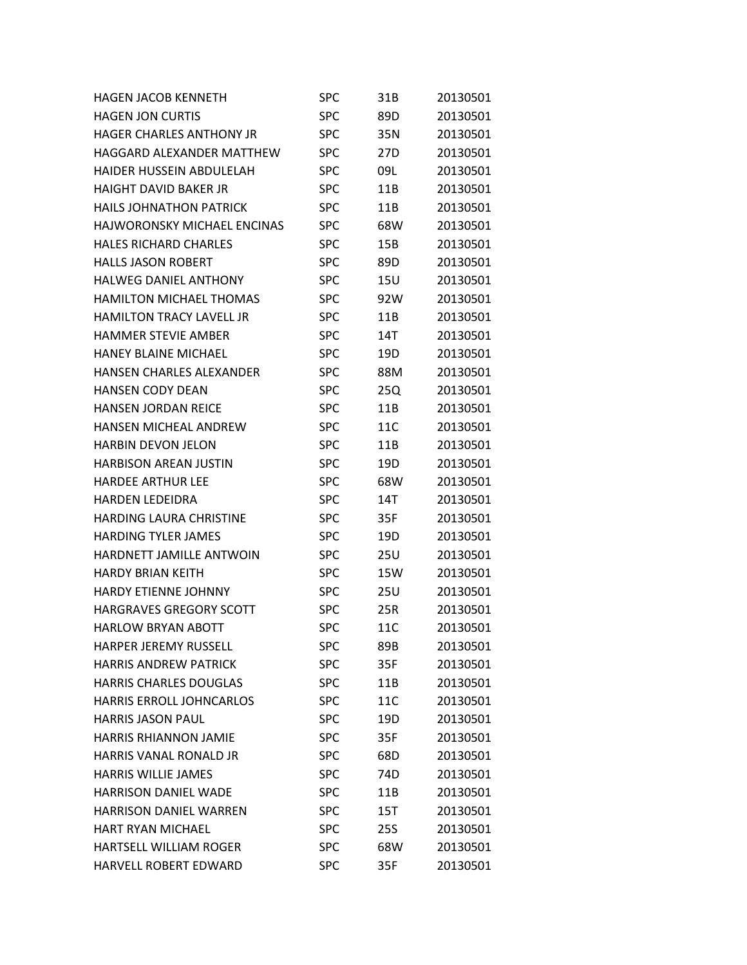| <b>HAGEN JACOB KENNETH</b>         | <b>SPC</b> | 31B             | 20130501 |
|------------------------------------|------------|-----------------|----------|
| <b>HAGEN JON CURTIS</b>            | <b>SPC</b> | 89D             | 20130501 |
| <b>HAGER CHARLES ANTHONY JR</b>    | <b>SPC</b> | 35N             | 20130501 |
| HAGGARD ALEXANDER MATTHEW          | <b>SPC</b> | 27D             | 20130501 |
| HAIDER HUSSEIN ABDULELAH           | <b>SPC</b> | 09L             | 20130501 |
| <b>HAIGHT DAVID BAKER JR</b>       | <b>SPC</b> | 11B             | 20130501 |
| <b>HAILS JOHNATHON PATRICK</b>     | <b>SPC</b> | 11B             | 20130501 |
| <b>HAJWORONSKY MICHAEL ENCINAS</b> | <b>SPC</b> | 68W             | 20130501 |
| <b>HALES RICHARD CHARLES</b>       | <b>SPC</b> | 15B             | 20130501 |
| <b>HALLS JASON ROBERT</b>          | <b>SPC</b> | 89D             | 20130501 |
| <b>HALWEG DANIEL ANTHONY</b>       | <b>SPC</b> | 15U             | 20130501 |
| <b>HAMILTON MICHAEL THOMAS</b>     | <b>SPC</b> | 92W             | 20130501 |
| <b>HAMILTON TRACY LAVELL JR</b>    | <b>SPC</b> | 11B             | 20130501 |
| <b>HAMMER STEVIE AMBER</b>         | <b>SPC</b> | 14T             | 20130501 |
| <b>HANEY BLAINE MICHAEL</b>        | <b>SPC</b> | 19D             | 20130501 |
| <b>HANSEN CHARLES ALEXANDER</b>    | <b>SPC</b> | 88M             | 20130501 |
| <b>HANSEN CODY DEAN</b>            | <b>SPC</b> | 25Q             | 20130501 |
| <b>HANSEN JORDAN REICE</b>         | <b>SPC</b> | 11B             | 20130501 |
| HANSEN MICHEAL ANDREW              | <b>SPC</b> | 11C             | 20130501 |
| <b>HARBIN DEVON JELON</b>          | <b>SPC</b> | 11B             | 20130501 |
| <b>HARBISON AREAN JUSTIN</b>       | <b>SPC</b> | 19D             | 20130501 |
| <b>HARDEE ARTHUR LEE</b>           | <b>SPC</b> | 68W             | 20130501 |
| <b>HARDEN LEDEIDRA</b>             | <b>SPC</b> | 14T             | 20130501 |
| <b>HARDING LAURA CHRISTINE</b>     | <b>SPC</b> | 35F             | 20130501 |
| <b>HARDING TYLER JAMES</b>         | <b>SPC</b> | 19D             | 20130501 |
| HARDNETT JAMILLE ANTWOIN           | <b>SPC</b> | 25U             | 20130501 |
| <b>HARDY BRIAN KEITH</b>           | <b>SPC</b> | 15W             | 20130501 |
| <b>HARDY ETIENNE JOHNNY</b>        | <b>SPC</b> | 25U             | 20130501 |
| <b>HARGRAVES GREGORY SCOTT</b>     | <b>SPC</b> | 25R             | 20130501 |
| <b>HARLOW BRYAN ABOTT</b>          | <b>SPC</b> | 11C             | 20130501 |
| <b>HARPER JEREMY RUSSELL</b>       | SPC        | 89B             | 20130501 |
| <b>HARRIS ANDREW PATRICK</b>       | <b>SPC</b> | 35F             | 20130501 |
| <b>HARRIS CHARLES DOUGLAS</b>      | <b>SPC</b> | 11B             | 20130501 |
| <b>HARRIS ERROLL JOHNCARLOS</b>    | <b>SPC</b> | 11C             | 20130501 |
| <b>HARRIS JASON PAUL</b>           | <b>SPC</b> | 19D             | 20130501 |
| <b>HARRIS RHIANNON JAMIE</b>       | <b>SPC</b> | 35F             | 20130501 |
| <b>HARRIS VANAL RONALD JR</b>      | <b>SPC</b> | 68D             | 20130501 |
| <b>HARRIS WILLIE JAMES</b>         | <b>SPC</b> | 74 <sub>D</sub> | 20130501 |
| <b>HARRISON DANIEL WADE</b>        | <b>SPC</b> | 11B             | 20130501 |
| <b>HARRISON DANIEL WARREN</b>      | <b>SPC</b> | 15T             | 20130501 |
| <b>HART RYAN MICHAEL</b>           | <b>SPC</b> | 25S             | 20130501 |
| <b>HARTSELL WILLIAM ROGER</b>      | <b>SPC</b> | 68W             | 20130501 |
| HARVELL ROBERT EDWARD              | <b>SPC</b> | 35F             | 20130501 |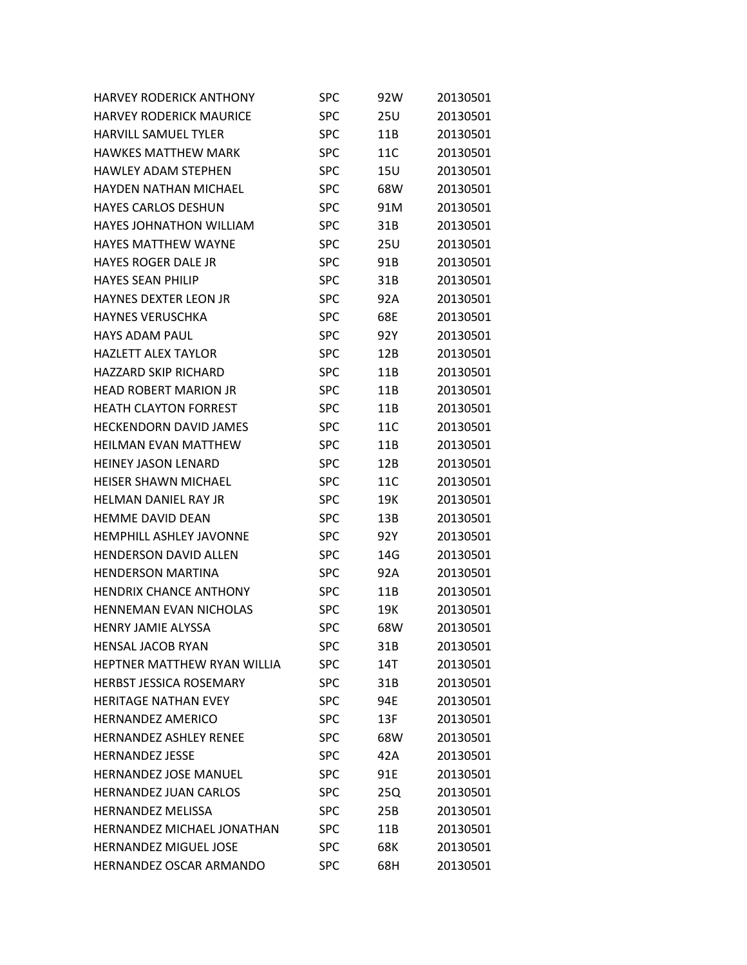| <b>HARVEY RODERICK ANTHONY</b> | SPC        | 92W | 20130501 |
|--------------------------------|------------|-----|----------|
| <b>HARVEY RODERICK MAURICE</b> | <b>SPC</b> | 25U | 20130501 |
| <b>HARVILL SAMUEL TYLER</b>    | <b>SPC</b> | 11B | 20130501 |
| <b>HAWKES MATTHEW MARK</b>     | <b>SPC</b> | 11C | 20130501 |
| HAWLFY ADAM STFPHFN            | <b>SPC</b> | 15U | 20130501 |
| <b>HAYDEN NATHAN MICHAEL</b>   | <b>SPC</b> | 68W | 20130501 |
| <b>HAYES CARLOS DESHUN</b>     | <b>SPC</b> | 91M | 20130501 |
| <b>HAYES JOHNATHON WILLIAM</b> | <b>SPC</b> | 31B | 20130501 |
| <b>HAYES MATTHEW WAYNE</b>     | <b>SPC</b> | 25U | 20130501 |
| <b>HAYES ROGER DALE JR</b>     | <b>SPC</b> | 91B | 20130501 |
| <b>HAYES SEAN PHILIP</b>       | <b>SPC</b> | 31B | 20130501 |
| <b>HAYNES DEXTER LEON JR</b>   | <b>SPC</b> | 92A | 20130501 |
| <b>HAYNES VERUSCHKA</b>        | <b>SPC</b> | 68E | 20130501 |
| <b>HAYS ADAM PAUL</b>          | <b>SPC</b> | 92Y | 20130501 |
| <b>HAZLETT ALEX TAYLOR</b>     | <b>SPC</b> | 12B | 20130501 |
| <b>HAZZARD SKIP RICHARD</b>    | <b>SPC</b> | 11B | 20130501 |
| <b>HEAD ROBERT MARION JR</b>   | <b>SPC</b> | 11B | 20130501 |
| <b>HEATH CLAYTON FORREST</b>   | <b>SPC</b> | 11B | 20130501 |
| <b>HECKENDORN DAVID JAMES</b>  | <b>SPC</b> | 11C | 20130501 |
| <b>HEILMAN EVAN MATTHEW</b>    | <b>SPC</b> | 11B | 20130501 |
| HEINEY JASON LENARD            | <b>SPC</b> | 12B | 20130501 |
| <b>HEISER SHAWN MICHAEL</b>    | <b>SPC</b> | 11C | 20130501 |
| <b>HELMAN DANIEL RAY JR</b>    | <b>SPC</b> | 19K | 20130501 |
| <b>HEMME DAVID DEAN</b>        | <b>SPC</b> | 13B | 20130501 |
| HEMPHILL ASHLEY JAVONNE        | <b>SPC</b> | 92Y | 20130501 |
| <b>HENDERSON DAVID ALLEN</b>   | <b>SPC</b> | 14G | 20130501 |
| <b>HENDERSON MARTINA</b>       | <b>SPC</b> | 92A | 20130501 |
| <b>HENDRIX CHANCE ANTHONY</b>  | <b>SPC</b> | 11B | 20130501 |
| <b>HENNEMAN EVAN NICHOLAS</b>  | <b>SPC</b> | 19K | 20130501 |
| <b>HENRY JAMIE ALYSSA</b>      | <b>SPC</b> | 68W | 20130501 |
| <b>HENSAL JACOB RYAN</b>       | <b>SPC</b> | 31B | 20130501 |
| HEPTNER MATTHEW RYAN WILLIA    | <b>SPC</b> | 14T | 20130501 |
| <b>HERBST JESSICA ROSEMARY</b> | <b>SPC</b> | 31B | 20130501 |
| <b>HERITAGE NATHAN EVEY</b>    | <b>SPC</b> | 94E | 20130501 |
| <b>HERNANDEZ AMERICO</b>       | <b>SPC</b> | 13F | 20130501 |
| <b>HERNANDEZ ASHLEY RENEE</b>  | <b>SPC</b> | 68W | 20130501 |
| <b>HERNANDEZ JESSE</b>         | <b>SPC</b> | 42A | 20130501 |
| <b>HERNANDEZ JOSE MANUEL</b>   | <b>SPC</b> | 91E | 20130501 |
| <b>HERNANDEZ JUAN CARLOS</b>   | <b>SPC</b> | 25Q | 20130501 |
| <b>HERNANDEZ MELISSA</b>       | <b>SPC</b> | 25B | 20130501 |
| HERNANDEZ MICHAEL JONATHAN     | <b>SPC</b> | 11B | 20130501 |
| <b>HERNANDEZ MIGUEL JOSE</b>   | <b>SPC</b> | 68K | 20130501 |
| HERNANDEZ OSCAR ARMANDO        | <b>SPC</b> | 68H | 20130501 |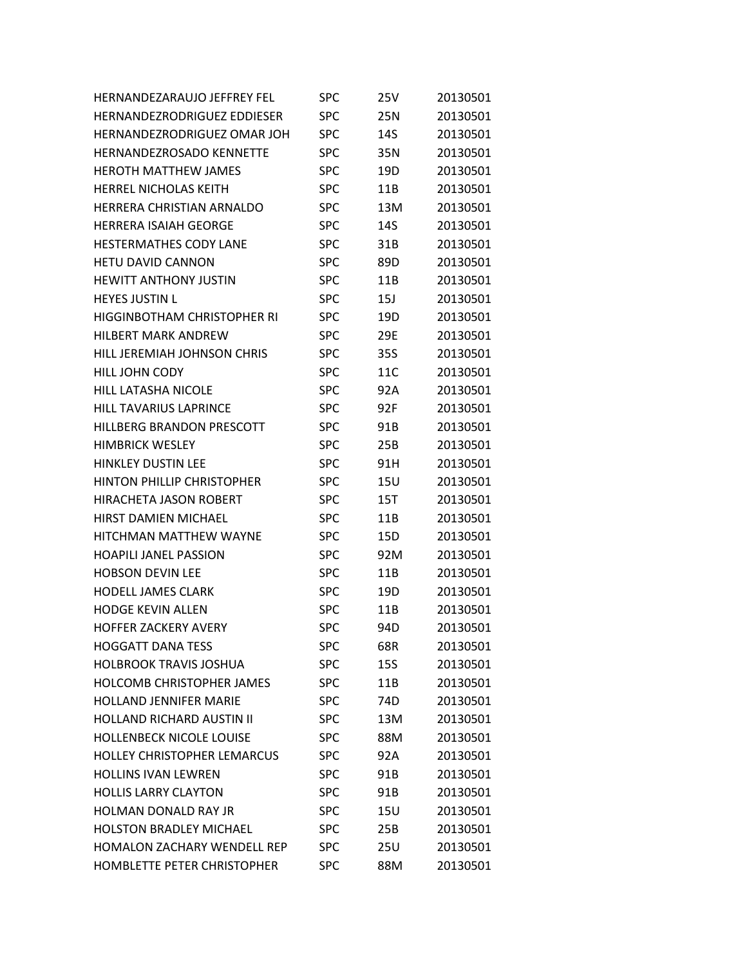| <b>HERNANDEZARAUJO JEFFREY FEL</b> | <b>SPC</b> | 25V        | 20130501 |
|------------------------------------|------------|------------|----------|
| <b>HERNANDEZRODRIGUEZ EDDIESER</b> | SPC        | 25N        | 20130501 |
| HERNANDEZRODRIGUEZ OMAR JOH        | <b>SPC</b> | 14S        | 20130501 |
| HERNANDEZROSADO KENNETTE           | SPC        | 35N        | 20130501 |
| <b>HEROTH MATTHEW JAMES</b>        | SPC        | 19D        | 20130501 |
| <b>HERREL NICHOLAS KEITH</b>       | <b>SPC</b> | 11B        | 20130501 |
| HERRERA CHRISTIAN ARNALDO          | <b>SPC</b> | 13M        | 20130501 |
| <b>HERRERA ISAIAH GEORGE</b>       | <b>SPC</b> | 14S        | 20130501 |
| <b>HESTERMATHES CODY LANE</b>      | <b>SPC</b> | 31B        | 20130501 |
| <b>HETU DAVID CANNON</b>           | <b>SPC</b> | 89D        | 20130501 |
| <b>HEWITT ANTHONY JUSTIN</b>       | <b>SPC</b> | 11B        | 20130501 |
| <b>HEYES JUSTIN L</b>              | <b>SPC</b> | 15J        | 20130501 |
| <b>HIGGINBOTHAM CHRISTOPHER RI</b> | <b>SPC</b> | 19D        | 20130501 |
| <b>HILBERT MARK ANDREW</b>         | <b>SPC</b> | 29E        | 20130501 |
| HILL JEREMIAH JOHNSON CHRIS        | <b>SPC</b> | 35S        | 20130501 |
| HILL JOHN CODY                     | <b>SPC</b> | 11C        | 20130501 |
| HILL LATASHA NICOLE                | <b>SPC</b> | 92A        | 20130501 |
| <b>HILL TAVARIUS LAPRINCE</b>      | <b>SPC</b> | 92F        | 20130501 |
| HILLBERG BRANDON PRESCOTT          | <b>SPC</b> | 91B        | 20130501 |
| <b>HIMBRICK WESLEY</b>             | <b>SPC</b> | 25B        | 20130501 |
| <b>HINKLEY DUSTIN LEE</b>          | <b>SPC</b> | 91H        | 20130501 |
| <b>HINTON PHILLIP CHRISTOPHER</b>  | <b>SPC</b> | 15U        | 20130501 |
| <b>HIRACHETA JASON ROBERT</b>      | <b>SPC</b> | <b>15T</b> | 20130501 |
| <b>HIRST DAMIEN MICHAEL</b>        | <b>SPC</b> | 11B        | 20130501 |
| HITCHMAN MATTHEW WAYNE             | <b>SPC</b> | 15D        | 20130501 |
| <b>HOAPILI JANEL PASSION</b>       | <b>SPC</b> | 92M        | 20130501 |
| <b>HOBSON DEVIN LEE</b>            | <b>SPC</b> | 11B        | 20130501 |
| <b>HODELL JAMES CLARK</b>          | <b>SPC</b> | 19D        | 20130501 |
| <b>HODGE KEVIN ALLEN</b>           | SPC        | 11B        | 20130501 |
| <b>HOFFER ZACKERY AVERY</b>        | <b>SPC</b> | 94D        | 20130501 |
| <b>HOGGATT DANA TESS</b>           | SPC        | 68R        | 20130501 |
| <b>HOLBROOK TRAVIS JOSHUA</b>      | <b>SPC</b> | <b>15S</b> | 20130501 |
| <b>HOLCOMB CHRISTOPHER JAMES</b>   | <b>SPC</b> | 11B        | 20130501 |
| <b>HOLLAND JENNIFER MARIE</b>      | <b>SPC</b> | 74D        | 20130501 |
| <b>HOLLAND RICHARD AUSTIN II</b>   | <b>SPC</b> | 13M        | 20130501 |
| <b>HOLLENBECK NICOLE LOUISE</b>    | <b>SPC</b> | 88M        | 20130501 |
| HOLLEY CHRISTOPHER LEMARCUS        | <b>SPC</b> | 92A        | 20130501 |
| <b>HOLLINS IVAN LEWREN</b>         | <b>SPC</b> | 91B        | 20130501 |
| <b>HOLLIS LARRY CLAYTON</b>        | <b>SPC</b> | 91B        | 20130501 |
| HOLMAN DONALD RAY JR               | <b>SPC</b> | <b>15U</b> | 20130501 |
| <b>HOLSTON BRADLEY MICHAEL</b>     | <b>SPC</b> | 25B        | 20130501 |
| <b>HOMALON ZACHARY WENDELL REP</b> | <b>SPC</b> | 25U        | 20130501 |
| HOMBLETTE PETER CHRISTOPHER        | <b>SPC</b> | 88M        | 20130501 |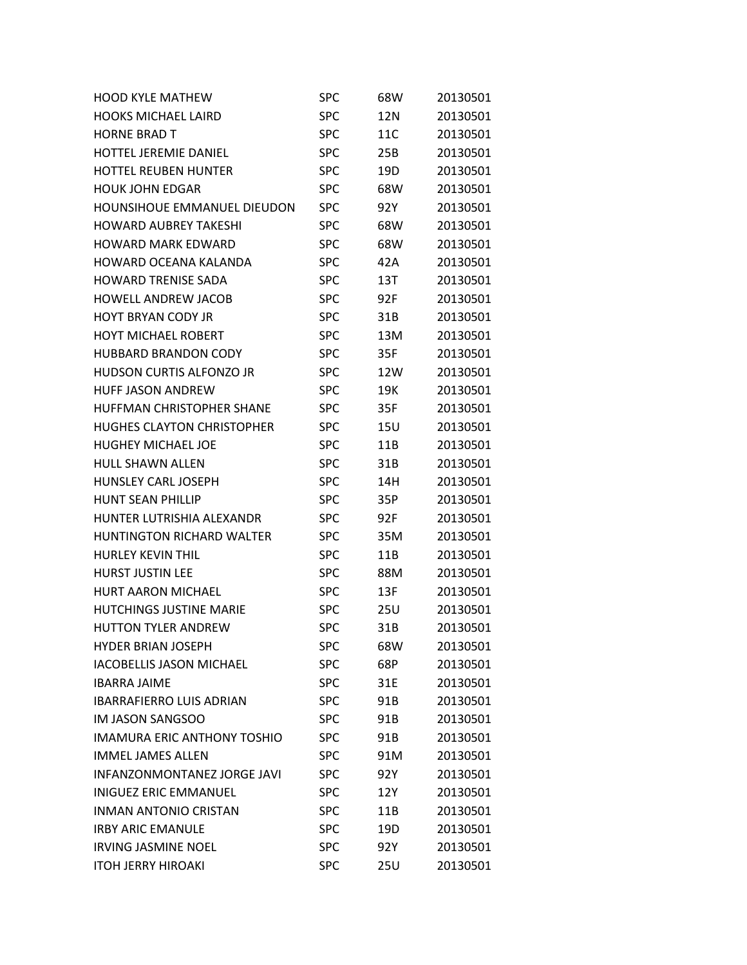| <b>HOOD KYLE MATHEW</b>            | SPC        | 68W        | 20130501 |
|------------------------------------|------------|------------|----------|
| <b>HOOKS MICHAEL LAIRD</b>         | <b>SPC</b> | 12N        | 20130501 |
| <b>HORNE BRAD T</b>                | SPC        | 11C        | 20130501 |
| <b>HOTTEL JEREMIE DANIEL</b>       | <b>SPC</b> | 25B        | 20130501 |
| <b>HOTTEL REUBEN HUNTER</b>        | SPC        | 19D        | 20130501 |
| <b>HOUK JOHN EDGAR</b>             | <b>SPC</b> | 68W        | 20130501 |
| <b>HOUNSIHOUE EMMANUEL DIEUDON</b> | <b>SPC</b> | 92Y        | 20130501 |
| <b>HOWARD AUBREY TAKESHI</b>       | <b>SPC</b> | 68W        | 20130501 |
| <b>HOWARD MARK FDWARD</b>          | <b>SPC</b> | 68W        | 20130501 |
| HOWARD OCEANA KALANDA              | <b>SPC</b> | 42A        | 20130501 |
| <b>HOWARD TRENISE SADA</b>         | <b>SPC</b> | 13T        | 20130501 |
| <b>HOWELL ANDREW JACOB</b>         | <b>SPC</b> | 92F        | 20130501 |
| HOYT BRYAN CODY JR                 | <b>SPC</b> | 31B        | 20130501 |
| <b>HOYT MICHAEL ROBERT</b>         | <b>SPC</b> | 13M        | 20130501 |
| <b>HUBBARD BRANDON CODY</b>        | <b>SPC</b> | 35F        | 20130501 |
| <b>HUDSON CURTIS ALFONZO JR</b>    | <b>SPC</b> | 12W        | 20130501 |
| <b>HUFF JASON ANDREW</b>           | <b>SPC</b> | 19K        | 20130501 |
| <b>HUFFMAN CHRISTOPHER SHANE</b>   | <b>SPC</b> | 35F        | 20130501 |
| <b>HUGHES CLAYTON CHRISTOPHER</b>  | <b>SPC</b> | 15U        | 20130501 |
| <b>HUGHEY MICHAEL JOE</b>          | <b>SPC</b> | 11B        | 20130501 |
| <b>HULL SHAWN ALLEN</b>            | <b>SPC</b> | 31B        | 20130501 |
| <b>HUNSLEY CARL JOSEPH</b>         | <b>SPC</b> | 14H        | 20130501 |
| <b>HUNT SEAN PHILLIP</b>           | <b>SPC</b> | 35P        | 20130501 |
| HUNTER LUTRISHIA ALEXANDR          | <b>SPC</b> | 92F        | 20130501 |
| <b>HUNTINGTON RICHARD WALTER</b>   | <b>SPC</b> | 35M        | 20130501 |
| <b>HURLEY KEVIN THIL</b>           | <b>SPC</b> | 11B        | 20130501 |
| <b>HURST JUSTIN LEE</b>            | SPC        | 88M        | 20130501 |
| <b>HURT AARON MICHAEL</b>          | <b>SPC</b> | 13F        | 20130501 |
| <b>HUTCHINGS JUSTINE MARIE</b>     | <b>SPC</b> | 25U        | 20130501 |
| <b>HUTTON TYLER ANDREW</b>         | SPC        | 31B        | 20130501 |
| <b>HYDER BRIAN JOSEPH</b>          | <b>SPC</b> | 68W        | 20130501 |
| <b>IACOBELLIS JASON MICHAEL</b>    | <b>SPC</b> | 68P        | 20130501 |
| <b>IBARRA JAIME</b>                | <b>SPC</b> | 31E        | 20130501 |
| <b>IBARRAFIERRO LUIS ADRIAN</b>    | <b>SPC</b> | 91B        | 20130501 |
| <b>IM JASON SANGSOO</b>            | <b>SPC</b> | 91B        | 20130501 |
| <b>IMAMURA ERIC ANTHONY TOSHIO</b> | <b>SPC</b> | 91B        | 20130501 |
| <b>IMMEL JAMES ALLEN</b>           | <b>SPC</b> | 91M        | 20130501 |
| <b>INFANZONMONTANEZ JORGE JAVI</b> | <b>SPC</b> | 92Y        | 20130501 |
| <b>INIGUEZ ERIC EMMANUEL</b>       | <b>SPC</b> | 12Y        | 20130501 |
| <b>INMAN ANTONIO CRISTAN</b>       | <b>SPC</b> | 11B        | 20130501 |
| <b>IRBY ARIC EMANULE</b>           | <b>SPC</b> | 19D        | 20130501 |
| <b>IRVING JASMINE NOEL</b>         | <b>SPC</b> | 92Y        | 20130501 |
| <b>ITOH JERRY HIROAKI</b>          | <b>SPC</b> | <b>25U</b> | 20130501 |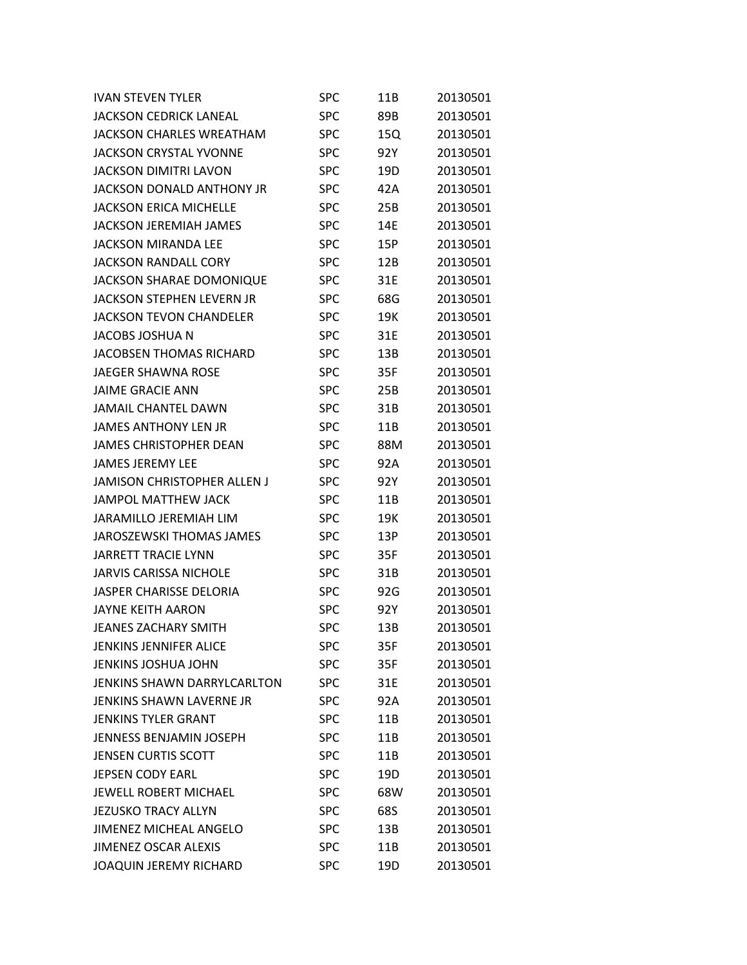| <b>IVAN STEVEN TYLER</b>           | SPC        | 11B | 20130501 |
|------------------------------------|------------|-----|----------|
| <b>JACKSON CEDRICK LANEAL</b>      | <b>SPC</b> | 89B | 20130501 |
| <b>JACKSON CHARLES WREATHAM</b>    | SPC        | 15Q | 20130501 |
| JACKSON CRYSTAL YVONNE             | <b>SPC</b> | 92Y | 20130501 |
| JACKSON DIMITRI LAVON              | <b>SPC</b> | 19D | 20130501 |
| <b>JACKSON DONALD ANTHONY JR</b>   | <b>SPC</b> | 42A | 20130501 |
| <b>JACKSON ERICA MICHELLE</b>      | <b>SPC</b> | 25B | 20130501 |
| <b>JACKSON JEREMIAH JAMES</b>      | <b>SPC</b> | 14E | 20130501 |
| JACKSON MIRANDA LEE                | <b>SPC</b> | 15P | 20130501 |
| JACKSON RANDALL CORY               | <b>SPC</b> | 12B | 20130501 |
| <b>JACKSON SHARAE DOMONIQUE</b>    | <b>SPC</b> | 31E | 20130501 |
| JACKSON STEPHEN LEVERN JR          | <b>SPC</b> | 68G | 20130501 |
| JACKSON TEVON CHANDELER            | <b>SPC</b> | 19K | 20130501 |
| JACOBS JOSHUA N                    | <b>SPC</b> | 31E | 20130501 |
| <b>JACOBSEN THOMAS RICHARD</b>     | <b>SPC</b> | 13B | 20130501 |
| <b>JAEGER SHAWNA ROSE</b>          | <b>SPC</b> | 35F | 20130501 |
| <b>JAIME GRACIE ANN</b>            | <b>SPC</b> | 25B | 20130501 |
| JAMAIL CHANTEL DAWN                | <b>SPC</b> | 31B | 20130501 |
| <b>JAMES ANTHONY LEN JR</b>        | <b>SPC</b> | 11B | 20130501 |
| <b>JAMES CHRISTOPHER DEAN</b>      | <b>SPC</b> | 88M | 20130501 |
| <b>JAMES JEREMY LEE</b>            | <b>SPC</b> | 92A | 20130501 |
| <b>JAMISON CHRISTOPHER ALLEN J</b> | <b>SPC</b> | 92Y | 20130501 |
| <b>JAMPOL MATTHEW JACK</b>         | <b>SPC</b> | 11B | 20130501 |
| <b>JARAMILLO JEREMIAH LIM</b>      | <b>SPC</b> | 19K | 20130501 |
| JAROSZEWSKI THOMAS JAMES           | <b>SPC</b> | 13P | 20130501 |
| <b>JARRETT TRACIE LYNN</b>         | <b>SPC</b> | 35F | 20130501 |
| <b>JARVIS CARISSA NICHOLE</b>      | <b>SPC</b> | 31B | 20130501 |
| <b>JASPER CHARISSE DELORIA</b>     | <b>SPC</b> | 92G | 20130501 |
| <b>JAYNE KEITH AARON</b>           | <b>SPC</b> | 92Y | 20130501 |
| <b>JEANES ZACHARY SMITH</b>        | <b>SPC</b> | 13B | 20130501 |
| <b>JENKINS JENNIFER ALICE</b>      | <b>SPC</b> | 35F | 20130501 |
| <b>JENKINS JOSHUA JOHN</b>         | <b>SPC</b> | 35F | 20130501 |
| <b>JENKINS SHAWN DARRYLCARLTON</b> | <b>SPC</b> | 31E | 20130501 |
| <b>JENKINS SHAWN LAVERNE JR</b>    | <b>SPC</b> | 92A | 20130501 |
| <b>JENKINS TYLER GRANT</b>         | <b>SPC</b> | 11B | 20130501 |
| <b>JENNESS BENJAMIN JOSEPH</b>     | <b>SPC</b> | 11B | 20130501 |
| <b>JENSEN CURTIS SCOTT</b>         | <b>SPC</b> | 11B | 20130501 |
| <b>JEPSEN CODY EARL</b>            | <b>SPC</b> | 19D | 20130501 |
| <b>JEWELL ROBERT MICHAEL</b>       | <b>SPC</b> | 68W | 20130501 |
| <b>JEZUSKO TRACY ALLYN</b>         | <b>SPC</b> | 68S | 20130501 |
| <b>JIMENEZ MICHEAL ANGELO</b>      | <b>SPC</b> | 13B | 20130501 |
| <b>JIMENEZ OSCAR ALEXIS</b>        | <b>SPC</b> | 11B | 20130501 |
| <b>JOAQUIN JEREMY RICHARD</b>      | <b>SPC</b> | 19D | 20130501 |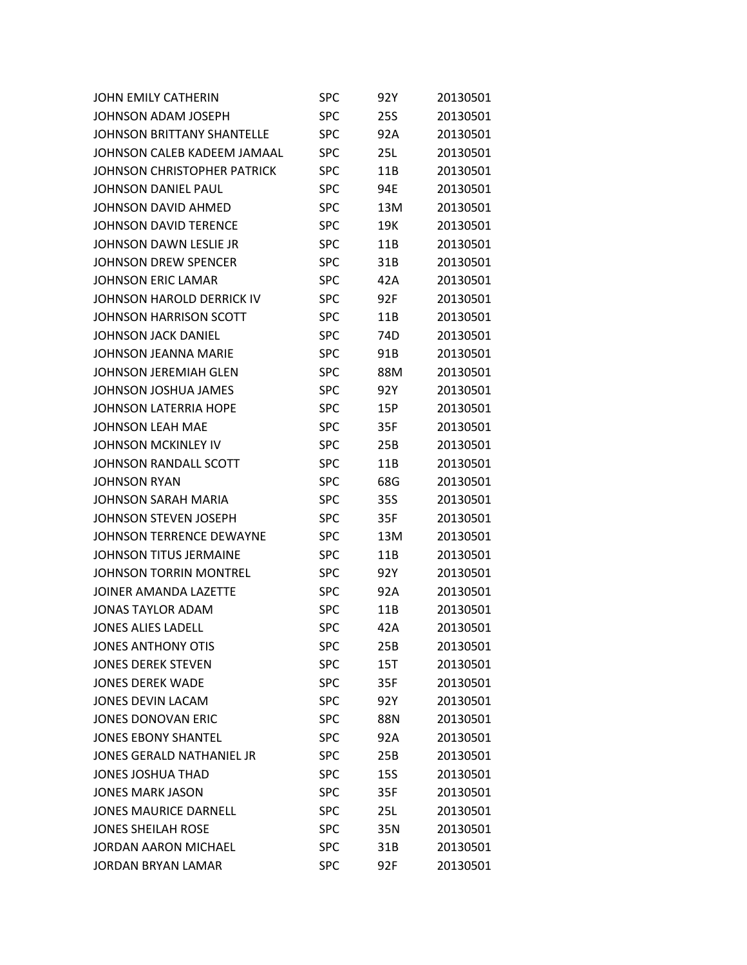| JOHN EMILY CATHERIN               | SPC        | 92Y        | 20130501 |
|-----------------------------------|------------|------------|----------|
| JOHNSON ADAM JOSEPH               | <b>SPC</b> | 25S        | 20130501 |
| <b>JOHNSON BRITTANY SHANTELLE</b> | <b>SPC</b> | 92A        | 20130501 |
| JOHNSON CALEB KADEEM JAMAAL       | <b>SPC</b> | 25L        | 20130501 |
| JOHNSON CHRISTOPHER PATRICK       | <b>SPC</b> | 11B        | 20130501 |
| JOHNSON DANIEL PAUL               | <b>SPC</b> | 94E        | 20130501 |
| JOHNSON DAVID AHMED               | <b>SPC</b> | 13M        | 20130501 |
| JOHNSON DAVID TERENCE             | <b>SPC</b> | 19K        | 20130501 |
| JOHNSON DAWN LESLIE JR            | <b>SPC</b> | 11B        | 20130501 |
| JOHNSON DREW SPENCER              | <b>SPC</b> | 31B        | 20130501 |
| <b>JOHNSON ERIC LAMAR</b>         | <b>SPC</b> | 42A        | 20130501 |
| JOHNSON HAROLD DERRICK IV         | <b>SPC</b> | 92F        | 20130501 |
| JOHNSON HARRISON SCOTT            | <b>SPC</b> | 11B        | 20130501 |
| <b>JOHNSON JACK DANIEL</b>        | <b>SPC</b> | 74D        | 20130501 |
| JOHNSON JEANNA MARIE              | <b>SPC</b> | 91B        | 20130501 |
| JOHNSON JEREMIAH GLEN             | <b>SPC</b> | 88M        | 20130501 |
| JOHNSON JOSHUA JAMES              | <b>SPC</b> | 92Y        | 20130501 |
| JOHNSON LATERRIA HOPE             | <b>SPC</b> | 15P        | 20130501 |
| <b>JOHNSON LEAH MAE</b>           | <b>SPC</b> | 35F        | 20130501 |
| JOHNSON MCKINLEY IV               | <b>SPC</b> | 25B        | 20130501 |
| JOHNSON RANDALL SCOTT             | <b>SPC</b> | 11B        | 20130501 |
| <b>JOHNSON RYAN</b>               | <b>SPC</b> | 68G        | 20130501 |
| <b>JOHNSON SARAH MARIA</b>        | <b>SPC</b> | 35S        | 20130501 |
| JOHNSON STEVEN JOSEPH             | <b>SPC</b> | 35F        | 20130501 |
| JOHNSON TERRENCE DEWAYNE          | <b>SPC</b> | 13M        | 20130501 |
| JOHNSON TITUS JERMAINE            | <b>SPC</b> | 11B        | 20130501 |
| <b>JOHNSON TORRIN MONTREL</b>     | <b>SPC</b> | 92Y        | 20130501 |
| JOINER AMANDA LAZETTE             | <b>SPC</b> | 92A        | 20130501 |
| JONAS TAYLOR ADAM                 | <b>SPC</b> | 11B        | 20130501 |
| <b>JONES ALIES LADELL</b>         | <b>SPC</b> | 42A        | 20130501 |
| <b>JONES ANTHONY OTIS</b>         | <b>SPC</b> | 25B        | 20130501 |
| <b>JONES DEREK STEVEN</b>         | <b>SPC</b> | 15T        | 20130501 |
| <b>JONES DEREK WADE</b>           | <b>SPC</b> | 35F        | 20130501 |
| <b>JONES DEVIN LACAM</b>          | <b>SPC</b> | 92Y        | 20130501 |
| <b>JONES DONOVAN ERIC</b>         | <b>SPC</b> | 88N        | 20130501 |
| <b>JONES EBONY SHANTEL</b>        | <b>SPC</b> | 92A        | 20130501 |
| JONES GERALD NATHANIEL JR         | <b>SPC</b> | 25B        | 20130501 |
| <b>JONES JOSHUA THAD</b>          | <b>SPC</b> | <b>15S</b> | 20130501 |
| <b>JONES MARK JASON</b>           | <b>SPC</b> | 35F        | 20130501 |
| <b>JONES MAURICE DARNELL</b>      | <b>SPC</b> | 25L        | 20130501 |
| <b>JONES SHEILAH ROSE</b>         | <b>SPC</b> | 35N        | 20130501 |
| <b>JORDAN AARON MICHAEL</b>       | <b>SPC</b> | 31B        | 20130501 |
| <b>JORDAN BRYAN LAMAR</b>         | <b>SPC</b> | 92F        | 20130501 |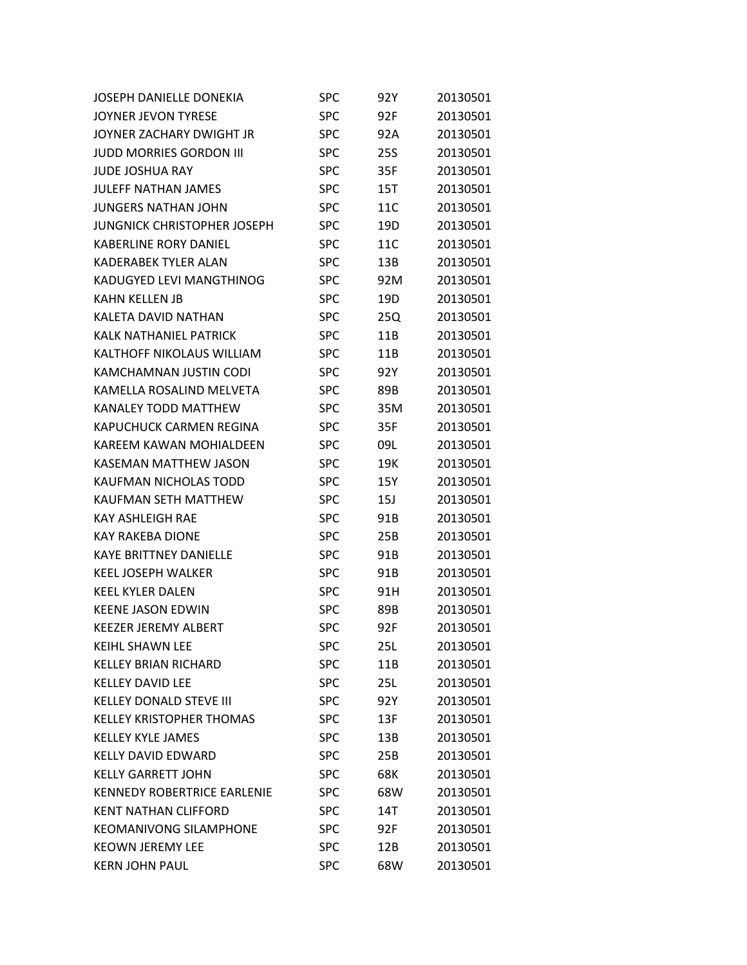| JOSEPH DANIELLE DONEKIA            | <b>SPC</b> | 92Y        | 20130501 |
|------------------------------------|------------|------------|----------|
| <b>JOYNER JEVON TYRESE</b>         | <b>SPC</b> | 92F        | 20130501 |
| JOYNER ZACHARY DWIGHT JR           | <b>SPC</b> | 92A        | 20130501 |
| <b>JUDD MORRIES GORDON III</b>     | <b>SPC</b> | <b>25S</b> | 20130501 |
| <b>JUDE JOSHUA RAY</b>             | <b>SPC</b> | 35F        | 20130501 |
| <b>JULEFF NATHAN JAMES</b>         | <b>SPC</b> | 15T        | 20130501 |
| <b>JUNGERS NATHAN JOHN</b>         | <b>SPC</b> | 11C        | 20130501 |
| <b>JUNGNICK CHRISTOPHER JOSEPH</b> | <b>SPC</b> | 19D        | 20130501 |
| <b>KABERLINE RORY DANIEL</b>       | <b>SPC</b> | 11C        | 20130501 |
| <b>KADERABEK TYLER ALAN</b>        | <b>SPC</b> | 13B        | 20130501 |
| KADUGYED LEVI MANGTHINOG           | <b>SPC</b> | 92M        | 20130501 |
| <b>KAHN KELLEN JB</b>              | <b>SPC</b> | 19D        | 20130501 |
| KALETA DAVID NATHAN                | <b>SPC</b> | 25Q        | 20130501 |
| <b>KALK NATHANIEL PATRICK</b>      | <b>SPC</b> | 11B        | 20130501 |
| <b>KALTHOFF NIKOLAUS WILLIAM</b>   | <b>SPC</b> | 11B        | 20130501 |
| KAMCHAMNAN JUSTIN CODI             | <b>SPC</b> | 92Y        | 20130501 |
| KAMELLA ROSALIND MELVETA           | <b>SPC</b> | 89B        | 20130501 |
| <b>KANALEY TODD MATTHEW</b>        | <b>SPC</b> | 35M        | 20130501 |
| <b>KAPUCHUCK CARMEN REGINA</b>     | <b>SPC</b> | 35F        | 20130501 |
| <b>KAREEM KAWAN MOHIALDEEN</b>     | <b>SPC</b> | 09L        | 20130501 |
| <b>KASEMAN MATTHEW JASON</b>       | <b>SPC</b> | 19K        | 20130501 |
| KAUFMAN NICHOLAS TODD              | <b>SPC</b> | 15Y        | 20130501 |
| <b>KAUFMAN SETH MATTHEW</b>        | <b>SPC</b> | 15J        | 20130501 |
| <b>KAY ASHLEIGH RAE</b>            | <b>SPC</b> | 91B        | 20130501 |
| <b>KAY RAKEBA DIONE</b>            | <b>SPC</b> | 25B        | 20130501 |
| <b>KAYE BRITTNEY DANIELLE</b>      | <b>SPC</b> | 91B        | 20130501 |
| <b>KEEL JOSEPH WALKER</b>          | <b>SPC</b> | 91B        | 20130501 |
| <b>KEEL KYLER DALEN</b>            | <b>SPC</b> | 91H        | 20130501 |
| <b>KEENE JASON EDWIN</b>           | <b>SPC</b> | 89B        | 20130501 |
| <b>KEEZER JEREMY ALBERT</b>        | <b>SPC</b> | 92F        | 20130501 |
| <b>KEIHL SHAWN LEE</b>             | <b>SPC</b> | 25L        | 20130501 |
| <b>KELLEY BRIAN RICHARD</b>        | <b>SPC</b> | 11B        | 20130501 |
| <b>KELLEY DAVID LEE</b>            | <b>SPC</b> | 25L        | 20130501 |
| <b>KELLEY DONALD STEVE III</b>     | <b>SPC</b> | 92Y        | 20130501 |
| <b>KELLEY KRISTOPHER THOMAS</b>    | <b>SPC</b> | 13F        | 20130501 |
| <b>KELLEY KYLE JAMES</b>           | <b>SPC</b> | 13B        | 20130501 |
| <b>KELLY DAVID EDWARD</b>          | <b>SPC</b> | 25B        | 20130501 |
| <b>KELLY GARRETT JOHN</b>          | <b>SPC</b> | 68K        | 20130501 |
| <b>KENNEDY ROBERTRICE EARLENIE</b> | <b>SPC</b> | 68W        | 20130501 |
| <b>KENT NATHAN CLIFFORD</b>        | <b>SPC</b> | 14T        | 20130501 |
| <b>KEOMANIVONG SILAMPHONE</b>      | <b>SPC</b> | 92F        | 20130501 |
| <b>KEOWN JEREMY LEE</b>            | <b>SPC</b> | 12B        | 20130501 |
| <b>KERN JOHN PAUL</b>              | <b>SPC</b> | 68W        | 20130501 |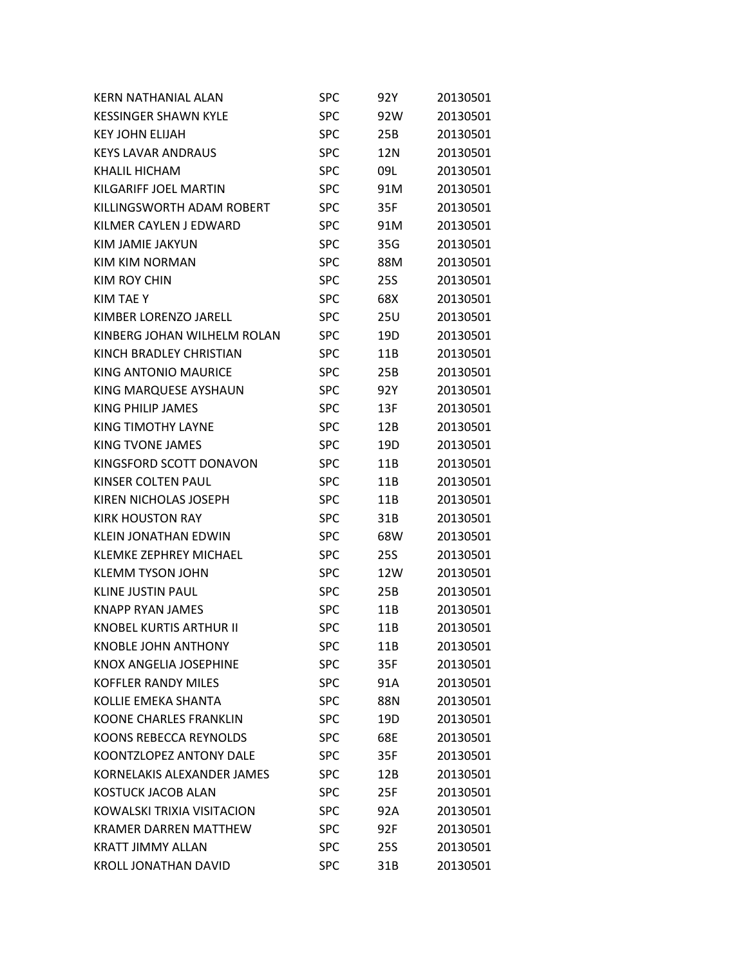| KERN NATHANIAL ALAN            | SPC        | 92Y             | 20130501 |
|--------------------------------|------------|-----------------|----------|
| <b>KESSINGER SHAWN KYLE</b>    | <b>SPC</b> | 92W             | 20130501 |
| <b>KEY JOHN ELIJAH</b>         | <b>SPC</b> | 25B             | 20130501 |
| <b>KEYS LAVAR ANDRAUS</b>      | <b>SPC</b> | 12N             | 20130501 |
| <b>KHALIL HICHAM</b>           | <b>SPC</b> | 09L             | 20130501 |
| KILGARIFF JOEL MARTIN          | <b>SPC</b> | 91M             | 20130501 |
| KILLINGSWORTH ADAM ROBERT      | <b>SPC</b> | 35F             | 20130501 |
| KILMER CAYLEN J EDWARD         | <b>SPC</b> | 91M             | 20130501 |
| KIM JAMIE JAKYUN               | <b>SPC</b> | 35G             | 20130501 |
| KIM KIM NORMAN                 | <b>SPC</b> | 88M             | 20130501 |
| <b>KIM ROY CHIN</b>            | <b>SPC</b> | <b>25S</b>      | 20130501 |
| KIM TAE Y                      | <b>SPC</b> | 68X             | 20130501 |
| KIMBER LORENZO JARELL          | <b>SPC</b> | 25U             | 20130501 |
| KINBERG JOHAN WILHELM ROLAN    | <b>SPC</b> | 19D             | 20130501 |
| KINCH BRADLEY CHRISTIAN        | <b>SPC</b> | 11B             | 20130501 |
| <b>KING ANTONIO MAURICE</b>    | <b>SPC</b> | 25B             | 20130501 |
| KING MARQUESE AYSHAUN          | <b>SPC</b> | 92Y             | 20130501 |
| KING PHILIP JAMES              | <b>SPC</b> | 13F             | 20130501 |
| KING TIMOTHY LAYNE             | <b>SPC</b> | 12B             | 20130501 |
| KING TVONE JAMES               | <b>SPC</b> | 19D             | 20130501 |
| KINGSFORD SCOTT DONAVON        | <b>SPC</b> | 11B             | 20130501 |
| KINSER COLTEN PAUL             | <b>SPC</b> | 11B             | 20130501 |
| KIREN NICHOLAS JOSEPH          | <b>SPC</b> | 11B             | 20130501 |
| <b>KIRK HOUSTON RAY</b>        | <b>SPC</b> | 31B             | 20130501 |
| <b>KLEIN JONATHAN EDWIN</b>    | <b>SPC</b> | 68W             | 20130501 |
| <b>KLEMKE ZEPHREY MICHAEL</b>  | <b>SPC</b> | <b>25S</b>      | 20130501 |
| <b>KLEMM TYSON JOHN</b>        | <b>SPC</b> | 12W             | 20130501 |
| <b>KLINE JUSTIN PAUL</b>       | <b>SPC</b> | 25B             | 20130501 |
| <b>KNAPP RYAN JAMES</b>        | SPC        | 11B             | 20130501 |
| <b>KNOBEL KURTIS ARTHUR II</b> | <b>SPC</b> | 11B             | 20130501 |
| <b>KNOBLE JOHN ANTHONY</b>     | SPC        | 11B             | 20130501 |
| <b>KNOX ANGELIA JOSEPHINE</b>  | <b>SPC</b> | 35F             | 20130501 |
| <b>KOFFLER RANDY MILES</b>     | <b>SPC</b> | 91A             | 20130501 |
| <b>KOLLIE EMEKA SHANTA</b>     | <b>SPC</b> | 88N             | 20130501 |
| <b>KOONE CHARLES FRANKLIN</b>  | <b>SPC</b> | 19 <sub>D</sub> | 20130501 |
| KOONS REBECCA REYNOLDS         | <b>SPC</b> | 68E             | 20130501 |
| <b>KOONTZLOPEZ ANTONY DALE</b> | <b>SPC</b> | 35F             | 20130501 |
| KORNELAKIS ALEXANDER JAMES     | <b>SPC</b> | 12B             | 20130501 |
| <b>KOSTUCK JACOB ALAN</b>      | <b>SPC</b> | 25F             | 20130501 |
| KOWALSKI TRIXIA VISITACION     | <b>SPC</b> | 92A             | 20130501 |
| <b>KRAMER DARREN MATTHEW</b>   | <b>SPC</b> | 92F             | 20130501 |
| <b>KRATT JIMMY ALLAN</b>       | <b>SPC</b> | <b>25S</b>      | 20130501 |
| <b>KROLL JONATHAN DAVID</b>    | <b>SPC</b> | 31B             | 20130501 |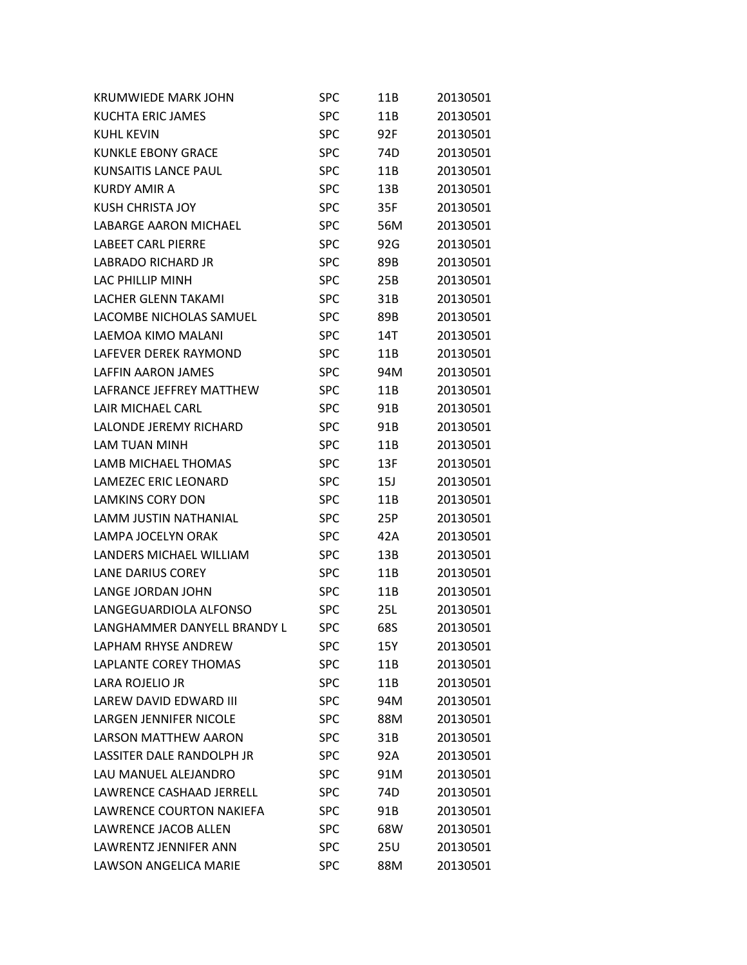| <b>KRUMWIEDE MARK JOHN</b>    | <b>SPC</b> | 11B             | 20130501 |
|-------------------------------|------------|-----------------|----------|
| <b>KUCHTA ERIC JAMES</b>      | <b>SPC</b> | 11B             | 20130501 |
| <b>KUHL KEVIN</b>             | <b>SPC</b> | 92F             | 20130501 |
| <b>KUNKLE EBONY GRACE</b>     | <b>SPC</b> | 74D             | 20130501 |
| <b>KUNSAITIS LANCE PAUL</b>   | <b>SPC</b> | 11B             | 20130501 |
| <b>KURDY AMIR A</b>           | <b>SPC</b> | 13B             | 20130501 |
| <b>KUSH CHRISTA JOY</b>       | <b>SPC</b> | 35F             | 20130501 |
| <b>LABARGE AARON MICHAEL</b>  | <b>SPC</b> | 56M             | 20130501 |
| <b>LABEET CARL PIERRE</b>     | <b>SPC</b> | 92G             | 20130501 |
| LABRADO RICHARD JR            | <b>SPC</b> | 89B             | 20130501 |
| LAC PHILLIP MINH              | <b>SPC</b> | 25B             | 20130501 |
| <b>LACHER GLENN TAKAMI</b>    | <b>SPC</b> | 31B             | 20130501 |
| LACOMBE NICHOLAS SAMUEL       | <b>SPC</b> | 89B             | 20130501 |
| LAEMOA KIMO MALANI            | <b>SPC</b> | 14T             | 20130501 |
| LAFEVER DEREK RAYMOND         | <b>SPC</b> | 11B             | 20130501 |
| <b>LAFFIN AARON JAMES</b>     | <b>SPC</b> | 94M             | 20130501 |
| LAFRANCE JEFFREY MATTHEW      | <b>SPC</b> | 11B             | 20130501 |
| LAIR MICHAEL CARL             | <b>SPC</b> | 91B             | 20130501 |
| LALONDE JEREMY RICHARD        | <b>SPC</b> | 91B             | 20130501 |
| <b>LAM TUAN MINH</b>          | <b>SPC</b> | 11B             | 20130501 |
| LAMB MICHAEL THOMAS           | <b>SPC</b> | 13F             | 20130501 |
| LAMEZEC ERIC LEONARD          | <b>SPC</b> | 15J             | 20130501 |
| <b>LAMKINS CORY DON</b>       | <b>SPC</b> | 11B             | 20130501 |
| LAMM JUSTIN NATHANIAL         | <b>SPC</b> | 25P             | 20130501 |
| LAMPA JOCELYN ORAK            | <b>SPC</b> | 42A             | 20130501 |
| LANDERS MICHAEL WILLIAM       | <b>SPC</b> | 13B             | 20130501 |
| <b>LANE DARIUS COREY</b>      | <b>SPC</b> | 11B             | 20130501 |
| LANGE JORDAN JOHN             | <b>SPC</b> | 11B             | 20130501 |
| LANGEGUARDIOLA ALFONSO        | <b>SPC</b> | 25L             | 20130501 |
| LANGHAMMER DANYELL BRANDY L   | <b>SPC</b> | 68S             | 20130501 |
| <b>LAPHAM RHYSE ANDREW</b>    | <b>SPC</b> | 15Y             | 20130501 |
| LAPLANTE COREY THOMAS         | <b>SPC</b> | 11B             | 20130501 |
| LARA ROJELIO JR               | <b>SPC</b> | 11B             | 20130501 |
| LAREW DAVID EDWARD III        | <b>SPC</b> | 94M             | 20130501 |
| <b>LARGEN JENNIFER NICOLE</b> | <b>SPC</b> | 88M             | 20130501 |
| <b>LARSON MATTHEW AARON</b>   | <b>SPC</b> | 31B             | 20130501 |
| LASSITER DALE RANDOLPH JR     | <b>SPC</b> | 92A             | 20130501 |
| LAU MANUEL ALEJANDRO          | <b>SPC</b> | 91M             | 20130501 |
| LAWRENCE CASHAAD JERRELL      | <b>SPC</b> | 74 <sub>D</sub> | 20130501 |
| LAWRENCE COURTON NAKIEFA      | <b>SPC</b> | 91B             | 20130501 |
| LAWRENCE JACOB ALLEN          | <b>SPC</b> | 68W             | 20130501 |
| LAWRENTZ JENNIFER ANN         | <b>SPC</b> | 25U             | 20130501 |
| LAWSON ANGELICA MARIE         | <b>SPC</b> | 88M             | 20130501 |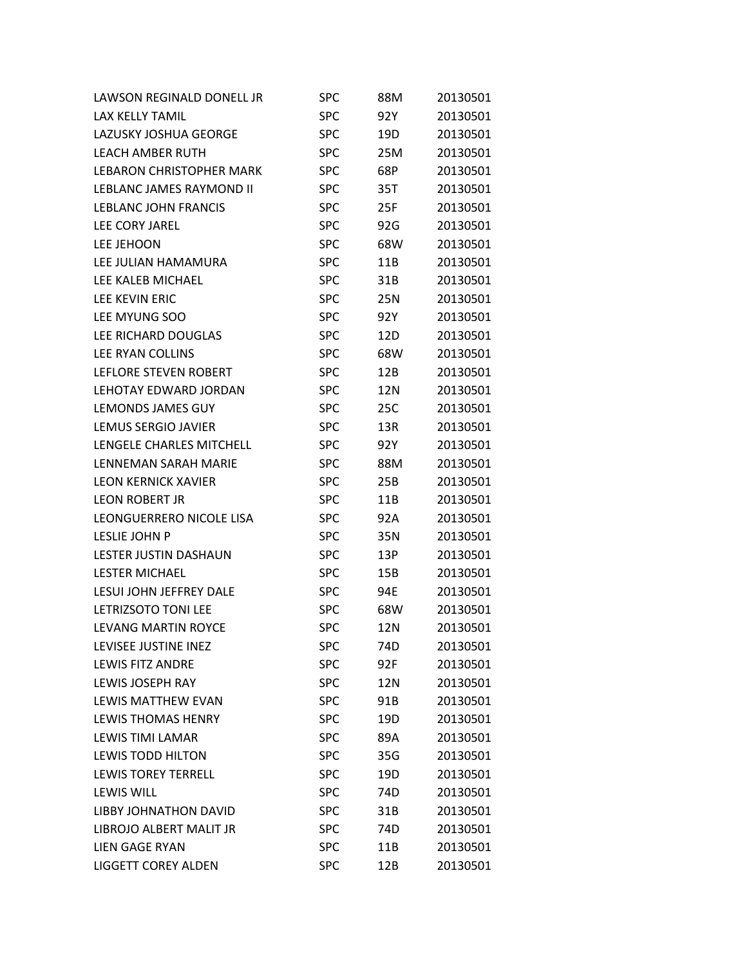| LAWSON REGINALD DONELL JR       | SPC        | 88M | 20130501 |
|---------------------------------|------------|-----|----------|
| LAX KELLY TAMIL                 | <b>SPC</b> | 92Y | 20130501 |
| LAZUSKY JOSHUA GEORGE           | <b>SPC</b> | 19D | 20130501 |
| <b>LEACH AMBER RUTH</b>         | <b>SPC</b> | 25M | 20130501 |
| <b>LEBARON CHRISTOPHER MARK</b> | <b>SPC</b> | 68P | 20130501 |
| LEBLANC JAMES RAYMOND II        | <b>SPC</b> | 35T | 20130501 |
| LEBLANC JOHN FRANCIS            | <b>SPC</b> | 25F | 20130501 |
| LEE CORY JAREL                  | <b>SPC</b> | 92G | 20130501 |
| LEE JEHOON                      | <b>SPC</b> | 68W | 20130501 |
| LEE JULIAN HAMAMURA             | <b>SPC</b> | 11B | 20130501 |
| LEE KALEB MICHAEL               | <b>SPC</b> | 31B | 20130501 |
| <b>LEE KEVIN ERIC</b>           | <b>SPC</b> | 25N | 20130501 |
| LEE MYUNG SOO                   | <b>SPC</b> | 92Y | 20130501 |
| LEE RICHARD DOUGLAS             | <b>SPC</b> | 12D | 20130501 |
| LEE RYAN COLLINS                | <b>SPC</b> | 68W | 20130501 |
| LEFLORE STEVEN ROBERT           | <b>SPC</b> | 12B | 20130501 |
| LEHOTAY EDWARD JORDAN           | <b>SPC</b> | 12N | 20130501 |
| <b>LEMONDS JAMES GUY</b>        | <b>SPC</b> | 25C | 20130501 |
| LEMUS SERGIO JAVIER             | <b>SPC</b> | 13R | 20130501 |
| LENGELE CHARLES MITCHELL        | <b>SPC</b> | 92Y | 20130501 |
| LENNEMAN SARAH MARIE            | <b>SPC</b> | 88M | 20130501 |
| <b>LEON KERNICK XAVIER</b>      | <b>SPC</b> | 25B | 20130501 |
| <b>LEON ROBERT JR</b>           | <b>SPC</b> | 11B | 20130501 |
| LEONGUERRERO NICOLE LISA        | <b>SPC</b> | 92A | 20130501 |
| LESLIE JOHN P                   | <b>SPC</b> | 35N | 20130501 |
| LESTER JUSTIN DASHAUN           | <b>SPC</b> | 13P | 20130501 |
| <b>LESTER MICHAEL</b>           | <b>SPC</b> | 15B | 20130501 |
| <b>LESUI JOHN JEFFREY DALE</b>  | <b>SPC</b> | 94E | 20130501 |
| <b>LETRIZSOTO TONI LEE</b>      | <b>SPC</b> | 68W | 20130501 |
| <b>LEVANG MARTIN ROYCE</b>      | <b>SPC</b> | 12N | 20130501 |
| LEVISEE JUSTINE INEZ            | <b>SPC</b> | 74D | 20130501 |
| <b>LEWIS FITZ ANDRE</b>         | <b>SPC</b> | 92F | 20130501 |
| <b>LEWIS JOSEPH RAY</b>         | <b>SPC</b> | 12N | 20130501 |
| LEWIS MATTHEW EVAN              | <b>SPC</b> | 91B | 20130501 |
| <b>LEWIS THOMAS HENRY</b>       | <b>SPC</b> | 19D | 20130501 |
| <b>LEWIS TIMI LAMAR</b>         | <b>SPC</b> | 89A | 20130501 |
| <b>LEWIS TODD HILTON</b>        | <b>SPC</b> | 35G | 20130501 |
| <b>LEWIS TOREY TERRELL</b>      | <b>SPC</b> | 19D | 20130501 |
| <b>LEWIS WILL</b>               | <b>SPC</b> | 74D | 20130501 |
| <b>LIBBY JOHNATHON DAVID</b>    | <b>SPC</b> | 31B | 20130501 |
| LIBROJO ALBERT MALIT JR         | <b>SPC</b> | 74D | 20130501 |
| <b>LIEN GAGE RYAN</b>           | <b>SPC</b> | 11B | 20130501 |
| <b>LIGGETT COREY ALDEN</b>      | <b>SPC</b> | 12B | 20130501 |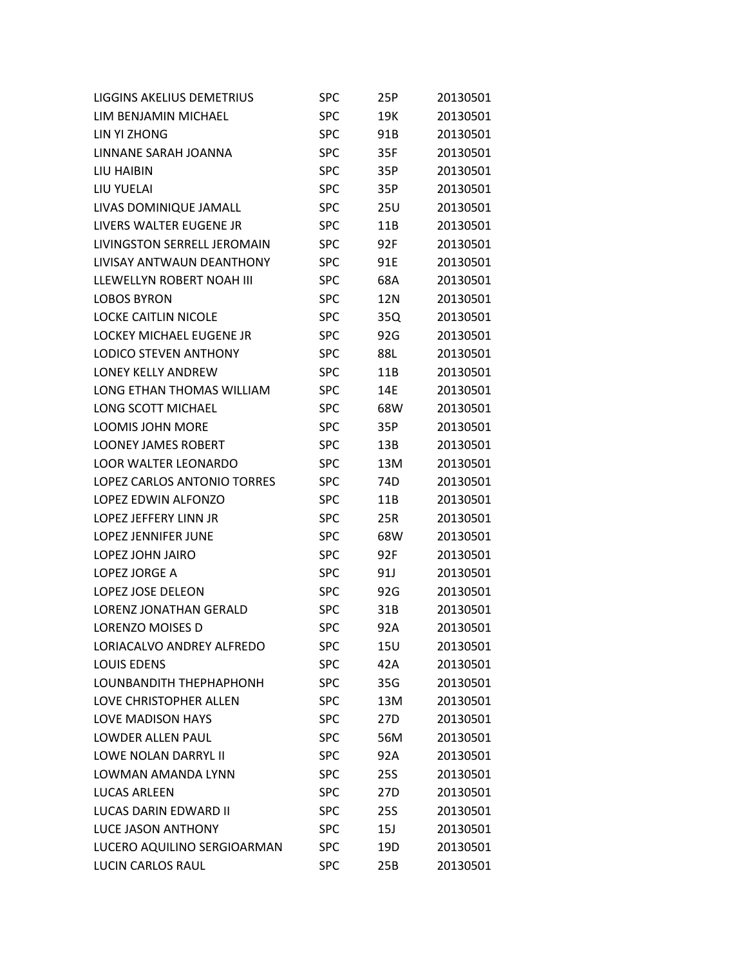| <b>LIGGINS AKELIUS DEMETRIUS</b> | <b>SPC</b> | 25P             | 20130501 |
|----------------------------------|------------|-----------------|----------|
| LIM BENJAMIN MICHAEL             | <b>SPC</b> | 19K             | 20130501 |
| LIN YI ZHONG                     | <b>SPC</b> | 91B             | 20130501 |
| LINNANE SARAH JOANNA             | <b>SPC</b> | 35F             | 20130501 |
| LIU HAIBIN                       | <b>SPC</b> | 35P             | 20130501 |
| LIU YUELAI                       | <b>SPC</b> | 35P             | 20130501 |
| LIVAS DOMINIQUE JAMALL           | <b>SPC</b> | 25U             | 20130501 |
| LIVERS WALTER EUGENE JR          | <b>SPC</b> | 11B             | 20130501 |
| LIVINGSTON SERRELL JEROMAIN      | <b>SPC</b> | 92F             | 20130501 |
| LIVISAY ANTWAUN DEANTHONY        | <b>SPC</b> | 91E             | 20130501 |
| LLEWELLYN ROBERT NOAH III        | <b>SPC</b> | 68A             | 20130501 |
| <b>LOBOS BYRON</b>               | <b>SPC</b> | 12N             | 20130501 |
| <b>LOCKE CAITLIN NICOLE</b>      | <b>SPC</b> | 35Q             | 20130501 |
| <b>LOCKEY MICHAEL EUGENE JR</b>  | <b>SPC</b> | 92G             | 20130501 |
| <b>LODICO STEVEN ANTHONY</b>     | <b>SPC</b> | 88L             | 20130501 |
| <b>LONEY KELLY ANDREW</b>        | <b>SPC</b> | 11B             | 20130501 |
| LONG ETHAN THOMAS WILLIAM        | <b>SPC</b> | 14E             | 20130501 |
| <b>LONG SCOTT MICHAEL</b>        | <b>SPC</b> | 68W             | 20130501 |
| <b>LOOMIS JOHN MORE</b>          | <b>SPC</b> | 35P             | 20130501 |
| <b>LOONEY JAMES ROBERT</b>       | <b>SPC</b> | 13B             | 20130501 |
| <b>LOOR WALTER LEONARDO</b>      | <b>SPC</b> | 13M             | 20130501 |
| LOPEZ CARLOS ANTONIO TORRES      | <b>SPC</b> | 74D             | 20130501 |
| LOPEZ EDWIN ALFONZO              | <b>SPC</b> | 11B             | 20130501 |
| LOPEZ JEFFERY LINN JR            | <b>SPC</b> | 25R             | 20130501 |
| <b>LOPEZ JENNIFER JUNE</b>       | <b>SPC</b> | 68W             | 20130501 |
| LOPEZ JOHN JAIRO                 | <b>SPC</b> | 92F             | 20130501 |
| LOPEZ JORGE A                    | <b>SPC</b> | 91J             | 20130501 |
| LOPEZ JOSE DELEON                | <b>SPC</b> | 92G             | 20130501 |
| <b>LORENZ JONATHAN GERALD</b>    | <b>SPC</b> | 31B             | 20130501 |
| <b>LORENZO MOISES D</b>          | <b>SPC</b> | 92A             | 20130501 |
| LORIACALVO ANDREY ALFREDO        | <b>SPC</b> | 15U             | 20130501 |
| <b>LOUIS EDENS</b>               | <b>SPC</b> | 42A             | 20130501 |
| LOUNBANDITH THEPHAPHONH          | <b>SPC</b> | 35G             | 20130501 |
| LOVE CHRISTOPHER ALLEN           | <b>SPC</b> | 13M             | 20130501 |
| <b>LOVE MADISON HAYS</b>         | <b>SPC</b> | 27D             | 20130501 |
| LOWDER ALLEN PAUL                | <b>SPC</b> | 56M             | 20130501 |
| <b>LOWF NOLAN DARRYL II</b>      | <b>SPC</b> | 92A             | 20130501 |
| LOWMAN AMANDA LYNN               | <b>SPC</b> | <b>25S</b>      | 20130501 |
| <b>LUCAS ARLEEN</b>              | <b>SPC</b> | 27 <sub>D</sub> | 20130501 |
| LUCAS DARIN EDWARD II            | <b>SPC</b> | 25S             | 20130501 |
| <b>LUCE JASON ANTHONY</b>        | <b>SPC</b> | 15J             | 20130501 |
| LUCERO AQUILINO SERGIOARMAN      | <b>SPC</b> | 19D             | 20130501 |
| <b>LUCIN CARLOS RAUL</b>         | <b>SPC</b> | 25B             | 20130501 |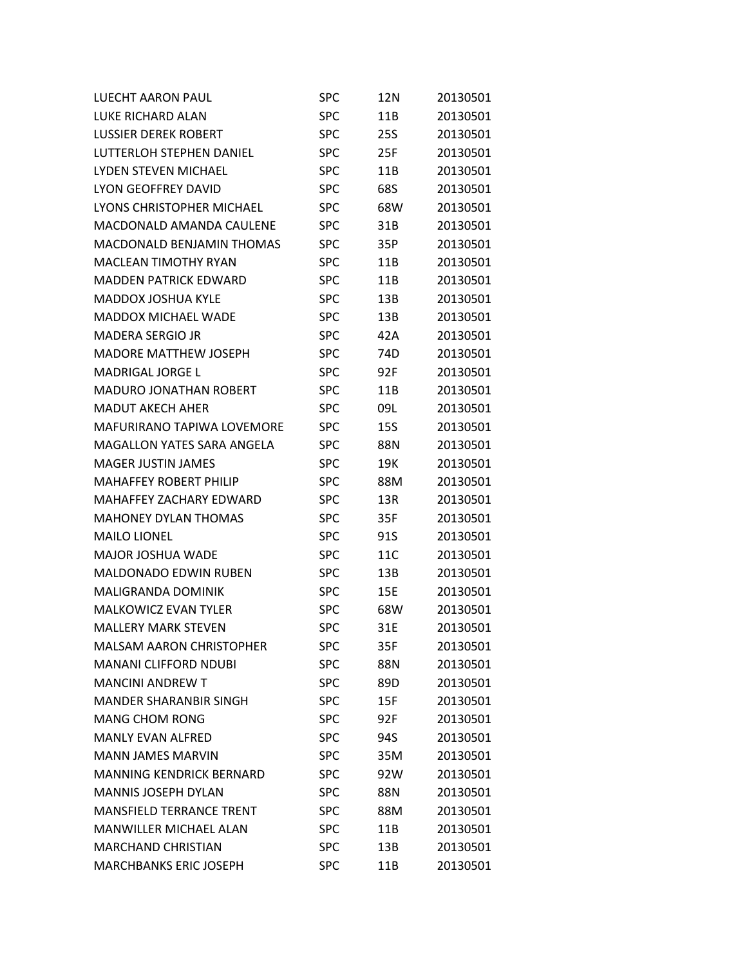| LUECHT AARON PAUL                 | <b>SPC</b> | 12N        | 20130501 |
|-----------------------------------|------------|------------|----------|
| LUKE RICHARD ALAN                 | <b>SPC</b> | 11B        | 20130501 |
| <b>LUSSIER DEREK ROBERT</b>       | <b>SPC</b> | <b>25S</b> | 20130501 |
| LUTTERLOH STEPHEN DANIEL          | <b>SPC</b> | 25F        | 20130501 |
| LYDEN STEVEN MICHAEL              | SPC        | 11B        | 20130501 |
| LYON GEOFFREY DAVID               | <b>SPC</b> | 68S        | 20130501 |
| LYONS CHRISTOPHER MICHAEL         | <b>SPC</b> | 68W        | 20130501 |
| MACDONALD AMANDA CAULENE          | <b>SPC</b> | 31B        | 20130501 |
| MACDONALD BENJAMIN THOMAS         | <b>SPC</b> | 35P        | 20130501 |
| <b>MACLEAN TIMOTHY RYAN</b>       | <b>SPC</b> | 11B        | 20130501 |
| <b>MADDEN PATRICK EDWARD</b>      | <b>SPC</b> | 11B        | 20130501 |
| <b>MADDOX JOSHUA KYLE</b>         | <b>SPC</b> | 13B        | 20130501 |
| <b>MADDOX MICHAEL WADE</b>        | SPC        | 13B        | 20130501 |
| <b>MADERA SERGIO JR</b>           | <b>SPC</b> | 42A        | 20130501 |
| <b>MADORE MATTHEW JOSEPH</b>      | <b>SPC</b> | 74D        | 20130501 |
| <b>MADRIGAL JORGE L</b>           | <b>SPC</b> | 92F        | 20130501 |
| <b>MADURO JONATHAN ROBERT</b>     | SPC        | 11B        | 20130501 |
| <b>MADUT AKECH AHER</b>           | <b>SPC</b> | 09L        | 20130501 |
| <b>MAFURIRANO TAPIWA LOVEMORE</b> | SPC        | <b>15S</b> | 20130501 |
| <b>MAGALLON YATES SARA ANGELA</b> | SPC        | 88N        | 20130501 |
| MAGER JUSTIN JAMES                | <b>SPC</b> | 19K        | 20130501 |
| <b>MAHAFFEY ROBERT PHILIP</b>     | <b>SPC</b> | 88M        | 20130501 |
| MAHAFFEY ZACHARY EDWARD           | <b>SPC</b> | 13R        | 20130501 |
| <b>MAHONEY DYLAN THOMAS</b>       | SPC        | 35F        | 20130501 |
| <b>MAILO LIONEL</b>               | <b>SPC</b> | 91S        | 20130501 |
| <b>MAJOR JOSHUA WADE</b>          | <b>SPC</b> | 11C        | 20130501 |
| <b>MALDONADO EDWIN RUBEN</b>      | <b>SPC</b> | 13B        | 20130501 |
| <b>MALIGRANDA DOMINIK</b>         | SPC        | 15E        | 20130501 |
| <b>MALKOWICZ EVAN TYLER</b>       | SPC        | 68W        | 20130501 |
| <b>MALLERY MARK STEVEN</b>        | <b>SPC</b> | 31E        | 20130501 |
| <b>MALSAM AARON CHRISTOPHER</b>   | SPC        | 35F        | 20130501 |
| <b>MANANI CLIFFORD NDUBI</b>      | <b>SPC</b> | 88N        | 20130501 |
| <b>MANCINI ANDREW T</b>           | <b>SPC</b> | 89D        | 20130501 |
| <b>MANDER SHARANBIR SINGH</b>     | <b>SPC</b> | 15F        | 20130501 |
| <b>MANG CHOM RONG</b>             | <b>SPC</b> | 92F        | 20130501 |
| <b>MANLY EVAN ALFRED</b>          | <b>SPC</b> | 94S        | 20130501 |
| <b>MANN JAMES MARVIN</b>          | <b>SPC</b> | 35M        | 20130501 |
| <b>MANNING KENDRICK BERNARD</b>   | <b>SPC</b> | 92W        | 20130501 |
| <b>MANNIS JOSEPH DYLAN</b>        | <b>SPC</b> | 88N        | 20130501 |
| <b>MANSFIELD TERRANCE TRENT</b>   | <b>SPC</b> | 88M        | 20130501 |
| <b>MANWILLER MICHAEL ALAN</b>     | <b>SPC</b> | 11B        | 20130501 |
| <b>MARCHAND CHRISTIAN</b>         | <b>SPC</b> | 13B        | 20130501 |
| <b>MARCHBANKS ERIC JOSEPH</b>     | <b>SPC</b> | 11B        | 20130501 |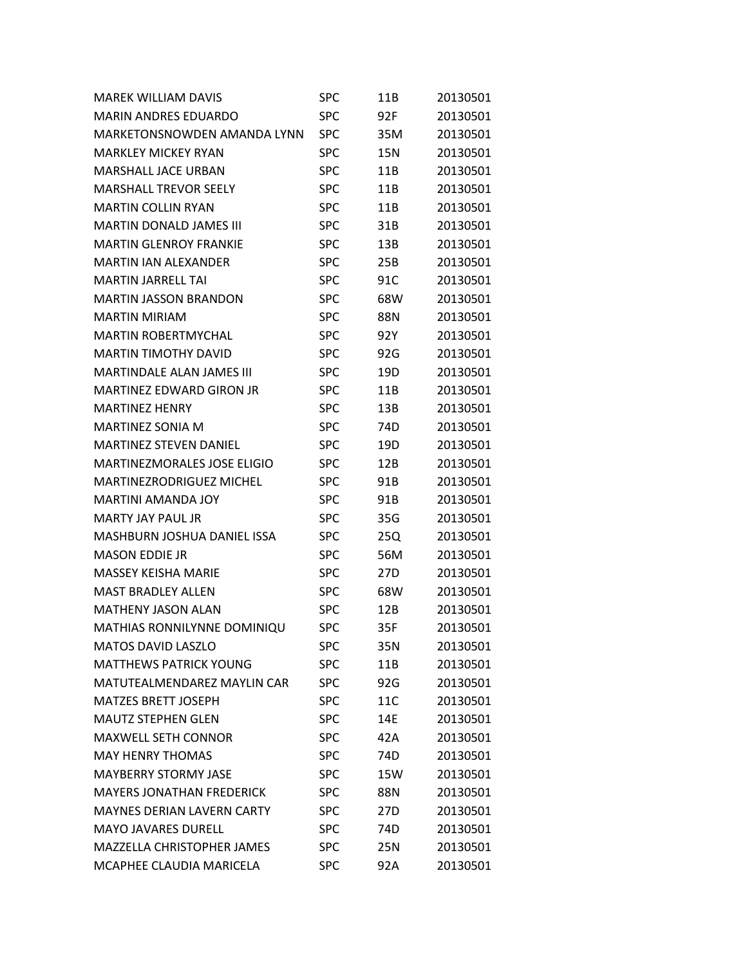| <b>MAREK WILLIAM DAVIS</b>         | SPC        | 11B             | 20130501 |
|------------------------------------|------------|-----------------|----------|
| <b>MARIN ANDRES EDUARDO</b>        | <b>SPC</b> | 92F             | 20130501 |
| MARKFTONSNOWDFN AMANDA LYNN        | <b>SPC</b> | 35M             | 20130501 |
| <b>MARKLEY MICKEY RYAN</b>         | SPC        | 15N             | 20130501 |
| <b>MARSHALL JACF URBAN</b>         | <b>SPC</b> | 11B             | 20130501 |
| <b>MARSHALL TREVOR SEELY</b>       | <b>SPC</b> | 11B             | 20130501 |
| <b>MARTIN COLLIN RYAN</b>          | <b>SPC</b> | 11B             | 20130501 |
| <b>MARTIN DONALD JAMES III</b>     | <b>SPC</b> | 31B             | 20130501 |
| <b>MARTIN GLENROY FRANKIE</b>      | <b>SPC</b> | 13B             | 20130501 |
| <b>MARTIN IAN ALFXANDER</b>        | <b>SPC</b> | 25B             | 20130501 |
| <b>MARTIN JARRELL TAI</b>          | <b>SPC</b> | 91C             | 20130501 |
| <b>MARTIN JASSON BRANDON</b>       | <b>SPC</b> | 68W             | 20130501 |
| <b>MARTIN MIRIAM</b>               | <b>SPC</b> | 88N             | 20130501 |
| <b>MARTIN ROBERTMYCHAL</b>         | <b>SPC</b> | 92Y             | 20130501 |
| <b>MARTIN TIMOTHY DAVID</b>        | <b>SPC</b> | 92G             | 20130501 |
| <b>MARTINDALE ALAN JAMES III</b>   | <b>SPC</b> | 19D             | 20130501 |
| <b>MARTINEZ EDWARD GIRON JR</b>    | <b>SPC</b> | 11B             | 20130501 |
| <b>MARTINFZ HENRY</b>              | <b>SPC</b> | 13B             | 20130501 |
| <b>MARTINEZ SONIA M</b>            | <b>SPC</b> | 74D             | 20130501 |
| <b>MARTINEZ STEVEN DANIEL</b>      | SPC        | 19D             | 20130501 |
| <b>MARTINEZMORALES JOSE ELIGIO</b> | <b>SPC</b> | 12B             | 20130501 |
| <b>MARTINEZRODRIGUEZ MICHEL</b>    | <b>SPC</b> | 91B             | 20130501 |
| <b>MARTINI AMANDA JOY</b>          | <b>SPC</b> | 91B             | 20130501 |
| MARTY JAY PAUL JR                  | SPC        | 35G             | 20130501 |
| MASHBURN JOSHUA DANIEL ISSA        | <b>SPC</b> | 25Q             | 20130501 |
| <b>MASON EDDIE JR</b>              | <b>SPC</b> | 56M             | 20130501 |
| <b>MASSEY KEISHA MARIE</b>         | <b>SPC</b> | 27D             | 20130501 |
| <b>MAST BRADLEY ALLEN</b>          | <b>SPC</b> | 68W             | 20130501 |
| <b>MATHENY JASON ALAN</b>          | <b>SPC</b> | 12B             | 20130501 |
| MATHIAS RONNILYNNE DOMINIQU        | <b>SPC</b> | 35F             | 20130501 |
| <b>MATOS DAVID LASZLO</b>          | SPC        | 35N             | 20130501 |
| <b>MATTHEWS PATRICK YOUNG</b>      | <b>SPC</b> | 11B             | 20130501 |
| MATUTEALMENDAREZ MAYLIN CAR        | <b>SPC</b> | 92G             | 20130501 |
| <b>MATZES BRETT JOSEPH</b>         | <b>SPC</b> | 11C             | 20130501 |
| <b>MAUTZ STEPHEN GLEN</b>          | <b>SPC</b> | 14E             | 20130501 |
| <b>MAXWELL SETH CONNOR</b>         | <b>SPC</b> | 42A             | 20130501 |
| <b>MAY HENRY THOMAS</b>            | <b>SPC</b> | 74 <sub>D</sub> | 20130501 |
| <b>MAYBERRY STORMY JASE</b>        | <b>SPC</b> | 15W             | 20130501 |
| <b>MAYERS JONATHAN FREDERICK</b>   | <b>SPC</b> | 88N             | 20130501 |
| <b>MAYNES DERIAN LAVERN CARTY</b>  | <b>SPC</b> | 27D             | 20130501 |
| <b>MAYO JAVARES DURELL</b>         | <b>SPC</b> | 74D             | 20130501 |
| <b>MAZZELLA CHRISTOPHER JAMES</b>  | <b>SPC</b> | 25N             | 20130501 |
| MCAPHEE CLAUDIA MARICELA           | <b>SPC</b> | 92A             | 20130501 |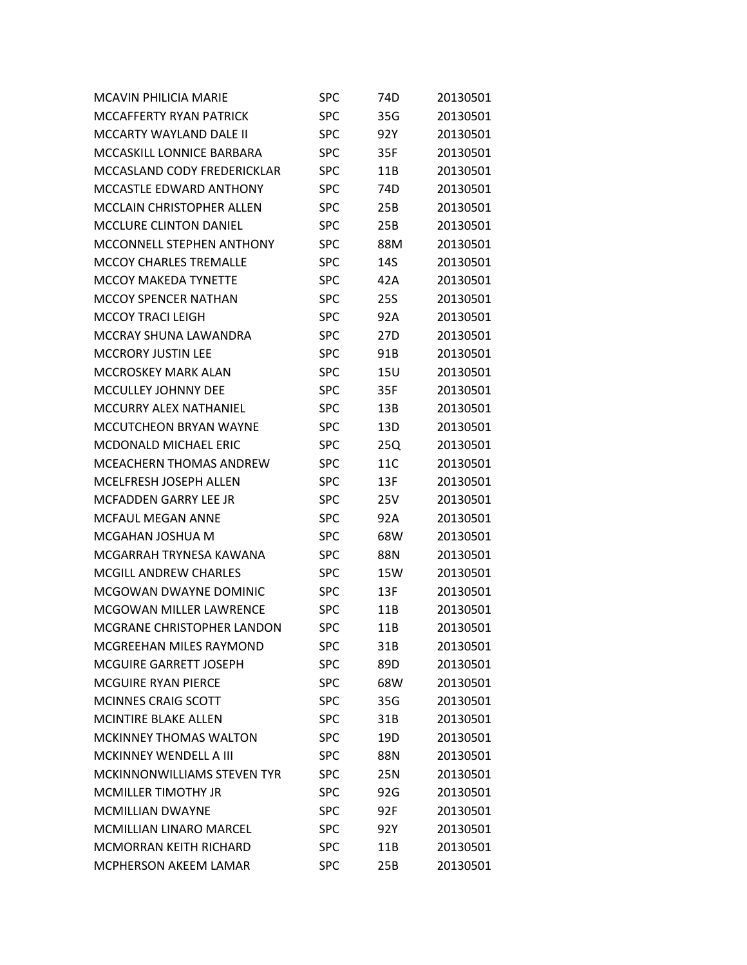| <b>MCAVIN PHILICIA MARIE</b>     | <b>SPC</b> | 74D             | 20130501 |
|----------------------------------|------------|-----------------|----------|
| MCCAFFERTY RYAN PATRICK          | <b>SPC</b> | 35G             | 20130501 |
| MCCARTY WAYLAND DALE II          | SPC        | 92Y             | 20130501 |
| MCCASKILL LONNICE BARBARA        | <b>SPC</b> | 35F             | 20130501 |
| MCCASLAND CODY FREDERICKLAR      | <b>SPC</b> | 11B             | 20130501 |
| MCCASTLE EDWARD ANTHONY          | <b>SPC</b> | 74D             | 20130501 |
| <b>MCCLAIN CHRISTOPHER ALLEN</b> | SPC        | 25B             | 20130501 |
| <b>MCCLURE CLINTON DANIEL</b>    | SPC        | 25B             | 20130501 |
| MCCONNELL STEPHEN ANTHONY        | SPC        | 88M             | 20130501 |
| MCCOY CHARLES TREMALLE           | <b>SPC</b> | 14S             | 20130501 |
| <b>MCCOY MAKEDA TYNETTE</b>      | <b>SPC</b> | 42A             | 20130501 |
| <b>MCCOY SPENCER NATHAN</b>      | SPC        | <b>25S</b>      | 20130501 |
| <b>MCCOY TRACI LEIGH</b>         | <b>SPC</b> | 92A             | 20130501 |
| MCCRAY SHUNA LAWANDRA            | <b>SPC</b> | 27 <sub>D</sub> | 20130501 |
| <b>MCCRORY JUSTIN LEE</b>        | <b>SPC</b> | 91B             | 20130501 |
| <b>MCCROSKEY MARK ALAN</b>       | SPC        | 15U             | 20130501 |
| <b>MCCULLEY JOHNNY DEE</b>       | <b>SPC</b> | 35F             | 20130501 |
| MCCURRY ALEX NATHANIEL           | <b>SPC</b> | 13B             | 20130501 |
| <b>MCCUTCHEON BRYAN WAYNE</b>    | <b>SPC</b> | 13D             | 20130501 |
| <b>MCDONALD MICHAEL ERIC</b>     | SPC        | 25Q             | 20130501 |
| <b>MCEACHERN THOMAS ANDREW</b>   | SPC        | 11C             | 20130501 |
| <b>MCELFRESH JOSEPH ALLEN</b>    | <b>SPC</b> | 13F             | 20130501 |
| MCFADDEN GARRY LEE JR            | <b>SPC</b> | 25V             | 20130501 |
| <b>MCFAUL MEGAN ANNE</b>         | SPC        | 92A             | 20130501 |
| MCGAHAN JOSHUA M                 | <b>SPC</b> | 68W             | 20130501 |
| MCGARRAH TRYNESA KAWANA          | <b>SPC</b> | 88N             | 20130501 |
| <b>MCGILL ANDREW CHARLES</b>     | SPC        | 15W             | 20130501 |
| MCGOWAN DWAYNE DOMINIC           | SPC        | 13F             | 20130501 |
| <b>MCGOWAN MILLER LAWRENCE</b>   | <b>SPC</b> | 11B             | 20130501 |
| MCGRANE CHRISTOPHER LANDON       | <b>SPC</b> | 11B             | 20130501 |
| <b>MCGREEHAN MILES RAYMOND</b>   | SPC        | 31B             | 20130501 |
| <b>MCGUIRE GARRETT JOSEPH</b>    | <b>SPC</b> | 89D             | 20130501 |
| <b>MCGUIRE RYAN PIERCE</b>       | <b>SPC</b> | 68W             | 20130501 |
| <b>MCINNES CRAIG SCOTT</b>       | SPC        | 35G             | 20130501 |
| <b>MCINTIRE BLAKE ALLEN</b>      | <b>SPC</b> | 31B             | 20130501 |
| MCKINNEY THOMAS WALTON           | <b>SPC</b> | 19D             | 20130501 |
| <b>MCKINNEY WENDELL A III</b>    | <b>SPC</b> | 88N             | 20130501 |
| MCKINNONWILLIAMS STEVEN TYR      | <b>SPC</b> | 25N             | 20130501 |
| <b>MCMILLER TIMOTHY JR</b>       | <b>SPC</b> | 92G             | 20130501 |
| <b>MCMILLIAN DWAYNE</b>          | <b>SPC</b> | 92F             | 20130501 |
| <b>MCMILLIAN LINARO MARCEL</b>   | <b>SPC</b> | 92Y             | 20130501 |
| <b>MCMORRAN KEITH RICHARD</b>    | <b>SPC</b> | 11B             | 20130501 |
| MCPHERSON AKEEM LAMAR            | <b>SPC</b> | 25B             | 20130501 |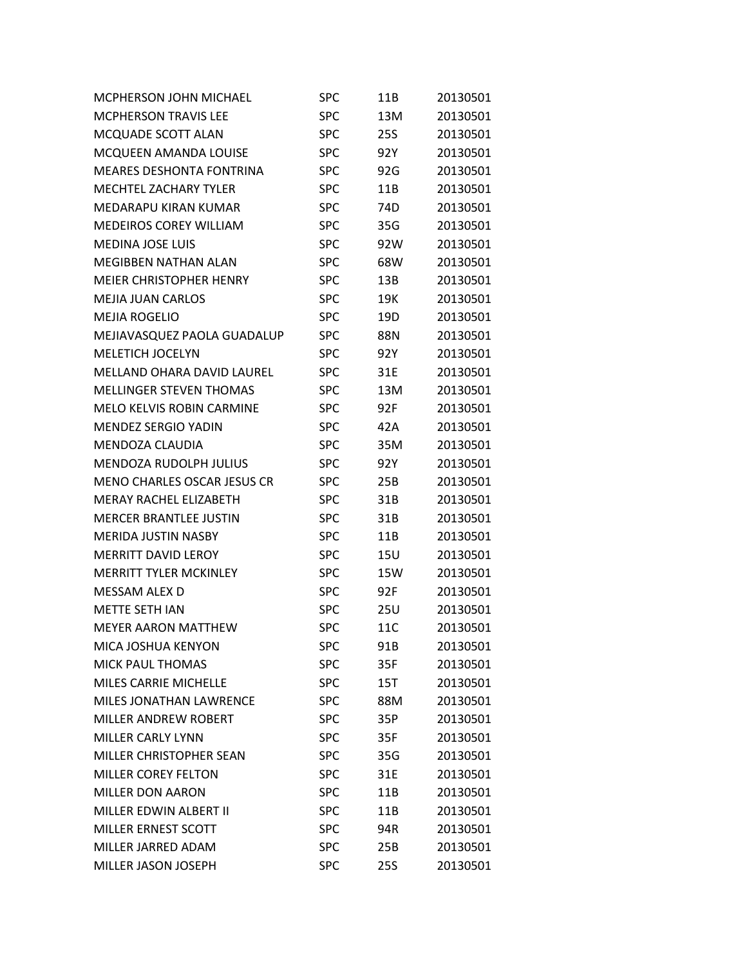| <b>MCPHERSON JOHN MICHAEL</b>      | <b>SPC</b> | 11B | 20130501 |
|------------------------------------|------------|-----|----------|
| <b>MCPHERSON TRAVIS LEE</b>        | <b>SPC</b> | 13M | 20130501 |
| MCQUADE SCOTT ALAN                 | <b>SPC</b> | 25S | 20130501 |
| MCQUEEN AMANDA LOUISE              | <b>SPC</b> | 92Y | 20130501 |
| <b>MEARES DESHONTA FONTRINA</b>    | <b>SPC</b> | 92G | 20130501 |
| <b>MECHTEL ZACHARY TYLER</b>       | <b>SPC</b> | 11B | 20130501 |
| MEDARAPU KIRAN KUMAR               | <b>SPC</b> | 74D | 20130501 |
| <b>MEDEIROS COREY WILLIAM</b>      | <b>SPC</b> | 35G | 20130501 |
| <b>MEDINA JOSE LUIS</b>            | <b>SPC</b> | 92W | 20130501 |
| <b>MEGIBBEN NATHAN ALAN</b>        | <b>SPC</b> | 68W | 20130501 |
| <b>MEIER CHRISTOPHER HENRY</b>     | <b>SPC</b> | 13B | 20130501 |
| <b>MEJIA JUAN CARLOS</b>           | <b>SPC</b> | 19K | 20130501 |
| <b>MEJIA ROGELIO</b>               | <b>SPC</b> | 19D | 20130501 |
| MEJIAVASQUEZ PAOLA GUADALUP        | <b>SPC</b> | 88N | 20130501 |
| <b>MELETICH JOCELYN</b>            | <b>SPC</b> | 92Y | 20130501 |
| MELLAND OHARA DAVID LAUREL         | <b>SPC</b> | 31E | 20130501 |
| <b>MELLINGER STEVEN THOMAS</b>     | <b>SPC</b> | 13M | 20130501 |
| <b>MELO KELVIS ROBIN CARMINE</b>   | <b>SPC</b> | 92F | 20130501 |
| <b>MENDEZ SERGIO YADIN</b>         | <b>SPC</b> | 42A | 20130501 |
| MENDOZA CLAUDIA                    | <b>SPC</b> | 35M | 20130501 |
| <b>MENDOZA RUDOLPH JULIUS</b>      | <b>SPC</b> | 92Y | 20130501 |
| <b>MENO CHARLES OSCAR JESUS CR</b> | <b>SPC</b> | 25B | 20130501 |
| <b>MERAY RACHEL ELIZABETH</b>      | <b>SPC</b> | 31B | 20130501 |
| <b>MERCER BRANTLEE JUSTIN</b>      | <b>SPC</b> | 31B | 20130501 |
| <b>MERIDA JUSTIN NASBY</b>         | <b>SPC</b> | 11B | 20130501 |
| <b>MERRITT DAVID LEROY</b>         | <b>SPC</b> | 15U | 20130501 |
| <b>MERRITT TYLER MCKINLEY</b>      | <b>SPC</b> | 15W | 20130501 |
| MESSAM ALEX D                      | <b>SPC</b> | 92F | 20130501 |
| <b>METTE SETH IAN</b>              | <b>SPC</b> | 25U | 20130501 |
| <b>MEYER AARON MATTHEW</b>         | <b>SPC</b> | 11C | 20130501 |
| MICA JOSHUA KENYON                 | <b>SPC</b> | 91B | 20130501 |
| <b>MICK PAUL THOMAS</b>            | <b>SPC</b> | 35F | 20130501 |
| MILES CARRIE MICHELLE              | <b>SPC</b> | 15T | 20130501 |
| MILES JONATHAN LAWRENCE            | <b>SPC</b> | 88M | 20130501 |
| MILLER ANDREW ROBERT               | <b>SPC</b> | 35P | 20130501 |
| <b>MILLER CARLY LYNN</b>           | <b>SPC</b> | 35F | 20130501 |
| MILLER CHRISTOPHER SEAN            | <b>SPC</b> | 35G | 20130501 |
| <b>MILLER COREY FELTON</b>         | <b>SPC</b> | 31E | 20130501 |
| <b>MILLER DON AARON</b>            | <b>SPC</b> | 11B | 20130501 |
| MILLER EDWIN ALBERT II             | <b>SPC</b> | 11B | 20130501 |
| <b>MILLER ERNEST SCOTT</b>         | <b>SPC</b> | 94R | 20130501 |
| MILLER JARRED ADAM                 | <b>SPC</b> | 25B | 20130501 |
| MILLER JASON JOSEPH                | <b>SPC</b> | 25S | 20130501 |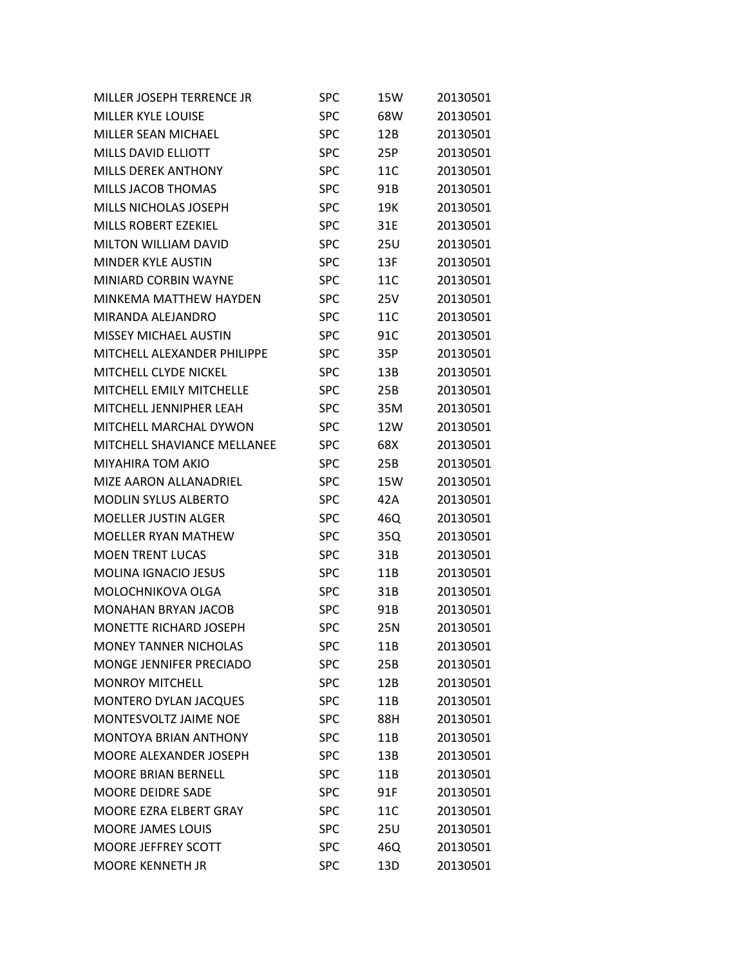| MILLER JOSEPH TERRENCE JR       | <b>SPC</b> | 15W        | 20130501 |
|---------------------------------|------------|------------|----------|
| <b>MILLER KYLE LOUISE</b>       | <b>SPC</b> | 68W        | 20130501 |
| <b>MILLER SEAN MICHAEL</b>      | <b>SPC</b> | 12B        | 20130501 |
| <b>MILLS DAVID ELLIOTT</b>      | <b>SPC</b> | 25P        | 20130501 |
| <b>MILLS DEREK ANTHONY</b>      | <b>SPC</b> | 11C        | 20130501 |
| <b>MILLS JACOB THOMAS</b>       | <b>SPC</b> | 91B        | 20130501 |
| <b>MILLS NICHOLAS JOSEPH</b>    | <b>SPC</b> | 19K        | 20130501 |
| <b>MILLS ROBERT EZEKIEL</b>     | <b>SPC</b> | 31E        | 20130501 |
| <b>MILTON WILLIAM DAVID</b>     | <b>SPC</b> | 25U        | 20130501 |
| <b>MINDER KYLE AUSTIN</b>       | <b>SPC</b> | 13F        | 20130501 |
| MINIARD CORBIN WAYNE            | <b>SPC</b> | 11C        | 20130501 |
| MINKEMA MATTHEW HAYDEN          | <b>SPC</b> | 25V        | 20130501 |
| MIRANDA ALEJANDRO               | <b>SPC</b> | 11C        | 20130501 |
| <b>MISSEY MICHAEL AUSTIN</b>    | <b>SPC</b> | 91C        | 20130501 |
| MITCHELL ALEXANDER PHILIPPE     | <b>SPC</b> | 35P        | 20130501 |
| <b>MITCHELL CLYDE NICKEL</b>    | <b>SPC</b> | 13B        | 20130501 |
| <b>MITCHELL EMILY MITCHELLE</b> | <b>SPC</b> | 25B        | 20130501 |
| MITCHELL JENNIPHER LEAH         | <b>SPC</b> | 35M        | 20130501 |
| MITCHELL MARCHAL DYWON          | <b>SPC</b> | 12W        | 20130501 |
| MITCHELL SHAVIANCE MELLANEE     | <b>SPC</b> | 68X        | 20130501 |
| MIYAHIRA TOM AKIO               | <b>SPC</b> | 25B        | 20130501 |
| MIZE AARON ALLANADRIEL          | <b>SPC</b> | 15W        | 20130501 |
| <b>MODLIN SYLUS ALBERTO</b>     | <b>SPC</b> | 42A        | 20130501 |
| <b>MOELLER JUSTIN ALGER</b>     | <b>SPC</b> | 46Q        | 20130501 |
| <b>MOELLER RYAN MATHEW</b>      | <b>SPC</b> | 35Q        | 20130501 |
| <b>MOEN TRENT LUCAS</b>         | <b>SPC</b> | 31B        | 20130501 |
| <b>MOLINA IGNACIO JESUS</b>     | <b>SPC</b> | 11B        | 20130501 |
| MOLOCHNIKOVA OLGA               | <b>SPC</b> | 31B        | 20130501 |
| <b>MONAHAN BRYAN JACOB</b>      | <b>SPC</b> | 91B        | 20130501 |
| MONETTE RICHARD JOSEPH          | <b>SPC</b> | <b>25N</b> | 20130501 |
| <b>MONEY TANNER NICHOLAS</b>    | <b>SPC</b> | 11B        | 20130501 |
| MONGE JENNIFER PRECIADO         | <b>SPC</b> | 25B        | 20130501 |
| <b>MONROY MITCHELL</b>          | <b>SPC</b> | 12B        | 20130501 |
| <b>MONTERO DYLAN JACQUES</b>    | <b>SPC</b> | 11B        | 20130501 |
| MONTESVOLTZ JAIME NOE           | <b>SPC</b> | 88H        | 20130501 |
| <b>MONTOYA BRIAN ANTHONY</b>    | <b>SPC</b> | 11B        | 20130501 |
| <b>MOORE ALEXANDER JOSEPH</b>   | <b>SPC</b> | 13B        | 20130501 |
| <b>MOORE BRIAN BERNELL</b>      | <b>SPC</b> | 11B        | 20130501 |
| <b>MOORE DEIDRE SADE</b>        | <b>SPC</b> | 91F        | 20130501 |
| MOORE EZRA ELBERT GRAY          | <b>SPC</b> | 11C        | 20130501 |
| <b>MOORE JAMES LOUIS</b>        | <b>SPC</b> | <b>25U</b> | 20130501 |
| MOORE JEFFREY SCOTT             | <b>SPC</b> | 46Q        | 20130501 |
| <b>MOORE KENNETH JR</b>         | <b>SPC</b> | 13D        | 20130501 |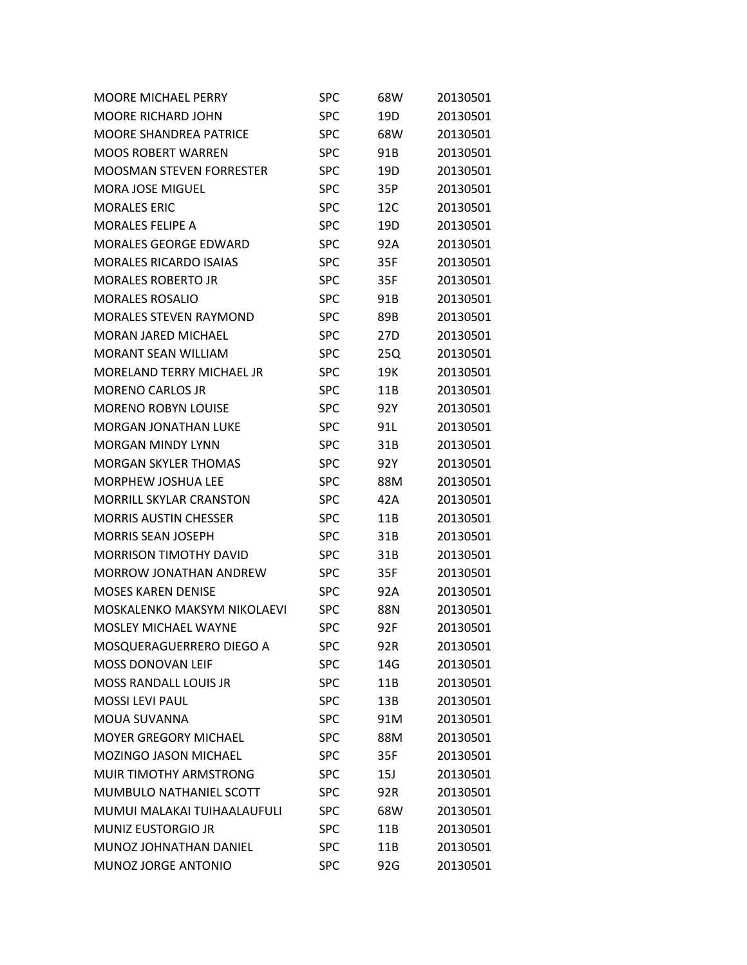| <b>MOORE MICHAEL PERRY</b>       | <b>SPC</b> | 68W             | 20130501 |
|----------------------------------|------------|-----------------|----------|
| <b>MOORE RICHARD JOHN</b>        | <b>SPC</b> | 19D             | 20130501 |
| <b>MOORE SHANDREA PATRICE</b>    | <b>SPC</b> | 68W             | 20130501 |
| <b>MOOS ROBERT WARREN</b>        | <b>SPC</b> | 91B             | 20130501 |
| <b>MOOSMAN STEVEN FORRESTER</b>  | SPC        | 19 <sub>D</sub> | 20130501 |
| <b>MORA JOSE MIGUEL</b>          | <b>SPC</b> | 35P             | 20130501 |
| <b>MORALES ERIC</b>              | <b>SPC</b> | 12C             | 20130501 |
| <b>MORALES FELIPE A</b>          | <b>SPC</b> | 19D             | 20130501 |
| <b>MORALES GEORGE EDWARD</b>     | <b>SPC</b> | 92A             | 20130501 |
| <b>MORALES RICARDO ISAIAS</b>    | <b>SPC</b> | 35F             | 20130501 |
| <b>MORALES ROBERTO JR</b>        | <b>SPC</b> | 35F             | 20130501 |
| <b>MORALES ROSALIO</b>           | <b>SPC</b> | 91B             | 20130501 |
| <b>MORALES STEVEN RAYMOND</b>    | <b>SPC</b> | 89B             | 20130501 |
| <b>MORAN JARED MICHAEL</b>       | <b>SPC</b> | 27D             | 20130501 |
| <b>MORANT SEAN WILLIAM</b>       | <b>SPC</b> | 25Q             | 20130501 |
| <b>MORELAND TERRY MICHAEL JR</b> | <b>SPC</b> | 19K             | 20130501 |
| <b>MORENO CARLOS JR</b>          | <b>SPC</b> | 11B             | 20130501 |
| <b>MORENO ROBYN LOUISE</b>       | <b>SPC</b> | 92Y             | 20130501 |
| <b>MORGAN JONATHAN LUKE</b>      | <b>SPC</b> | 91L             | 20130501 |
| <b>MORGAN MINDY LYNN</b>         | SPC        | 31B             | 20130501 |
| <b>MORGAN SKYLER THOMAS</b>      | <b>SPC</b> | 92Y             | 20130501 |
| <b>MORPHEW JOSHUA LEE</b>        | <b>SPC</b> | 88M             | 20130501 |
| <b>MORRILL SKYLAR CRANSTON</b>   | <b>SPC</b> | 42A             | 20130501 |
| <b>MORRIS AUSTIN CHESSER</b>     | SPC        | 11B             | 20130501 |
| <b>MORRIS SEAN JOSEPH</b>        | <b>SPC</b> | 31B             | 20130501 |
| <b>MORRISON TIMOTHY DAVID</b>    | <b>SPC</b> | 31B             | 20130501 |
| <b>MORROW JONATHAN ANDREW</b>    | <b>SPC</b> | 35F             | 20130501 |
| <b>MOSES KAREN DENISE</b>        | SPC        | 92A             | 20130501 |
| MOSKALENKO MAKSYM NIKOLAEVI      | SPC        | 88N             | 20130501 |
| <b>MOSLEY MICHAEL WAYNE</b>      | <b>SPC</b> | 92F             | 20130501 |
| MOSQUERAGUERRERO DIEGO A         | SPC        | 92R             | 20130501 |
| MOSS DONOVAN LEIF                | <b>SPC</b> | 14G             | 20130501 |
| <b>MOSS RANDALL LOUIS JR</b>     | <b>SPC</b> | 11B             | 20130501 |
| <b>MOSSI LEVI PAUL</b>           | <b>SPC</b> | 13B             | 20130501 |
| MOUA SUVANNA                     | <b>SPC</b> | 91M             | 20130501 |
| <b>MOYER GREGORY MICHAEL</b>     | <b>SPC</b> | 88M             | 20130501 |
| MOZINGO JASON MICHAEL            | <b>SPC</b> | 35F             | 20130501 |
| MUIR TIMOTHY ARMSTRONG           | <b>SPC</b> | 15J             | 20130501 |
| MUMBULO NATHANIEL SCOTT          | <b>SPC</b> | 92R             | 20130501 |
| MUMUI MALAKAI TUIHAALAUFULI      | <b>SPC</b> | 68W             | 20130501 |
| <b>MUNIZ EUSTORGIO JR</b>        | <b>SPC</b> | 11B             | 20130501 |
| MUNOZ JOHNATHAN DANIEL           | <b>SPC</b> | 11B             | 20130501 |
| MUNOZ JORGE ANTONIO              | <b>SPC</b> | 92G             | 20130501 |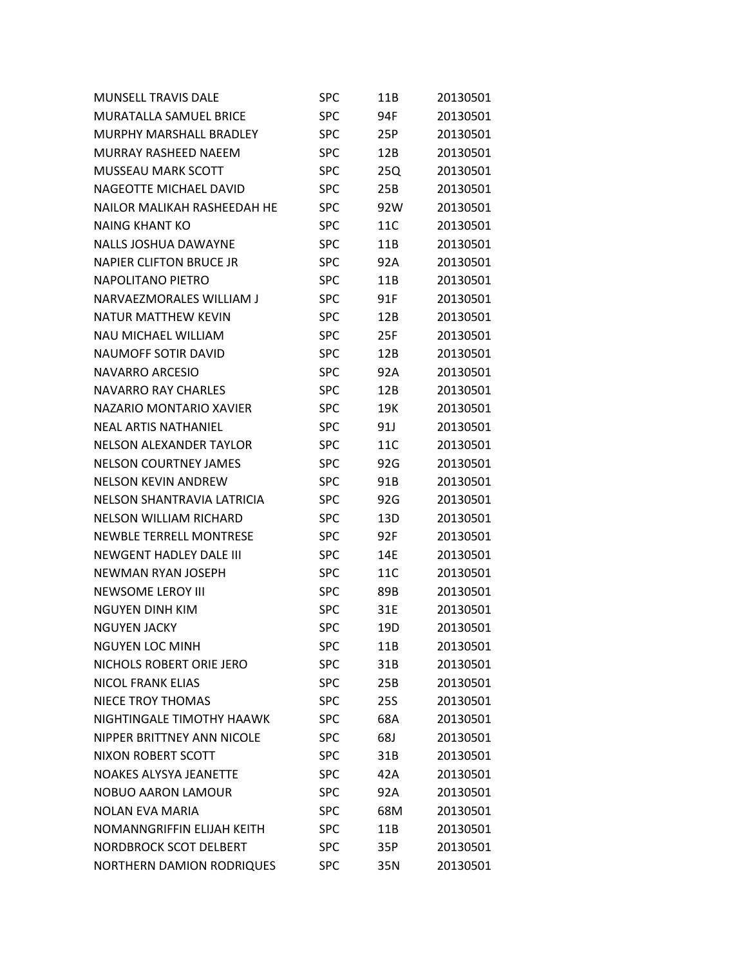| <b>MUNSELL TRAVIS DALE</b>       | <b>SPC</b> | 11B | 20130501 |
|----------------------------------|------------|-----|----------|
| <b>MURATALLA SAMUEL BRICE</b>    | <b>SPC</b> | 94F | 20130501 |
| MURPHY MARSHALL BRADLEY          | <b>SPC</b> | 25P | 20130501 |
| MURRAY RASHEED NAEEM             | <b>SPC</b> | 12B | 20130501 |
| <b>MUSSEAU MARK SCOTT</b>        | <b>SPC</b> | 25Q | 20130501 |
| NAGEOTTE MICHAEL DAVID           | <b>SPC</b> | 25B | 20130501 |
| NAILOR MALIKAH RASHEEDAH HE      | <b>SPC</b> | 92W | 20130501 |
| <b>NAING KHANT KO</b>            | <b>SPC</b> | 11C | 20130501 |
| <b>NALLS JOSHUA DAWAYNE</b>      | <b>SPC</b> | 11B | 20130501 |
| <b>NAPIER CLIFTON BRUCE JR</b>   | <b>SPC</b> | 92A | 20130501 |
| <b>NAPOLITANO PIETRO</b>         | <b>SPC</b> | 11B | 20130501 |
| NARVAEZMORALES WILLIAM J         | <b>SPC</b> | 91F | 20130501 |
| NATUR MATTHEW KEVIN              | <b>SPC</b> | 12B | 20130501 |
| <b>NAU MICHAEL WILLIAM</b>       | <b>SPC</b> | 25F | 20130501 |
| <b>NAUMOFF SOTIR DAVID</b>       | <b>SPC</b> | 12B | 20130501 |
| <b>NAVARRO ARCESIO</b>           | <b>SPC</b> | 92A | 20130501 |
| NAVARRO RAY CHARLES              | <b>SPC</b> | 12B | 20130501 |
| NAZARIO MONTARIO XAVIER          | <b>SPC</b> | 19K | 20130501 |
| <b>NEAL ARTIS NATHANIEL</b>      | <b>SPC</b> | 91J | 20130501 |
| <b>NELSON ALEXANDER TAYLOR</b>   | <b>SPC</b> | 11C | 20130501 |
| <b>NELSON COURTNEY JAMES</b>     | <b>SPC</b> | 92G | 20130501 |
| <b>NELSON KEVIN ANDREW</b>       | <b>SPC</b> | 91B | 20130501 |
| NELSON SHANTRAVIA LATRICIA       | <b>SPC</b> | 92G | 20130501 |
| <b>NELSON WILLIAM RICHARD</b>    | <b>SPC</b> | 13D | 20130501 |
| NEWBLE TERRELL MONTRESE          | <b>SPC</b> | 92F | 20130501 |
| <b>NEWGENT HADLEY DALE III</b>   | <b>SPC</b> | 14E | 20130501 |
| <b>NEWMAN RYAN JOSEPH</b>        | <b>SPC</b> | 11C | 20130501 |
| <b>NEWSOME LEROY III</b>         | <b>SPC</b> | 89B | 20130501 |
| NGUYEN DINH KIM                  | <b>SPC</b> | 31E | 20130501 |
| <b>NGUYEN JACKY</b>              | <b>SPC</b> | 19D | 20130501 |
| <b>NGUYEN LOC MINH</b>           | <b>SPC</b> | 11B | 20130501 |
| NICHOLS ROBERT ORIE JERO         | <b>SPC</b> | 31B | 20130501 |
| <b>NICOL FRANK ELIAS</b>         | <b>SPC</b> | 25B | 20130501 |
| <b>NIECE TROY THOMAS</b>         | <b>SPC</b> | 25S | 20130501 |
| NIGHTINGALE TIMOTHY HAAWK        | <b>SPC</b> | 68A | 20130501 |
| NIPPER BRITTNEY ANN NICOLE       | <b>SPC</b> | 68J | 20130501 |
| NIXON ROBERT SCOTT               | <b>SPC</b> | 31B | 20130501 |
| <b>NOAKES ALYSYA JEANETTE</b>    | <b>SPC</b> | 42A | 20130501 |
| <b>NOBUO AARON LAMOUR</b>        | <b>SPC</b> | 92A | 20130501 |
| <b>NOLAN EVA MARIA</b>           | <b>SPC</b> | 68M | 20130501 |
| NOMANNGRIFFIN ELIJAH KEITH       | <b>SPC</b> | 11B | 20130501 |
| <b>NORDBROCK SCOT DELBERT</b>    | <b>SPC</b> | 35P | 20130501 |
| <b>NORTHERN DAMION RODRIQUES</b> | <b>SPC</b> | 35N | 20130501 |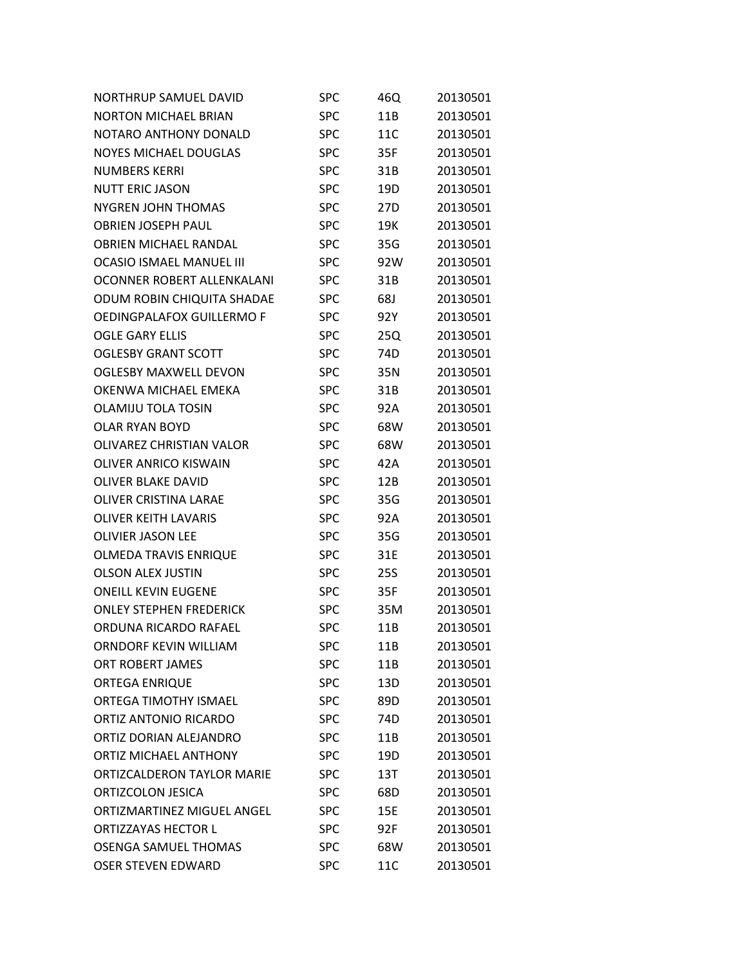| <b>NORTHRUP SAMUEL DAVID</b>      | SPC        | 46Q             | 20130501 |
|-----------------------------------|------------|-----------------|----------|
| <b>NORTON MICHAEL BRIAN</b>       | <b>SPC</b> | 11B             | 20130501 |
| NOTARO ANTHONY DONALD             | <b>SPC</b> | 11C             | 20130501 |
| <b>NOYES MICHAEL DOUGLAS</b>      | <b>SPC</b> | 35F             | 20130501 |
| <b>NUMBERS KERRI</b>              | <b>SPC</b> | 31B             | 20130501 |
| <b>NUTT ERIC JASON</b>            | <b>SPC</b> | 19D             | 20130501 |
| <b>NYGREN JOHN THOMAS</b>         | <b>SPC</b> | 27 <sub>D</sub> | 20130501 |
| <b>OBRIEN JOSEPH PAUL</b>         | <b>SPC</b> | 19K             | 20130501 |
| <b>OBRIEN MICHAEL RANDAL</b>      | <b>SPC</b> | 35G             | 20130501 |
| <b>OCASIO ISMAEL MANUEL III</b>   | <b>SPC</b> | 92W             | 20130501 |
| OCONNER ROBERT ALLENKALANI        | <b>SPC</b> | 31B             | 20130501 |
| ODUM ROBIN CHIQUITA SHADAE        | <b>SPC</b> | 68J             | 20130501 |
| OEDINGPALAFOX GUILLERMO F         | <b>SPC</b> | 92Y             | 20130501 |
| <b>OGLE GARY ELLIS</b>            | <b>SPC</b> | 25Q             | 20130501 |
| <b>OGLESBY GRANT SCOTT</b>        | <b>SPC</b> | 74 <sub>D</sub> | 20130501 |
| <b>OGLESBY MAXWELL DEVON</b>      | <b>SPC</b> | 35N             | 20130501 |
| OKENWA MICHAEL EMEKA              | <b>SPC</b> | 31B             | 20130501 |
| <b>OLAMIJU TOLA TOSIN</b>         | <b>SPC</b> | 92A             | 20130501 |
| <b>OLAR RYAN BOYD</b>             | <b>SPC</b> | 68W             | 20130501 |
| <b>OLIVAREZ CHRISTIAN VALOR</b>   | <b>SPC</b> | 68W             | 20130501 |
| <b>OLIVER ANRICO KISWAIN</b>      | <b>SPC</b> | 42A             | 20130501 |
| <b>OLIVER BLAKE DAVID</b>         | <b>SPC</b> | 12B             | 20130501 |
| <b>OLIVER CRISTINA LARAE</b>      | <b>SPC</b> | 35G             | 20130501 |
| <b>OLIVER KEITH LAVARIS</b>       | <b>SPC</b> | 92A             | 20130501 |
| <b>OLIVIER JASON LEE</b>          | <b>SPC</b> | 35G             | 20130501 |
| <b>OLMEDA TRAVIS ENRIQUE</b>      | <b>SPC</b> | 31E             | 20130501 |
| <b>OLSON ALEX JUSTIN</b>          | <b>SPC</b> | <b>25S</b>      | 20130501 |
| <b>ONEILL KEVIN EUGENE</b>        | SPC        | 35F             | 20130501 |
| <b>ONLEY STEPHEN FREDERICK</b>    | <b>SPC</b> | 35M             | 20130501 |
| ORDUNA RICARDO RAFAEL             | <b>SPC</b> | 11B             | 20130501 |
| ORNDORF KEVIN WILLIAM             | SPC        | 11B             | 20130501 |
| ORT ROBERT JAMES                  | <b>SPC</b> | 11B             | 20130501 |
| <b>ORTEGA ENRIQUE</b>             | <b>SPC</b> | 13D             | 20130501 |
| <b>ORTEGA TIMOTHY ISMAEL</b>      | <b>SPC</b> | 89D             | 20130501 |
| ORTIZ ANTONIO RICARDO             | <b>SPC</b> | 74D             | 20130501 |
| ORTIZ DORIAN ALEJANDRO            | <b>SPC</b> | 11B             | 20130501 |
| ORTIZ MICHAEL ANTHONY             | <b>SPC</b> | 19D             | 20130501 |
| <b>ORTIZCALDERON TAYLOR MARIE</b> | <b>SPC</b> | 13T             | 20130501 |
| <b>ORTIZCOLON JESICA</b>          | <b>SPC</b> | 68D             | 20130501 |
| ORTIZMARTINEZ MIGUEL ANGEL        | <b>SPC</b> | 15E             | 20130501 |
| <b>ORTIZZAYAS HECTOR L</b>        | <b>SPC</b> | 92F             | 20130501 |
| <b>OSENGA SAMUEL THOMAS</b>       | <b>SPC</b> | 68W             | 20130501 |
| <b>OSER STEVEN EDWARD</b>         | <b>SPC</b> | 11C             | 20130501 |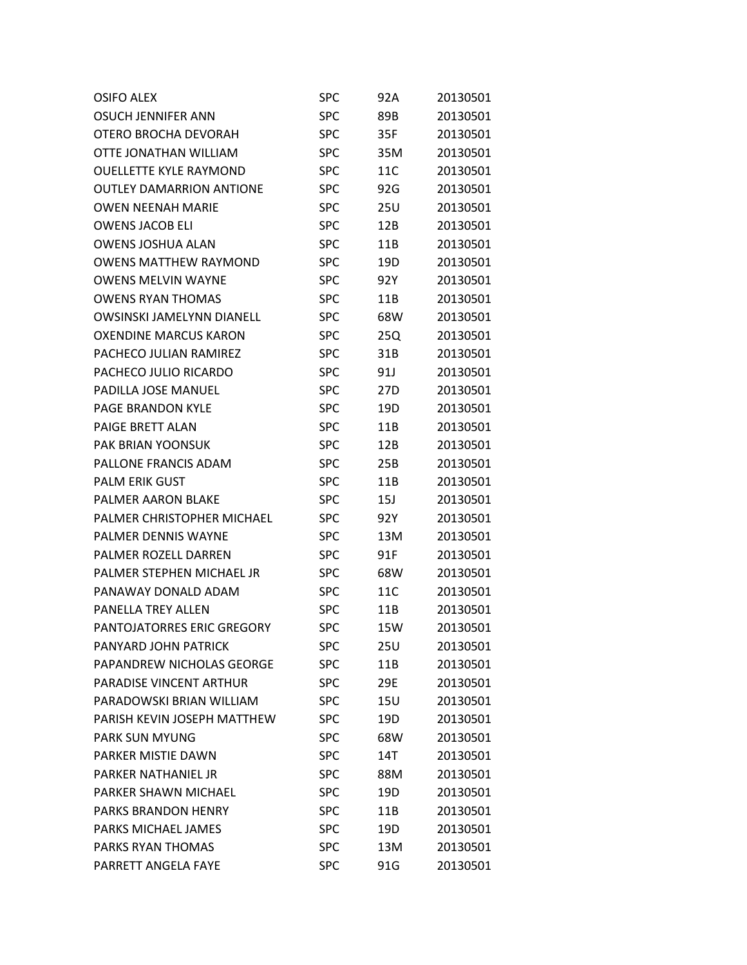| <b>OSIFO ALEX</b>                 | SPC        | 92A             | 20130501 |
|-----------------------------------|------------|-----------------|----------|
| OSUCH JENNIFER ANN                | SPC        | 89B             | 20130501 |
| OTERO BROCHA DEVORAH              | SPC        | 35F             | 20130501 |
| OTTE JONATHAN WILLIAM             | SPC        | 35M             | 20130501 |
| <b>OUELLETTE KYLE RAYMOND</b>     | SPC        | 11C             | 20130501 |
| <b>OUTLEY DAMARRION ANTIONE</b>   | SPC        | 92G             | 20130501 |
| <b>OWEN NEENAH MARIE</b>          | <b>SPC</b> | 25U             | 20130501 |
| <b>OWENS JACOB ELI</b>            | SPC        | 12B             | 20130501 |
| <b>OWENS JOSHUA ALAN</b>          | SPC        | 11B             | 20130501 |
| <b>OWENS MATTHEW RAYMOND</b>      | SPC        | 19D             | 20130501 |
| <b>OWENS MELVIN WAYNE</b>         | SPC        | 92Y             | 20130501 |
| <b>OWENS RYAN THOMAS</b>          | SPC        | 11B             | 20130501 |
| <b>OWSINSKI JAMELYNN DIANELL</b>  | SPC        | 68W             | 20130501 |
| <b>OXENDINE MARCUS KARON</b>      | SPC        | 25Q             | 20130501 |
| PACHECO JULIAN RAMIREZ            | SPC        | 31B             | 20130501 |
| PACHECO JULIO RICARDO             | SPC        | 91J             | 20130501 |
| <b>PADILLA JOSE MANUEL</b>        | SPC        | 27D             | 20130501 |
| <b>PAGE BRANDON KYLE</b>          | SPC        | 19D             | 20130501 |
| PAIGE BRETT ALAN                  | SPC        | 11B             | 20130501 |
| <b>PAK BRIAN YOONSUK</b>          | SPC        | 12B             | 20130501 |
| PALLONE FRANCIS ADAM              | SPC        | 25B             | 20130501 |
| <b>PALM ERIK GUST</b>             | SPC        | 11B             | 20130501 |
| <b>PALMER AARON BLAKE</b>         | SPC        | 15J             | 20130501 |
| PALMER CHRISTOPHER MICHAEL        | SPC        | 92Y             | 20130501 |
| <b>PALMER DENNIS WAYNE</b>        | SPC        | 13M             | 20130501 |
| PALMER ROZELL DARREN              | SPC        | 91F             | 20130501 |
| PALMER STEPHEN MICHAEL JR         | SPC        | 68W             | 20130501 |
| PANAWAY DONALD ADAM               | <b>SPC</b> | 11C             | 20130501 |
| <b>PANELLA TREY ALLEN</b>         | <b>SPC</b> | 11B             | 20130501 |
| <b>PANTOJATORRES ERIC GREGORY</b> | <b>SPC</b> | 15W             | 20130501 |
| PANYARD JOHN PATRICK              | SPC        | 25U             | 20130501 |
| PAPANDREW NICHOLAS GEORGE         | <b>SPC</b> | 11B             | 20130501 |
| <b>PARADISE VINCENT ARTHUR</b>    | <b>SPC</b> | 29E             | 20130501 |
| PARADOWSKI BRIAN WILLIAM          | <b>SPC</b> | 15U             | 20130501 |
| PARISH KEVIN JOSEPH MATTHEW       | <b>SPC</b> | 19D             | 20130501 |
| <b>PARK SUN MYUNG</b>             | <b>SPC</b> | 68W             | 20130501 |
| PARKER MISTIE DAWN                | <b>SPC</b> | 14T             | 20130501 |
| <b>PARKER NATHANIEL JR</b>        | <b>SPC</b> | 88M             | 20130501 |
| PARKER SHAWN MICHAEL              | <b>SPC</b> | 19 <sub>D</sub> | 20130501 |
| <b>PARKS BRANDON HENRY</b>        | <b>SPC</b> | 11B             | 20130501 |
| PARKS MICHAEL JAMES               | <b>SPC</b> | 19D             | 20130501 |
| PARKS RYAN THOMAS                 | <b>SPC</b> | 13M             | 20130501 |
| PARRETT ANGELA FAYE               | <b>SPC</b> | 91G             | 20130501 |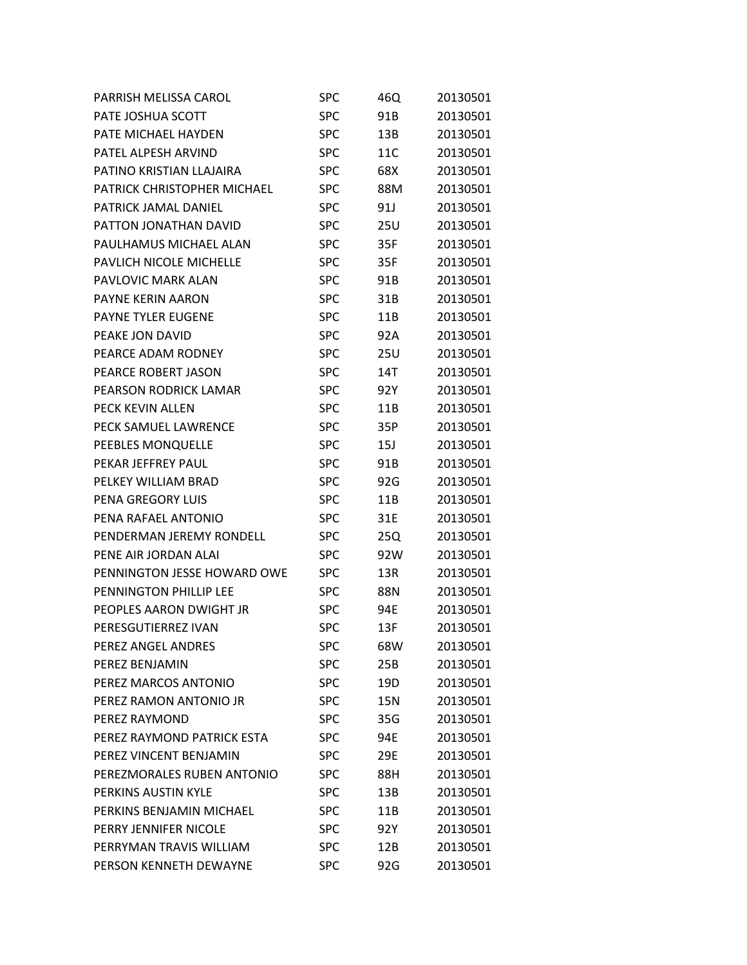| PARRISH MELISSA CAROL         | <b>SPC</b> | 46Q        | 20130501 |
|-------------------------------|------------|------------|----------|
| PATE JOSHUA SCOTT             | <b>SPC</b> | 91B        | 20130501 |
| PATE MICHAEL HAYDEN           | <b>SPC</b> | 13B        | 20130501 |
| PATEL ALPESH ARVIND           | <b>SPC</b> | 11C        | 20130501 |
| PATINO KRISTIAN LLAJAIRA      | <b>SPC</b> | 68X        | 20130501 |
| PATRICK CHRISTOPHER MICHAEL   | <b>SPC</b> | 88M        | 20130501 |
| PATRICK JAMAL DANIEL          | <b>SPC</b> | 91J        | 20130501 |
| PATTON JONATHAN DAVID         | <b>SPC</b> | 25U        | 20130501 |
| PAULHAMUS MICHAEL ALAN        | <b>SPC</b> | 35F        | 20130501 |
| PAVLICH NICOLE MICHELLE       | <b>SPC</b> | 35F        | 20130501 |
| PAVLOVIC MARK ALAN            | <b>SPC</b> | 91B        | 20130501 |
| PAYNE KERIN AARON             | <b>SPC</b> | 31B        | 20130501 |
| <b>PAYNE TYLER EUGENE</b>     | <b>SPC</b> | 11B        | 20130501 |
| PEAKE JON DAVID               | <b>SPC</b> | 92A        | 20130501 |
| PEARCE ADAM RODNEY            | <b>SPC</b> | 25U        | 20130501 |
| PEARCE ROBERT JASON           | <b>SPC</b> | 14T        | 20130501 |
| PEARSON RODRICK LAMAR         | <b>SPC</b> | 92Y        | 20130501 |
| PECK KEVIN ALLEN              | <b>SPC</b> | 11B        | 20130501 |
| PECK SAMUEL LAWRENCE          | <b>SPC</b> | 35P        | 20130501 |
| PEEBLES MONQUELLE             | <b>SPC</b> | 15J        | 20130501 |
| PEKAR JEFFREY PAUL            | <b>SPC</b> | 91B        | 20130501 |
| PELKEY WILLIAM BRAD           | <b>SPC</b> | 92G        | 20130501 |
| PENA GREGORY LUIS             | <b>SPC</b> | 11B        | 20130501 |
| PENA RAFAEL ANTONIO           | <b>SPC</b> | 31E        | 20130501 |
| PENDERMAN JEREMY RONDELL      | <b>SPC</b> | 25Q        | 20130501 |
| PENE AIR JORDAN ALAI          | <b>SPC</b> | 92W        | 20130501 |
| PENNINGTON JESSE HOWARD OWE   | <b>SPC</b> | 13R        | 20130501 |
| <b>PENNINGTON PHILLIP LEE</b> | <b>SPC</b> | 88N        | 20130501 |
| PEOPLES AARON DWIGHT JR       | <b>SPC</b> | 94E        | 20130501 |
| PERESGUTIERREZ IVAN           | <b>SPC</b> | 13F        | 20130501 |
| PEREZ ANGEL ANDRES            | <b>SPC</b> | 68W        | 20130501 |
| PEREZ BENJAMIN                | <b>SPC</b> | 25B        | 20130501 |
| PEREZ MARCOS ANTONIO          | <b>SPC</b> | 19D        | 20130501 |
| PEREZ RAMON ANTONIO JR        | <b>SPC</b> | <b>15N</b> | 20130501 |
| PEREZ RAYMOND                 | <b>SPC</b> | 35G        | 20130501 |
| PEREZ RAYMOND PATRICK ESTA    | <b>SPC</b> | 94E        | 20130501 |
| PEREZ VINCENT BENJAMIN        | <b>SPC</b> | 29E        | 20130501 |
| PEREZMORALES RUBEN ANTONIO    | <b>SPC</b> | 88H        | 20130501 |
| PERKINS AUSTIN KYLF           | <b>SPC</b> | 13B        | 20130501 |
| PERKINS BENJAMIN MICHAEL      | <b>SPC</b> | 11B        | 20130501 |
| PERRY JENNIFER NICOLE         | <b>SPC</b> | 92Y        | 20130501 |
| PERRYMAN TRAVIS WILLIAM       | <b>SPC</b> | 12B        | 20130501 |
| PERSON KENNETH DEWAYNE        | <b>SPC</b> | 92G        | 20130501 |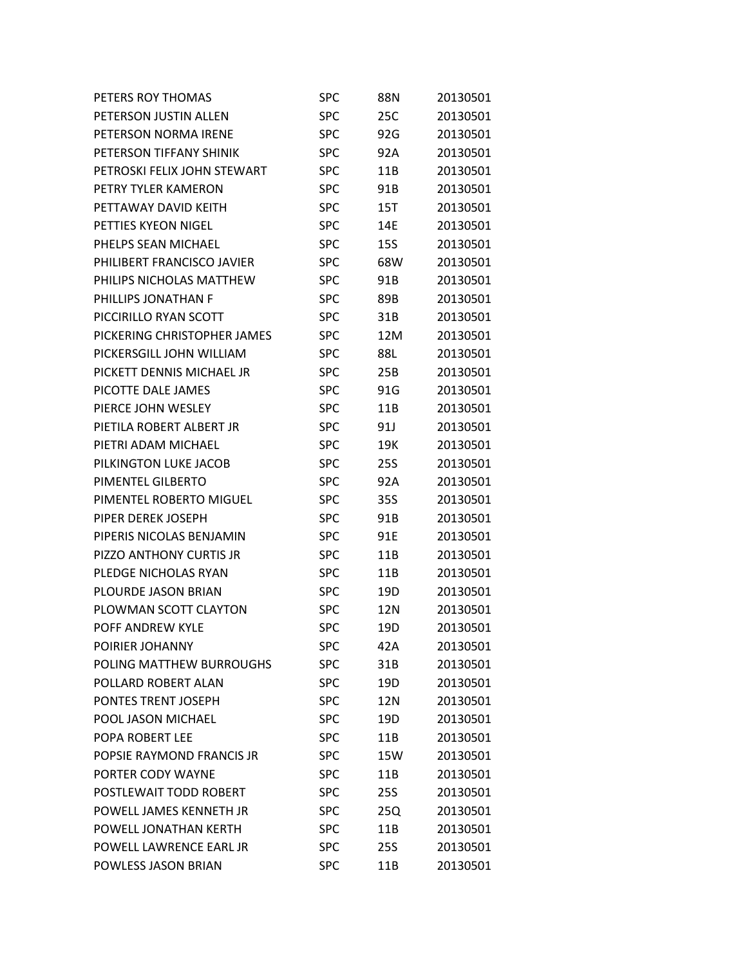| PETERS ROY THOMAS           | SPC        | 88N             | 20130501 |
|-----------------------------|------------|-----------------|----------|
| PETERSON JUSTIN ALLEN       | <b>SPC</b> | 25C             | 20130501 |
| PETERSON NORMA IRENE        | <b>SPC</b> | 92G             | 20130501 |
| PETERSON TIFFANY SHINIK     | <b>SPC</b> | 92A             | 20130501 |
| PETROSKI FELIX JOHN STEWART | <b>SPC</b> | 11B             | 20130501 |
| PETRY TYLER KAMERON         | <b>SPC</b> | 91B             | 20130501 |
| PETTAWAY DAVID KEITH        | <b>SPC</b> | <b>15T</b>      | 20130501 |
| PETTIES KYEON NIGEL         | <b>SPC</b> | 14E             | 20130501 |
| PHELPS SEAN MICHAEL         | <b>SPC</b> | 15S             | 20130501 |
| PHILIBERT FRANCISCO JAVIER  | <b>SPC</b> | 68W             | 20130501 |
| PHILIPS NICHOLAS MATTHEW    | <b>SPC</b> | 91B             | 20130501 |
| PHILLIPS JONATHAN F         | <b>SPC</b> | 89B             | 20130501 |
| PICCIRILLO RYAN SCOTT       | <b>SPC</b> | 31B             | 20130501 |
| PICKERING CHRISTOPHER JAMES | <b>SPC</b> | 12M             | 20130501 |
| PICKERSGILL JOHN WILLIAM    | <b>SPC</b> | 88L             | 20130501 |
| PICKETT DENNIS MICHAEL JR   | <b>SPC</b> | 25B             | 20130501 |
| PICOTTE DALE JAMES          | <b>SPC</b> | 91G             | 20130501 |
| PIERCE JOHN WESLEY          | <b>SPC</b> | 11B             | 20130501 |
| PIETILA ROBERT ALBERT JR    | <b>SPC</b> | 91J             | 20130501 |
| PIETRI ADAM MICHAEL         | <b>SPC</b> | 19K             | 20130501 |
| PILKINGTON LUKE JACOB       | <b>SPC</b> | 25S             | 20130501 |
| PIMENTEL GILBERTO           | <b>SPC</b> | 92A             | 20130501 |
| PIMENTEL ROBERTO MIGUEL     | <b>SPC</b> | 35S             | 20130501 |
| PIPER DEREK JOSEPH          | <b>SPC</b> | 91B             | 20130501 |
| PIPERIS NICOLAS BENJAMIN    | <b>SPC</b> | 91E             | 20130501 |
| PIZZO ANTHONY CURTIS JR     | <b>SPC</b> | 11B             | 20130501 |
| <b>PLEDGE NICHOLAS RYAN</b> | <b>SPC</b> | 11B             | 20130501 |
| PLOURDE JASON BRIAN         | <b>SPC</b> | 19D             | 20130501 |
| PLOWMAN SCOTT CLAYTON       | SPC        | 12N             | 20130501 |
| POFF ANDREW KYLE            | <b>SPC</b> | 19 <sub>D</sub> | 20130501 |
| POIRIER JOHANNY             | <b>SPC</b> | 42A             | 20130501 |
| POLING MATTHEW BURROUGHS    | <b>SPC</b> | 31B             | 20130501 |
| POLLARD ROBERT ALAN         | <b>SPC</b> | 19D             | 20130501 |
| PONTES TRENT JOSEPH         | <b>SPC</b> | 12N             | 20130501 |
| POOL JASON MICHAEL          | <b>SPC</b> | 19D             | 20130501 |
| <b>POPA ROBERT LEE</b>      | <b>SPC</b> | 11B             | 20130501 |
| POPSIE RAYMOND FRANCIS JR   | <b>SPC</b> | 15W             | 20130501 |
| PORTER CODY WAYNE           | <b>SPC</b> | 11B             | 20130501 |
| POSTLEWAIT TODD ROBERT      | <b>SPC</b> | <b>25S</b>      | 20130501 |
| POWELL JAMES KENNETH JR     | <b>SPC</b> | 25Q             | 20130501 |
| POWELL JONATHAN KERTH       | <b>SPC</b> | 11B             | 20130501 |
| POWELL LAWRENCE EARL JR     | <b>SPC</b> | <b>25S</b>      | 20130501 |
| POWLESS JASON BRIAN         | <b>SPC</b> | 11B             | 20130501 |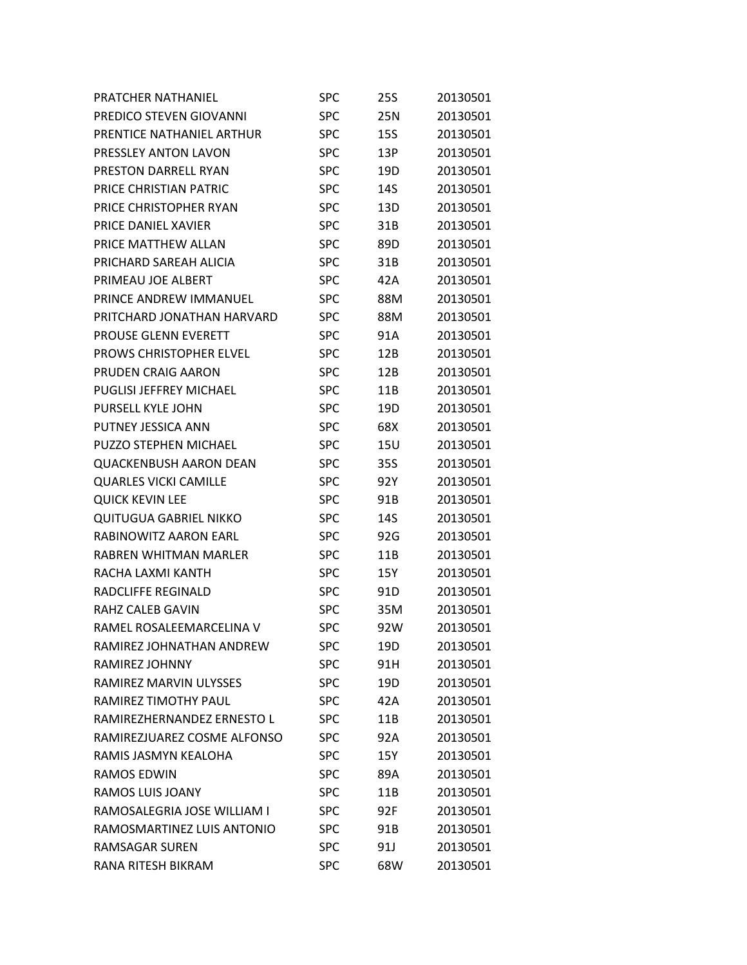| PRATCHER NATHANIEL             | SPC        | 25S | 20130501 |
|--------------------------------|------------|-----|----------|
| PREDICO STEVEN GIOVANNI        | <b>SPC</b> | 25N | 20130501 |
| PRENTICE NATHANIEL ARTHUR      | <b>SPC</b> | 15S | 20130501 |
| PRESSLEY ANTON LAVON           | <b>SPC</b> | 13P | 20130501 |
| <b>PRESTON DARRELL RYAN</b>    | <b>SPC</b> | 19D | 20130501 |
| PRICE CHRISTIAN PATRIC         | <b>SPC</b> | 14S | 20130501 |
| PRICE CHRISTOPHER RYAN         | <b>SPC</b> | 13D | 20130501 |
| PRICE DANIEL XAVIER            | <b>SPC</b> | 31B | 20130501 |
| PRICE MATTHEW ALLAN            | <b>SPC</b> | 89D | 20130501 |
| PRICHARD SAREAH ALICIA         | <b>SPC</b> | 31B | 20130501 |
| PRIMEAU JOE ALBERT             | <b>SPC</b> | 42A | 20130501 |
| PRINCE ANDREW IMMANUEL         | SPC        | 88M | 20130501 |
| PRITCHARD JONATHAN HARVARD     | <b>SPC</b> | 88M | 20130501 |
| <b>PROUSE GLENN EVERETT</b>    | <b>SPC</b> | 91A | 20130501 |
| <b>PROWS CHRISTOPHER ELVEL</b> | <b>SPC</b> | 12B | 20130501 |
| PRUDEN CRAIG AARON             | <b>SPC</b> | 12B | 20130501 |
| <b>PUGLISI JEFFREY MICHAEL</b> | <b>SPC</b> | 11B | 20130501 |
| <b>PURSELL KYLE JOHN</b>       | <b>SPC</b> | 19D | 20130501 |
| PUTNEY JESSICA ANN             | <b>SPC</b> | 68X | 20130501 |
| PUZZO STEPHEN MICHAEL          | <b>SPC</b> | 15U | 20130501 |
| <b>QUACKENBUSH AARON DEAN</b>  | <b>SPC</b> | 35S | 20130501 |
| <b>QUARLES VICKI CAMILLE</b>   | <b>SPC</b> | 92Y | 20130501 |
| <b>QUICK KEVIN LEE</b>         | <b>SPC</b> | 91B | 20130501 |
| <b>QUITUGUA GABRIEL NIKKO</b>  | <b>SPC</b> | 14S | 20130501 |
| RABINOWITZ AARON EARL          | <b>SPC</b> | 92G | 20130501 |
| RABREN WHITMAN MARLER          | <b>SPC</b> | 11B | 20130501 |
| RACHA LAXMI KANTH              | <b>SPC</b> | 15Y | 20130501 |
| RADCLIFFE REGINALD             | <b>SPC</b> | 91D | 20130501 |
| RAHZ CALEB GAVIN               | <b>SPC</b> | 35M | 20130501 |
| RAMEL ROSALEEMARCELINA V       | <b>SPC</b> | 92W | 20130501 |
| RAMIREZ JOHNATHAN ANDREW       | <b>SPC</b> | 19D | 20130501 |
| RAMIREZ JOHNNY                 | <b>SPC</b> | 91H | 20130501 |
| RAMIREZ MARVIN ULYSSES         | <b>SPC</b> | 19D | 20130501 |
| RAMIREZ TIMOTHY PAUL           | <b>SPC</b> | 42A | 20130501 |
| RAMIREZHERNANDEZ ERNESTO L     | <b>SPC</b> | 11B | 20130501 |
| RAMIREZJUAREZ COSME ALFONSO    | <b>SPC</b> | 92A | 20130501 |
| RAMIS JASMYN KEALOHA           | <b>SPC</b> | 15Y | 20130501 |
| <b>RAMOS EDWIN</b>             | <b>SPC</b> | 89A | 20130501 |
| RAMOS LUIS JOANY               | <b>SPC</b> | 11B | 20130501 |
| RAMOSALEGRIA JOSE WILLIAM I    | <b>SPC</b> | 92F | 20130501 |
| RAMOSMARTINEZ LUIS ANTONIO     | <b>SPC</b> | 91B | 20130501 |
| <b>RAMSAGAR SUREN</b>          | <b>SPC</b> | 91J | 20130501 |
| RANA RITESH BIKRAM             | <b>SPC</b> | 68W | 20130501 |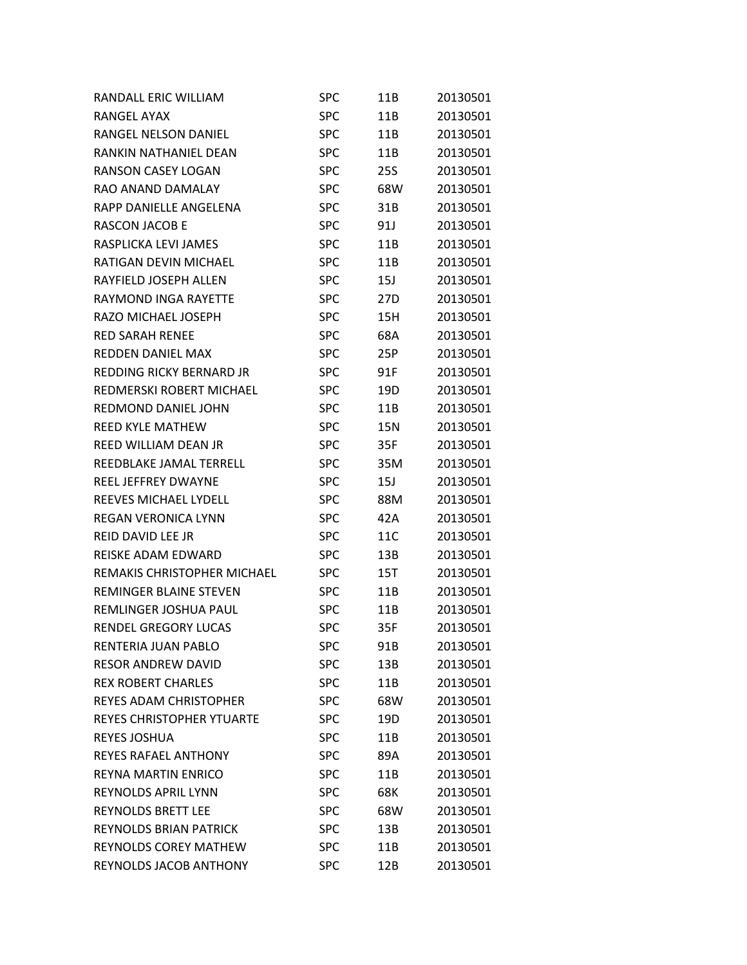| RANDALL ERIC WILLIAM               | SPC        | 11B | 20130501 |
|------------------------------------|------------|-----|----------|
| RANGEL AYAX                        | <b>SPC</b> | 11B | 20130501 |
| <b>RANGEL NELSON DANIEL</b>        | <b>SPC</b> | 11B | 20130501 |
| RANKIN NATHANIEL DEAN              | <b>SPC</b> | 11B | 20130501 |
| <b>RANSON CASEY LOGAN</b>          | <b>SPC</b> | 25S | 20130501 |
| RAO ANAND DAMALAY                  | <b>SPC</b> | 68W | 20130501 |
| RAPP DANIELLE ANGELENA             | <b>SPC</b> | 31B | 20130501 |
| RASCON JACOB E                     | <b>SPC</b> | 91J | 20130501 |
| RASPLICKA LEVI JAMES               | <b>SPC</b> | 11B | 20130501 |
| RATIGAN DEVIN MICHAEL              | <b>SPC</b> | 11B | 20130501 |
| RAYFIELD JOSEPH ALLEN              | <b>SPC</b> | 15J | 20130501 |
| RAYMOND INGA RAYETTE               | <b>SPC</b> | 27D | 20130501 |
| RAZO MICHAEL JOSEPH                | <b>SPC</b> | 15H | 20130501 |
| <b>RED SARAH RENEE</b>             | <b>SPC</b> | 68A | 20130501 |
| <b>REDDEN DANIEL MAX</b>           | <b>SPC</b> | 25P | 20130501 |
| REDDING RICKY BERNARD JR           | <b>SPC</b> | 91F | 20130501 |
| REDMERSKI ROBERT MICHAEL           | <b>SPC</b> | 19D | 20130501 |
| REDMOND DANIEL JOHN                | <b>SPC</b> | 11B | 20130501 |
| <b>REED KYLE MATHEW</b>            | <b>SPC</b> | 15N | 20130501 |
| REED WILLIAM DEAN JR               | <b>SPC</b> | 35F | 20130501 |
| REEDBLAKE JAMAL TERRELL            | <b>SPC</b> | 35M | 20130501 |
| REEL JEFFREY DWAYNE                | <b>SPC</b> | 15J | 20130501 |
| REEVES MICHAEL LYDELL              | <b>SPC</b> | 88M | 20130501 |
| <b>REGAN VERONICA LYNN</b>         | <b>SPC</b> | 42A | 20130501 |
| <b>REID DAVID LEE JR</b>           | <b>SPC</b> | 11C | 20130501 |
| REISKE ADAM EDWARD                 | <b>SPC</b> | 13B | 20130501 |
| <b>REMAKIS CHRISTOPHER MICHAEL</b> | <b>SPC</b> | 15T | 20130501 |
| REMINGER BLAINE STEVEN             | SPC        | 11B | 20130501 |
| REMLINGER JOSHUA PAUL              | <b>SPC</b> | 11B | 20130501 |
| <b>RENDEL GREGORY LUCAS</b>        | <b>SPC</b> | 35F | 20130501 |
| RENTERIA JUAN PABLO                | SPC        | 91B | 20130501 |
| <b>RESOR ANDREW DAVID</b>          | <b>SPC</b> | 13B | 20130501 |
| <b>REX ROBERT CHARLES</b>          | <b>SPC</b> | 11B | 20130501 |
| REYES ADAM CHRISTOPHER             | <b>SPC</b> | 68W | 20130501 |
| <b>REYES CHRISTOPHER YTUARTE</b>   | <b>SPC</b> | 19D | 20130501 |
| <b>REYES JOSHUA</b>                | <b>SPC</b> | 11B | 20130501 |
| <b>REYES RAFAEL ANTHONY</b>        | <b>SPC</b> | 89A | 20130501 |
| REYNA MARTIN ENRICO                | <b>SPC</b> | 11B | 20130501 |
| <b>REYNOLDS APRIL LYNN</b>         | <b>SPC</b> | 68K | 20130501 |
| <b>REYNOLDS BRETT LEE</b>          | <b>SPC</b> | 68W | 20130501 |
| <b>REYNOLDS BRIAN PATRICK</b>      | <b>SPC</b> | 13B | 20130501 |
| <b>REYNOLDS COREY MATHEW</b>       | <b>SPC</b> | 11B | 20130501 |
| REYNOLDS JACOB ANTHONY             | <b>SPC</b> | 12B | 20130501 |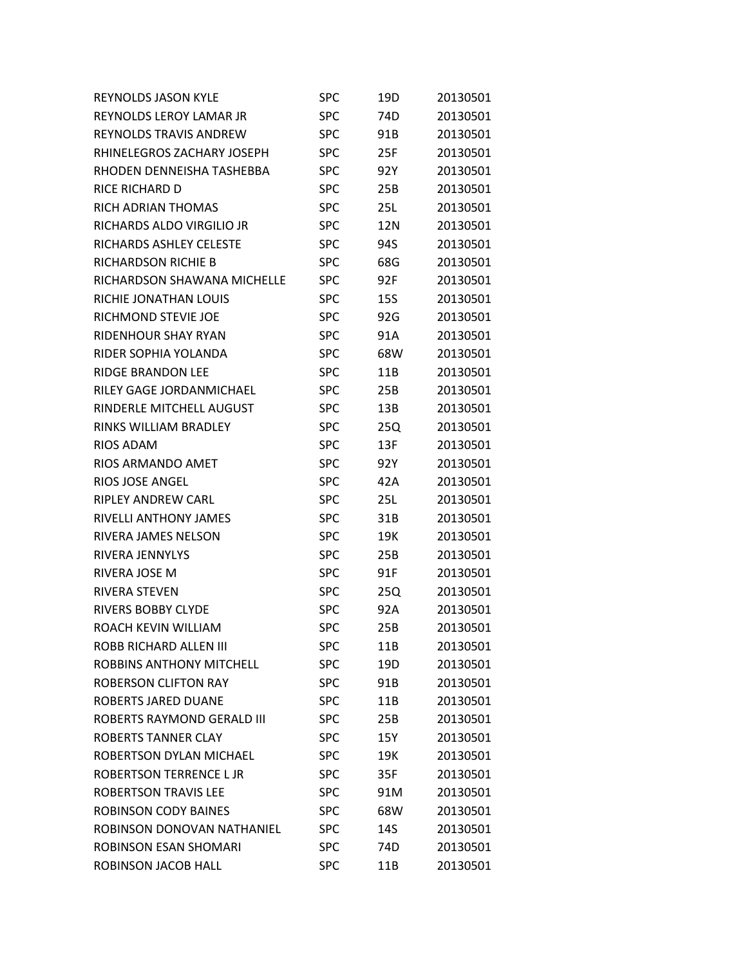| <b>REYNOLDS JASON KYLE</b>    | <b>SPC</b> | 19D        | 20130501 |
|-------------------------------|------------|------------|----------|
| REYNOLDS LEROY LAMAR JR       | <b>SPC</b> | 74D        | 20130501 |
| <b>REYNOLDS TRAVIS ANDREW</b> | <b>SPC</b> | 91B        | 20130501 |
| RHINELEGROS ZACHARY JOSEPH    | <b>SPC</b> | 25F        | 20130501 |
| RHODEN DENNEISHA TASHEBBA     | <b>SPC</b> | 92Y        | 20130501 |
| RICE RICHARD D                | <b>SPC</b> | 25B        | 20130501 |
| RICH ADRIAN THOMAS            | <b>SPC</b> | 25L        | 20130501 |
| RICHARDS ALDO VIRGILIO JR     | <b>SPC</b> | 12N        | 20130501 |
| RICHARDS ASHLEY CELESTE       | <b>SPC</b> | 94S        | 20130501 |
| RICHARDSON RICHIE B           | <b>SPC</b> | 68G        | 20130501 |
| RICHARDSON SHAWANA MICHELLE   | <b>SPC</b> | 92F        | 20130501 |
| RICHIE JONATHAN LOUIS         | <b>SPC</b> | <b>15S</b> | 20130501 |
| RICHMOND STEVIE JOE           | <b>SPC</b> | 92G        | 20130501 |
| RIDENHOUR SHAY RYAN           | <b>SPC</b> | 91A        | 20130501 |
| RIDER SOPHIA YOLANDA          | <b>SPC</b> | 68W        | 20130501 |
| <b>RIDGE BRANDON LEE</b>      | <b>SPC</b> | 11B        | 20130501 |
| RILEY GAGE JORDANMICHAEL      | <b>SPC</b> | 25B        | 20130501 |
| RINDERLE MITCHELL AUGUST      | <b>SPC</b> | 13B        | 20130501 |
| RINKS WILLIAM BRADLEY         | <b>SPC</b> | 25Q        | 20130501 |
| <b>RIOS ADAM</b>              | <b>SPC</b> | 13F        | 20130501 |
| RIOS ARMANDO AMET             | <b>SPC</b> | 92Y        | 20130501 |
| <b>RIOS JOSE ANGEL</b>        | <b>SPC</b> | 42A        | 20130501 |
| <b>RIPLEY ANDREW CARL</b>     | <b>SPC</b> | 25L        | 20130501 |
| RIVELLI ANTHONY JAMES         | <b>SPC</b> | 31B        | 20130501 |
| RIVERA JAMES NELSON           | <b>SPC</b> | 19K        | 20130501 |
| RIVERA JENNYLYS               | <b>SPC</b> | 25B        | 20130501 |
| RIVERA JOSE M                 | <b>SPC</b> | 91F        | 20130501 |
| <b>RIVERA STEVEN</b>          | <b>SPC</b> | 25Q        | 20130501 |
| RIVERS BOBBY CLYDE            | <b>SPC</b> | 92A        | 20130501 |
| ROACH KEVIN WILLIAM           | <b>SPC</b> | 25B        | 20130501 |
| <b>ROBB RICHARD ALLEN III</b> | SPC        | 11B        | 20130501 |
| ROBBINS ANTHONY MITCHELL      | <b>SPC</b> | 19D        | 20130501 |
| <b>ROBERSON CLIFTON RAY</b>   | <b>SPC</b> | 91B        | 20130501 |
| ROBERTS JARED DUANE           | <b>SPC</b> | 11B        | 20130501 |
| ROBERTS RAYMOND GERALD III    | <b>SPC</b> | 25B        | 20130501 |
| ROBERTS TANNER CLAY           | <b>SPC</b> | 15Y        | 20130501 |
| ROBERTSON DYLAN MICHAEL       | <b>SPC</b> | 19K        | 20130501 |
| ROBERTSON TERRENCE L JR       | <b>SPC</b> | 35F        | 20130501 |
| <b>ROBERTSON TRAVIS LEE</b>   | <b>SPC</b> | 91M        | 20130501 |
| <b>ROBINSON CODY BAINES</b>   | <b>SPC</b> | 68W        | 20130501 |
| ROBINSON DONOVAN NATHANIEL    | <b>SPC</b> | 14S        | 20130501 |
| ROBINSON ESAN SHOMARI         | <b>SPC</b> | 74D        | 20130501 |
| ROBINSON JACOB HALL           | <b>SPC</b> | 11B        | 20130501 |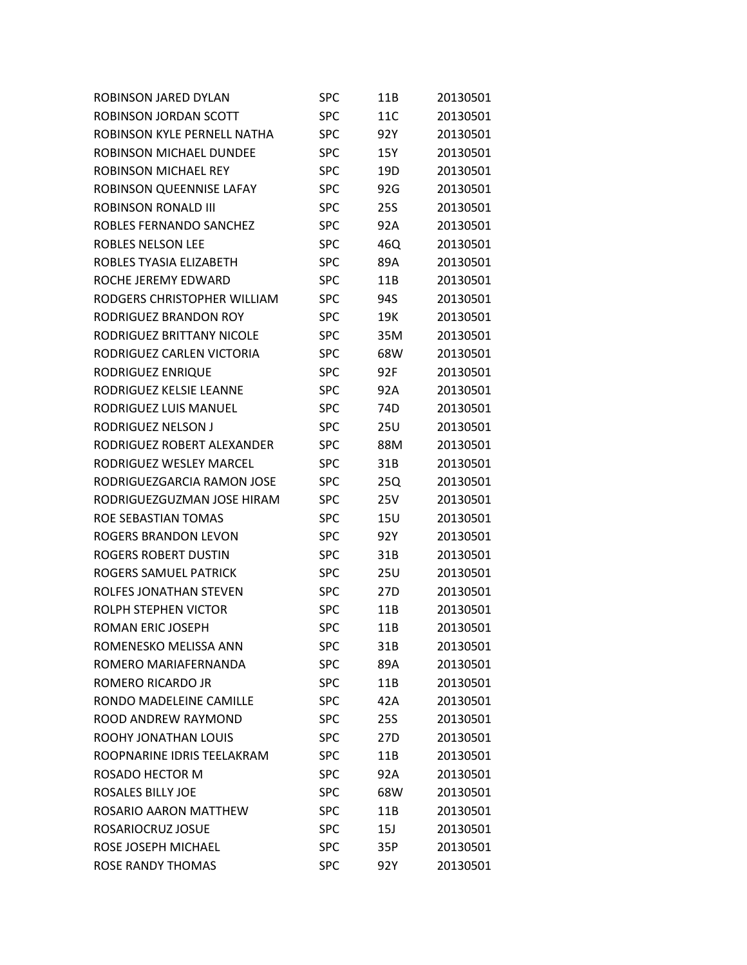| ROBINSON JARED DYLAN        | SPC        | 11B        | 20130501 |
|-----------------------------|------------|------------|----------|
| ROBINSON JORDAN SCOTT       | <b>SPC</b> | 11C        | 20130501 |
| ROBINSON KYLE PERNELL NATHA | <b>SPC</b> | 92Y        | 20130501 |
| ROBINSON MICHAEL DUNDEE     | SPC        | 15Y        | 20130501 |
| ROBINSON MICHAEL REY        | SPC        | 19D        | 20130501 |
| ROBINSON QUEENNISE LAFAY    | <b>SPC</b> | 92G        | 20130501 |
| <b>ROBINSON RONALD III</b>  | <b>SPC</b> | <b>25S</b> | 20130501 |
| ROBLES FERNANDO SANCHEZ     | SPC        | 92A        | 20130501 |
| ROBLES NELSON LEE           | SPC        | 46Q        | 20130501 |
| ROBLES TYASIA ELIZABETH     | <b>SPC</b> | 89A        | 20130501 |
| ROCHE JEREMY EDWARD         | <b>SPC</b> | 11B        | 20130501 |
| RODGERS CHRISTOPHER WILLIAM | SPC        | 94S        | 20130501 |
| RODRIGUEZ BRANDON ROY       | <b>SPC</b> | 19K        | 20130501 |
| RODRIGUEZ BRITTANY NICOLE   | <b>SPC</b> | 35M        | 20130501 |
| RODRIGUEZ CARLEN VICTORIA   | <b>SPC</b> | 68W        | 20130501 |
| RODRIGUEZ ENRIQUE           | SPC        | 92F        | 20130501 |
| RODRIGUEZ KELSIE LEANNE     | SPC        | 92A        | 20130501 |
| RODRIGUEZ LUIS MANUEL       | <b>SPC</b> | 74D        | 20130501 |
| RODRIGUEZ NELSON J          | <b>SPC</b> | <b>25U</b> | 20130501 |
| RODRIGUEZ ROBERT ALEXANDER  | SPC        | 88M        | 20130501 |
| RODRIGUEZ WESLEY MARCEL     | SPC        | 31B        | 20130501 |
| RODRIGUEZGARCIA RAMON JOSE  | SPC        | 25Q        | 20130501 |
| RODRIGUEZGUZMAN JOSE HIRAM  | SPC        | 25V        | 20130501 |
| ROE SEBASTIAN TOMAS         | SPC        | 15U        | 20130501 |
| ROGERS BRANDON LEVON        | SPC        | 92Y        | 20130501 |
| ROGERS ROBERT DUSTIN        | SPC        | 31B        | 20130501 |
| ROGERS SAMUEL PATRICK       | SPC        | 25U        | 20130501 |
| ROLFES JONATHAN STEVEN      | <b>SPC</b> | 27D        | 20130501 |
| ROLPH STEPHEN VICTOR        | <b>SPC</b> | 11B        | 20130501 |
| <b>ROMAN ERIC JOSEPH</b>    | <b>SPC</b> | 11B        | 20130501 |
| ROMENESKO MELISSA ANN       | SPC        | 31B        | 20130501 |
| ROMERO MARIAFERNANDA        | <b>SPC</b> | 89A        | 20130501 |
| ROMERO RICARDO JR           | <b>SPC</b> | 11B        | 20130501 |
| RONDO MADELEINE CAMILLE     | <b>SPC</b> | 42A        | 20130501 |
| ROOD ANDREW RAYMOND         | <b>SPC</b> | 25S        | 20130501 |
| <b>ROOHY JONATHAN LOUIS</b> | <b>SPC</b> | 27D        | 20130501 |
| ROOPNARINE IDRIS TEELAKRAM  | <b>SPC</b> | 11B        | 20130501 |
| ROSADO HECTOR M             | <b>SPC</b> | 92A        | 20130501 |
| <b>ROSALES BILLY JOE</b>    | <b>SPC</b> | 68W        | 20130501 |
| ROSARIO AARON MATTHEW       | <b>SPC</b> | 11B        | 20130501 |
| ROSARIOCRUZ JOSUE           | <b>SPC</b> | 15J        | 20130501 |
| ROSE JOSEPH MICHAEL         | <b>SPC</b> | 35P        | 20130501 |
| <b>ROSE RANDY THOMAS</b>    | <b>SPC</b> | 92Y        | 20130501 |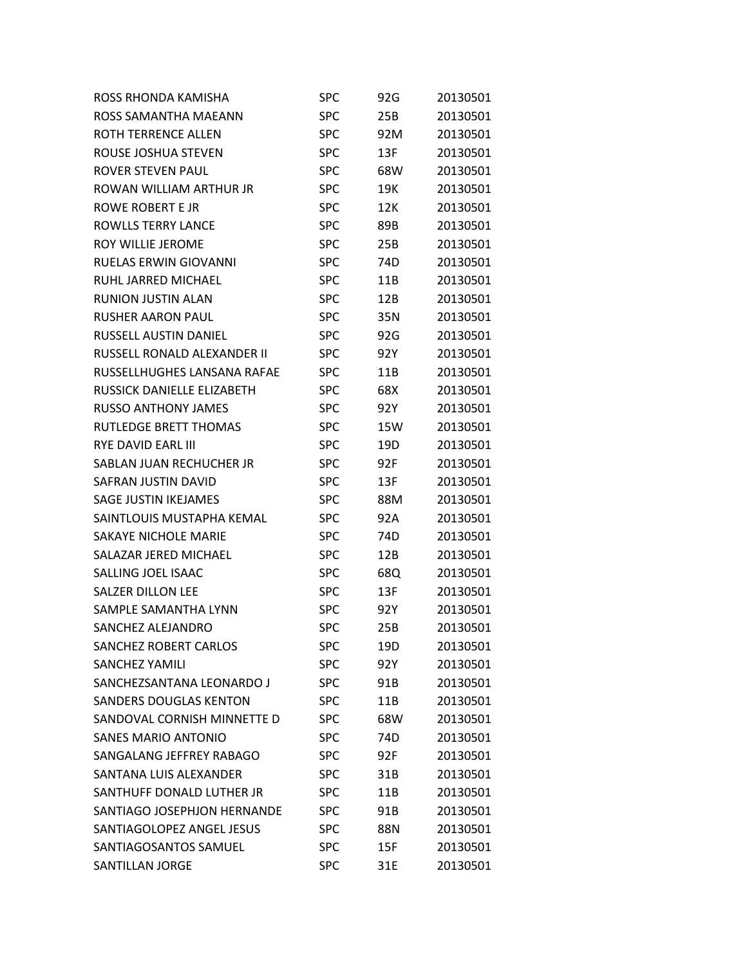| ROSS RHONDA KAMISHA           | SPC        | 92G | 20130501 |
|-------------------------------|------------|-----|----------|
| ROSS SAMANTHA MAEANN          | <b>SPC</b> | 25B | 20130501 |
| ROTH TERRENCE ALLEN           | <b>SPC</b> | 92M | 20130501 |
| ROUSE JOSHUA STEVEN           | <b>SPC</b> | 13F | 20130501 |
| <b>ROVER STEVEN PAUL</b>      | <b>SPC</b> | 68W | 20130501 |
| ROWAN WILLIAM ARTHUR JR       | <b>SPC</b> | 19K | 20130501 |
| ROWE ROBERT E JR              | <b>SPC</b> | 12K | 20130501 |
| <b>ROWLLS TERRY LANCE</b>     | <b>SPC</b> | 89B | 20130501 |
| <b>ROY WILLIE JEROME</b>      | <b>SPC</b> | 25B | 20130501 |
| <b>RUELAS ERWIN GIOVANNI</b>  | <b>SPC</b> | 74D | 20130501 |
| RUHL JARRED MICHAEL           | <b>SPC</b> | 11B | 20130501 |
| <b>RUNION JUSTIN ALAN</b>     | <b>SPC</b> | 12B | 20130501 |
| <b>RUSHER AARON PAUL</b>      | <b>SPC</b> | 35N | 20130501 |
| RUSSELL AUSTIN DANIEL         | <b>SPC</b> | 92G | 20130501 |
| RUSSELL RONALD ALEXANDER II   | <b>SPC</b> | 92Y | 20130501 |
| RUSSELLHUGHES LANSANA RAFAE   | <b>SPC</b> | 11B | 20130501 |
| RUSSICK DANIELLE ELIZABETH    | <b>SPC</b> | 68X | 20130501 |
| <b>RUSSO ANTHONY JAMES</b>    | <b>SPC</b> | 92Y | 20130501 |
| <b>RUTLEDGE BRETT THOMAS</b>  | <b>SPC</b> | 15W | 20130501 |
| <b>RYE DAVID EARL III</b>     | <b>SPC</b> | 19D | 20130501 |
| SABLAN JUAN RECHUCHER JR      | <b>SPC</b> | 92F | 20130501 |
| SAFRAN JUSTIN DAVID           | <b>SPC</b> | 13F | 20130501 |
| <b>SAGE JUSTIN IKEJAMES</b>   | <b>SPC</b> | 88M | 20130501 |
| SAINTLOUIS MUSTAPHA KEMAL     | <b>SPC</b> | 92A | 20130501 |
| <b>SAKAYE NICHOLE MARIE</b>   | <b>SPC</b> | 74D | 20130501 |
| SALAZAR JERED MICHAEL         | <b>SPC</b> | 12B | 20130501 |
| SALLING JOEL ISAAC            | <b>SPC</b> | 68Q | 20130501 |
| <b>SALZER DILLON LEE</b>      | <b>SPC</b> | 13F | 20130501 |
| SAMPLE SAMANTHA LYNN          | <b>SPC</b> | 92Y | 20130501 |
| SANCHEZ ALEJANDRO             | <b>SPC</b> | 25B | 20130501 |
| <b>SANCHEZ ROBERT CARLOS</b>  | SPC        | 19D | 20130501 |
| <b>SANCHEZ YAMILI</b>         | <b>SPC</b> | 92Y | 20130501 |
| SANCHEZSANTANA LEONARDO J     | <b>SPC</b> | 91B | 20130501 |
| <b>SANDERS DOUGLAS KENTON</b> | <b>SPC</b> | 11B | 20130501 |
| SANDOVAL CORNISH MINNETTE D   | <b>SPC</b> | 68W | 20130501 |
| <b>SANES MARIO ANTONIO</b>    | <b>SPC</b> | 74D | 20130501 |
| SANGALANG JEFFREY RABAGO      | <b>SPC</b> | 92F | 20130501 |
| SANTANA LUIS ALEXANDER        | <b>SPC</b> | 31B | 20130501 |
| SANTHUFF DONALD LUTHER JR     | <b>SPC</b> | 11B | 20130501 |
| SANTIAGO JOSEPHJON HERNANDE   | <b>SPC</b> | 91B | 20130501 |
| SANTIAGOLOPEZ ANGEL JESUS     | <b>SPC</b> | 88N | 20130501 |
| SANTIAGOSANTOS SAMUEL         | <b>SPC</b> | 15F | 20130501 |
| <b>SANTILLAN JORGE</b>        | <b>SPC</b> | 31E | 20130501 |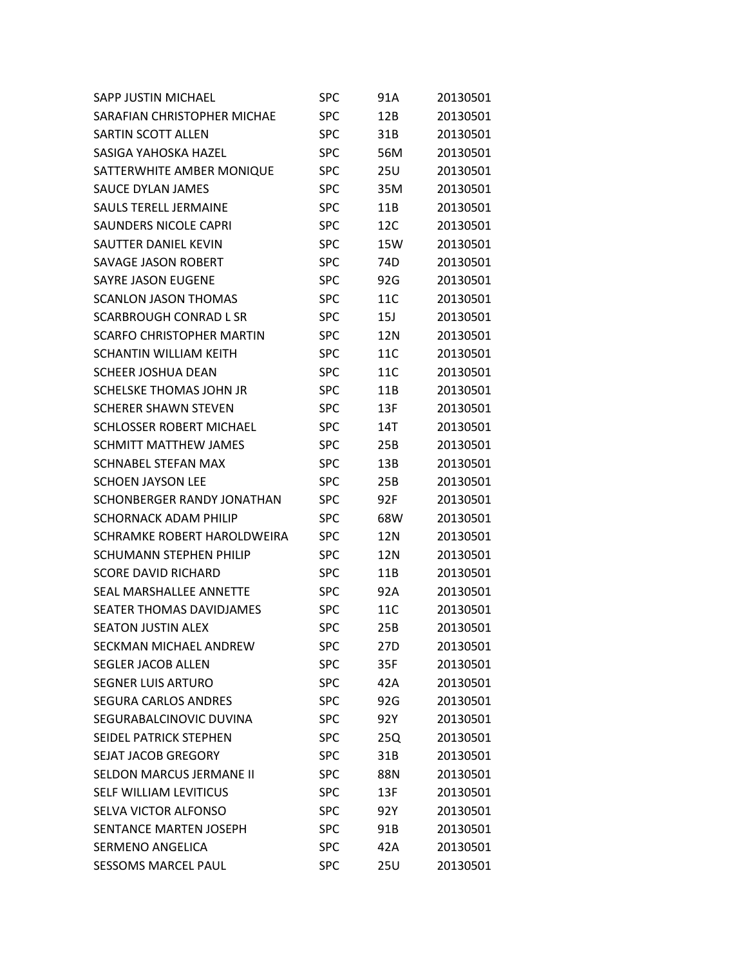| SAPP JUSTIN MICHAEL              | SPC        | 91A | 20130501 |
|----------------------------------|------------|-----|----------|
| SARAFIAN CHRISTOPHER MICHAE      | SPC        | 12B | 20130501 |
| SARTIN SCOTT ALLEN               | SPC        | 31B | 20130501 |
| SASIGA YAHOSKA HAZEL             | SPC        | 56M | 20130501 |
| SATTERWHITE AMBER MONIQUE        | SPC        | 25U | 20130501 |
| SAUCE DYLAN JAMES                | <b>SPC</b> | 35M | 20130501 |
| <b>SAULS TERELL JERMAINE</b>     | SPC        | 11B | 20130501 |
| <b>SAUNDERS NICOLE CAPRI</b>     | SPC        | 12C | 20130501 |
| SAUTTER DANIEL KEVIN             | SPC        | 15W | 20130501 |
| <b>SAVAGE JASON ROBERT</b>       | <b>SPC</b> | 74D | 20130501 |
| <b>SAYRE JASON EUGENE</b>        | SPC        | 92G | 20130501 |
| <b>SCANLON JASON THOMAS</b>      | SPC        | 11C | 20130501 |
| SCARBROUGH CONRAD L SR           | SPC        | 15J | 20130501 |
| <b>SCARFO CHRISTOPHER MARTIN</b> | <b>SPC</b> | 12N | 20130501 |
| <b>SCHANTIN WILLIAM KEITH</b>    | SPC        | 11C | 20130501 |
| SCHEER JOSHUA DEAN               | SPC        | 11C | 20130501 |
| SCHELSKE THOMAS JOHN JR          | SPC        | 11B | 20130501 |
| SCHERER SHAWN STEVEN             | <b>SPC</b> | 13F | 20130501 |
| <b>SCHLOSSER ROBERT MICHAEL</b>  | SPC        | 14T | 20130501 |
| SCHMITT MATTHEW JAMES            | SPC        | 25B | 20130501 |
| <b>SCHNABEL STEFAN MAX</b>       | SPC        | 13B | 20130501 |
| <b>SCHOEN JAYSON LEE</b>         | SPC        | 25B | 20130501 |
| SCHONBERGER RANDY JONATHAN       | SPC        | 92F | 20130501 |
| SCHORNACK ADAM PHILIP            | <b>SPC</b> | 68W | 20130501 |
| SCHRAMKE ROBERT HAROLDWEIRA      | SPC        | 12N | 20130501 |
| <b>SCHUMANN STEPHEN PHILIP</b>   | <b>SPC</b> | 12N | 20130501 |
| <b>SCORE DAVID RICHARD</b>       | SPC        | 11B | 20130501 |
| <b>SEAL MARSHALLEE ANNETTE</b>   | SPC        | 92A | 20130501 |
| <b>SEATER THOMAS DAVIDJAMES</b>  | <b>SPC</b> | 11C | 20130501 |
| <b>SEATON JUSTIN ALEX</b>        | <b>SPC</b> | 25B | 20130501 |
| SECKMAN MICHAEL ANDREW           | SPC        | 27D | 20130501 |
| <b>SEGLER JACOB ALLEN</b>        | <b>SPC</b> | 35F | 20130501 |
| <b>SEGNER LUIS ARTURO</b>        | <b>SPC</b> | 42A | 20130501 |
| <b>SEGURA CARLOS ANDRES</b>      | <b>SPC</b> | 92G | 20130501 |
| SEGURABALCINOVIC DUVINA          | <b>SPC</b> | 92Y | 20130501 |
| SEIDEL PATRICK STEPHEN           | <b>SPC</b> | 25Q | 20130501 |
| <b>SEJAT JACOB GREGORY</b>       | <b>SPC</b> | 31B | 20130501 |
| <b>SELDON MARCUS JERMANE II</b>  | <b>SPC</b> | 88N | 20130501 |
| SELF WILLIAM LEVITICUS           | <b>SPC</b> | 13F | 20130501 |
| SELVA VICTOR ALFONSO             | <b>SPC</b> | 92Y | 20130501 |
| <b>SENTANCE MARTEN JOSEPH</b>    | <b>SPC</b> | 91B | 20130501 |
| <b>SERMENO ANGELICA</b>          | <b>SPC</b> | 42A | 20130501 |
| <b>SESSOMS MARCEL PAUL</b>       | <b>SPC</b> | 25U | 20130501 |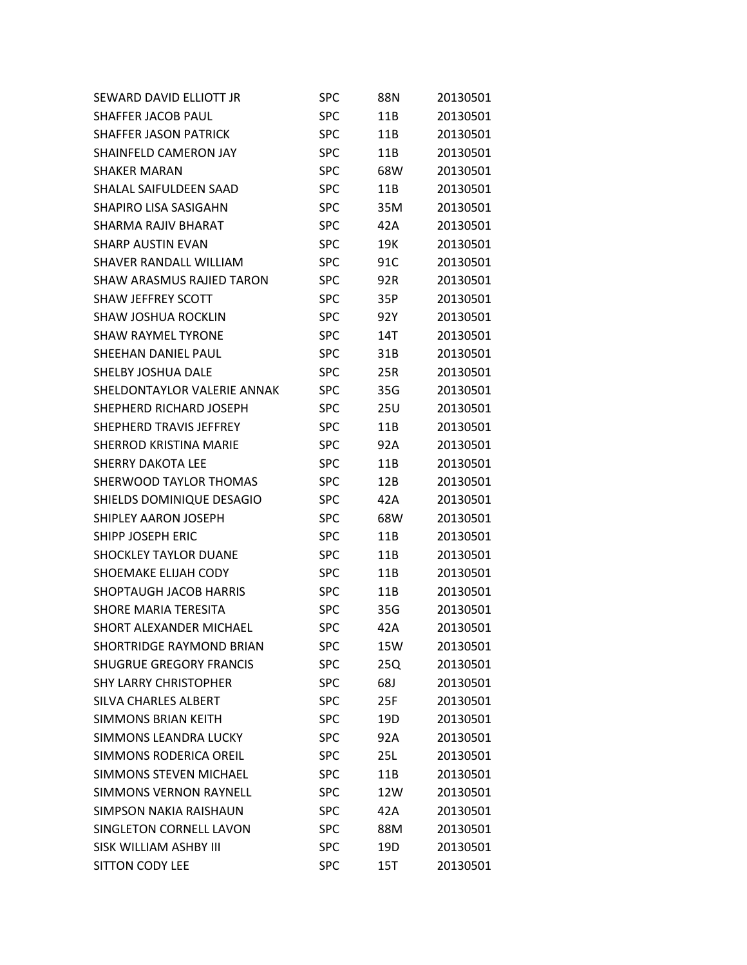| SEWARD DAVID ELLIOTT JR          | SPC        | 88N | 20130501 |
|----------------------------------|------------|-----|----------|
| SHAFFER JACOB PAUL               | SPC        | 11B | 20130501 |
| <b>SHAFFER JASON PATRICK</b>     | <b>SPC</b> | 11B | 20130501 |
| SHAINFELD CAMERON JAY            | SPC        | 11B | 20130501 |
| SHAKFR MARAN                     | SPC        | 68W | 20130501 |
| SHALAL SAIFULDEEN SAAD           | <b>SPC</b> | 11B | 20130501 |
| SHAPIRO LISA SASIGAHN            | <b>SPC</b> | 35M | 20130501 |
| SHARMA RAJIV BHARAT              | SPC        | 42A | 20130501 |
| <b>SHARP AUSTIN FVAN</b>         | SPC        | 19K | 20130501 |
| SHAVER RANDALL WILLIAM           | <b>SPC</b> | 91C | 20130501 |
| <b>SHAW ARASMUS RAJIED TARON</b> | <b>SPC</b> | 92R | 20130501 |
| <b>SHAW JEFFREY SCOTT</b>        | SPC        | 35P | 20130501 |
| SHAW JOSHUA ROCKLIN              | SPC        | 92Y | 20130501 |
| <b>SHAW RAYMEL TYRONE</b>        | <b>SPC</b> | 14T | 20130501 |
| SHEEHAN DANIEL PAUL              | <b>SPC</b> | 31B | 20130501 |
| <b>SHELBY JOSHUA DALE</b>        | SPC        | 25R | 20130501 |
| SHELDONTAYLOR VALERIE ANNAK      | <b>SPC</b> | 35G | 20130501 |
| SHEPHERD RICHARD JOSEPH          | <b>SPC</b> | 25U | 20130501 |
| <b>SHEPHERD TRAVIS JEFFREY</b>   | <b>SPC</b> | 11B | 20130501 |
| <b>SHERROD KRISTINA MARIE</b>    | SPC        | 92A | 20130501 |
| SHERRY DAKOTA LEE                | <b>SPC</b> | 11B | 20130501 |
| SHERWOOD TAYLOR THOMAS           | <b>SPC</b> | 12B | 20130501 |
| SHIELDS DOMINIQUE DESAGIO        | <b>SPC</b> | 42A | 20130501 |
| SHIPLEY AARON JOSEPH             | SPC        | 68W | 20130501 |
| SHIPP JOSEPH ERIC                | SPC        | 11B | 20130501 |
| <b>SHOCKLEY TAYLOR DUANE</b>     | <b>SPC</b> | 11B | 20130501 |
| SHOEMAKE ELIJAH CODY             | SPC        | 11B | 20130501 |
| <b>SHOPTAUGH JACOB HARRIS</b>    | <b>SPC</b> | 11B | 20130501 |
| SHORE MARIA TERESITA             | <b>SPC</b> | 35G | 20130501 |
| <b>SHORT ALEXANDER MICHAEL</b>   | <b>SPC</b> | 42A | 20130501 |
| <b>SHORTRIDGE RAYMOND BRIAN</b>  | SPC        | 15W | 20130501 |
| <b>SHUGRUE GREGORY FRANCIS</b>   | <b>SPC</b> | 25Q | 20130501 |
| <b>SHY LARRY CHRISTOPHER</b>     | <b>SPC</b> | 68J | 20130501 |
| SILVA CHARLES ALBERT             | SPC        | 25F | 20130501 |
| <b>SIMMONS BRIAN KEITH</b>       | <b>SPC</b> | 19D | 20130501 |
| SIMMONS LEANDRA LUCKY            | <b>SPC</b> | 92A | 20130501 |
| SIMMONS RODERICA OREIL           | <b>SPC</b> | 25L | 20130501 |
| <b>SIMMONS STEVEN MICHAEL</b>    | SPC        | 11B | 20130501 |
| <b>SIMMONS VERNON RAYNELL</b>    | <b>SPC</b> | 12W | 20130501 |
| <b>SIMPSON NAKIA RAISHAUN</b>    | <b>SPC</b> | 42A | 20130501 |
| SINGLETON CORNELL LAVON          | <b>SPC</b> | 88M | 20130501 |
| SISK WILLIAM ASHBY III           | <b>SPC</b> | 19D | 20130501 |
| <b>SITTON CODY LEE</b>           | <b>SPC</b> | 15T | 20130501 |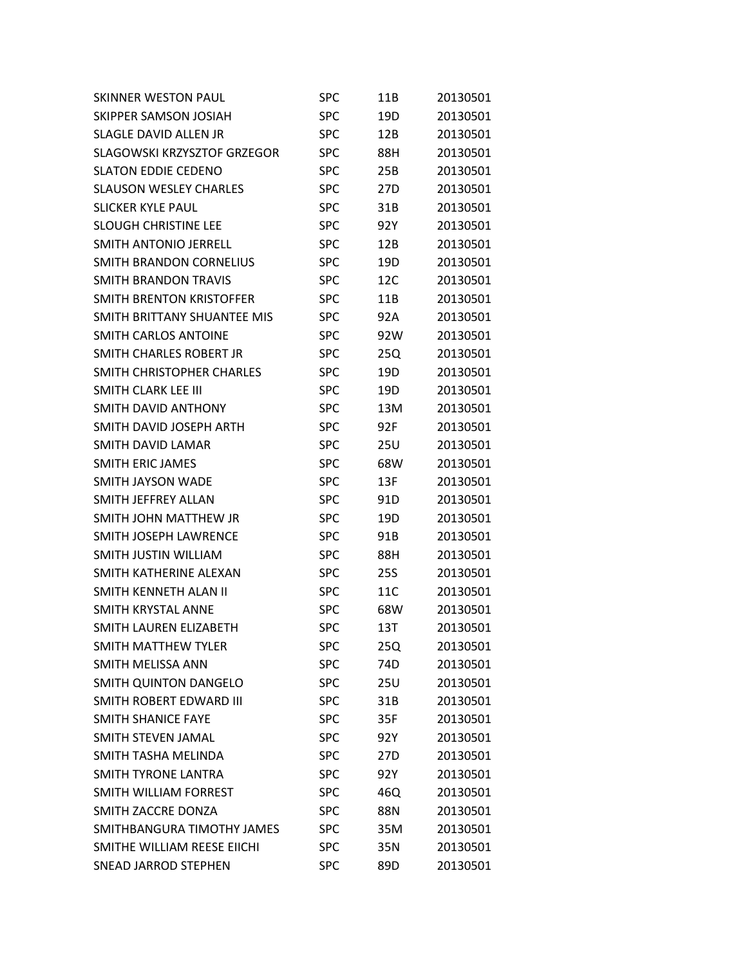| <b>SKINNER WESTON PAUL</b>     | SPC        | 11B             | 20130501 |
|--------------------------------|------------|-----------------|----------|
| SKIPPER SAMSON JOSIAH          | <b>SPC</b> | 19D             | 20130501 |
| <b>SLAGLE DAVID ALLEN JR</b>   | <b>SPC</b> | 12B             | 20130501 |
| SLAGOWSKI KRZYSZTOF GRZEGOR    | <b>SPC</b> | 88H             | 20130501 |
| SLATON EDDIE CEDENO            | <b>SPC</b> | 25B             | 20130501 |
| <b>SLAUSON WESLEY CHARLES</b>  | <b>SPC</b> | 27D             | 20130501 |
| <b>SLICKER KYLE PAUL</b>       | <b>SPC</b> | 31B             | 20130501 |
| <b>SLOUGH CHRISTINE LEE</b>    | <b>SPC</b> | 92Y             | 20130501 |
| SMITH ANTONIO JERRELL          | <b>SPC</b> | 12B             | 20130501 |
| SMITH BRANDON CORNELIUS        | <b>SPC</b> | 19D             | 20130501 |
| <b>SMITH BRANDON TRAVIS</b>    | <b>SPC</b> | 12C             | 20130501 |
| SMITH BRENTON KRISTOFFER       | SPC        | 11B             | 20130501 |
| SMITH BRITTANY SHUANTEE MIS    | <b>SPC</b> | 92A             | 20130501 |
| <b>SMITH CARLOS ANTOINE</b>    | <b>SPC</b> | 92W             | 20130501 |
| SMITH CHARLES ROBERT JR        | <b>SPC</b> | 25Q             | 20130501 |
| SMITH CHRISTOPHER CHARLES      | <b>SPC</b> | 19 <sub>D</sub> | 20130501 |
| SMITH CLARK LEE III            | <b>SPC</b> | 19D             | 20130501 |
| SMITH DAVID ANTHONY            | <b>SPC</b> | 13M             | 20130501 |
| SMITH DAVID JOSEPH ARTH        | <b>SPC</b> | 92F             | 20130501 |
| SMITH DAVID LAMAR              | <b>SPC</b> | 25U             | 20130501 |
| <b>SMITH ERIC JAMES</b>        | <b>SPC</b> | 68W             | 20130501 |
| SMITH JAYSON WADE              | <b>SPC</b> | 13F             | 20130501 |
| SMITH JEFFREY ALLAN            | <b>SPC</b> | 91D             | 20130501 |
| SMITH JOHN MATTHEW JR          | <b>SPC</b> | 19D             | 20130501 |
| SMITH JOSEPH LAWRENCE          | <b>SPC</b> | 91B             | 20130501 |
| SMITH JUSTIN WILLIAM           | <b>SPC</b> | 88H             | 20130501 |
| SMITH KATHERINE ALEXAN         | <b>SPC</b> | 25S             | 20130501 |
| SMITH KFNNFTH ALAN II          | <b>SPC</b> | 11C             | 20130501 |
| SMITH KRYSTAL ANNE             | <b>SPC</b> | 68W             | 20130501 |
| SMITH LAUREN ELIZABETH         | <b>SPC</b> | 13T             | 20130501 |
| SMITH MATTHEW TYLER            | <b>SPC</b> | 25Q             | 20130501 |
| <b>SMITH MELISSA ANN</b>       | <b>SPC</b> | 74D             | 20130501 |
| <b>SMITH QUINTON DANGELO</b>   | <b>SPC</b> | 25U             | 20130501 |
| <b>SMITH ROBERT EDWARD III</b> | <b>SPC</b> | 31B             | 20130501 |
| <b>SMITH SHANICE FAYE</b>      | <b>SPC</b> | 35F             | 20130501 |
| SMITH STEVEN JAMAL             | <b>SPC</b> | 92Y             | 20130501 |
| SMITH TASHA MELINDA            | <b>SPC</b> | 27D             | 20130501 |
| <b>SMITH TYRONE LANTRA</b>     | <b>SPC</b> | 92Y             | 20130501 |
| SMITH WILLIAM FORREST          | <b>SPC</b> | 46Q             | 20130501 |
| SMITH ZACCRE DONZA             | <b>SPC</b> | 88N             | 20130501 |
| SMITHBANGURA TIMOTHY JAMES     | <b>SPC</b> | 35M             | 20130501 |
| SMITHE WILLIAM REESE EIICHI    | <b>SPC</b> | 35N             | 20130501 |
| <b>SNEAD JARROD STEPHEN</b>    | <b>SPC</b> | 89D             | 20130501 |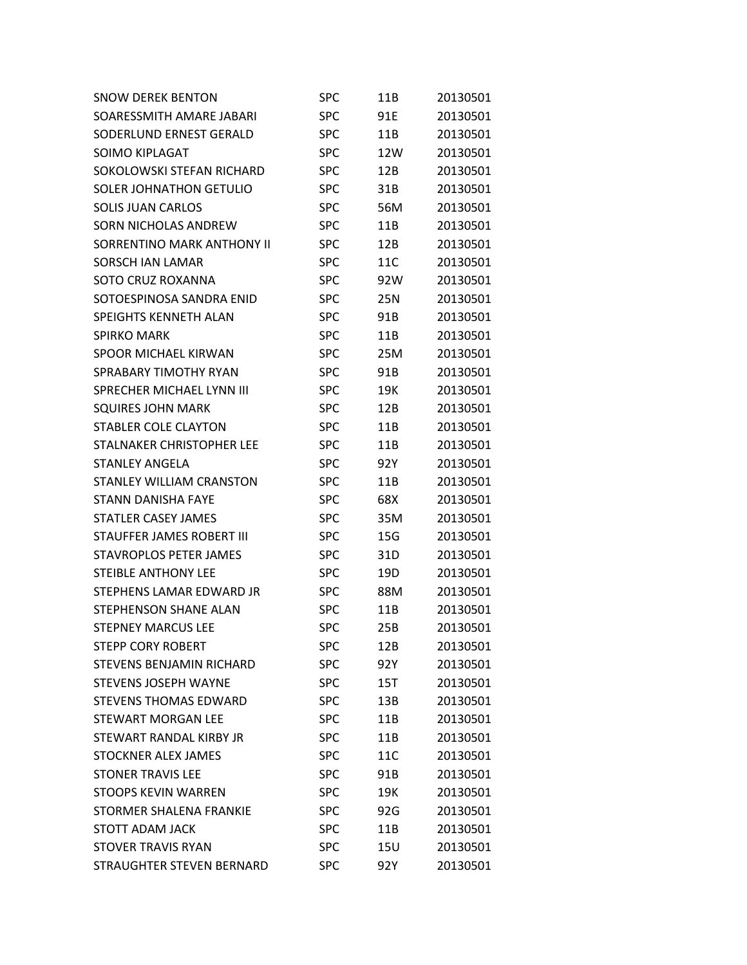| <b>SNOW DEREK BENTON</b>         | SPC        | 11B             | 20130501 |
|----------------------------------|------------|-----------------|----------|
| SOARESSMITH AMARE JABARI         | SPC        | 91E             | 20130501 |
| SODERLUND ERNEST GERALD          | SPC        | 11B             | 20130501 |
| SOIMO KIPLAGAT                   | SPC        | 12W             | 20130501 |
| SOKOLOWSKI STEFAN RICHARD        | SPC        | 12B             | 20130501 |
| <b>SOLER JOHNATHON GETULIO</b>   | SPC        | 31B             | 20130501 |
| <b>SOLIS JUAN CARLOS</b>         | <b>SPC</b> | 56M             | 20130501 |
| <b>SORN NICHOLAS ANDREW</b>      | SPC        | 11B             | 20130501 |
| SORRENTINO MARK ANTHONY II       | SPC        | 12B             | 20130501 |
| SORSCH JAN LAMAR                 | SPC        | 11C             | 20130501 |
| SOTO CRUZ ROXANNA                | SPC        | 92W             | 20130501 |
| SOTOESPINOSA SANDRA ENID         | SPC        | 25N             | 20130501 |
| <b>SPEIGHTS KENNETH ALAN</b>     | SPC        | 91B             | 20130501 |
| <b>SPIRKO MARK</b>               | SPC        | 11 <sub>B</sub> | 20130501 |
| <b>SPOOR MICHAEL KIRWAN</b>      | SPC        | 25M             | 20130501 |
| SPRABARY TIMOTHY RYAN            | SPC        | 91B             | 20130501 |
| SPRECHER MICHAEL LYNN III        | SPC        | 19K             | 20130501 |
| <b>SQUIRES JOHN MARK</b>         | SPC        | 12B             | 20130501 |
| STABLER COLE CLAYTON             | SPC        | 11B             | 20130501 |
| STALNAKER CHRISTOPHER LEE        | SPC        | 11B             | 20130501 |
| STANLEY ANGELA                   | SPC        | 92Y             | 20130501 |
| <b>STANLEY WILLIAM CRANSTON</b>  | SPC        | 11B             | 20130501 |
| <b>STANN DANISHA FAYE</b>        | SPC        | 68X             | 20130501 |
| STATLER CASEY JAMES              | SPC        | 35M             | 20130501 |
| <b>STAUFFER JAMES ROBERT III</b> | SPC        | 15G             | 20130501 |
| <b>STAVROPLOS PETER JAMES</b>    | SPC        | 31D             | 20130501 |
| <b>STEIBLE ANTHONY LEE</b>       | SPC        | 19D             | 20130501 |
| STEPHENS LAMAR EDWARD JR         | SPC        | 88M             | 20130501 |
| <b>STEPHENSON SHANE ALAN</b>     | <b>SPC</b> | 11B             | 20130501 |
| <b>STEPNEY MARCUS LEE</b>        | <b>SPC</b> | 25B             | 20130501 |
| <b>STEPP CORY ROBERT</b>         | SPC        | 12B             | 20130501 |
| <b>STEVENS BENJAMIN RICHARD</b>  | <b>SPC</b> | 92Y             | 20130501 |
| <b>STEVENS JOSEPH WAYNE</b>      | <b>SPC</b> | 15T             | 20130501 |
| <b>STEVENS THOMAS EDWARD</b>     | <b>SPC</b> | 13B             | 20130501 |
| <b>STEWART MORGAN LEE</b>        | <b>SPC</b> | 11B             | 20130501 |
| STEWART RANDAL KIRBY JR          | <b>SPC</b> | 11B             | 20130501 |
| <b>STOCKNER ALEX JAMES</b>       | <b>SPC</b> | 11C             | 20130501 |
| <b>STONER TRAVIS LEE</b>         | <b>SPC</b> | 91B             | 20130501 |
| <b>STOOPS KEVIN WARREN</b>       | <b>SPC</b> | 19K             | 20130501 |
| STORMER SHALENA FRANKIE          | <b>SPC</b> | 92G             | 20130501 |
| <b>STOTT ADAM JACK</b>           | <b>SPC</b> | 11B             | 20130501 |
| <b>STOVER TRAVIS RYAN</b>        | <b>SPC</b> | 15U             | 20130501 |
| STRAUGHTER STEVEN BERNARD        | <b>SPC</b> | 92Y             | 20130501 |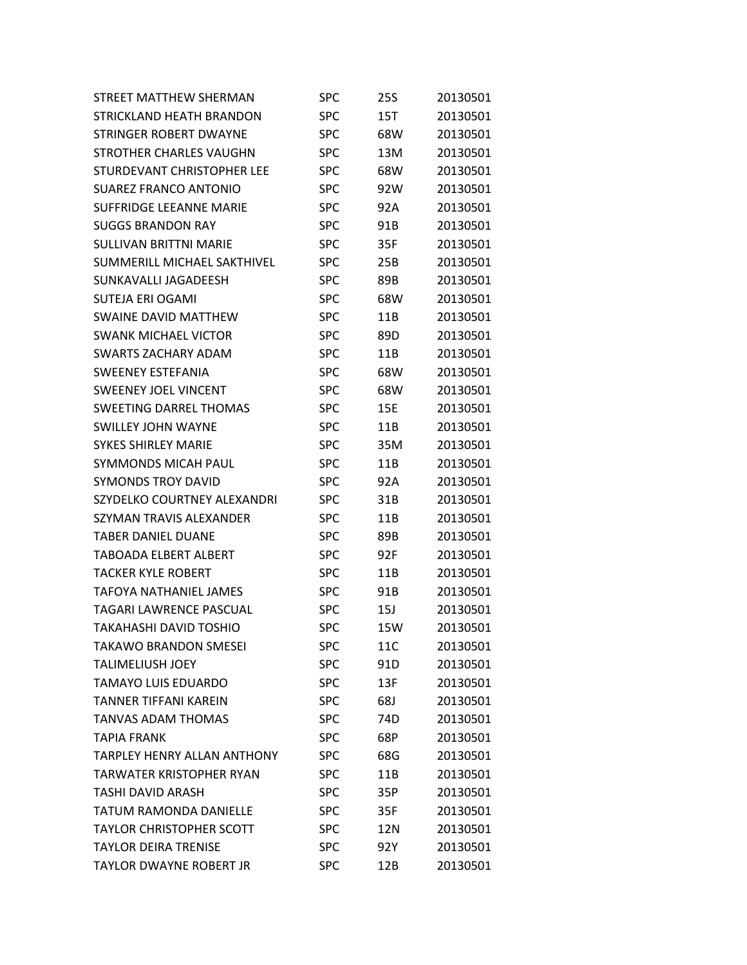| STREET MATTHEW SHERMAN             | <b>SPC</b> | 25S | 20130501 |
|------------------------------------|------------|-----|----------|
| STRICKLAND HEATH BRANDON           | <b>SPC</b> | 15T | 20130501 |
| <b>STRINGER ROBERT DWAYNE</b>      | <b>SPC</b> | 68W | 20130501 |
| STROTHER CHARLES VAUGHN            | <b>SPC</b> | 13M | 20130501 |
| STURDEVANT CHRISTOPHER LEE         | <b>SPC</b> | 68W | 20130501 |
| <b>SUAREZ FRANCO ANTONIO</b>       | <b>SPC</b> | 92W | 20130501 |
| <b>SUFFRIDGE LEEANNE MARIE</b>     | <b>SPC</b> | 92A | 20130501 |
| <b>SUGGS BRANDON RAY</b>           | <b>SPC</b> | 91B | 20130501 |
| <b>SULLIVAN BRITTNI MARIE</b>      | <b>SPC</b> | 35F | 20130501 |
| SUMMERILL MICHAEL SAKTHIVEL        | <b>SPC</b> | 25B | 20130501 |
| SUNKAVALLI JAGADEESH               | <b>SPC</b> | 89B | 20130501 |
| <b>SUTEJA ERI OGAMI</b>            | <b>SPC</b> | 68W | 20130501 |
| <b>SWAINE DAVID MATTHEW</b>        | <b>SPC</b> | 11B | 20130501 |
| <b>SWANK MICHAEL VICTOR</b>        | <b>SPC</b> | 89D | 20130501 |
| <b>SWARTS ZACHARY ADAM</b>         | <b>SPC</b> | 11B | 20130501 |
| <b>SWEENEY ESTEFANIA</b>           | <b>SPC</b> | 68W | 20130501 |
| <b>SWEENEY JOEL VINCENT</b>        | <b>SPC</b> | 68W | 20130501 |
| <b>SWEETING DARREL THOMAS</b>      | <b>SPC</b> | 15E | 20130501 |
| <b>SWILLEY JOHN WAYNE</b>          | <b>SPC</b> | 11B | 20130501 |
| <b>SYKES SHIRLEY MARIE</b>         | <b>SPC</b> | 35M | 20130501 |
| <b>SYMMONDS MICAH PAUL</b>         | <b>SPC</b> | 11B | 20130501 |
| <b>SYMONDS TROY DAVID</b>          | <b>SPC</b> | 92A | 20130501 |
| SZYDELKO COURTNEY ALEXANDRI        | <b>SPC</b> | 31B | 20130501 |
| SZYMAN TRAVIS ALEXANDER            | <b>SPC</b> | 11B | 20130501 |
| TABER DANIEL DUANE                 | <b>SPC</b> | 89B | 20130501 |
| <b>TABOADA ELBERT ALBERT</b>       | <b>SPC</b> | 92F | 20130501 |
| <b>TACKER KYLE ROBERT</b>          | <b>SPC</b> | 11B | 20130501 |
| <b>TAFOYA NATHANIEL JAMES</b>      | <b>SPC</b> | 91B | 20130501 |
| <b>TAGARI LAWRENCE PASCUAL</b>     | <b>SPC</b> | 15J | 20130501 |
| TAKAHASHI DAVID TOSHIO             | <b>SPC</b> | 15W | 20130501 |
| <b>TAKAWO BRANDON SMESEI</b>       | <b>SPC</b> | 11C | 20130501 |
| <b>TALIMELIUSH JOEY</b>            | <b>SPC</b> | 91D | 20130501 |
| <b>TAMAYO LUIS EDUARDO</b>         | <b>SPC</b> | 13F | 20130501 |
| <b>TANNER TIFFANI KAREIN</b>       | <b>SPC</b> | 68J | 20130501 |
| <b>TANVAS ADAM THOMAS</b>          | <b>SPC</b> | 74D | 20130501 |
| <b>TAPIA FRANK</b>                 | <b>SPC</b> | 68P | 20130501 |
| <b>TARPLEY HENRY ALLAN ANTHONY</b> | <b>SPC</b> | 68G | 20130501 |
| <b>TARWATER KRISTOPHER RYAN</b>    | <b>SPC</b> | 11B | 20130501 |
| TASHI DAVID ARASH                  | <b>SPC</b> | 35P | 20130501 |
| <b>TATUM RAMONDA DANIELLE</b>      | <b>SPC</b> | 35F | 20130501 |
| <b>TAYLOR CHRISTOPHER SCOTT</b>    | <b>SPC</b> | 12N | 20130501 |
| <b>TAYLOR DEIRA TRENISE</b>        | <b>SPC</b> | 92Y | 20130501 |
| TAYLOR DWAYNE ROBERT JR            | <b>SPC</b> | 12B | 20130501 |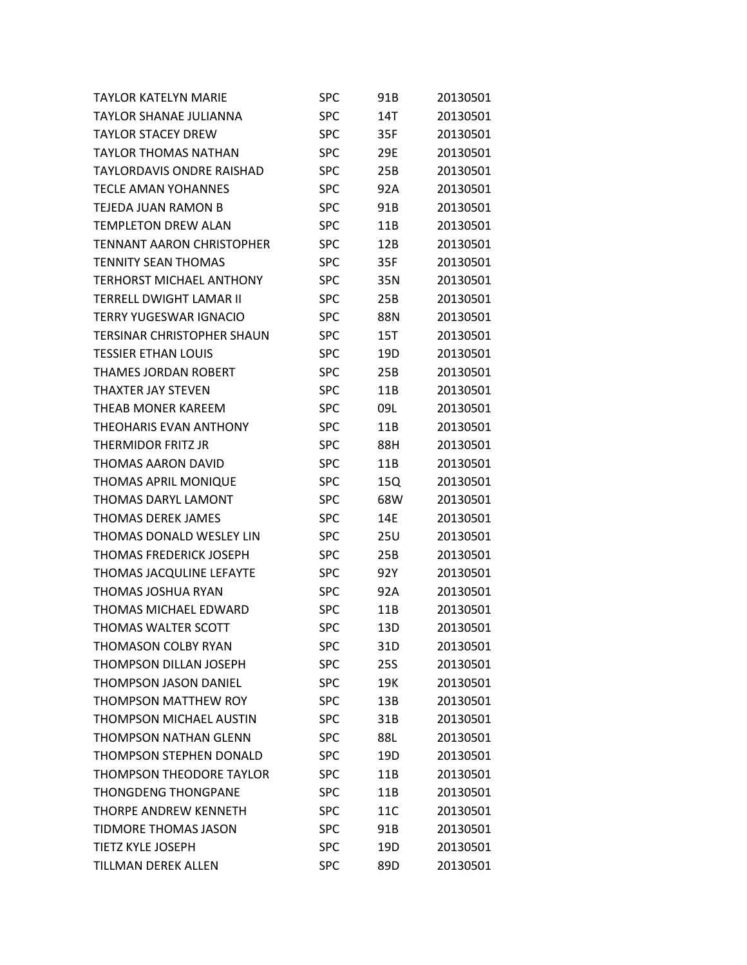| <b>TAYLOR KATELYN MARIE</b>       | SPC        | 91B        | 20130501 |
|-----------------------------------|------------|------------|----------|
| TAYLOR SHANAE JULIANNA            | <b>SPC</b> | 14T        | 20130501 |
| <b>TAYLOR STACEY DREW</b>         | <b>SPC</b> | 35F        | 20130501 |
| <b>TAYLOR THOMAS NATHAN</b>       | <b>SPC</b> | 29E        | 20130501 |
| <b>TAYLORDAVIS ONDRE RAISHAD</b>  | <b>SPC</b> | 25B        | 20130501 |
| <b>TECLE AMAN YOHANNES</b>        | <b>SPC</b> | 92A        | 20130501 |
| TEJEDA JUAN RAMON B               | <b>SPC</b> | 91B        | 20130501 |
| <b>TEMPLETON DREW ALAN</b>        | <b>SPC</b> | 11B        | 20130501 |
| <b>TENNANT AARON CHRISTOPHER</b>  | <b>SPC</b> | 12B        | 20130501 |
| <b>TENNITY SEAN THOMAS</b>        | <b>SPC</b> | 35F        | 20130501 |
| <b>TERHORST MICHAEL ANTHONY</b>   | <b>SPC</b> | 35N        | 20130501 |
| TERRELL DWIGHT LAMAR II           | <b>SPC</b> | 25B        | 20130501 |
| <b>TERRY YUGESWAR IGNACIO</b>     | <b>SPC</b> | 88N        | 20130501 |
| <b>TERSINAR CHRISTOPHER SHAUN</b> | <b>SPC</b> | 15T        | 20130501 |
| <b>TESSIER ETHAN LOUIS</b>        | <b>SPC</b> | 19D        | 20130501 |
| <b>THAMES JORDAN ROBERT</b>       | <b>SPC</b> | 25B        | 20130501 |
| THAXTER JAY STEVEN                | <b>SPC</b> | 11B        | 20130501 |
| <b>THEAB MONER KAREEM</b>         | <b>SPC</b> | 09L        | 20130501 |
| <b>THEOHARIS EVAN ANTHONY</b>     | <b>SPC</b> | 11B        | 20130501 |
| THERMIDOR FRITZ JR                | <b>SPC</b> | 88H        | 20130501 |
| THOMAS AARON DAVID                | <b>SPC</b> | 11B        | 20130501 |
| <b>THOMAS APRIL MONIQUE</b>       | <b>SPC</b> | 15Q        | 20130501 |
| <b>THOMAS DARYL LAMONT</b>        | <b>SPC</b> | 68W        | 20130501 |
| <b>THOMAS DEREK JAMES</b>         | <b>SPC</b> | 14E        | 20130501 |
| THOMAS DONALD WESLEY LIN          | <b>SPC</b> | 25U        | 20130501 |
| <b>THOMAS FREDERICK JOSEPH</b>    | <b>SPC</b> | 25B        | 20130501 |
| THOMAS JACQULINE LEFAYTE          | <b>SPC</b> | 92Y        | 20130501 |
| <b>THOMAS JOSHUA RYAN</b>         | <b>SPC</b> | 92A        | 20130501 |
| <b>THOMAS MICHAEL EDWARD</b>      | <b>SPC</b> | 11B        | 20130501 |
| THOMAS WALTER SCOTT               | <b>SPC</b> | 13D        | 20130501 |
| <b>THOMASON COLBY RYAN</b>        | <b>SPC</b> | 31D        | 20130501 |
| <b>THOMPSON DILLAN JOSEPH</b>     | <b>SPC</b> | <b>25S</b> | 20130501 |
| <b>THOMPSON JASON DANIEL</b>      | <b>SPC</b> | 19K        | 20130501 |
| <b>THOMPSON MATTHEW ROY</b>       | <b>SPC</b> | 13B        | 20130501 |
| <b>THOMPSON MICHAEL AUSTIN</b>    | <b>SPC</b> | 31B        | 20130501 |
| <b>THOMPSON NATHAN GLENN</b>      | <b>SPC</b> | 88L        | 20130501 |
| <b>THOMPSON STEPHEN DONALD</b>    | <b>SPC</b> | 19D        | 20130501 |
| <b>THOMPSON THEODORE TAYLOR</b>   | <b>SPC</b> | 11B        | 20130501 |
| <b>THONGDENG THONGPANE</b>        | <b>SPC</b> | 11B        | 20130501 |
| <b>THORPE ANDREW KENNETH</b>      | <b>SPC</b> | 11C        | 20130501 |
| <b>TIDMORE THOMAS JASON</b>       | <b>SPC</b> | 91B        | 20130501 |
| <b>TIETZ KYLE JOSEPH</b>          | <b>SPC</b> | 19D        | 20130501 |
| <b>TILLMAN DEREK ALLEN</b>        | <b>SPC</b> | 89D        | 20130501 |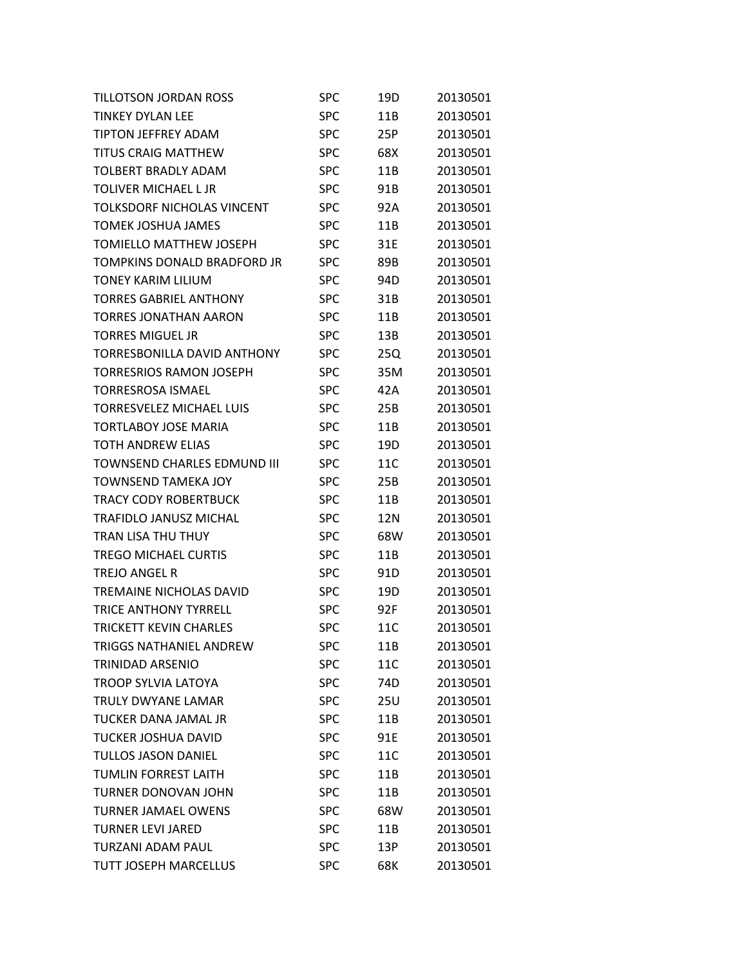| TILLOTSON JORDAN ROSS              | SPC        | 19D | 20130501 |
|------------------------------------|------------|-----|----------|
| <b>TINKEY DYLAN LEE</b>            | <b>SPC</b> | 11B | 20130501 |
| <b>TIPTON JEFFREY ADAM</b>         | <b>SPC</b> | 25P | 20130501 |
| <b>TITUS CRAIG MATTHEW</b>         | <b>SPC</b> | 68X | 20130501 |
| <b>TOLBERT BRADLY ADAM</b>         | <b>SPC</b> | 11B | 20130501 |
| <b>TOLIVER MICHAEL L JR</b>        | <b>SPC</b> | 91B | 20130501 |
| TOLKSDORF NICHOLAS VINCENT         | <b>SPC</b> | 92A | 20130501 |
| <b>TOMEK JOSHUA JAMES</b>          | <b>SPC</b> | 11B | 20130501 |
| TOMIELLO MATTHEW JOSEPH            | <b>SPC</b> | 31E | 20130501 |
| TOMPKINS DONALD BRADFORD JR        | <b>SPC</b> | 89B | 20130501 |
| <b>TONEY KARIM LILIUM</b>          | <b>SPC</b> | 94D | 20130501 |
| <b>TORRES GABRIEL ANTHONY</b>      | <b>SPC</b> | 31B | 20130501 |
| TORRES JONATHAN AARON              | <b>SPC</b> | 11B | 20130501 |
| <b>TORRES MIGUEL JR</b>            | <b>SPC</b> | 13B | 20130501 |
| <b>TORRESBONILLA DAVID ANTHONY</b> | <b>SPC</b> | 25Q | 20130501 |
| <b>TORRESRIOS RAMON JOSEPH</b>     | <b>SPC</b> | 35M | 20130501 |
| TORRESROSA ISMAEL                  | <b>SPC</b> | 42A | 20130501 |
| TORRESVELEZ MICHAEL LUIS           | <b>SPC</b> | 25B | 20130501 |
| <b>TORTLABOY JOSE MARIA</b>        | <b>SPC</b> | 11B | 20130501 |
| TOTH ANDREW ELIAS                  | <b>SPC</b> | 19D | 20130501 |
| TOWNSEND CHARLES EDMUND III        | <b>SPC</b> | 11C | 20130501 |
| <b>TOWNSEND TAMEKA JOY</b>         | <b>SPC</b> | 25B | 20130501 |
| <b>TRACY CODY ROBERTBUCK</b>       | <b>SPC</b> | 11B | 20130501 |
| <b>TRAFIDLO JANUSZ MICHAL</b>      | <b>SPC</b> | 12N | 20130501 |
| TRAN LISA THU THUY                 | <b>SPC</b> | 68W | 20130501 |
| <b>TREGO MICHAEL CURTIS</b>        | <b>SPC</b> | 11B | 20130501 |
| <b>TREJO ANGEL R</b>               | <b>SPC</b> | 91D | 20130501 |
| <b>TREMAINE NICHOLAS DAVID</b>     | <b>SPC</b> | 19D | 20130501 |
| <b>TRICE ANTHONY TYRRELL</b>       | <b>SPC</b> | 92F | 20130501 |
| <b>TRICKETT KEVIN CHARLES</b>      | <b>SPC</b> | 11C | 20130501 |
| <b>TRIGGS NATHANIEL ANDREW</b>     | <b>SPC</b> | 11B | 20130501 |
| <b>TRINIDAD ARSENIO</b>            | <b>SPC</b> | 11C | 20130501 |
| <b>TROOP SYLVIA LATOYA</b>         | <b>SPC</b> | 74D | 20130501 |
| TRULY DWYANE LAMAR                 | <b>SPC</b> | 25U | 20130501 |
| <b>TUCKER DANA JAMAL JR</b>        | <b>SPC</b> | 11B | 20130501 |
| <b>TUCKER JOSHUA DAVID</b>         | <b>SPC</b> | 91E | 20130501 |
| <b>TULLOS JASON DANIEL</b>         | <b>SPC</b> | 11C | 20130501 |
| <b>TUMLIN FORREST LAITH</b>        | <b>SPC</b> | 11B | 20130501 |
| <b>TURNER DONOVAN JOHN</b>         | <b>SPC</b> | 11B | 20130501 |
| <b>TURNER JAMAEL OWENS</b>         | <b>SPC</b> | 68W | 20130501 |
| <b>TURNER LEVI JARED</b>           | <b>SPC</b> | 11B | 20130501 |
| TURZANI ADAM PAUL                  | <b>SPC</b> | 13P | 20130501 |
| <b>TUTT JOSEPH MARCELLUS</b>       | <b>SPC</b> | 68K | 20130501 |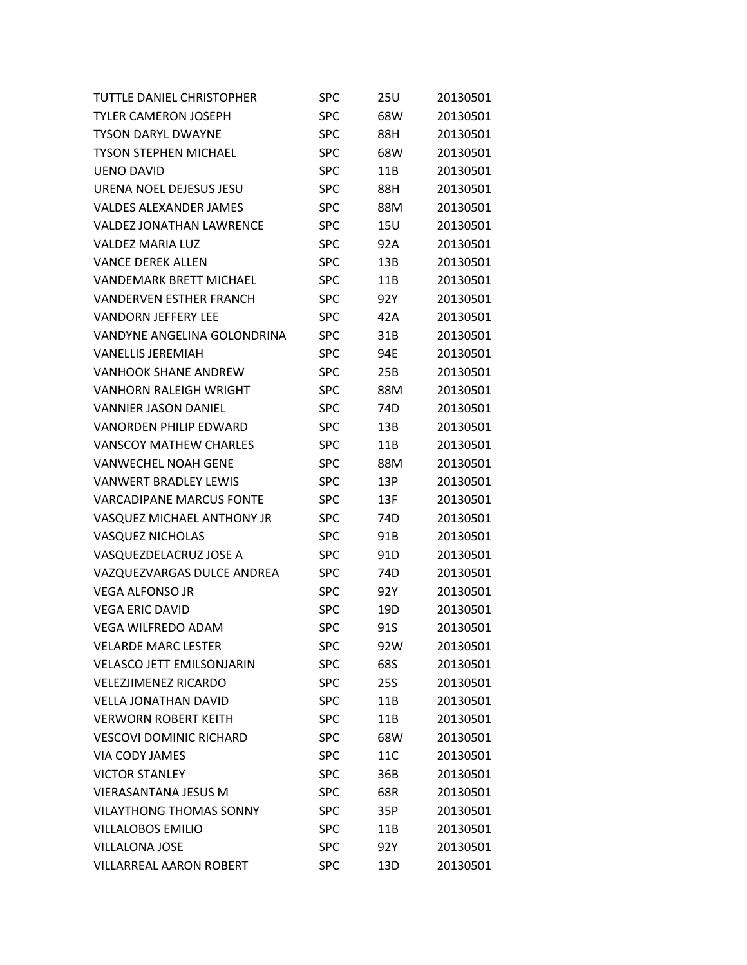| <b>TUTTLE DANIEL CHRISTOPHER</b> | <b>SPC</b> | 25U             | 20130501 |
|----------------------------------|------------|-----------------|----------|
| <b>TYLER CAMERON JOSEPH</b>      | <b>SPC</b> | 68W             | 20130501 |
| <b>TYSON DARYL DWAYNE</b>        | <b>SPC</b> | 88H             | 20130501 |
| <b>TYSON STEPHEN MICHAEL</b>     | <b>SPC</b> | 68W             | 20130501 |
| <b>UENO DAVID</b>                | <b>SPC</b> | 11B             | 20130501 |
| URENA NOEL DEJESUS JESU          | <b>SPC</b> | 88H             | 20130501 |
| <b>VALDES ALEXANDER JAMES</b>    | <b>SPC</b> | 88M             | 20130501 |
| <b>VALDEZ JONATHAN LAWRENCE</b>  | <b>SPC</b> | <b>15U</b>      | 20130501 |
| <b>VALDEZ MARIA LUZ</b>          | <b>SPC</b> | 92A             | 20130501 |
| <b>VANCE DEREK ALLEN</b>         | <b>SPC</b> | 13B             | 20130501 |
| <b>VANDEMARK BRETT MICHAEL</b>   | <b>SPC</b> | 11B             | 20130501 |
| <b>VANDERVEN ESTHER FRANCH</b>   | <b>SPC</b> | 92Y             | 20130501 |
| <b>VANDORN JEFFERY LEE</b>       | <b>SPC</b> | 42A             | 20130501 |
| VANDYNE ANGELINA GOLONDRINA      | <b>SPC</b> | 31B             | 20130501 |
| <b>VANELLIS JEREMIAH</b>         | <b>SPC</b> | 94E             | 20130501 |
| <b>VANHOOK SHANE ANDREW</b>      | <b>SPC</b> | 25B             | 20130501 |
| <b>VANHORN RALEIGH WRIGHT</b>    | <b>SPC</b> | 88M             | 20130501 |
| <b>VANNIER JASON DANIEL</b>      | <b>SPC</b> | 74 <sub>D</sub> | 20130501 |
| <b>VANORDEN PHILIP EDWARD</b>    | <b>SPC</b> | 13B             | 20130501 |
| <b>VANSCOY MATHEW CHARLES</b>    | <b>SPC</b> | 11B             | 20130501 |
| <b>VANWECHEL NOAH GENE</b>       | <b>SPC</b> | 88M             | 20130501 |
| <b>VANWERT BRADLEY LEWIS</b>     | <b>SPC</b> | 13P             | 20130501 |
| <b>VARCADIPANE MARCUS FONTE</b>  | <b>SPC</b> | 13F             | 20130501 |
| VASQUEZ MICHAEL ANTHONY JR       | <b>SPC</b> | 74D             | 20130501 |
| <b>VASQUEZ NICHOLAS</b>          | <b>SPC</b> | 91B             | 20130501 |
| VASQUEZDELACRUZ JOSE A           | <b>SPC</b> | 91D             | 20130501 |
| VAZQUEZVARGAS DULCE ANDREA       | <b>SPC</b> | 74 <sub>D</sub> | 20130501 |
| <b>VEGA ALFONSO JR</b>           | <b>SPC</b> | 92Y             | 20130501 |
| <b>VEGA ERIC DAVID</b>           | <b>SPC</b> | 19D             | 20130501 |
| <b>VEGA WILFREDO ADAM</b>        | <b>SPC</b> | 91S             | 20130501 |
| <b>VELARDE MARC LESTER</b>       | <b>SPC</b> | 92W             | 20130501 |
| <b>VELASCO JETT EMILSONJARIN</b> | <b>SPC</b> | 68S             | 20130501 |
| <b>VELEZJIMENEZ RICARDO</b>      | <b>SPC</b> | <b>25S</b>      | 20130501 |
| <b>VELLA JONATHAN DAVID</b>      | <b>SPC</b> | 11B             | 20130501 |
| <b>VERWORN ROBERT KEITH</b>      | <b>SPC</b> | 11B             | 20130501 |
| <b>VESCOVI DOMINIC RICHARD</b>   | <b>SPC</b> | 68W             | 20130501 |
| <b>VIA CODY JAMES</b>            | <b>SPC</b> | 11C             | 20130501 |
| <b>VICTOR STANLEY</b>            | <b>SPC</b> | 36B             | 20130501 |
| <b>VIERASANTANA JESUS M</b>      | <b>SPC</b> | 68R             | 20130501 |
| <b>VILAYTHONG THOMAS SONNY</b>   | <b>SPC</b> | 35P             | 20130501 |
| <b>VILLALOBOS EMILIO</b>         | <b>SPC</b> | 11B             | 20130501 |
| <b>VILLALONA JOSE</b>            | <b>SPC</b> | 92Y             | 20130501 |
| <b>VILLARREAL AARON ROBERT</b>   | <b>SPC</b> | 13D             | 20130501 |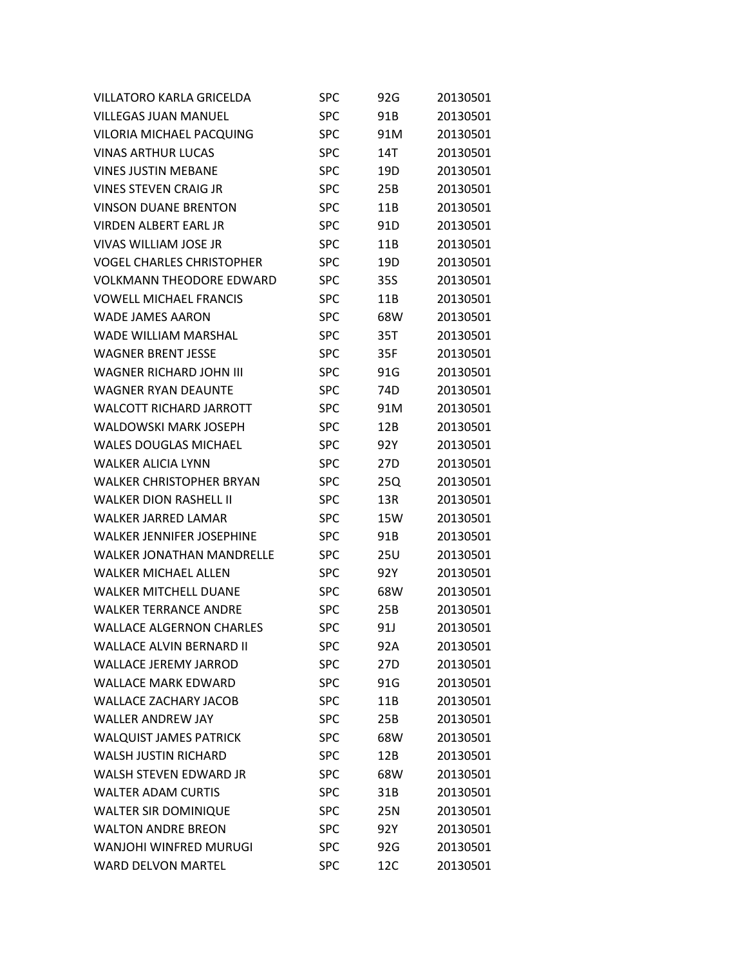| <b>VILLATORO KARLA GRICELDA</b>  | SPC        | 92G | 20130501 |
|----------------------------------|------------|-----|----------|
| <b>VILLEGAS JUAN MANUEL</b>      | <b>SPC</b> | 91B | 20130501 |
| <b>VILORIA MICHAEL PACQUING</b>  | <b>SPC</b> | 91M | 20130501 |
| <b>VINAS ARTHUR LUCAS</b>        | <b>SPC</b> | 14T | 20130501 |
| <b>VINES JUSTIN MEBANE</b>       | <b>SPC</b> | 19D | 20130501 |
| <b>VINES STEVEN CRAIG JR</b>     | <b>SPC</b> | 25B | 20130501 |
| <b>VINSON DUANE BRENTON</b>      | <b>SPC</b> | 11B | 20130501 |
| <b>VIRDEN ALBERT EARL JR</b>     | <b>SPC</b> | 91D | 20130501 |
| VIVAS WILLIAM JOSE JR            | <b>SPC</b> | 11B | 20130501 |
| <b>VOGEL CHARLES CHRISTOPHER</b> | <b>SPC</b> | 19D | 20130501 |
| <b>VOLKMANN THEODORE EDWARD</b>  | <b>SPC</b> | 35S | 20130501 |
| <b>VOWELL MICHAEL FRANCIS</b>    | <b>SPC</b> | 11B | 20130501 |
| <b>WADE JAMES AARON</b>          | <b>SPC</b> | 68W | 20130501 |
| <b>WADE WILLIAM MARSHAL</b>      | <b>SPC</b> | 35T | 20130501 |
| <b>WAGNER BRENT JESSE</b>        | <b>SPC</b> | 35F | 20130501 |
| WAGNER RICHARD JOHN III          | <b>SPC</b> | 91G | 20130501 |
| <b>WAGNER RYAN DEAUNTE</b>       | <b>SPC</b> | 74D | 20130501 |
| <b>WALCOTT RICHARD JARROTT</b>   | <b>SPC</b> | 91M | 20130501 |
| <b>WALDOWSKI MARK JOSEPH</b>     | <b>SPC</b> | 12B | 20130501 |
| <b>WALES DOUGLAS MICHAEL</b>     | <b>SPC</b> | 92Y | 20130501 |
| <b>WALKER ALICIA LYNN</b>        | <b>SPC</b> | 27D | 20130501 |
| <b>WALKER CHRISTOPHER BRYAN</b>  | <b>SPC</b> | 25Q | 20130501 |
| <b>WALKER DION RASHELL II</b>    | <b>SPC</b> | 13R | 20130501 |
| <b>WALKER JARRED LAMAR</b>       | <b>SPC</b> | 15W | 20130501 |
| <b>WALKER JENNIFER JOSEPHINE</b> | <b>SPC</b> | 91B | 20130501 |
| <b>WALKER JONATHAN MANDRELLE</b> | <b>SPC</b> | 25U | 20130501 |
| <b>WALKER MICHAEL ALLEN</b>      | <b>SPC</b> | 92Y | 20130501 |
| <b>WALKER MITCHELL DUANE</b>     | <b>SPC</b> | 68W | 20130501 |
| <b>WALKER TERRANCE ANDRE</b>     | <b>SPC</b> | 25B | 20130501 |
| <b>WALLACE ALGERNON CHARLES</b>  | <b>SPC</b> | 91J | 20130501 |
| <b>WALLACE ALVIN BERNARD II</b>  | <b>SPC</b> | 92A | 20130501 |
| <b>WALLACE JEREMY JARROD</b>     | <b>SPC</b> | 27D | 20130501 |
| <b>WALLACE MARK EDWARD</b>       | <b>SPC</b> | 91G | 20130501 |
| <b>WALLACE ZACHARY JACOB</b>     | <b>SPC</b> | 11B | 20130501 |
| <b>WALLER ANDREW JAY</b>         | <b>SPC</b> | 25B | 20130501 |
| <b>WALQUIST JAMES PATRICK</b>    | <b>SPC</b> | 68W | 20130501 |
| <b>WALSH JUSTIN RICHARD</b>      | <b>SPC</b> | 12B | 20130501 |
| WALSH STEVEN EDWARD JR           | <b>SPC</b> | 68W | 20130501 |
| <b>WALTER ADAM CURTIS</b>        | <b>SPC</b> | 31B | 20130501 |
| <b>WALTER SIR DOMINIQUE</b>      | <b>SPC</b> | 25N | 20130501 |
| <b>WALTON ANDRE BREON</b>        | <b>SPC</b> | 92Y | 20130501 |
| WANJOHI WINFRED MURUGI           | <b>SPC</b> | 92G | 20130501 |
| <b>WARD DELVON MARTEL</b>        | <b>SPC</b> | 12C | 20130501 |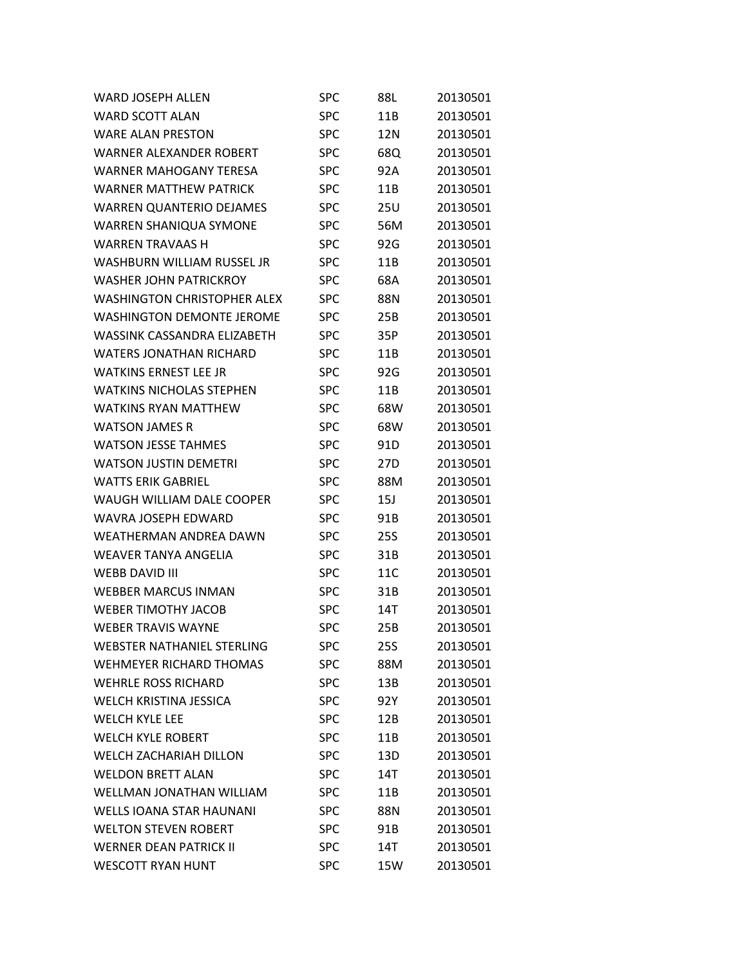| <b>WARD JOSEPH ALLEN</b>           | <b>SPC</b> | 88L        | 20130501 |
|------------------------------------|------------|------------|----------|
| <b>WARD SCOTT ALAN</b>             | <b>SPC</b> | 11B        | 20130501 |
| <b>WARE ALAN PRESTON</b>           | <b>SPC</b> | 12N        | 20130501 |
| WARNER ALEXANDER ROBERT            | <b>SPC</b> | 68Q        | 20130501 |
| <b>WARNER MAHOGANY TERESA</b>      | <b>SPC</b> | 92A        | 20130501 |
| <b>WARNER MATTHEW PATRICK</b>      | <b>SPC</b> | 11B        | 20130501 |
| <b>WARREN QUANTERIO DEJAMES</b>    | <b>SPC</b> | <b>25U</b> | 20130501 |
| WARREN SHANIQUA SYMONE             | SPC        | 56M        | 20130501 |
| <b>WARREN TRAVAAS H</b>            | <b>SPC</b> | 92G        | 20130501 |
| WASHBURN WILLIAM RUSSEL JR         | <b>SPC</b> | 11B        | 20130501 |
| <b>WASHER JOHN PATRICKROY</b>      | <b>SPC</b> | 68A        | 20130501 |
| <b>WASHINGTON CHRISTOPHER ALEX</b> | <b>SPC</b> | 88N        | 20130501 |
| WASHINGTON DEMONTE JEROME          | <b>SPC</b> | 25B        | 20130501 |
| <b>WASSINK CASSANDRA ELIZABETH</b> | <b>SPC</b> | 35P        | 20130501 |
| <b>WATERS JONATHAN RICHARD</b>     | <b>SPC</b> | 11B        | 20130501 |
| <b>WATKINS ERNEST LEE JR</b>       | SPC        | 92G        | 20130501 |
| <b>WATKINS NICHOLAS STEPHEN</b>    | <b>SPC</b> | 11B        | 20130501 |
| <b>WATKINS RYAN MATTHEW</b>        | <b>SPC</b> | 68W        | 20130501 |
| <b>WATSON JAMES R</b>              | <b>SPC</b> | 68W        | 20130501 |
| <b>WATSON JESSE TAHMES</b>         | <b>SPC</b> | 91D        | 20130501 |
| <b>WATSON JUSTIN DEMETRI</b>       | <b>SPC</b> | 27D        | 20130501 |
| <b>WATTS ERIK GABRIEL</b>          | <b>SPC</b> | 88M        | 20130501 |
| WAUGH WILLIAM DALE COOPER          | <b>SPC</b> | 15J        | 20130501 |
| WAVRA JOSEPH EDWARD                | SPC        | 91B        | 20130501 |
| WEATHERMAN ANDREA DAWN             | <b>SPC</b> | <b>25S</b> | 20130501 |
| <b>WEAVER TANYA ANGELIA</b>        | <b>SPC</b> | 31B        | 20130501 |
| <b>WEBB DAVID III</b>              | <b>SPC</b> | 11C        | 20130501 |
| <b>WEBBER MARCUS INMAN</b>         | <b>SPC</b> | 31B        | 20130501 |
| <b>WEBER TIMOTHY JACOB</b>         | <b>SPC</b> | 14T        | 20130501 |
| <b>WEBER TRAVIS WAYNE</b>          | <b>SPC</b> | 25B        | 20130501 |
| <b>WEBSTER NATHANIEL STERLING</b>  | SPC        | 25S        | 20130501 |
| <b>WEHMEYER RICHARD THOMAS</b>     | <b>SPC</b> | 88M        | 20130501 |
| <b>WEHRLE ROSS RICHARD</b>         | <b>SPC</b> | 13B        | 20130501 |
| WELCH KRISTINA JESSICA             | <b>SPC</b> | 92Y        | 20130501 |
| <b>WELCH KYLE LEE</b>              | <b>SPC</b> | 12B        | 20130501 |
| <b>WELCH KYLE ROBERT</b>           | <b>SPC</b> | 11B        | 20130501 |
| <b>WELCH ZACHARIAH DILLON</b>      | <b>SPC</b> | 13D        | 20130501 |
| <b>WELDON BRETT ALAN</b>           | <b>SPC</b> | 14T        | 20130501 |
| WELLMAN JONATHAN WILLIAM           | <b>SPC</b> | 11B        | 20130501 |
| <b>WELLS IOANA STAR HAUNANI</b>    | <b>SPC</b> | 88N        | 20130501 |
| <b>WELTON STEVEN ROBERT</b>        | <b>SPC</b> | 91B        | 20130501 |
| <b>WERNER DEAN PATRICK II</b>      | <b>SPC</b> | 14T        | 20130501 |
| <b>WESCOTT RYAN HUNT</b>           | <b>SPC</b> | 15W        | 20130501 |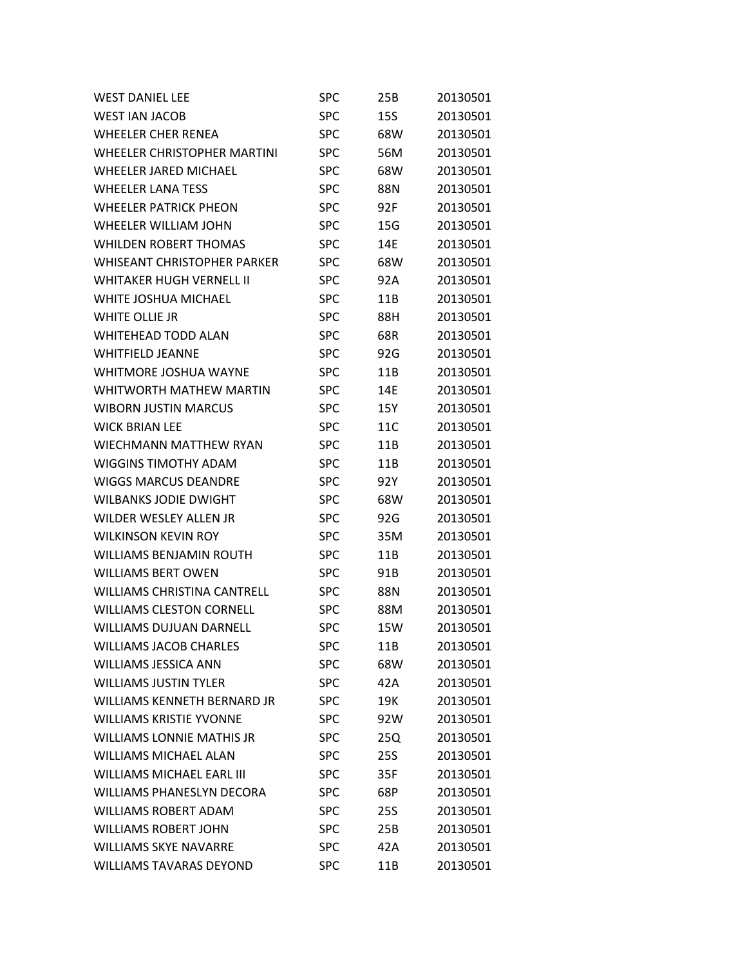| <b>WEST DANIEL LEE</b>             | SPC        | 25B        | 20130501 |
|------------------------------------|------------|------------|----------|
| <b>WEST IAN JACOB</b>              | <b>SPC</b> | <b>15S</b> | 20130501 |
| <b>WHEELER CHER RENEA</b>          | <b>SPC</b> | 68W        | 20130501 |
| WHEELER CHRISTOPHER MARTINI        | <b>SPC</b> | 56M        | 20130501 |
| WHEELER JARED MICHAEL              | <b>SPC</b> | 68W        | 20130501 |
| <b>WHEELER LANA TESS</b>           | <b>SPC</b> | 88N        | 20130501 |
| <b>WHEELER PATRICK PHEON</b>       | <b>SPC</b> | 92F        | 20130501 |
| <b>WHEELER WILLIAM JOHN</b>        | <b>SPC</b> | 15G        | 20130501 |
| <b>WHILDEN ROBERT THOMAS</b>       | <b>SPC</b> | 14E        | 20130501 |
| <b>WHISEANT CHRISTOPHER PARKER</b> | <b>SPC</b> | 68W        | 20130501 |
| <b>WHITAKER HUGH VERNELL II</b>    | <b>SPC</b> | 92A        | 20130501 |
| WHITE JOSHUA MICHAEL               | <b>SPC</b> | 11B        | 20130501 |
| WHITE OLLIE JR                     | <b>SPC</b> | 88H        | 20130501 |
| <b>WHITEHEAD TODD ALAN</b>         | <b>SPC</b> | 68R        | 20130501 |
| <b>WHITFIELD JEANNE</b>            | <b>SPC</b> | 92G        | 20130501 |
| <b>WHITMORE JOSHUA WAYNE</b>       | <b>SPC</b> | 11B        | 20130501 |
| WHITWORTH MATHEW MARTIN            | <b>SPC</b> | 14E        | 20130501 |
| <b>WIBORN JUSTIN MARCUS</b>        | <b>SPC</b> | 15Y        | 20130501 |
| <b>WICK BRIAN LEE</b>              | <b>SPC</b> | 11C        | 20130501 |
| WIECHMANN MATTHEW RYAN             | <b>SPC</b> | 11B        | 20130501 |
| <b>WIGGINS TIMOTHY ADAM</b>        | <b>SPC</b> | 11B        | 20130501 |
| <b>WIGGS MARCUS DEANDRE</b>        | <b>SPC</b> | 92Y        | 20130501 |
| <b>WILBANKS JODIE DWIGHT</b>       | <b>SPC</b> | 68W        | 20130501 |
| <b>WILDER WESLEY ALLEN JR</b>      | <b>SPC</b> | 92G        | 20130501 |
| <b>WILKINSON KEVIN ROY</b>         | <b>SPC</b> | 35M        | 20130501 |
| <b>WILLIAMS BENJAMIN ROUTH</b>     | <b>SPC</b> | 11B        | 20130501 |
| <b>WILLIAMS BERT OWEN</b>          | <b>SPC</b> | 91B        | 20130501 |
| <b>WILLIAMS CHRISTINA CANTRELL</b> | <b>SPC</b> | 88N        | 20130501 |
| <b>WILLIAMS CLESTON CORNELL</b>    | <b>SPC</b> | 88M        | 20130501 |
| <b>WILLIAMS DUJUAN DARNELL</b>     | <b>SPC</b> | 15W        | 20130501 |
| <b>WILLIAMS JACOB CHARLES</b>      | SPC        | 11B        | 20130501 |
| <b>WILLIAMS JESSICA ANN</b>        | <b>SPC</b> | 68W        | 20130501 |
| <b>WILLIAMS JUSTIN TYLER</b>       | <b>SPC</b> | 42A        | 20130501 |
| WILLIAMS KENNETH BERNARD JR        | <b>SPC</b> | 19K        | 20130501 |
| <b>WILLIAMS KRISTIE YVONNE</b>     | <b>SPC</b> | 92W        | 20130501 |
| <b>WILLIAMS LONNIE MATHIS JR</b>   | <b>SPC</b> | 25Q        | 20130501 |
| <b>WILLIAMS MICHAEL ALAN</b>       | <b>SPC</b> | <b>25S</b> | 20130501 |
| <b>WILLIAMS MICHAEL EARL III</b>   | <b>SPC</b> | 35F        | 20130501 |
| <b>WILLIAMS PHANESLYN DECORA</b>   | <b>SPC</b> | 68P        | 20130501 |
| <b>WILLIAMS ROBERT ADAM</b>        | <b>SPC</b> | 25S        | 20130501 |
| <b>WILLIAMS ROBERT JOHN</b>        | <b>SPC</b> | 25B        | 20130501 |
| <b>WILLIAMS SKYE NAVARRE</b>       | <b>SPC</b> | 42A        | 20130501 |
| <b>WILLIAMS TAVARAS DEYOND</b>     | <b>SPC</b> | 11B        | 20130501 |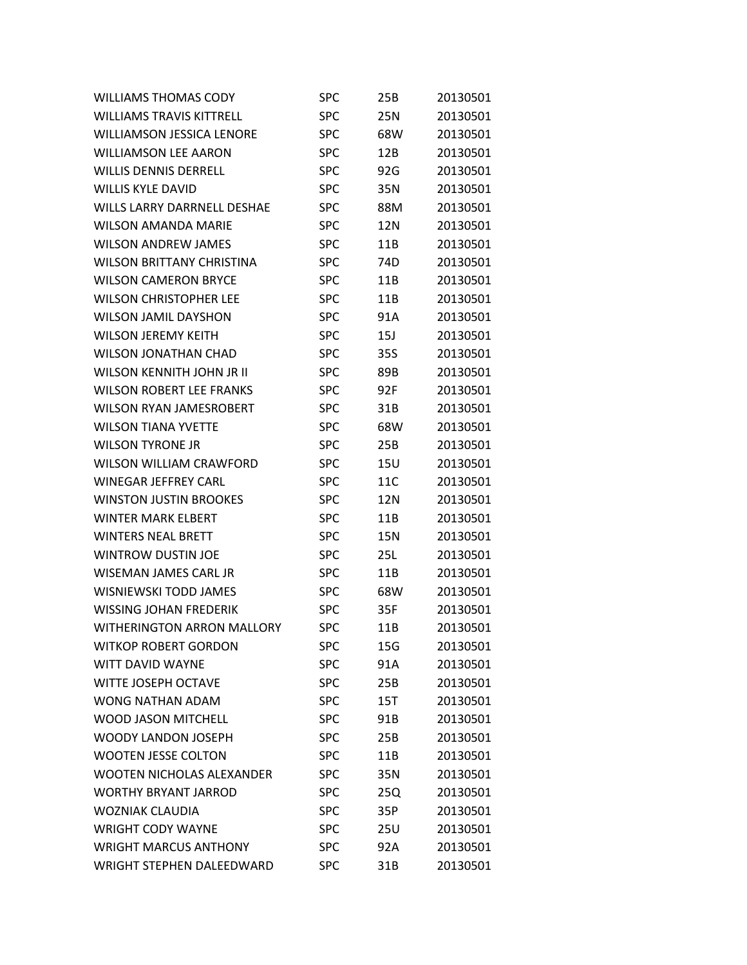| <b>WILLIAMS THOMAS CODY</b>        | <b>SPC</b> | 25B             | 20130501 |
|------------------------------------|------------|-----------------|----------|
| <b>WILLIAMS TRAVIS KITTRELL</b>    | <b>SPC</b> | 25N             | 20130501 |
| <b>WILLIAMSON JESSICA LENORE</b>   | <b>SPC</b> | 68W             | 20130501 |
| <b>WILLIAMSON LEE AARON</b>        | <b>SPC</b> | 12B             | 20130501 |
| <b>WILLIS DENNIS DERRELL</b>       | <b>SPC</b> | 92G             | 20130501 |
| <b>WILLIS KYLE DAVID</b>           | <b>SPC</b> | 35N             | 20130501 |
| <b>WILLS LARRY DARRNELL DESHAE</b> | <b>SPC</b> | 88M             | 20130501 |
| <b>WILSON AMANDA MARIE</b>         | <b>SPC</b> | 12N             | 20130501 |
| <b>WILSON ANDREW JAMES</b>         | <b>SPC</b> | 11B             | 20130501 |
| <b>WILSON BRITTANY CHRISTINA</b>   | <b>SPC</b> | 74 <sub>D</sub> | 20130501 |
| <b>WILSON CAMERON BRYCE</b>        | <b>SPC</b> | 11B             | 20130501 |
| <b>WILSON CHRISTOPHER LEE</b>      | <b>SPC</b> | 11B             | 20130501 |
| <b>WILSON JAMIL DAYSHON</b>        | <b>SPC</b> | 91A             | 20130501 |
| <b>WILSON JEREMY KEITH</b>         | <b>SPC</b> | 15J             | 20130501 |
| <b>WILSON JONATHAN CHAD</b>        | <b>SPC</b> | 35S             | 20130501 |
| WILSON KENNITH JOHN JR II          | <b>SPC</b> | 89B             | 20130501 |
| <b>WILSON ROBERT LEE FRANKS</b>    | <b>SPC</b> | 92F             | 20130501 |
| <b>WILSON RYAN JAMESROBERT</b>     | <b>SPC</b> | 31B             | 20130501 |
| <b>WILSON TIANA YVETTE</b>         | <b>SPC</b> | 68W             | 20130501 |
| <b>WILSON TYRONE JR</b>            | <b>SPC</b> | 25B             | 20130501 |
| <b>WILSON WILLIAM CRAWFORD</b>     | <b>SPC</b> | 15U             | 20130501 |
| <b>WINEGAR JEFFREY CARL</b>        | <b>SPC</b> | 11C             | 20130501 |
| <b>WINSTON JUSTIN BROOKES</b>      | <b>SPC</b> | 12N             | 20130501 |
| <b>WINTER MARK ELBERT</b>          | <b>SPC</b> | 11B             | 20130501 |
| <b>WINTERS NEAL BRETT</b>          | <b>SPC</b> | 15N             | 20130501 |
| <b>WINTROW DUSTIN JOE</b>          | <b>SPC</b> | 25L             | 20130501 |
| <b>WISEMAN JAMES CARL JR</b>       | <b>SPC</b> | 11B             | 20130501 |
| <b>WISNIEWSKI TODD JAMES</b>       | <b>SPC</b> | 68W             | 20130501 |
| <b>WISSING JOHAN FREDERIK</b>      | <b>SPC</b> | 35F             | 20130501 |
| <b>WITHERINGTON ARRON MALLORY</b>  | <b>SPC</b> | 11B             | 20130501 |
| <b>WITKOP ROBERT GORDON</b>        | <b>SPC</b> | 15G             | 20130501 |
| <b>WITT DAVID WAYNE</b>            | <b>SPC</b> | 91A             | 20130501 |
| <b>WITTE JOSEPH OCTAVE</b>         | <b>SPC</b> | 25B             | 20130501 |
| WONG NATHAN ADAM                   | <b>SPC</b> | 15T             | 20130501 |
| <b>WOOD JASON MITCHELL</b>         | <b>SPC</b> | 91B             | 20130501 |
| <b>WOODY LANDON JOSEPH</b>         | <b>SPC</b> | 25B             | 20130501 |
| <b>WOOTEN JESSE COLTON</b>         | <b>SPC</b> | 11B             | 20130501 |
| <b>WOOTEN NICHOLAS ALEXANDER</b>   | <b>SPC</b> | 35N             | 20130501 |
| <b>WORTHY BRYANT JARROD</b>        | <b>SPC</b> | 25Q             | 20130501 |
| <b>WOZNIAK CLAUDIA</b>             | <b>SPC</b> | 35P             | 20130501 |
| <b>WRIGHT CODY WAYNE</b>           | <b>SPC</b> | 25U             | 20130501 |
| <b>WRIGHT MARCUS ANTHONY</b>       | <b>SPC</b> | 92A             | 20130501 |
| WRIGHT STEPHEN DALEEDWARD          | <b>SPC</b> | 31B             | 20130501 |